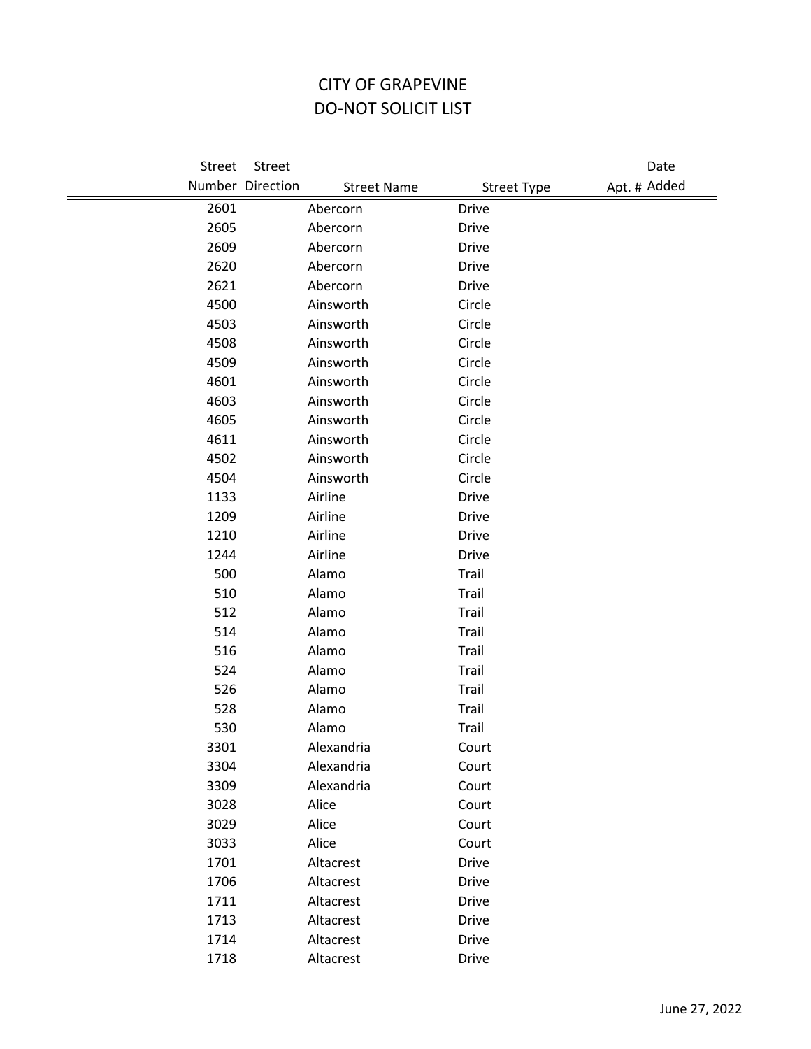## CITY OF GRAPEVINE DO-NOT SOLICIT LIST

| Street | Street           |                    |                    | Date         |
|--------|------------------|--------------------|--------------------|--------------|
|        | Number Direction | <b>Street Name</b> | <b>Street Type</b> | Apt. # Added |
| 2601   |                  | Abercorn           | <b>Drive</b>       |              |
| 2605   |                  | Abercorn           | Drive              |              |
| 2609   |                  | Abercorn           | <b>Drive</b>       |              |
| 2620   |                  | Abercorn           | Drive              |              |
| 2621   |                  | Abercorn           | <b>Drive</b>       |              |
| 4500   |                  | Ainsworth          | Circle             |              |
| 4503   |                  | Ainsworth          | Circle             |              |
| 4508   |                  | Ainsworth          | Circle             |              |
| 4509   |                  | Ainsworth          | Circle             |              |
| 4601   |                  | Ainsworth          | Circle             |              |
| 4603   |                  | Ainsworth          | Circle             |              |
| 4605   |                  | Ainsworth          | Circle             |              |
| 4611   |                  | Ainsworth          | Circle             |              |
| 4502   |                  | Ainsworth          | Circle             |              |
| 4504   |                  | Ainsworth          | Circle             |              |
| 1133   |                  | Airline            | <b>Drive</b>       |              |
| 1209   |                  | Airline            | <b>Drive</b>       |              |
| 1210   |                  | Airline            | <b>Drive</b>       |              |
| 1244   |                  | Airline            | <b>Drive</b>       |              |
| 500    |                  | Alamo              | Trail              |              |
| 510    |                  | Alamo              | Trail              |              |
| 512    |                  | Alamo              | Trail              |              |
| 514    |                  | Alamo              | Trail              |              |
| 516    |                  | Alamo              | Trail              |              |
| 524    |                  | Alamo              | Trail              |              |
| 526    |                  | Alamo              | Trail              |              |
| 528    |                  | Alamo              | Trail              |              |
| 530    |                  | Alamo              | Trail              |              |
| 3301   |                  | Alexandria         | Court              |              |
| 3304   |                  | Alexandria         | Court              |              |
| 3309   |                  | Alexandria         | Court              |              |
| 3028   |                  | Alice              | Court              |              |
| 3029   |                  | Alice              | Court              |              |
| 3033   |                  | Alice              | Court              |              |
| 1701   |                  | Altacrest          | Drive              |              |
| 1706   |                  | Altacrest          | <b>Drive</b>       |              |
| 1711   |                  | Altacrest          | <b>Drive</b>       |              |
| 1713   |                  | Altacrest          | <b>Drive</b>       |              |
| 1714   |                  | Altacrest          | <b>Drive</b>       |              |
| 1718   |                  | Altacrest          | Drive              |              |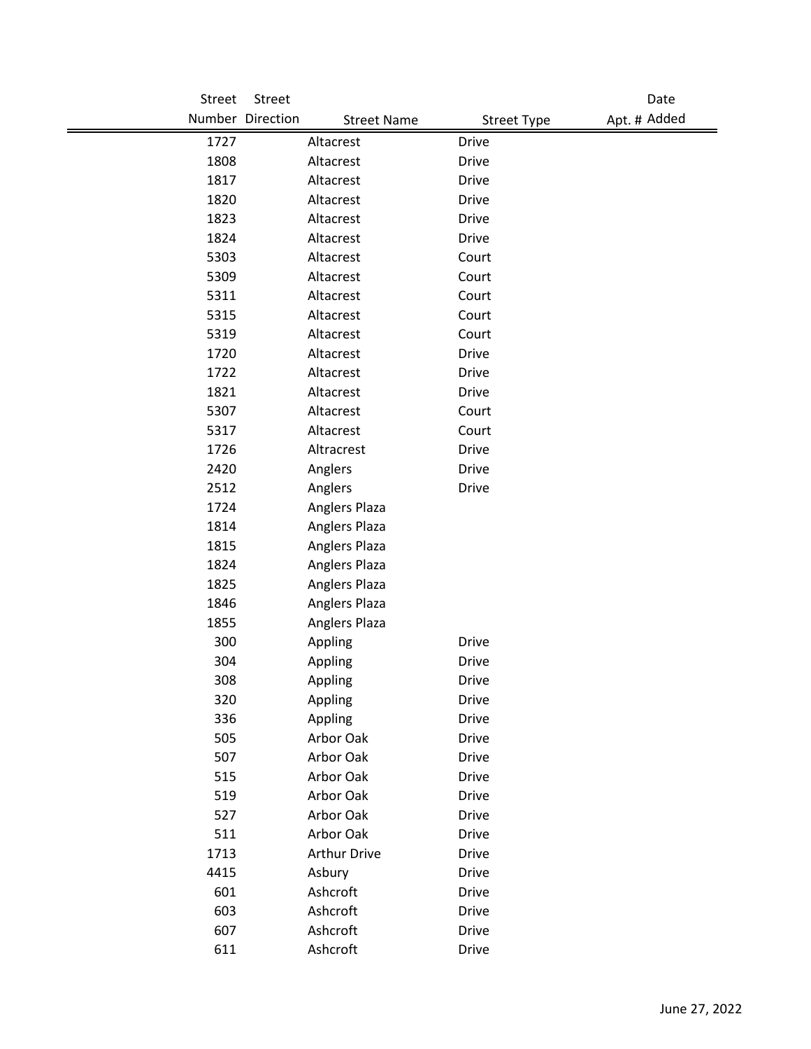| Street | Street                                 |                    | Date         |
|--------|----------------------------------------|--------------------|--------------|
|        | Number Direction<br><b>Street Name</b> | <b>Street Type</b> | Apt. # Added |
| 1727   | Altacrest                              | <b>Drive</b>       |              |
| 1808   | Altacrest                              | <b>Drive</b>       |              |
| 1817   | Altacrest                              | <b>Drive</b>       |              |
| 1820   | Altacrest                              | <b>Drive</b>       |              |
| 1823   | Altacrest                              | <b>Drive</b>       |              |
| 1824   | Altacrest                              | <b>Drive</b>       |              |
| 5303   | Altacrest                              | Court              |              |
| 5309   | Altacrest                              | Court              |              |
| 5311   | Altacrest                              | Court              |              |
| 5315   | Altacrest                              | Court              |              |
| 5319   | Altacrest                              | Court              |              |
| 1720   | Altacrest                              | <b>Drive</b>       |              |
| 1722   | Altacrest                              | <b>Drive</b>       |              |
| 1821   | Altacrest                              | <b>Drive</b>       |              |
| 5307   | Altacrest                              | Court              |              |
| 5317   | Altacrest                              | Court              |              |
| 1726   | Altracrest                             | <b>Drive</b>       |              |
| 2420   | Anglers                                | <b>Drive</b>       |              |
| 2512   | Anglers                                | Drive              |              |
| 1724   | Anglers Plaza                          |                    |              |
| 1814   | Anglers Plaza                          |                    |              |
| 1815   | Anglers Plaza                          |                    |              |
| 1824   | Anglers Plaza                          |                    |              |
| 1825   | Anglers Plaza                          |                    |              |
| 1846   | Anglers Plaza                          |                    |              |
| 1855   | Anglers Plaza                          |                    |              |
| 300    | Appling                                | <b>Drive</b>       |              |
| 304    | Appling                                | <b>Drive</b>       |              |
| 308    | Appling                                | Drive              |              |
| 320    | Appling                                | <b>Drive</b>       |              |
| 336    | Appling                                | Drive              |              |
| 505    | Arbor Oak                              | <b>Drive</b>       |              |
| 507    | Arbor Oak                              | <b>Drive</b>       |              |
| 515    | Arbor Oak                              | <b>Drive</b>       |              |
| 519    | Arbor Oak                              | <b>Drive</b>       |              |
| 527    | Arbor Oak                              | <b>Drive</b>       |              |
| 511    | Arbor Oak                              | <b>Drive</b>       |              |
| 1713   | <b>Arthur Drive</b>                    | Drive              |              |
| 4415   | Asbury                                 | <b>Drive</b>       |              |
| 601    | Ashcroft                               | <b>Drive</b>       |              |
| 603    | Ashcroft                               | Drive              |              |
| 607    | Ashcroft                               | <b>Drive</b>       |              |
| 611    | Ashcroft                               | Drive              |              |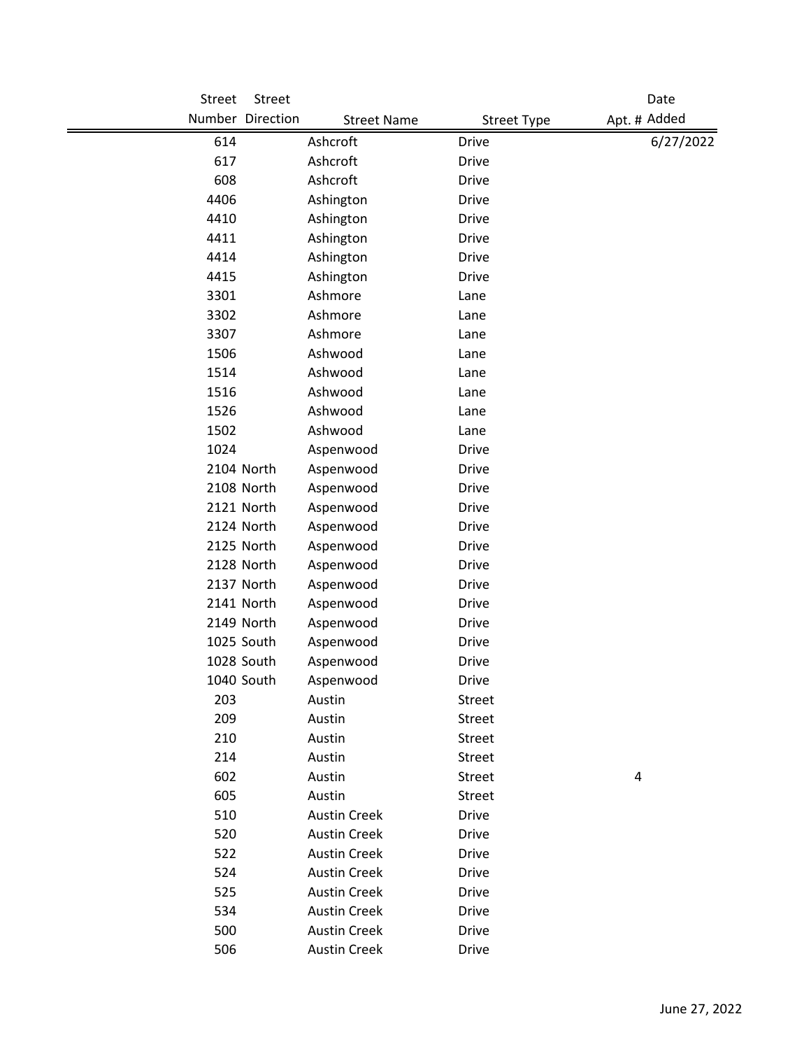| <b>Street</b> | Street           |                     |                    | Date         |
|---------------|------------------|---------------------|--------------------|--------------|
|               | Number Direction | <b>Street Name</b>  | <b>Street Type</b> | Apt. # Added |
| 614           |                  | Ashcroft            | <b>Drive</b>       | 6/27/2022    |
| 617           |                  | Ashcroft            | <b>Drive</b>       |              |
| 608           |                  | Ashcroft            | <b>Drive</b>       |              |
| 4406          |                  | Ashington           | <b>Drive</b>       |              |
| 4410          |                  | Ashington           | <b>Drive</b>       |              |
| 4411          |                  | Ashington           | <b>Drive</b>       |              |
| 4414          |                  | Ashington           | <b>Drive</b>       |              |
| 4415          |                  | Ashington           | <b>Drive</b>       |              |
| 3301          |                  | Ashmore             | Lane               |              |
| 3302          |                  | Ashmore             | Lane               |              |
| 3307          |                  | Ashmore             | Lane               |              |
| 1506          |                  | Ashwood             | Lane               |              |
| 1514          |                  | Ashwood             | Lane               |              |
| 1516          |                  | Ashwood             | Lane               |              |
| 1526          |                  | Ashwood             | Lane               |              |
| 1502          |                  | Ashwood             | Lane               |              |
| 1024          |                  | Aspenwood           | <b>Drive</b>       |              |
|               | 2104 North       | Aspenwood           | <b>Drive</b>       |              |
|               | 2108 North       | Aspenwood           | <b>Drive</b>       |              |
|               | 2121 North       | Aspenwood           | Drive              |              |
|               | 2124 North       | Aspenwood           | <b>Drive</b>       |              |
|               | 2125 North       | Aspenwood           | <b>Drive</b>       |              |
|               | 2128 North       | Aspenwood           | <b>Drive</b>       |              |
|               | 2137 North       | Aspenwood           | Drive              |              |
|               | 2141 North       | Aspenwood           | <b>Drive</b>       |              |
|               | 2149 North       | Aspenwood           | <b>Drive</b>       |              |
|               | 1025 South       | Aspenwood           | Drive              |              |
|               | 1028 South       | Aspenwood           | <b>Drive</b>       |              |
|               | 1040 South       | Aspenwood           | Drive              |              |
| 203           |                  | Austin              | Street             |              |
| 209           |                  | Austin              | Street             |              |
| 210           |                  | Austin              | Street             |              |
| 214           |                  | Austin              | Street             |              |
| 602           |                  | Austin              | Street             | 4            |
| 605           |                  | Austin              | Street             |              |
| 510           |                  | <b>Austin Creek</b> | Drive              |              |
| 520           |                  | <b>Austin Creek</b> | <b>Drive</b>       |              |
| 522           |                  | <b>Austin Creek</b> | Drive              |              |
| 524           |                  | <b>Austin Creek</b> | <b>Drive</b>       |              |
| 525           |                  | <b>Austin Creek</b> | Drive              |              |
| 534           |                  | <b>Austin Creek</b> | <b>Drive</b>       |              |
| 500           |                  | <b>Austin Creek</b> | Drive              |              |
| 506           |                  | <b>Austin Creek</b> | Drive              |              |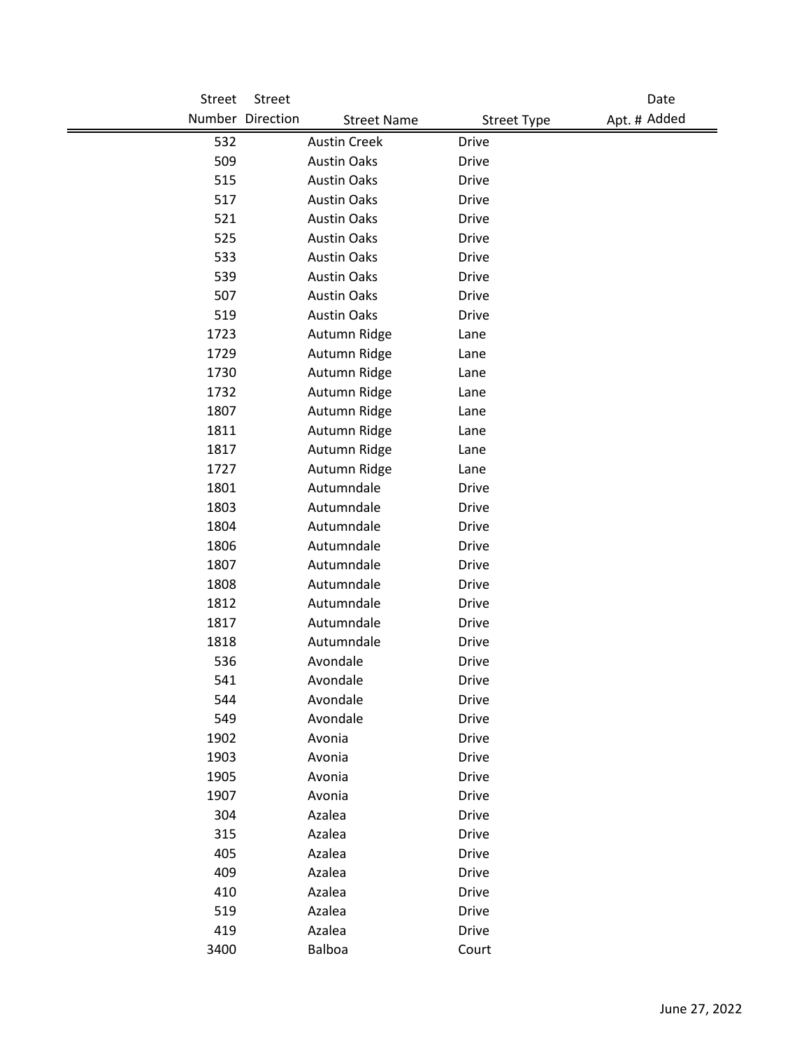| Street | Street           |                     |                    | Date         |
|--------|------------------|---------------------|--------------------|--------------|
|        | Number Direction | <b>Street Name</b>  | <b>Street Type</b> | Apt. # Added |
| 532    |                  | <b>Austin Creek</b> | <b>Drive</b>       |              |
| 509    |                  | <b>Austin Oaks</b>  | <b>Drive</b>       |              |
| 515    |                  | <b>Austin Oaks</b>  | <b>Drive</b>       |              |
| 517    |                  | <b>Austin Oaks</b>  | <b>Drive</b>       |              |
| 521    |                  | <b>Austin Oaks</b>  | <b>Drive</b>       |              |
| 525    |                  | <b>Austin Oaks</b>  | <b>Drive</b>       |              |
| 533    |                  | <b>Austin Oaks</b>  | <b>Drive</b>       |              |
| 539    |                  | <b>Austin Oaks</b>  | <b>Drive</b>       |              |
| 507    |                  | <b>Austin Oaks</b>  | <b>Drive</b>       |              |
| 519    |                  | <b>Austin Oaks</b>  | <b>Drive</b>       |              |
| 1723   |                  | Autumn Ridge        | Lane               |              |
| 1729   |                  | Autumn Ridge        | Lane               |              |
| 1730   |                  | Autumn Ridge        | Lane               |              |
| 1732   |                  | Autumn Ridge        | Lane               |              |
| 1807   |                  | Autumn Ridge        | Lane               |              |
| 1811   |                  | Autumn Ridge        | Lane               |              |
| 1817   |                  | Autumn Ridge        | Lane               |              |
| 1727   |                  | Autumn Ridge        | Lane               |              |
| 1801   |                  | Autumndale          | <b>Drive</b>       |              |
| 1803   |                  | Autumndale          | <b>Drive</b>       |              |
| 1804   |                  | Autumndale          | <b>Drive</b>       |              |
| 1806   |                  | Autumndale          | <b>Drive</b>       |              |
| 1807   |                  | Autumndale          | <b>Drive</b>       |              |
| 1808   |                  | Autumndale          | <b>Drive</b>       |              |
| 1812   |                  | Autumndale          | <b>Drive</b>       |              |
| 1817   |                  | Autumndale          | <b>Drive</b>       |              |
| 1818   |                  | Autumndale          | <b>Drive</b>       |              |
| 536    |                  | Avondale            | <b>Drive</b>       |              |
| 541    |                  | Avondale            | Drive              |              |
| 544    |                  | Avondale            | Drive              |              |
| 549    |                  | Avondale            | Drive              |              |
| 1902   |                  | Avonia              | <b>Drive</b>       |              |
| 1903   |                  | Avonia              | <b>Drive</b>       |              |
| 1905   |                  | Avonia              | <b>Drive</b>       |              |
| 1907   |                  | Avonia              | <b>Drive</b>       |              |
| 304    |                  | Azalea              | Drive              |              |
| 315    |                  | Azalea              | <b>Drive</b>       |              |
| 405    |                  | Azalea              | Drive              |              |
| 409    |                  | Azalea              | <b>Drive</b>       |              |
| 410    |                  | Azalea              | <b>Drive</b>       |              |
| 519    |                  | Azalea              | Drive              |              |
| 419    |                  | Azalea              | Drive              |              |
| 3400   |                  | Balboa              | Court              |              |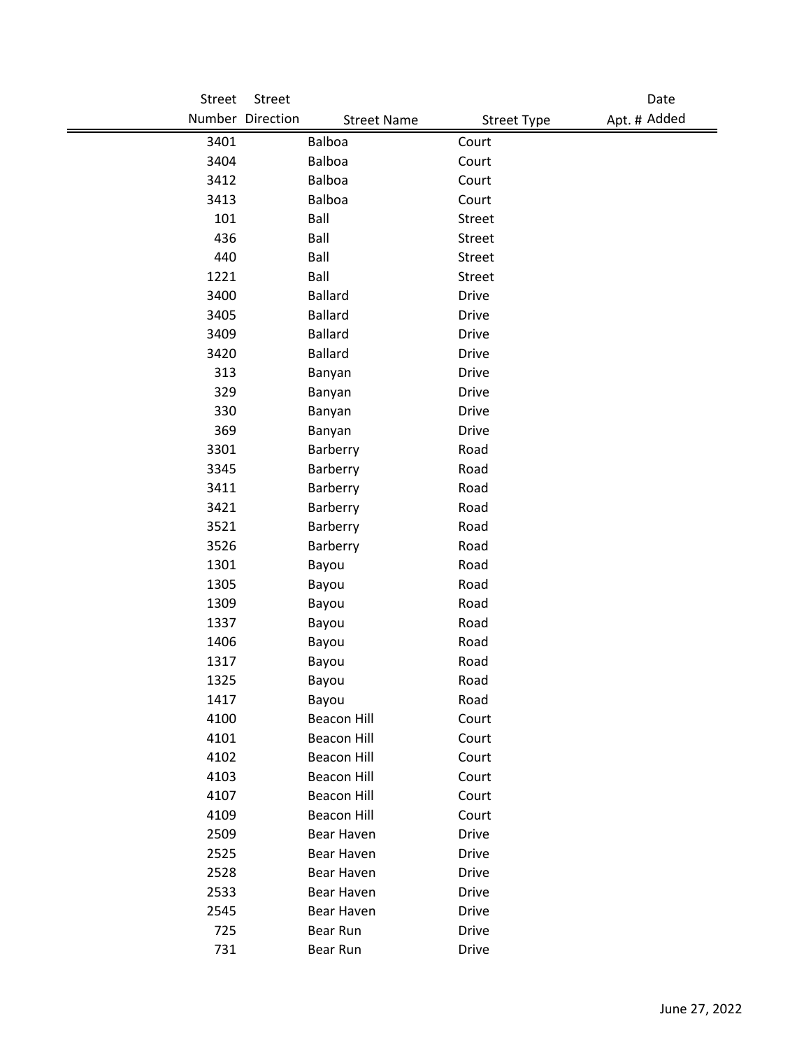| Street | Street                                 |                    | Date         |
|--------|----------------------------------------|--------------------|--------------|
|        | Number Direction<br><b>Street Name</b> | <b>Street Type</b> | Apt. # Added |
| 3401   | Balboa                                 | Court              |              |
| 3404   | Balboa                                 | Court              |              |
| 3412   | Balboa                                 | Court              |              |
| 3413   | Balboa                                 | Court              |              |
| 101    | Ball                                   | Street             |              |
| 436    | Ball                                   | Street             |              |
| 440    | Ball                                   | Street             |              |
| 1221   | Ball                                   | Street             |              |
| 3400   | <b>Ballard</b>                         | <b>Drive</b>       |              |
| 3405   | <b>Ballard</b>                         | <b>Drive</b>       |              |
| 3409   | <b>Ballard</b>                         | <b>Drive</b>       |              |
| 3420   | <b>Ballard</b>                         | <b>Drive</b>       |              |
| 313    | Banyan                                 | <b>Drive</b>       |              |
| 329    | Banyan                                 | <b>Drive</b>       |              |
| 330    | Banyan                                 | <b>Drive</b>       |              |
| 369    | Banyan                                 | <b>Drive</b>       |              |
| 3301   | Barberry                               | Road               |              |
| 3345   | Barberry                               | Road               |              |
| 3411   | Barberry                               | Road               |              |
| 3421   | Barberry                               | Road               |              |
| 3521   | Barberry                               | Road               |              |
| 3526   | Barberry                               | Road               |              |
| 1301   | Bayou                                  | Road               |              |
| 1305   | Bayou                                  | Road               |              |
| 1309   | Bayou                                  | Road               |              |
| 1337   | Bayou                                  | Road               |              |
| 1406   | Bayou                                  | Road               |              |
| 1317   | Bayou                                  | Road               |              |
| 1325   | Bayou                                  | Road               |              |
| 1417   | Bayou                                  | Road               |              |
| 4100   | <b>Beacon Hill</b>                     | Court              |              |
| 4101   | <b>Beacon Hill</b>                     | Court              |              |
| 4102   | <b>Beacon Hill</b>                     | Court              |              |
| 4103   | <b>Beacon Hill</b>                     | Court              |              |
| 4107   | <b>Beacon Hill</b>                     | Court              |              |
| 4109   | <b>Beacon Hill</b>                     | Court              |              |
| 2509   | Bear Haven                             | Drive              |              |
| 2525   | Bear Haven                             | <b>Drive</b>       |              |
| 2528   | Bear Haven                             | <b>Drive</b>       |              |
| 2533   | Bear Haven                             | Drive              |              |
| 2545   | Bear Haven                             | <b>Drive</b>       |              |
| 725    | Bear Run                               | <b>Drive</b>       |              |
| 731    | Bear Run                               | Drive              |              |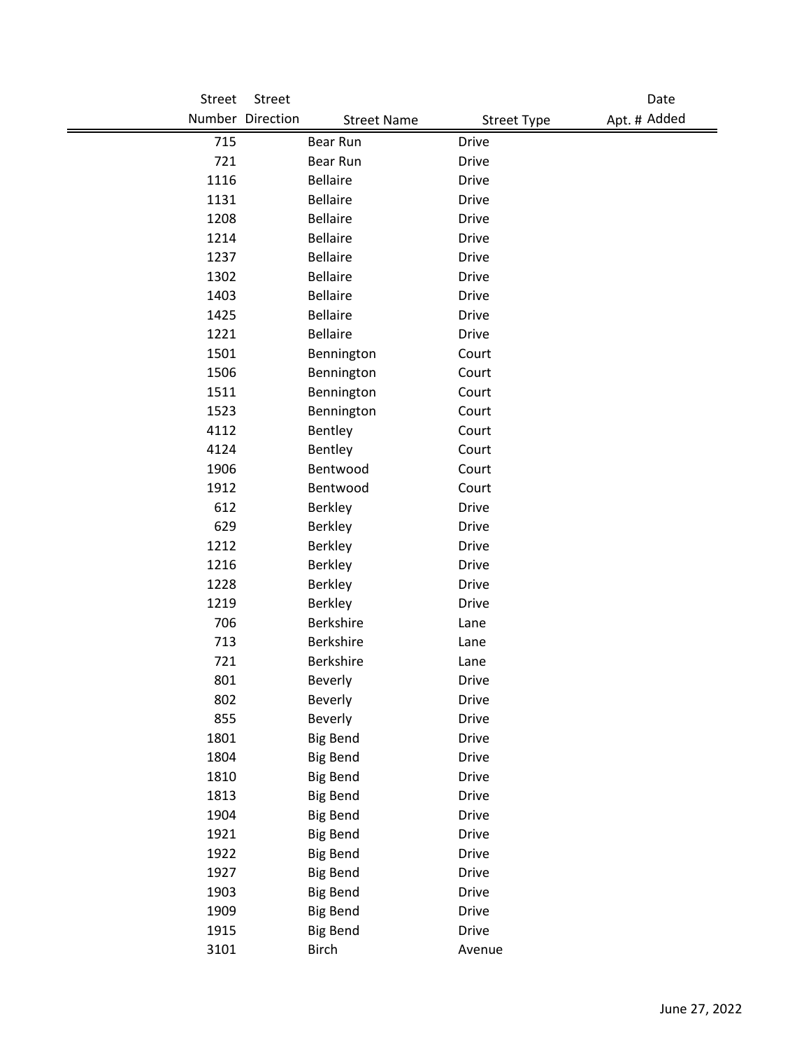| Street | Street                                 |                    | Date         |
|--------|----------------------------------------|--------------------|--------------|
|        | Number Direction<br><b>Street Name</b> | <b>Street Type</b> | Apt. # Added |
| 715    | Bear Run                               | <b>Drive</b>       |              |
| 721    | Bear Run                               | <b>Drive</b>       |              |
| 1116   | <b>Bellaire</b>                        | <b>Drive</b>       |              |
| 1131   | <b>Bellaire</b>                        | <b>Drive</b>       |              |
| 1208   | <b>Bellaire</b>                        | <b>Drive</b>       |              |
| 1214   | <b>Bellaire</b>                        | <b>Drive</b>       |              |
| 1237   | <b>Bellaire</b>                        | <b>Drive</b>       |              |
| 1302   | <b>Bellaire</b>                        | <b>Drive</b>       |              |
| 1403   | <b>Bellaire</b>                        | <b>Drive</b>       |              |
| 1425   | <b>Bellaire</b>                        | <b>Drive</b>       |              |
| 1221   | <b>Bellaire</b>                        | <b>Drive</b>       |              |
| 1501   | Bennington                             | Court              |              |
| 1506   | Bennington                             | Court              |              |
| 1511   | Bennington                             | Court              |              |
| 1523   | Bennington                             | Court              |              |
| 4112   | Bentley                                | Court              |              |
| 4124   | Bentley                                | Court              |              |
| 1906   | Bentwood                               | Court              |              |
| 1912   | Bentwood                               | Court              |              |
| 612    | <b>Berkley</b>                         | <b>Drive</b>       |              |
| 629    | <b>Berkley</b>                         | <b>Drive</b>       |              |
| 1212   | <b>Berkley</b>                         | <b>Drive</b>       |              |
| 1216   | <b>Berkley</b>                         | <b>Drive</b>       |              |
| 1228   | <b>Berkley</b>                         | <b>Drive</b>       |              |
| 1219   | <b>Berkley</b>                         | <b>Drive</b>       |              |
| 706    | <b>Berkshire</b>                       | Lane               |              |
| 713    | Berkshire                              | Lane               |              |
| 721    | Berkshire                              | Lane               |              |
| 801    | Beverly                                | <b>Drive</b>       |              |
| 802    | Beverly                                | Drive              |              |
| 855    | Beverly                                | Drive              |              |
| 1801   | <b>Big Bend</b>                        | Drive              |              |
| 1804   | <b>Big Bend</b>                        | Drive              |              |
| 1810   | <b>Big Bend</b>                        | <b>Drive</b>       |              |
| 1813   | <b>Big Bend</b>                        | <b>Drive</b>       |              |
| 1904   | <b>Big Bend</b>                        | Drive              |              |
| 1921   | <b>Big Bend</b>                        | <b>Drive</b>       |              |
| 1922   | <b>Big Bend</b>                        | Drive              |              |
| 1927   | <b>Big Bend</b>                        | Drive              |              |
| 1903   | <b>Big Bend</b>                        | Drive              |              |
| 1909   | <b>Big Bend</b>                        | Drive              |              |
| 1915   | <b>Big Bend</b>                        | Drive              |              |
| 3101   | <b>Birch</b>                           | Avenue             |              |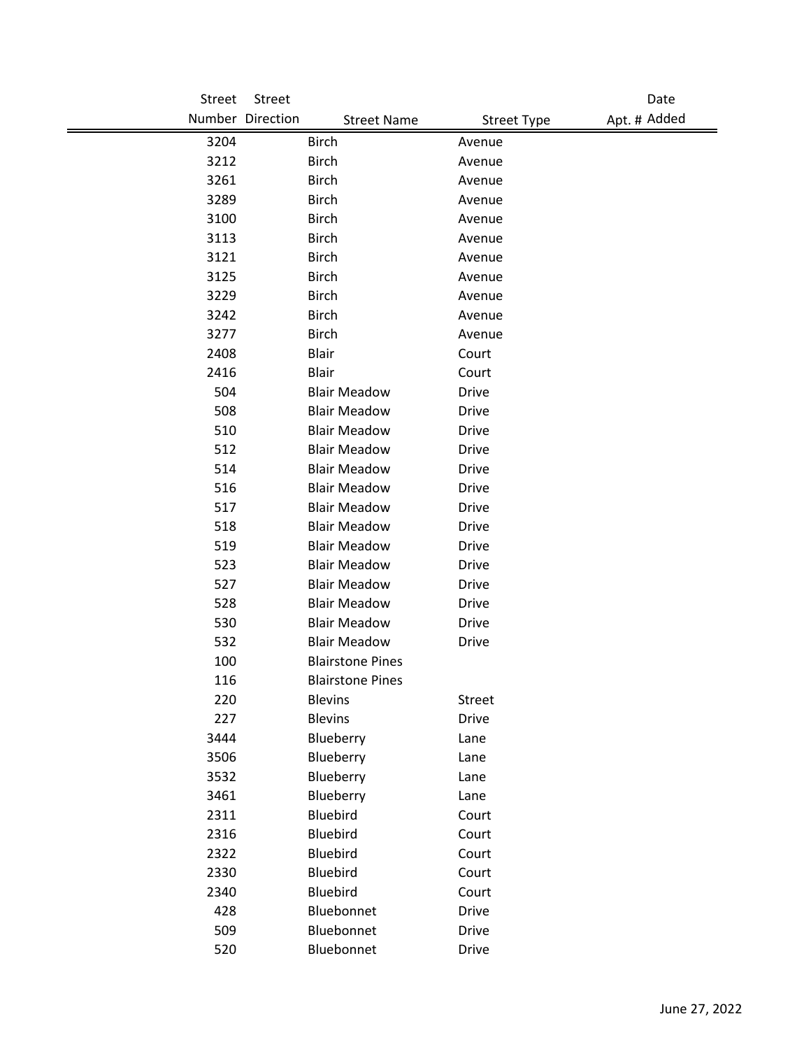| Street | Street           |                         |                    | Date         |
|--------|------------------|-------------------------|--------------------|--------------|
|        | Number Direction | <b>Street Name</b>      | <b>Street Type</b> | Apt. # Added |
| 3204   | <b>Birch</b>     |                         | Avenue             |              |
| 3212   | <b>Birch</b>     |                         | Avenue             |              |
| 3261   | <b>Birch</b>     |                         | Avenue             |              |
| 3289   | <b>Birch</b>     |                         | Avenue             |              |
| 3100   | <b>Birch</b>     |                         | Avenue             |              |
| 3113   | <b>Birch</b>     |                         | Avenue             |              |
| 3121   | <b>Birch</b>     |                         | Avenue             |              |
| 3125   | <b>Birch</b>     |                         | Avenue             |              |
| 3229   | <b>Birch</b>     |                         | Avenue             |              |
| 3242   | <b>Birch</b>     |                         | Avenue             |              |
| 3277   | <b>Birch</b>     |                         | Avenue             |              |
| 2408   | <b>Blair</b>     |                         | Court              |              |
| 2416   | <b>Blair</b>     |                         | Court              |              |
| 504    |                  | <b>Blair Meadow</b>     | <b>Drive</b>       |              |
| 508    |                  | <b>Blair Meadow</b>     | <b>Drive</b>       |              |
| 510    |                  | <b>Blair Meadow</b>     | <b>Drive</b>       |              |
| 512    |                  | <b>Blair Meadow</b>     | <b>Drive</b>       |              |
| 514    |                  | <b>Blair Meadow</b>     | <b>Drive</b>       |              |
| 516    |                  | <b>Blair Meadow</b>     | <b>Drive</b>       |              |
| 517    |                  | <b>Blair Meadow</b>     | <b>Drive</b>       |              |
| 518    |                  | <b>Blair Meadow</b>     | <b>Drive</b>       |              |
| 519    |                  | <b>Blair Meadow</b>     | <b>Drive</b>       |              |
| 523    |                  | <b>Blair Meadow</b>     | <b>Drive</b>       |              |
| 527    |                  | <b>Blair Meadow</b>     | Drive              |              |
| 528    |                  | <b>Blair Meadow</b>     | <b>Drive</b>       |              |
| 530    |                  | <b>Blair Meadow</b>     | <b>Drive</b>       |              |
| 532    |                  | <b>Blair Meadow</b>     | Drive              |              |
| 100    |                  | <b>Blairstone Pines</b> |                    |              |
| 116    |                  | <b>Blairstone Pines</b> |                    |              |
| 220    | <b>Blevins</b>   |                         | Street             |              |
| 227    | <b>Blevins</b>   |                         | <b>Drive</b>       |              |
| 3444   | Blueberry        |                         | Lane               |              |
| 3506   | Blueberry        |                         | Lane               |              |
| 3532   | Blueberry        |                         | Lane               |              |
| 3461   | Blueberry        |                         | Lane               |              |
| 2311   | Bluebird         |                         | Court              |              |
| 2316   | <b>Bluebird</b>  |                         | Court              |              |
| 2322   | Bluebird         |                         | Court              |              |
| 2330   | Bluebird         |                         | Court              |              |
| 2340   | Bluebird         |                         | Court              |              |
| 428    |                  | Bluebonnet              | Drive              |              |
| 509    |                  | Bluebonnet              | <b>Drive</b>       |              |
| 520    |                  | Bluebonnet              | <b>Drive</b>       |              |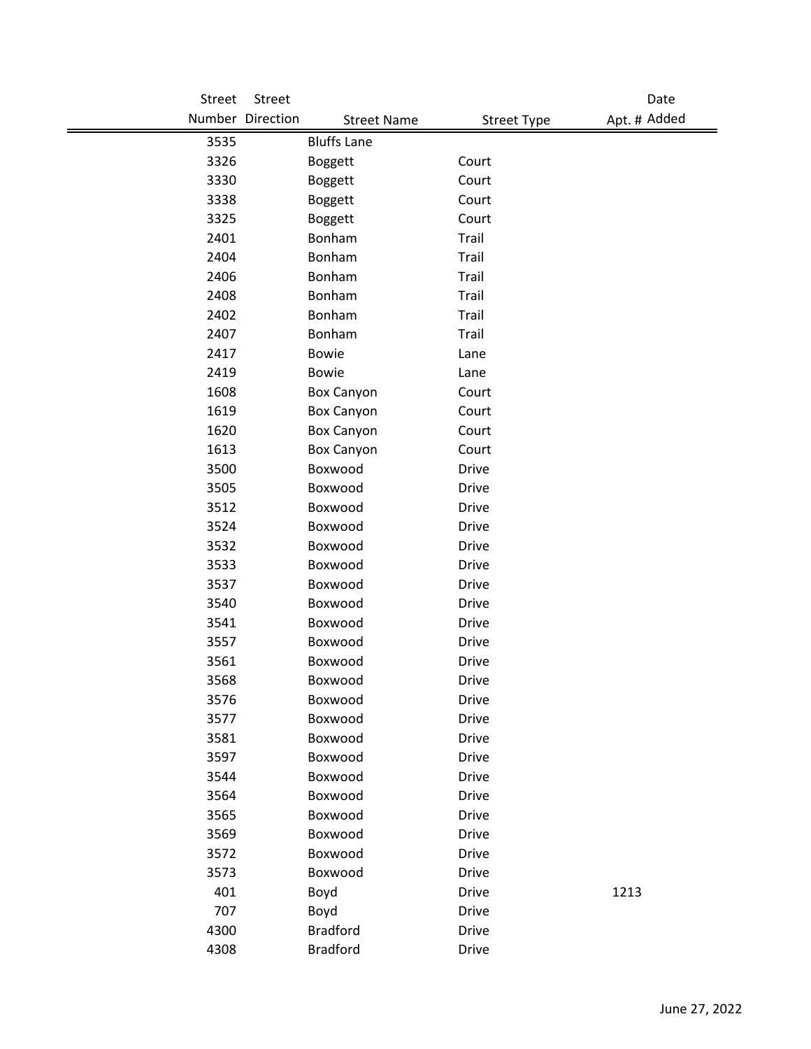| Street | Street           |                    |                    | Date         |
|--------|------------------|--------------------|--------------------|--------------|
|        | Number Direction | <b>Street Name</b> | <b>Street Type</b> | Apt. # Added |
| 3535   |                  | <b>Bluffs Lane</b> |                    |              |
| 3326   |                  | <b>Boggett</b>     | Court              |              |
| 3330   |                  | <b>Boggett</b>     | Court              |              |
| 3338   |                  | <b>Boggett</b>     | Court              |              |
| 3325   |                  | <b>Boggett</b>     | Court              |              |
| 2401   |                  | Bonham             | Trail              |              |
| 2404   |                  | Bonham             | Trail              |              |
| 2406   |                  | Bonham             | Trail              |              |
| 2408   |                  | Bonham             | Trail              |              |
| 2402   |                  | Bonham             | Trail              |              |
| 2407   |                  | Bonham             | Trail              |              |
| 2417   |                  | <b>Bowie</b>       | Lane               |              |
| 2419   |                  | <b>Bowie</b>       | Lane               |              |
| 1608   |                  | <b>Box Canyon</b>  | Court              |              |
| 1619   |                  | <b>Box Canyon</b>  | Court              |              |
| 1620   |                  | <b>Box Canyon</b>  | Court              |              |
| 1613   |                  | <b>Box Canyon</b>  | Court              |              |
| 3500   |                  | Boxwood            | <b>Drive</b>       |              |
| 3505   |                  | Boxwood            | <b>Drive</b>       |              |
| 3512   |                  | Boxwood            | <b>Drive</b>       |              |
| 3524   |                  | Boxwood            | <b>Drive</b>       |              |
| 3532   |                  | Boxwood            | <b>Drive</b>       |              |
| 3533   |                  | Boxwood            | <b>Drive</b>       |              |
| 3537   |                  | Boxwood            | <b>Drive</b>       |              |
| 3540   |                  | Boxwood            | <b>Drive</b>       |              |
| 3541   |                  | Boxwood            | <b>Drive</b>       |              |
| 3557   |                  | Boxwood            | <b>Drive</b>       |              |
| 3561   |                  | Boxwood            | <b>Drive</b>       |              |
| 3568   |                  | Boxwood            | Drive              |              |
| 3576   |                  | Boxwood            | Drive              |              |
| 3577   |                  | Boxwood            | <b>Drive</b>       |              |
| 3581   |                  | Boxwood            | <b>Drive</b>       |              |
| 3597   |                  | Boxwood            | <b>Drive</b>       |              |
| 3544   |                  | Boxwood            | <b>Drive</b>       |              |
| 3564   |                  | Boxwood            | <b>Drive</b>       |              |
| 3565   |                  | Boxwood            | <b>Drive</b>       |              |
| 3569   |                  | Boxwood            | <b>Drive</b>       |              |
| 3572   |                  | Boxwood            | <b>Drive</b>       |              |
| 3573   |                  | Boxwood            | <b>Drive</b>       |              |
| 401    |                  | Boyd               | <b>Drive</b>       | 1213         |
| 707    |                  | Boyd               | <b>Drive</b>       |              |
| 4300   |                  | <b>Bradford</b>    | <b>Drive</b>       |              |
| 4308   |                  | <b>Bradford</b>    | <b>Drive</b>       |              |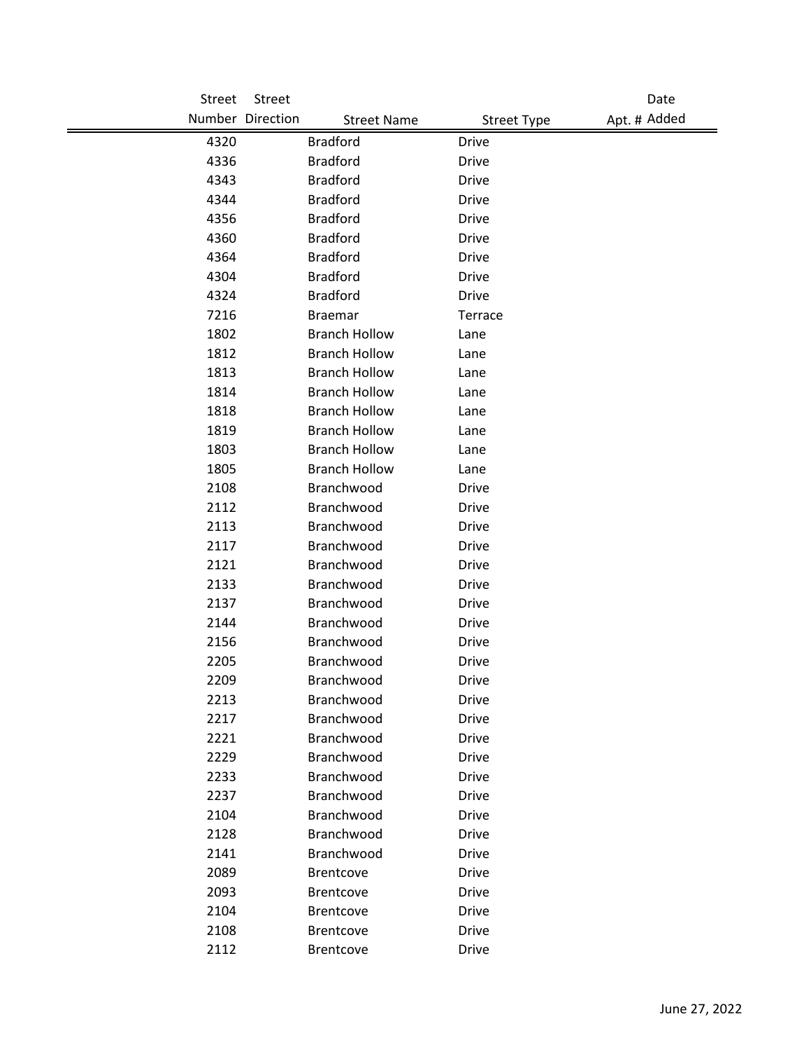| Street | Street                                 |                    | Date         |
|--------|----------------------------------------|--------------------|--------------|
|        | Number Direction<br><b>Street Name</b> | <b>Street Type</b> | Apt. # Added |
| 4320   | <b>Bradford</b>                        | <b>Drive</b>       |              |
| 4336   | <b>Bradford</b>                        | <b>Drive</b>       |              |
| 4343   | <b>Bradford</b>                        | <b>Drive</b>       |              |
| 4344   | <b>Bradford</b>                        | <b>Drive</b>       |              |
| 4356   | <b>Bradford</b>                        | Drive              |              |
| 4360   | <b>Bradford</b>                        | <b>Drive</b>       |              |
| 4364   | <b>Bradford</b>                        | <b>Drive</b>       |              |
| 4304   | <b>Bradford</b>                        | <b>Drive</b>       |              |
| 4324   | <b>Bradford</b>                        | <b>Drive</b>       |              |
| 7216   | <b>Braemar</b>                         | Terrace            |              |
| 1802   | <b>Branch Hollow</b>                   | Lane               |              |
| 1812   | <b>Branch Hollow</b>                   | Lane               |              |
| 1813   | <b>Branch Hollow</b>                   | Lane               |              |
| 1814   | <b>Branch Hollow</b>                   | Lane               |              |
| 1818   | <b>Branch Hollow</b>                   | Lane               |              |
| 1819   | <b>Branch Hollow</b>                   | Lane               |              |
| 1803   | <b>Branch Hollow</b>                   | Lane               |              |
| 1805   | <b>Branch Hollow</b>                   | Lane               |              |
| 2108   | Branchwood                             | <b>Drive</b>       |              |
| 2112   | Branchwood                             | <b>Drive</b>       |              |
| 2113   | Branchwood                             | <b>Drive</b>       |              |
| 2117   | Branchwood                             | <b>Drive</b>       |              |
| 2121   | Branchwood                             | <b>Drive</b>       |              |
| 2133   | Branchwood                             | Drive              |              |
| 2137   | Branchwood                             | <b>Drive</b>       |              |
| 2144   | Branchwood                             | <b>Drive</b>       |              |
| 2156   | Branchwood                             | <b>Drive</b>       |              |
| 2205   | Branchwood                             | <b>Drive</b>       |              |
| 2209   | Branchwood                             | Drive              |              |
| 2213   | Branchwood                             | <b>Drive</b>       |              |
| 2217   | Branchwood                             | Drive              |              |
| 2221   | Branchwood                             | <b>Drive</b>       |              |
| 2229   | Branchwood                             | <b>Drive</b>       |              |
| 2233   | Branchwood                             | <b>Drive</b>       |              |
| 2237   | Branchwood                             | <b>Drive</b>       |              |
| 2104   | Branchwood                             | Drive              |              |
| 2128   | Branchwood                             | <b>Drive</b>       |              |
| 2141   | Branchwood                             | Drive              |              |
| 2089   | <b>Brentcove</b>                       | <b>Drive</b>       |              |
| 2093   | <b>Brentcove</b>                       | <b>Drive</b>       |              |
| 2104   | Brentcove                              | <b>Drive</b>       |              |
| 2108   | <b>Brentcove</b>                       | <b>Drive</b>       |              |
| 2112   | <b>Brentcove</b>                       | Drive              |              |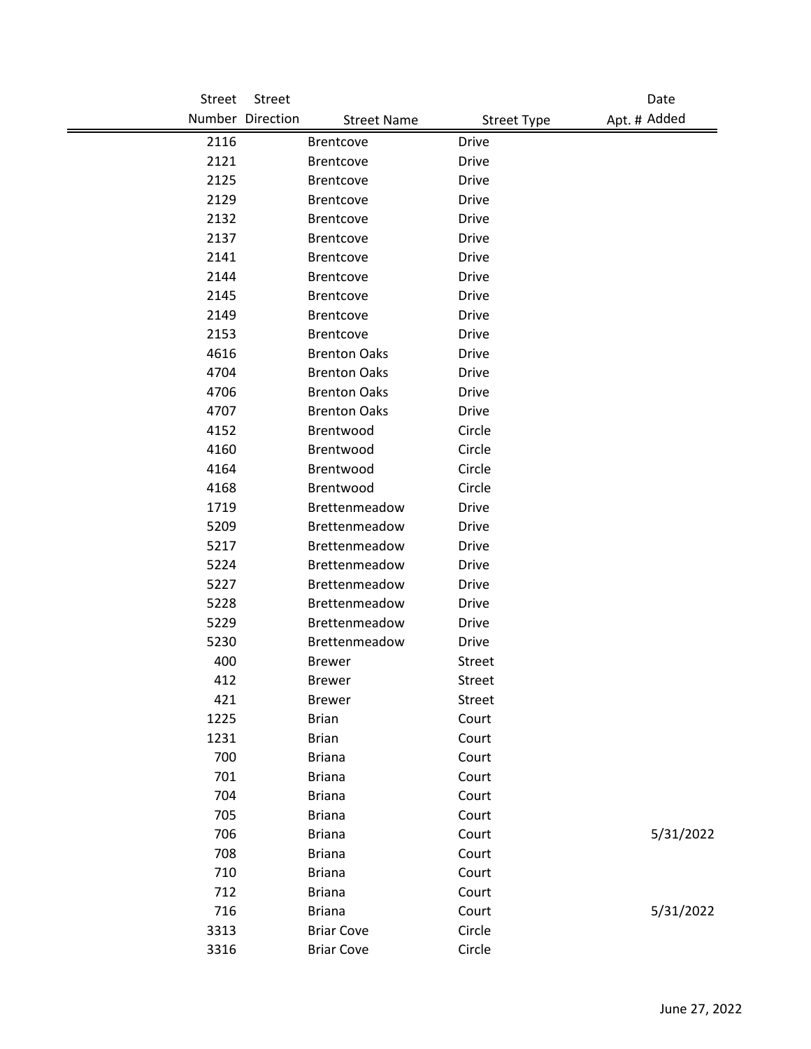| Street | <b>Street</b>    |                     |                    | Date         |
|--------|------------------|---------------------|--------------------|--------------|
|        | Number Direction | <b>Street Name</b>  | <b>Street Type</b> | Apt. # Added |
| 2116   |                  | <b>Brentcove</b>    | <b>Drive</b>       |              |
| 2121   |                  | Brentcove           | <b>Drive</b>       |              |
| 2125   |                  | <b>Brentcove</b>    | <b>Drive</b>       |              |
| 2129   |                  | <b>Brentcove</b>    | <b>Drive</b>       |              |
| 2132   |                  | <b>Brentcove</b>    | <b>Drive</b>       |              |
| 2137   |                  | Brentcove           | <b>Drive</b>       |              |
| 2141   |                  | <b>Brentcove</b>    | <b>Drive</b>       |              |
| 2144   |                  | <b>Brentcove</b>    | <b>Drive</b>       |              |
| 2145   |                  | <b>Brentcove</b>    | <b>Drive</b>       |              |
| 2149   |                  | <b>Brentcove</b>    | <b>Drive</b>       |              |
| 2153   |                  | Brentcove           | <b>Drive</b>       |              |
| 4616   |                  | <b>Brenton Oaks</b> | <b>Drive</b>       |              |
| 4704   |                  | <b>Brenton Oaks</b> | <b>Drive</b>       |              |
| 4706   |                  | <b>Brenton Oaks</b> | <b>Drive</b>       |              |
| 4707   |                  | <b>Brenton Oaks</b> | <b>Drive</b>       |              |
| 4152   |                  | Brentwood           | Circle             |              |
| 4160   |                  | Brentwood           | Circle             |              |
| 4164   |                  | Brentwood           | Circle             |              |
| 4168   |                  | Brentwood           | Circle             |              |
| 1719   |                  | Brettenmeadow       | <b>Drive</b>       |              |
| 5209   |                  | Brettenmeadow       | <b>Drive</b>       |              |
| 5217   |                  | Brettenmeadow       | <b>Drive</b>       |              |
| 5224   |                  | Brettenmeadow       | <b>Drive</b>       |              |
| 5227   |                  | Brettenmeadow       | <b>Drive</b>       |              |
| 5228   |                  | Brettenmeadow       | <b>Drive</b>       |              |
| 5229   |                  | Brettenmeadow       | <b>Drive</b>       |              |
| 5230   |                  | Brettenmeadow       | <b>Drive</b>       |              |
| 400    |                  | <b>Brewer</b>       | Street             |              |
| 412    |                  | <b>Brewer</b>       | <b>Street</b>      |              |
| 421    |                  | <b>Brewer</b>       | Street             |              |
| 1225   |                  | <b>Brian</b>        | Court              |              |
| 1231   |                  | <b>Brian</b>        | Court              |              |
| 700    |                  | <b>Briana</b>       | Court              |              |
| 701    |                  | <b>Briana</b>       | Court              |              |
| 704    |                  | <b>Briana</b>       | Court              |              |
| 705    |                  | <b>Briana</b>       | Court              |              |
| 706    |                  | <b>Briana</b>       | Court              | 5/31/2022    |
| 708    |                  | <b>Briana</b>       | Court              |              |
| 710    |                  | <b>Briana</b>       | Court              |              |
| 712    |                  | <b>Briana</b>       | Court              |              |
| 716    |                  | <b>Briana</b>       | Court              | 5/31/2022    |
| 3313   |                  | <b>Briar Cove</b>   | Circle             |              |
| 3316   |                  | <b>Briar Cove</b>   | Circle             |              |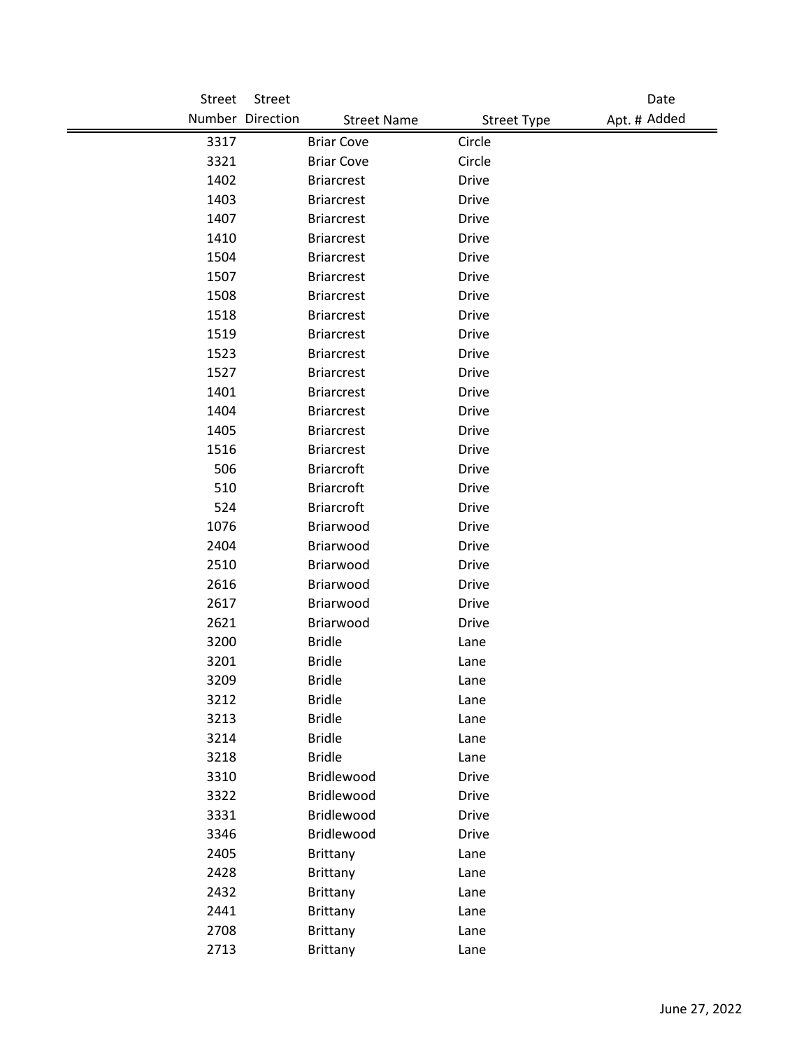| Street | Street                                 |                    | Date         |
|--------|----------------------------------------|--------------------|--------------|
|        | Number Direction<br><b>Street Name</b> | <b>Street Type</b> | Apt. # Added |
| 3317   | <b>Briar Cove</b>                      | Circle             |              |
| 3321   | <b>Briar Cove</b>                      | Circle             |              |
| 1402   | <b>Briarcrest</b>                      | <b>Drive</b>       |              |
| 1403   | <b>Briarcrest</b>                      | <b>Drive</b>       |              |
| 1407   | <b>Briarcrest</b>                      | <b>Drive</b>       |              |
| 1410   | <b>Briarcrest</b>                      | <b>Drive</b>       |              |
| 1504   | <b>Briarcrest</b>                      | <b>Drive</b>       |              |
| 1507   | <b>Briarcrest</b>                      | <b>Drive</b>       |              |
| 1508   | <b>Briarcrest</b>                      | <b>Drive</b>       |              |
| 1518   | <b>Briarcrest</b>                      | Drive              |              |
| 1519   | <b>Briarcrest</b>                      | <b>Drive</b>       |              |
| 1523   | <b>Briarcrest</b>                      | Drive              |              |
| 1527   | <b>Briarcrest</b>                      | <b>Drive</b>       |              |
| 1401   | <b>Briarcrest</b>                      | <b>Drive</b>       |              |
| 1404   | <b>Briarcrest</b>                      | <b>Drive</b>       |              |
| 1405   | <b>Briarcrest</b>                      | <b>Drive</b>       |              |
| 1516   | <b>Briarcrest</b>                      | <b>Drive</b>       |              |
| 506    | <b>Briarcroft</b>                      | <b>Drive</b>       |              |
| 510    | <b>Briarcroft</b>                      | Drive              |              |
| 524    | <b>Briarcroft</b>                      | <b>Drive</b>       |              |
| 1076   | Briarwood                              | <b>Drive</b>       |              |
| 2404   | Briarwood                              | <b>Drive</b>       |              |
| 2510   | Briarwood                              | <b>Drive</b>       |              |
| 2616   | Briarwood                              | Drive              |              |
| 2617   | Briarwood                              | <b>Drive</b>       |              |
| 2621   | Briarwood                              | <b>Drive</b>       |              |
| 3200   | <b>Bridle</b>                          | Lane               |              |
| 3201   | <b>Bridle</b>                          | Lane               |              |
| 3209   | <b>Bridle</b>                          | Lane               |              |
| 3212   | <b>Bridle</b>                          | Lane               |              |
| 3213   | <b>Bridle</b>                          | Lane               |              |
| 3214   | <b>Bridle</b>                          | Lane               |              |
| 3218   | <b>Bridle</b>                          | Lane               |              |
| 3310   | Bridlewood                             | <b>Drive</b>       |              |
| 3322   | Bridlewood                             | <b>Drive</b>       |              |
| 3331   | Bridlewood                             | <b>Drive</b>       |              |
| 3346   | Bridlewood                             | <b>Drive</b>       |              |
| 2405   | Brittany                               | Lane               |              |
| 2428   | <b>Brittany</b>                        | Lane               |              |
| 2432   | <b>Brittany</b>                        | Lane               |              |
| 2441   | <b>Brittany</b>                        | Lane               |              |
| 2708   | <b>Brittany</b>                        | Lane               |              |
| 2713   | <b>Brittany</b>                        | Lane               |              |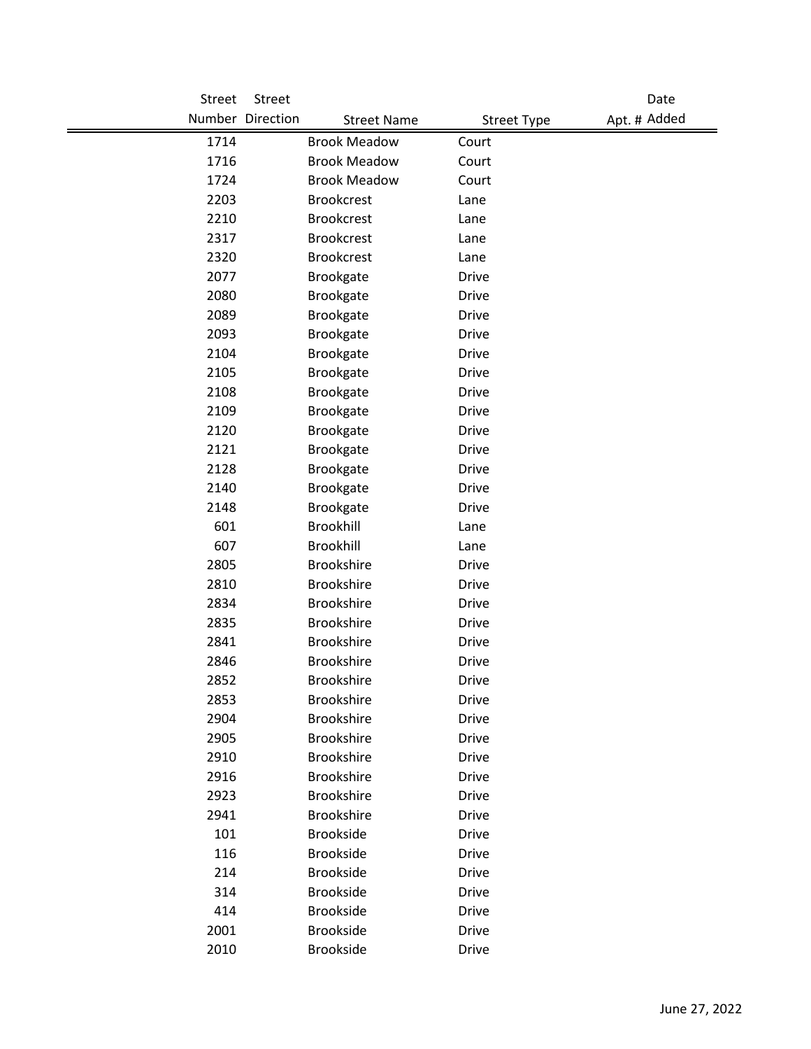| <b>Street</b> | Street           |                     |                    | Date         |
|---------------|------------------|---------------------|--------------------|--------------|
|               | Number Direction | <b>Street Name</b>  | <b>Street Type</b> | Apt. # Added |
| 1714          |                  | <b>Brook Meadow</b> | Court              |              |
| 1716          |                  | <b>Brook Meadow</b> | Court              |              |
| 1724          |                  | <b>Brook Meadow</b> | Court              |              |
| 2203          |                  | <b>Brookcrest</b>   | Lane               |              |
| 2210          |                  | <b>Brookcrest</b>   | Lane               |              |
| 2317          |                  | <b>Brookcrest</b>   | Lane               |              |
| 2320          |                  | <b>Brookcrest</b>   | Lane               |              |
| 2077          |                  | Brookgate           | <b>Drive</b>       |              |
| 2080          |                  | Brookgate           | <b>Drive</b>       |              |
| 2089          |                  | Brookgate           | <b>Drive</b>       |              |
| 2093          |                  | Brookgate           | <b>Drive</b>       |              |
| 2104          |                  | Brookgate           | <b>Drive</b>       |              |
| 2105          |                  | Brookgate           | <b>Drive</b>       |              |
| 2108          |                  | Brookgate           | <b>Drive</b>       |              |
| 2109          |                  | Brookgate           | <b>Drive</b>       |              |
| 2120          |                  | Brookgate           | <b>Drive</b>       |              |
| 2121          |                  | Brookgate           | <b>Drive</b>       |              |
| 2128          |                  | Brookgate           | <b>Drive</b>       |              |
| 2140          |                  | Brookgate           | <b>Drive</b>       |              |
| 2148          |                  | Brookgate           | <b>Drive</b>       |              |
| 601           |                  | Brookhill           | Lane               |              |
| 607           |                  | Brookhill           | Lane               |              |
| 2805          |                  | <b>Brookshire</b>   | <b>Drive</b>       |              |
| 2810          |                  | <b>Brookshire</b>   | <b>Drive</b>       |              |
| 2834          |                  | <b>Brookshire</b>   | <b>Drive</b>       |              |
| 2835          |                  | <b>Brookshire</b>   | <b>Drive</b>       |              |
| 2841          |                  | <b>Brookshire</b>   | <b>Drive</b>       |              |
| 2846          |                  | <b>Brookshire</b>   | <b>Drive</b>       |              |
| 2852          |                  | <b>Brookshire</b>   | <b>Drive</b>       |              |
| 2853          |                  | <b>Brookshire</b>   | <b>Drive</b>       |              |
| 2904          |                  | <b>Brookshire</b>   | Drive              |              |
| 2905          |                  | <b>Brookshire</b>   | <b>Drive</b>       |              |
| 2910          |                  | <b>Brookshire</b>   | <b>Drive</b>       |              |
| 2916          |                  | <b>Brookshire</b>   | <b>Drive</b>       |              |
| 2923          |                  | <b>Brookshire</b>   | <b>Drive</b>       |              |
| 2941          |                  | <b>Brookshire</b>   | <b>Drive</b>       |              |
| 101           |                  | <b>Brookside</b>    | <b>Drive</b>       |              |
| 116           |                  | <b>Brookside</b>    | Drive              |              |
| 214           |                  | <b>Brookside</b>    | <b>Drive</b>       |              |
| 314           |                  | <b>Brookside</b>    | Drive              |              |
| 414           |                  | <b>Brookside</b>    | <b>Drive</b>       |              |
| 2001          |                  | <b>Brookside</b>    | <b>Drive</b>       |              |
| 2010          |                  | <b>Brookside</b>    | Drive              |              |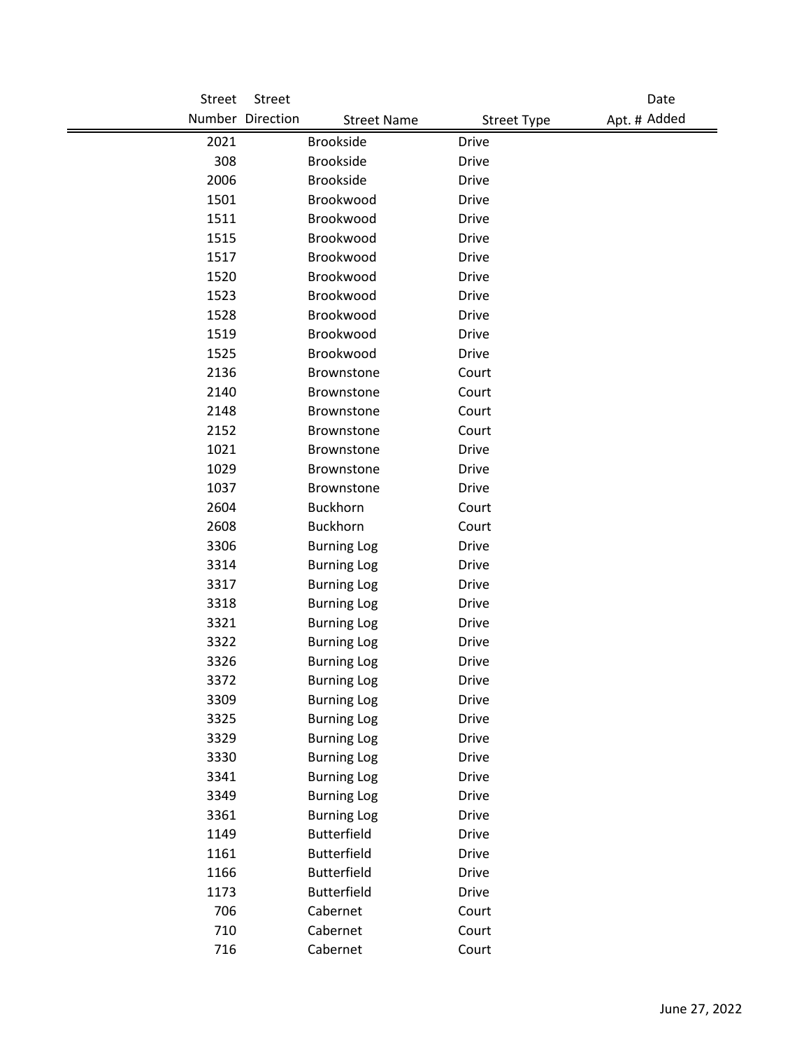| Street | Street           |                    |                    | Date         |
|--------|------------------|--------------------|--------------------|--------------|
|        | Number Direction | <b>Street Name</b> | <b>Street Type</b> | Apt. # Added |
| 2021   | <b>Brookside</b> |                    | <b>Drive</b>       |              |
| 308    | <b>Brookside</b> |                    | <b>Drive</b>       |              |
| 2006   | <b>Brookside</b> |                    | <b>Drive</b>       |              |
| 1501   |                  | Brookwood          | <b>Drive</b>       |              |
| 1511   |                  | Brookwood          | <b>Drive</b>       |              |
| 1515   |                  | Brookwood          | <b>Drive</b>       |              |
| 1517   |                  | Brookwood          | <b>Drive</b>       |              |
| 1520   |                  | Brookwood          | <b>Drive</b>       |              |
| 1523   |                  | Brookwood          | <b>Drive</b>       |              |
| 1528   |                  | Brookwood          | <b>Drive</b>       |              |
| 1519   |                  | Brookwood          | <b>Drive</b>       |              |
| 1525   |                  | Brookwood          | <b>Drive</b>       |              |
| 2136   |                  | Brownstone         | Court              |              |
| 2140   |                  | Brownstone         | Court              |              |
| 2148   |                  | Brownstone         | Court              |              |
| 2152   |                  | Brownstone         | Court              |              |
| 1021   |                  | <b>Brownstone</b>  | <b>Drive</b>       |              |
| 1029   |                  | Brownstone         | <b>Drive</b>       |              |
| 1037   |                  | Brownstone         | <b>Drive</b>       |              |
| 2604   | <b>Buckhorn</b>  |                    | Court              |              |
| 2608   | <b>Buckhorn</b>  |                    | Court              |              |
| 3306   |                  | <b>Burning Log</b> | <b>Drive</b>       |              |
| 3314   |                  | <b>Burning Log</b> | <b>Drive</b>       |              |
| 3317   |                  | <b>Burning Log</b> | Drive              |              |
| 3318   |                  | <b>Burning Log</b> | <b>Drive</b>       |              |
| 3321   |                  | <b>Burning Log</b> | <b>Drive</b>       |              |
| 3322   |                  | <b>Burning Log</b> | <b>Drive</b>       |              |
| 3326   |                  | <b>Burning Log</b> | <b>Drive</b>       |              |
| 3372   |                  | <b>Burning Log</b> | <b>Drive</b>       |              |
| 3309   |                  | <b>Burning Log</b> | <b>Drive</b>       |              |
| 3325   |                  | <b>Burning Log</b> | <b>Drive</b>       |              |
| 3329   |                  | <b>Burning Log</b> | <b>Drive</b>       |              |
| 3330   |                  | <b>Burning Log</b> | <b>Drive</b>       |              |
| 3341   |                  | <b>Burning Log</b> | <b>Drive</b>       |              |
| 3349   |                  | <b>Burning Log</b> | <b>Drive</b>       |              |
| 3361   |                  | <b>Burning Log</b> | <b>Drive</b>       |              |
| 1149   |                  | <b>Butterfield</b> | <b>Drive</b>       |              |
| 1161   |                  | <b>Butterfield</b> | <b>Drive</b>       |              |
| 1166   |                  | <b>Butterfield</b> | <b>Drive</b>       |              |
| 1173   |                  | <b>Butterfield</b> | Drive              |              |
| 706    | Cabernet         |                    | Court              |              |
| 710    | Cabernet         |                    | Court              |              |
| 716    | Cabernet         |                    | Court              |              |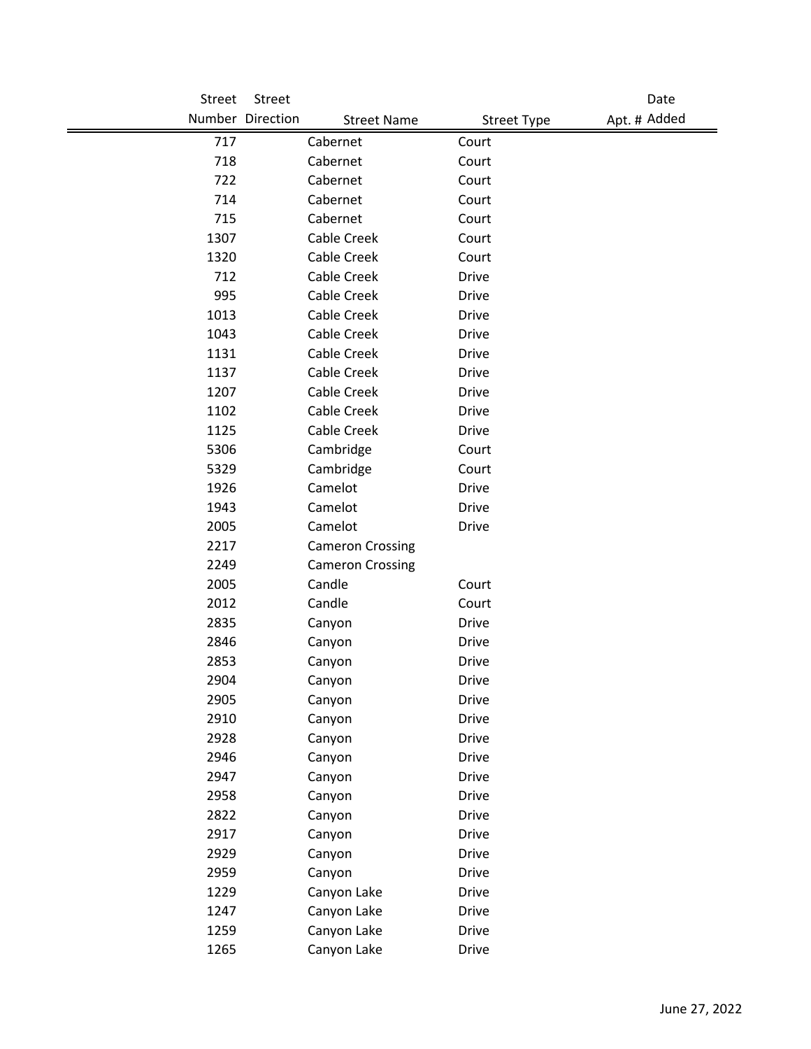| Street | <b>Street</b>    |                         |                    | Date         |
|--------|------------------|-------------------------|--------------------|--------------|
|        | Number Direction | <b>Street Name</b>      | <b>Street Type</b> | Apt. # Added |
| 717    |                  | Cabernet                | Court              |              |
| 718    |                  | Cabernet                | Court              |              |
| 722    |                  | Cabernet                | Court              |              |
| 714    |                  | Cabernet                | Court              |              |
| 715    |                  | Cabernet                | Court              |              |
| 1307   |                  | Cable Creek             | Court              |              |
| 1320   |                  | Cable Creek             | Court              |              |
| 712    |                  | Cable Creek             | <b>Drive</b>       |              |
| 995    |                  | Cable Creek             | <b>Drive</b>       |              |
| 1013   |                  | Cable Creek             | <b>Drive</b>       |              |
| 1043   |                  | Cable Creek             | <b>Drive</b>       |              |
| 1131   |                  | Cable Creek             | <b>Drive</b>       |              |
| 1137   |                  | Cable Creek             | <b>Drive</b>       |              |
| 1207   |                  | Cable Creek             | <b>Drive</b>       |              |
| 1102   |                  | Cable Creek             | <b>Drive</b>       |              |
| 1125   |                  | Cable Creek             | <b>Drive</b>       |              |
| 5306   |                  | Cambridge               | Court              |              |
| 5329   |                  | Cambridge               | Court              |              |
| 1926   |                  | Camelot                 | <b>Drive</b>       |              |
| 1943   |                  | Camelot                 | <b>Drive</b>       |              |
| 2005   |                  | Camelot                 | Drive              |              |
| 2217   |                  | <b>Cameron Crossing</b> |                    |              |
| 2249   |                  | <b>Cameron Crossing</b> |                    |              |
| 2005   |                  | Candle                  | Court              |              |
| 2012   |                  | Candle                  | Court              |              |
| 2835   |                  | Canyon                  | <b>Drive</b>       |              |
| 2846   |                  | Canyon                  | <b>Drive</b>       |              |
| 2853   |                  | Canyon                  | <b>Drive</b>       |              |
| 2904   |                  | Canyon                  | <b>Drive</b>       |              |
| 2905   |                  | Canyon                  | Drive              |              |
| 2910   |                  | Canyon                  | Drive              |              |
| 2928   |                  | Canyon                  | <b>Drive</b>       |              |
| 2946   |                  | Canyon                  | <b>Drive</b>       |              |
| 2947   |                  | Canyon                  | <b>Drive</b>       |              |
| 2958   |                  | Canyon                  | <b>Drive</b>       |              |
| 2822   |                  | Canyon                  | <b>Drive</b>       |              |
| 2917   |                  | Canyon                  | <b>Drive</b>       |              |
| 2929   |                  | Canyon                  | Drive              |              |
| 2959   |                  | Canyon                  | <b>Drive</b>       |              |
| 1229   |                  | Canyon Lake             | <b>Drive</b>       |              |
| 1247   |                  | Canyon Lake             | <b>Drive</b>       |              |
| 1259   |                  | Canyon Lake             | <b>Drive</b>       |              |
| 1265   |                  | Canyon Lake             | Drive              |              |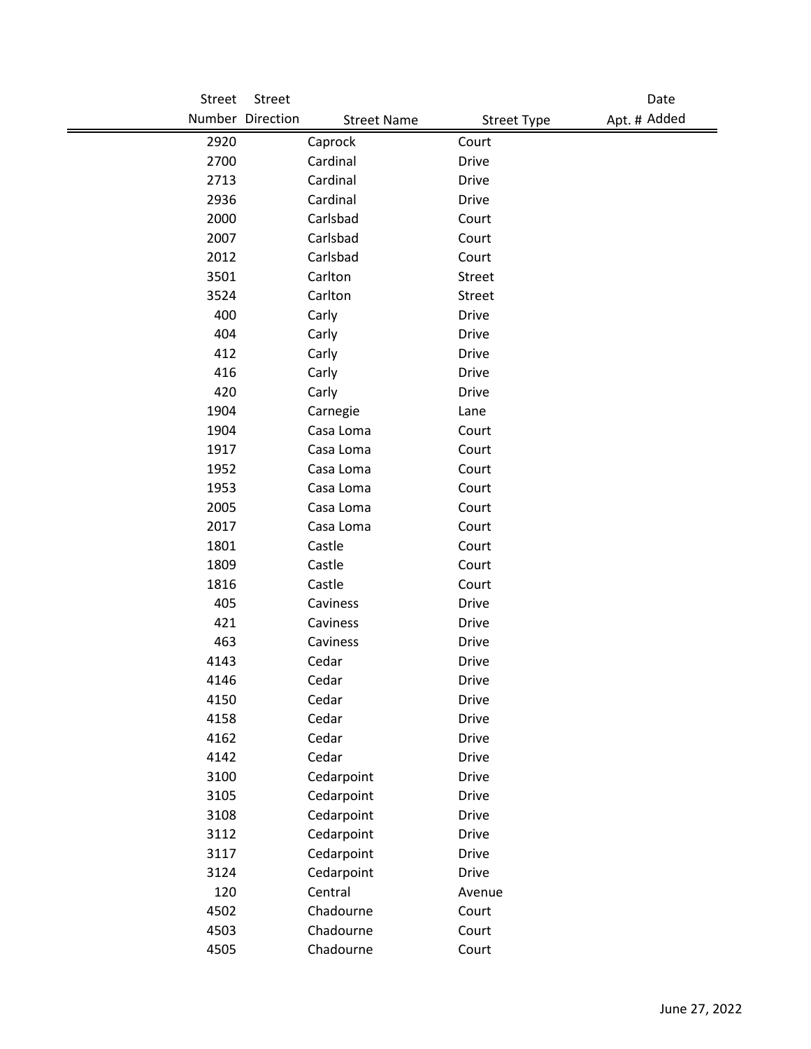| Street | Street           |                                          | Date         |
|--------|------------------|------------------------------------------|--------------|
|        | Number Direction | <b>Street Name</b><br><b>Street Type</b> | Apt. # Added |
| 2920   | Caprock          | Court                                    |              |
| 2700   | Cardinal         | <b>Drive</b>                             |              |
| 2713   | Cardinal         | <b>Drive</b>                             |              |
| 2936   | Cardinal         | <b>Drive</b>                             |              |
| 2000   | Carlsbad         | Court                                    |              |
| 2007   | Carlsbad         | Court                                    |              |
| 2012   | Carlsbad         | Court                                    |              |
| 3501   | Carlton          | Street                                   |              |
| 3524   | Carlton          | Street                                   |              |
| 400    | Carly            | <b>Drive</b>                             |              |
| 404    | Carly            | <b>Drive</b>                             |              |
| 412    | Carly            | Drive                                    |              |
| 416    | Carly            | <b>Drive</b>                             |              |
| 420    | Carly            | <b>Drive</b>                             |              |
| 1904   | Carnegie         | Lane                                     |              |
| 1904   | Casa Loma        | Court                                    |              |
| 1917   | Casa Loma        | Court                                    |              |
| 1952   | Casa Loma        | Court                                    |              |
| 1953   | Casa Loma        | Court                                    |              |
| 2005   | Casa Loma        | Court                                    |              |
| 2017   | Casa Loma        | Court                                    |              |
| 1801   | Castle           | Court                                    |              |
| 1809   | Castle           | Court                                    |              |
| 1816   | Castle           | Court                                    |              |
| 405    | Caviness         | <b>Drive</b>                             |              |
| 421    | Caviness         | <b>Drive</b>                             |              |
| 463    | Caviness         | Drive                                    |              |
| 4143   | Cedar            | <b>Drive</b>                             |              |
| 4146   | Cedar            | Drive                                    |              |
| 4150   | Cedar            | <b>Drive</b>                             |              |
| 4158   | Cedar            | <b>Drive</b>                             |              |
| 4162   | Cedar            | <b>Drive</b>                             |              |
| 4142   | Cedar            | <b>Drive</b>                             |              |
| 3100   | Cedarpoint       | <b>Drive</b>                             |              |
| 3105   | Cedarpoint       | <b>Drive</b>                             |              |
| 3108   | Cedarpoint       | <b>Drive</b>                             |              |
| 3112   | Cedarpoint       | <b>Drive</b>                             |              |
| 3117   | Cedarpoint       | <b>Drive</b>                             |              |
| 3124   | Cedarpoint       | <b>Drive</b>                             |              |
| 120    | Central          | Avenue                                   |              |
| 4502   | Chadourne        | Court                                    |              |
| 4503   | Chadourne        | Court                                    |              |
| 4505   | Chadourne        | Court                                    |              |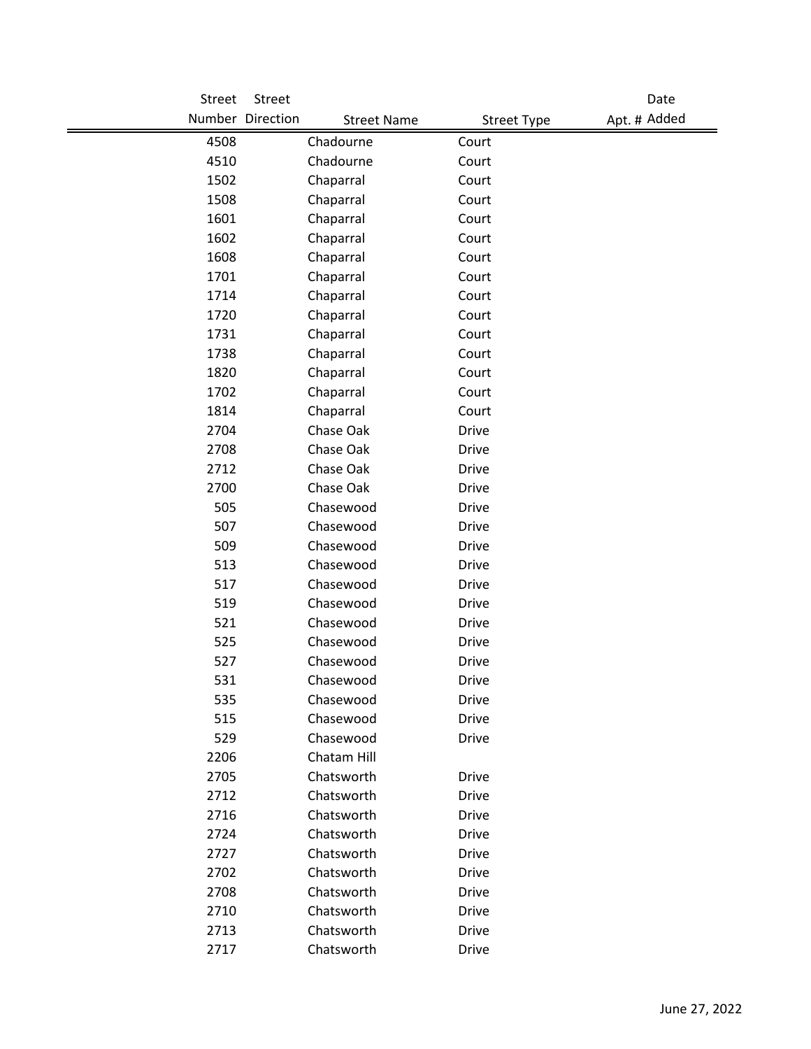| Street | Street                                 |                    | Date         |
|--------|----------------------------------------|--------------------|--------------|
|        | Number Direction<br><b>Street Name</b> | <b>Street Type</b> | Apt. # Added |
| 4508   | Chadourne                              | Court              |              |
| 4510   | Chadourne                              | Court              |              |
| 1502   | Chaparral                              | Court              |              |
| 1508   | Chaparral                              | Court              |              |
| 1601   | Chaparral                              | Court              |              |
| 1602   | Chaparral                              | Court              |              |
| 1608   | Chaparral                              | Court              |              |
| 1701   | Chaparral                              | Court              |              |
| 1714   | Chaparral                              | Court              |              |
| 1720   | Chaparral                              | Court              |              |
| 1731   | Chaparral                              | Court              |              |
| 1738   | Chaparral                              | Court              |              |
| 1820   | Chaparral                              | Court              |              |
| 1702   | Chaparral                              | Court              |              |
| 1814   | Chaparral                              | Court              |              |
| 2704   | Chase Oak                              | <b>Drive</b>       |              |
| 2708   | Chase Oak                              | <b>Drive</b>       |              |
| 2712   | Chase Oak                              | <b>Drive</b>       |              |
| 2700   | Chase Oak                              | <b>Drive</b>       |              |
| 505    | Chasewood                              | <b>Drive</b>       |              |
| 507    | Chasewood                              | <b>Drive</b>       |              |
| 509    | Chasewood                              | <b>Drive</b>       |              |
| 513    | Chasewood                              | <b>Drive</b>       |              |
| 517    | Chasewood                              | <b>Drive</b>       |              |
| 519    | Chasewood                              | <b>Drive</b>       |              |
| 521    | Chasewood                              | <b>Drive</b>       |              |
| 525    | Chasewood                              | <b>Drive</b>       |              |
| 527    | Chasewood                              | <b>Drive</b>       |              |
| 531    | Chasewood                              | Drive              |              |
| 535    | Chasewood                              | <b>Drive</b>       |              |
| 515    | Chasewood                              | <b>Drive</b>       |              |
| 529    | Chasewood                              | <b>Drive</b>       |              |
| 2206   | Chatam Hill                            |                    |              |
| 2705   | Chatsworth                             | <b>Drive</b>       |              |
| 2712   | Chatsworth                             | <b>Drive</b>       |              |
| 2716   | Chatsworth                             | <b>Drive</b>       |              |
| 2724   | Chatsworth                             | <b>Drive</b>       |              |
| 2727   | Chatsworth                             | <b>Drive</b>       |              |
| 2702   | Chatsworth                             | <b>Drive</b>       |              |
| 2708   | Chatsworth                             | <b>Drive</b>       |              |
| 2710   | Chatsworth                             | <b>Drive</b>       |              |
| 2713   | Chatsworth                             | <b>Drive</b>       |              |
| 2717   | Chatsworth                             | <b>Drive</b>       |              |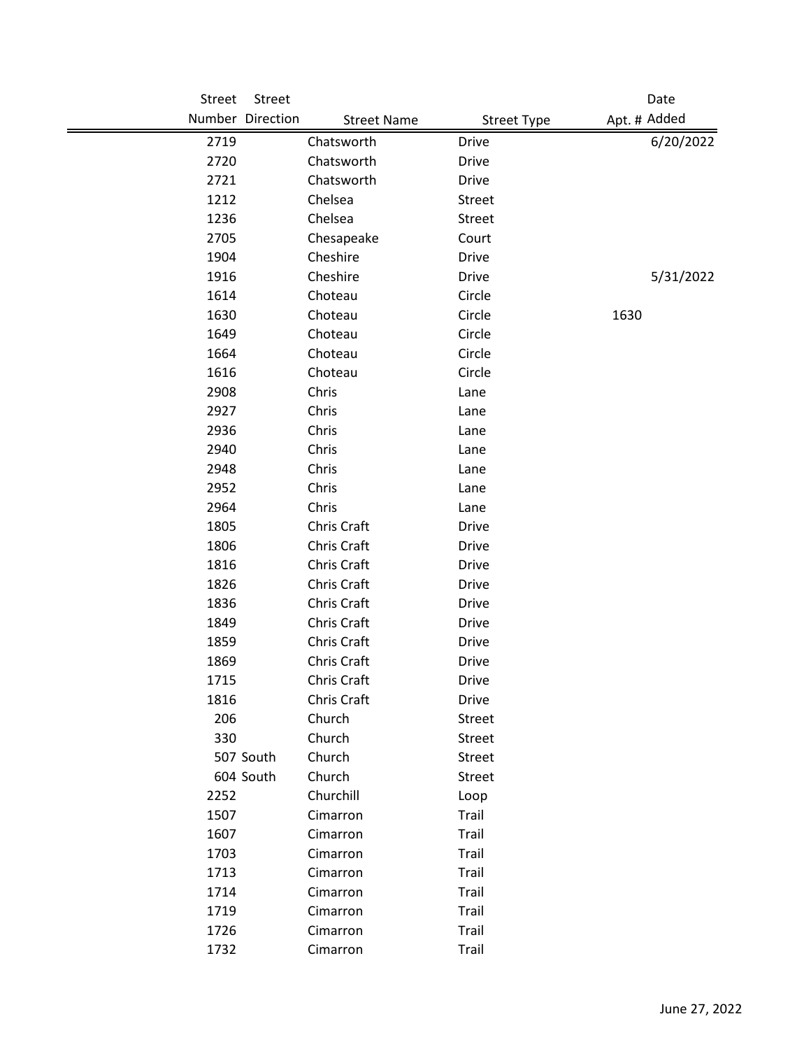| Street | Street           |                    |                    |      | Date         |
|--------|------------------|--------------------|--------------------|------|--------------|
|        | Number Direction | <b>Street Name</b> | <b>Street Type</b> |      | Apt. # Added |
| 2719   |                  | Chatsworth         | <b>Drive</b>       |      | 6/20/2022    |
| 2720   |                  | Chatsworth         | <b>Drive</b>       |      |              |
| 2721   |                  | Chatsworth         | <b>Drive</b>       |      |              |
| 1212   |                  | Chelsea            | Street             |      |              |
| 1236   |                  | Chelsea            | Street             |      |              |
| 2705   |                  | Chesapeake         | Court              |      |              |
| 1904   |                  | Cheshire           | <b>Drive</b>       |      |              |
| 1916   |                  | Cheshire           | <b>Drive</b>       |      | 5/31/2022    |
| 1614   |                  | Choteau            | Circle             |      |              |
| 1630   |                  | Choteau            | Circle             | 1630 |              |
| 1649   |                  | Choteau            | Circle             |      |              |
| 1664   |                  | Choteau            | Circle             |      |              |
| 1616   |                  | Choteau            | Circle             |      |              |
| 2908   |                  | Chris              | Lane               |      |              |
| 2927   |                  | Chris              | Lane               |      |              |
| 2936   |                  | Chris              | Lane               |      |              |
| 2940   |                  | Chris              | Lane               |      |              |
| 2948   |                  | Chris              | Lane               |      |              |
| 2952   |                  | Chris              | Lane               |      |              |
| 2964   |                  | Chris              | Lane               |      |              |
| 1805   |                  | Chris Craft        | <b>Drive</b>       |      |              |
| 1806   |                  | Chris Craft        | <b>Drive</b>       |      |              |
| 1816   |                  | Chris Craft        | <b>Drive</b>       |      |              |
| 1826   |                  | Chris Craft        | Drive              |      |              |
| 1836   |                  | Chris Craft        | <b>Drive</b>       |      |              |
| 1849   |                  | Chris Craft        | <b>Drive</b>       |      |              |
| 1859   |                  | Chris Craft        | <b>Drive</b>       |      |              |
| 1869   |                  | Chris Craft        | <b>Drive</b>       |      |              |
| 1715   |                  | Chris Craft        | Drive              |      |              |
| 1816   |                  | Chris Craft        | <b>Drive</b>       |      |              |
| 206    |                  | Church             | Street             |      |              |
| 330    |                  | Church             | Street             |      |              |
|        | 507 South        | Church             | Street             |      |              |
|        | 604 South        | Church             | Street             |      |              |
| 2252   |                  | Churchill          | Loop               |      |              |
| 1507   |                  | Cimarron           | Trail              |      |              |
| 1607   |                  | Cimarron           | Trail              |      |              |
| 1703   |                  | Cimarron           | Trail              |      |              |
| 1713   |                  | Cimarron           | Trail              |      |              |
| 1714   |                  | Cimarron           | Trail              |      |              |
| 1719   |                  | Cimarron           | Trail              |      |              |
| 1726   |                  | Cimarron           | Trail              |      |              |
| 1732   |                  | Cimarron           | Trail              |      |              |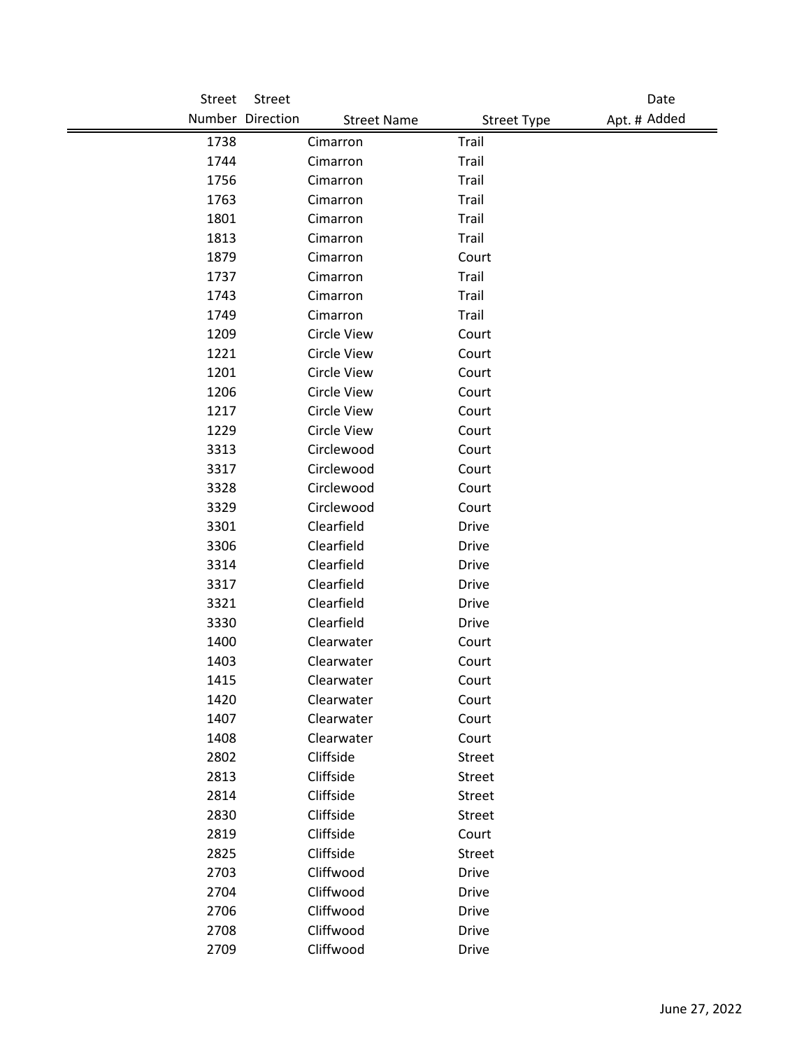| Street | Street                                 |                    | Date         |
|--------|----------------------------------------|--------------------|--------------|
|        | Number Direction<br><b>Street Name</b> | <b>Street Type</b> | Apt. # Added |
| 1738   | Cimarron                               | Trail              |              |
| 1744   | Cimarron                               | Trail              |              |
| 1756   | Cimarron                               | Trail              |              |
| 1763   | Cimarron                               | Trail              |              |
| 1801   | Cimarron                               | Trail              |              |
| 1813   | Cimarron                               | Trail              |              |
| 1879   | Cimarron                               | Court              |              |
| 1737   | Cimarron                               | Trail              |              |
| 1743   | Cimarron                               | Trail              |              |
| 1749   | Cimarron                               | Trail              |              |
| 1209   | <b>Circle View</b>                     | Court              |              |
| 1221   | <b>Circle View</b>                     | Court              |              |
| 1201   | <b>Circle View</b>                     | Court              |              |
| 1206   | <b>Circle View</b>                     | Court              |              |
| 1217   | <b>Circle View</b>                     | Court              |              |
| 1229   | <b>Circle View</b>                     | Court              |              |
| 3313   | Circlewood                             | Court              |              |
| 3317   | Circlewood                             | Court              |              |
| 3328   | Circlewood                             | Court              |              |
| 3329   | Circlewood                             | Court              |              |
| 3301   | Clearfield                             | <b>Drive</b>       |              |
| 3306   | Clearfield                             | <b>Drive</b>       |              |
| 3314   | Clearfield                             | <b>Drive</b>       |              |
| 3317   | Clearfield                             | <b>Drive</b>       |              |
| 3321   | Clearfield                             | <b>Drive</b>       |              |
| 3330   | Clearfield                             | <b>Drive</b>       |              |
| 1400   | Clearwater                             | Court              |              |
| 1403   | Clearwater                             | Court              |              |
| 1415   | Clearwater                             | Court              |              |
| 1420   | Clearwater                             | Court              |              |
| 1407   | Clearwater                             | Court              |              |
| 1408   | Clearwater                             | Court              |              |
| 2802   | Cliffside                              | Street             |              |
| 2813   | Cliffside                              | Street             |              |
| 2814   | Cliffside                              | Street             |              |
| 2830   | Cliffside                              | Street             |              |
| 2819   | Cliffside                              | Court              |              |
| 2825   | Cliffside                              | Street             |              |
| 2703   | Cliffwood                              | <b>Drive</b>       |              |
| 2704   | Cliffwood                              | <b>Drive</b>       |              |
| 2706   | Cliffwood                              | <b>Drive</b>       |              |
| 2708   | Cliffwood                              | <b>Drive</b>       |              |
| 2709   | Cliffwood                              | <b>Drive</b>       |              |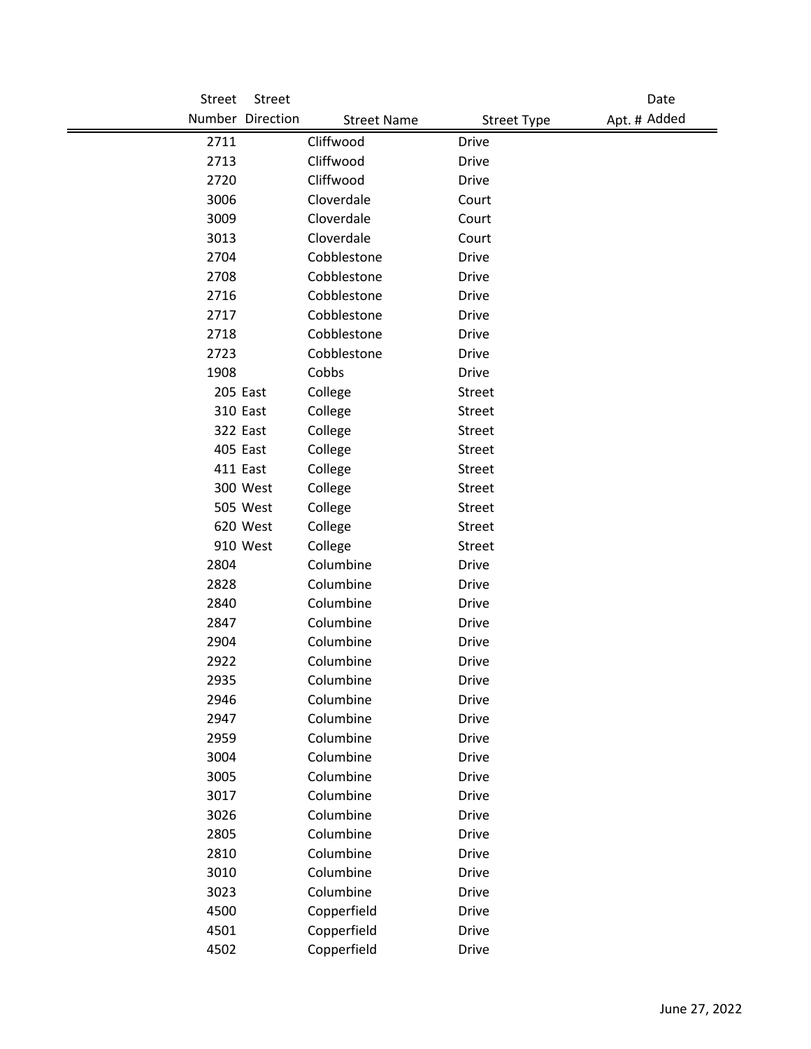| Street | <b>Street</b>    |                    |                    | Date         |
|--------|------------------|--------------------|--------------------|--------------|
|        | Number Direction | <b>Street Name</b> | <b>Street Type</b> | Apt. # Added |
| 2711   |                  | Cliffwood          | <b>Drive</b>       |              |
| 2713   |                  | Cliffwood          | <b>Drive</b>       |              |
| 2720   |                  | Cliffwood          | <b>Drive</b>       |              |
| 3006   |                  | Cloverdale         | Court              |              |
| 3009   |                  | Cloverdale         | Court              |              |
| 3013   |                  | Cloverdale         | Court              |              |
| 2704   |                  | Cobblestone        | <b>Drive</b>       |              |
| 2708   |                  | Cobblestone        | <b>Drive</b>       |              |
| 2716   |                  | Cobblestone        | <b>Drive</b>       |              |
| 2717   |                  | Cobblestone        | <b>Drive</b>       |              |
| 2718   |                  | Cobblestone        | <b>Drive</b>       |              |
| 2723   |                  | Cobblestone        | <b>Drive</b>       |              |
| 1908   |                  | Cobbs              | <b>Drive</b>       |              |
|        | 205 East         | College            | Street             |              |
|        | 310 East         | College            | Street             |              |
|        | 322 East         | College            | <b>Street</b>      |              |
|        | 405 East         | College            | Street             |              |
|        | 411 East         | College            | Street             |              |
|        | 300 West         | College            | Street             |              |
|        | 505 West         | College            | Street             |              |
|        | 620 West         | College            | Street             |              |
|        | 910 West         | College            | Street             |              |
| 2804   |                  | Columbine          | <b>Drive</b>       |              |
| 2828   |                  | Columbine          | <b>Drive</b>       |              |
| 2840   |                  | Columbine          | <b>Drive</b>       |              |
| 2847   |                  | Columbine          | <b>Drive</b>       |              |
| 2904   |                  | Columbine          | <b>Drive</b>       |              |
| 2922   |                  | Columbine          | <b>Drive</b>       |              |
| 2935   |                  | Columbine          | <b>Drive</b>       |              |
| 2946   |                  | Columbine          | <b>Drive</b>       |              |
| 2947   |                  | Columbine          | Drive              |              |
| 2959   |                  | Columbine          | <b>Drive</b>       |              |
| 3004   |                  | Columbine          | <b>Drive</b>       |              |
| 3005   |                  | Columbine          | <b>Drive</b>       |              |
| 3017   |                  | Columbine          | <b>Drive</b>       |              |
| 3026   |                  | Columbine          | <b>Drive</b>       |              |
| 2805   |                  | Columbine          | <b>Drive</b>       |              |
| 2810   |                  | Columbine          | Drive              |              |
| 3010   |                  | Columbine          | <b>Drive</b>       |              |
| 3023   |                  | Columbine          | <b>Drive</b>       |              |
| 4500   |                  | Copperfield        | <b>Drive</b>       |              |
| 4501   |                  | Copperfield        | <b>Drive</b>       |              |
| 4502   |                  | Copperfield        | Drive              |              |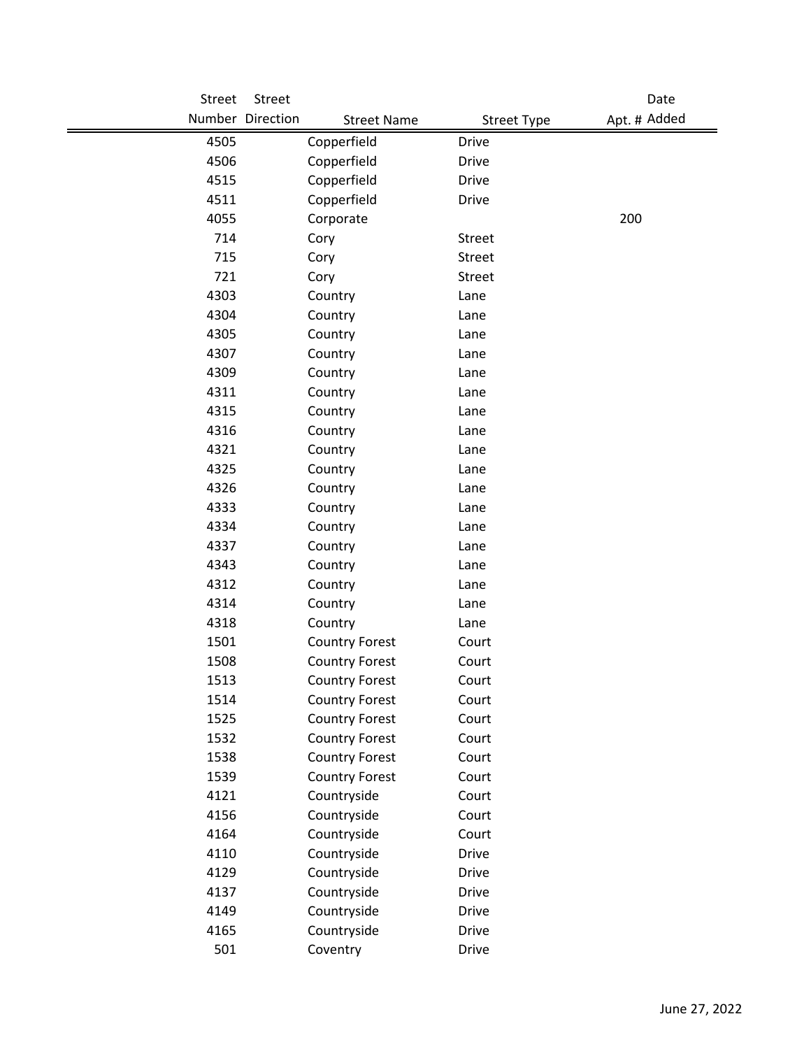| Street | Street           |                       |                    | Date         |
|--------|------------------|-----------------------|--------------------|--------------|
|        | Number Direction | <b>Street Name</b>    | <b>Street Type</b> | Apt. # Added |
| 4505   |                  | Copperfield           | <b>Drive</b>       |              |
| 4506   |                  | Copperfield           | <b>Drive</b>       |              |
| 4515   |                  | Copperfield           | <b>Drive</b>       |              |
| 4511   |                  | Copperfield           | <b>Drive</b>       |              |
| 4055   |                  | Corporate             |                    | 200          |
| 714    |                  | Cory                  | Street             |              |
| 715    |                  | Cory                  | <b>Street</b>      |              |
| 721    |                  | Cory                  | Street             |              |
| 4303   |                  | Country               | Lane               |              |
| 4304   |                  | Country               | Lane               |              |
| 4305   |                  | Country               | Lane               |              |
| 4307   |                  | Country               | Lane               |              |
| 4309   |                  | Country               | Lane               |              |
| 4311   |                  | Country               | Lane               |              |
| 4315   |                  | Country               | Lane               |              |
| 4316   |                  | Country               | Lane               |              |
| 4321   |                  | Country               | Lane               |              |
| 4325   |                  | Country               | Lane               |              |
| 4326   |                  | Country               | Lane               |              |
| 4333   |                  | Country               | Lane               |              |
| 4334   |                  | Country               | Lane               |              |
| 4337   |                  | Country               | Lane               |              |
| 4343   |                  | Country               | Lane               |              |
| 4312   |                  | Country               | Lane               |              |
| 4314   |                  | Country               | Lane               |              |
| 4318   |                  | Country               | Lane               |              |
| 1501   |                  | <b>Country Forest</b> | Court              |              |
| 1508   |                  | <b>Country Forest</b> | Court              |              |
| 1513   |                  | <b>Country Forest</b> | Court              |              |
| 1514   |                  | <b>Country Forest</b> | Court              |              |
| 1525   |                  | <b>Country Forest</b> | Court              |              |
| 1532   |                  | <b>Country Forest</b> | Court              |              |
| 1538   |                  | <b>Country Forest</b> | Court              |              |
| 1539   |                  | <b>Country Forest</b> | Court              |              |
| 4121   |                  | Countryside           | Court              |              |
| 4156   |                  | Countryside           | Court              |              |
| 4164   |                  | Countryside           | Court              |              |
| 4110   |                  | Countryside           | <b>Drive</b>       |              |
| 4129   |                  | Countryside           | <b>Drive</b>       |              |
| 4137   |                  | Countryside           | <b>Drive</b>       |              |
| 4149   |                  | Countryside           | <b>Drive</b>       |              |
| 4165   |                  | Countryside           | <b>Drive</b>       |              |
| 501    |                  | Coventry              | Drive              |              |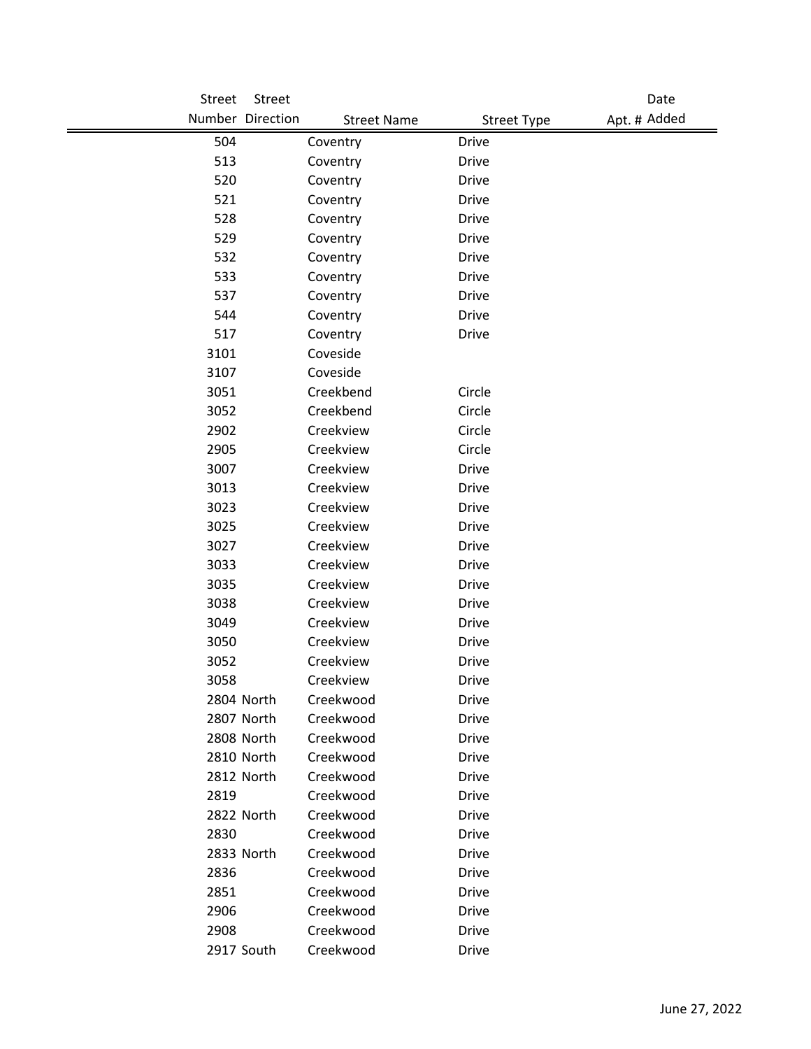| Street | Street           |                    |                    | Date         |
|--------|------------------|--------------------|--------------------|--------------|
|        | Number Direction | <b>Street Name</b> | <b>Street Type</b> | Apt. # Added |
| 504    |                  | Coventry           | <b>Drive</b>       |              |
| 513    |                  | Coventry           | <b>Drive</b>       |              |
| 520    |                  | Coventry           | <b>Drive</b>       |              |
| 521    |                  | Coventry           | <b>Drive</b>       |              |
| 528    |                  | Coventry           | <b>Drive</b>       |              |
| 529    |                  | Coventry           | <b>Drive</b>       |              |
| 532    |                  | Coventry           | <b>Drive</b>       |              |
| 533    |                  | Coventry           | <b>Drive</b>       |              |
| 537    |                  | Coventry           | <b>Drive</b>       |              |
| 544    |                  | Coventry           | <b>Drive</b>       |              |
| 517    |                  | Coventry           | <b>Drive</b>       |              |
| 3101   |                  | Coveside           |                    |              |
| 3107   |                  | Coveside           |                    |              |
| 3051   |                  | Creekbend          | Circle             |              |
| 3052   |                  | Creekbend          | Circle             |              |
| 2902   |                  | Creekview          | Circle             |              |
| 2905   |                  | Creekview          | Circle             |              |
| 3007   |                  | Creekview          | <b>Drive</b>       |              |
| 3013   |                  | Creekview          | <b>Drive</b>       |              |
| 3023   |                  | Creekview          | <b>Drive</b>       |              |
| 3025   |                  | Creekview          | <b>Drive</b>       |              |
| 3027   |                  | Creekview          | <b>Drive</b>       |              |
| 3033   |                  | Creekview          | <b>Drive</b>       |              |
| 3035   |                  | Creekview          | <b>Drive</b>       |              |
| 3038   |                  | Creekview          | <b>Drive</b>       |              |
| 3049   |                  | Creekview          | <b>Drive</b>       |              |
| 3050   |                  | Creekview          | <b>Drive</b>       |              |
| 3052   |                  | Creekview          | <b>Drive</b>       |              |
| 3058   |                  | Creekview          | <b>Drive</b>       |              |
|        | 2804 North       | Creekwood          | <b>Drive</b>       |              |
|        | 2807 North       | Creekwood          | <b>Drive</b>       |              |
|        | 2808 North       | Creekwood          | <b>Drive</b>       |              |
|        | 2810 North       | Creekwood          | <b>Drive</b>       |              |
|        | 2812 North       | Creekwood          | <b>Drive</b>       |              |
| 2819   |                  | Creekwood          | <b>Drive</b>       |              |
|        | 2822 North       | Creekwood          | <b>Drive</b>       |              |
| 2830   |                  | Creekwood          | <b>Drive</b>       |              |
|        | 2833 North       | Creekwood          | <b>Drive</b>       |              |
| 2836   |                  | Creekwood          | <b>Drive</b>       |              |
| 2851   |                  | Creekwood          | <b>Drive</b>       |              |
| 2906   |                  | Creekwood          | <b>Drive</b>       |              |
| 2908   |                  | Creekwood          | <b>Drive</b>       |              |
|        | 2917 South       | Creekwood          | <b>Drive</b>       |              |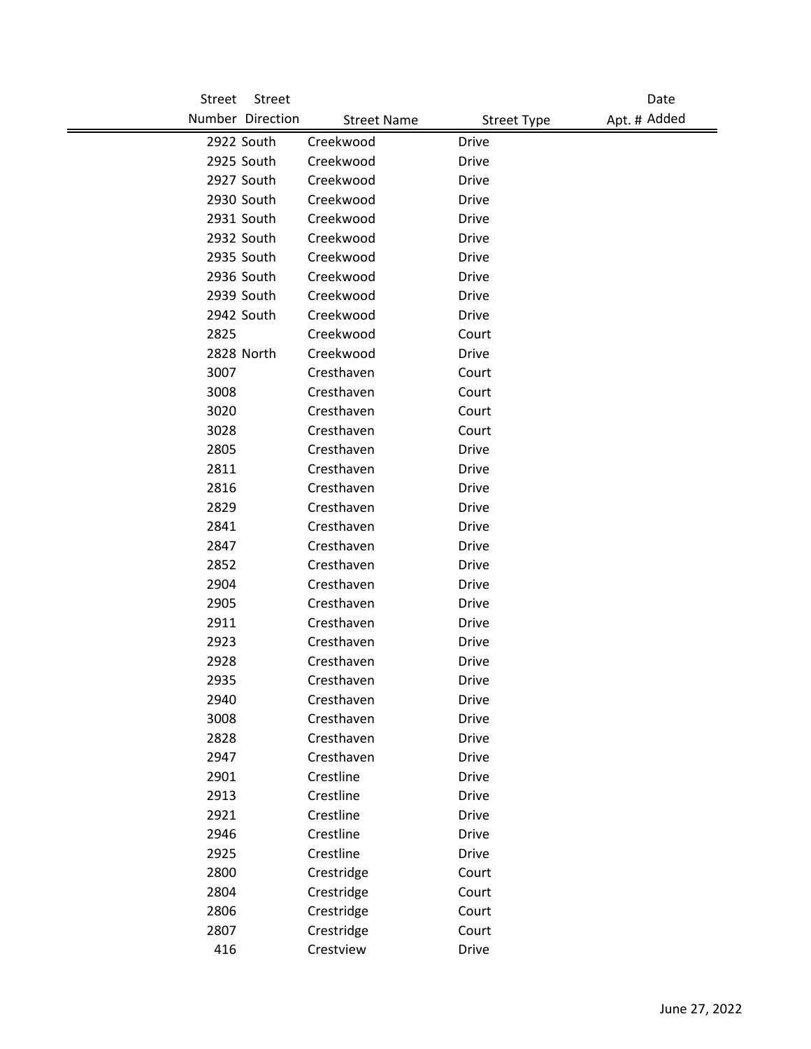| <b>Street</b> | Street           |                    |                    | Date         |
|---------------|------------------|--------------------|--------------------|--------------|
|               | Number Direction | <b>Street Name</b> | <b>Street Type</b> | Apt. # Added |
|               | 2922 South       | Creekwood          | <b>Drive</b>       |              |
|               | 2925 South       | Creekwood          | <b>Drive</b>       |              |
|               | 2927 South       | Creekwood          | Drive              |              |
|               | 2930 South       | Creekwood          | <b>Drive</b>       |              |
|               | 2931 South       | Creekwood          | <b>Drive</b>       |              |
|               | 2932 South       | Creekwood          | <b>Drive</b>       |              |
|               | 2935 South       | Creekwood          | <b>Drive</b>       |              |
|               | 2936 South       | Creekwood          | <b>Drive</b>       |              |
|               | 2939 South       | Creekwood          | <b>Drive</b>       |              |
|               | 2942 South       | Creekwood          | Drive              |              |
| 2825          |                  | Creekwood          | Court              |              |
|               | 2828 North       | Creekwood          | <b>Drive</b>       |              |
| 3007          |                  | Cresthaven         | Court              |              |
| 3008          |                  | Cresthaven         | Court              |              |
| 3020          |                  | Cresthaven         | Court              |              |
| 3028          |                  | Cresthaven         | Court              |              |
| 2805          |                  | Cresthaven         | <b>Drive</b>       |              |
| 2811          |                  | Cresthaven         | <b>Drive</b>       |              |
| 2816          |                  | Cresthaven         | <b>Drive</b>       |              |
| 2829          |                  | Cresthaven         | <b>Drive</b>       |              |
| 2841          |                  | Cresthaven         | <b>Drive</b>       |              |
| 2847          |                  | Cresthaven         | <b>Drive</b>       |              |
| 2852          |                  | Cresthaven         | <b>Drive</b>       |              |
| 2904          |                  | Cresthaven         | <b>Drive</b>       |              |
| 2905          |                  | Cresthaven         | <b>Drive</b>       |              |
| 2911          |                  | Cresthaven         | <b>Drive</b>       |              |
| 2923          |                  | Cresthaven         | <b>Drive</b>       |              |
| 2928          |                  | Cresthaven         | <b>Drive</b>       |              |
| 2935          |                  | Cresthaven         | Drive              |              |
| 2940          |                  | Cresthaven         | <b>Drive</b>       |              |
| 3008          |                  | Cresthaven         | <b>Drive</b>       |              |
| 2828          |                  | Cresthaven         | <b>Drive</b>       |              |
| 2947          |                  | Cresthaven         | <b>Drive</b>       |              |
| 2901          |                  | Crestline          | <b>Drive</b>       |              |
| 2913          |                  | Crestline          | <b>Drive</b>       |              |
| 2921          |                  | Crestline          | <b>Drive</b>       |              |
| 2946          |                  | Crestline          | <b>Drive</b>       |              |
| 2925          |                  | Crestline          | <b>Drive</b>       |              |
| 2800          |                  | Crestridge         | Court              |              |
| 2804          |                  | Crestridge         | Court              |              |
| 2806          |                  | Crestridge         | Court              |              |
| 2807          |                  | Crestridge         | Court              |              |
| 416           |                  | Crestview          | Drive              |              |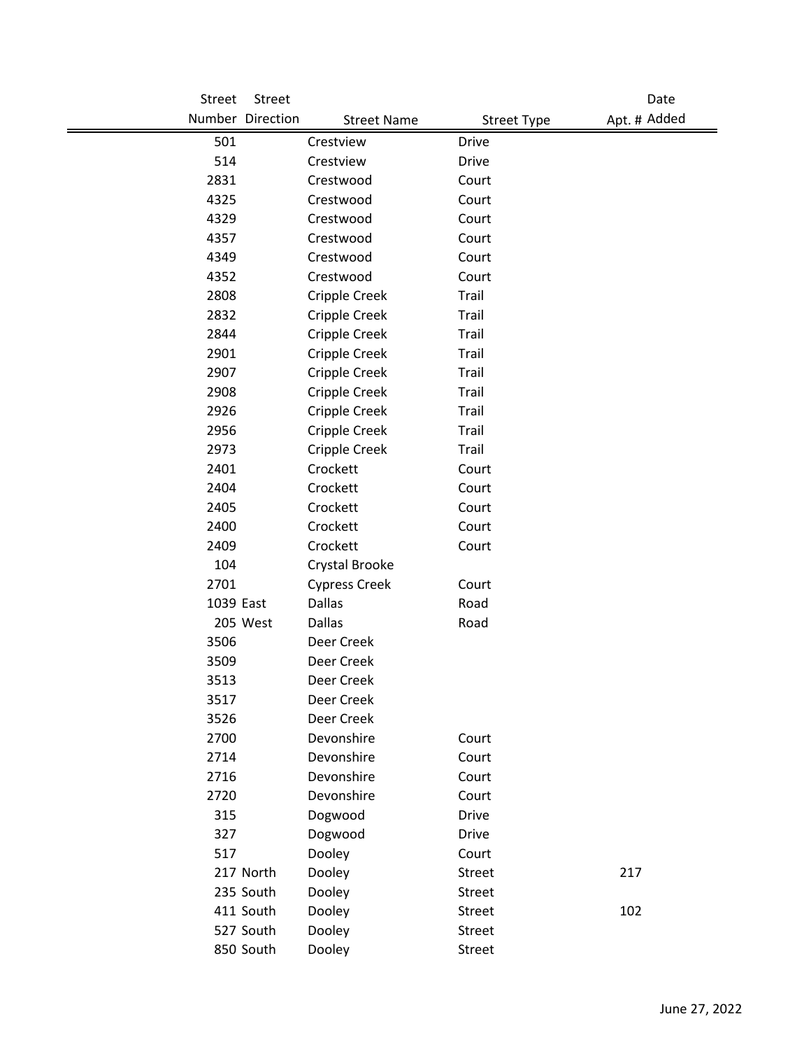| <b>Street</b> | Street           |                      |                    | Date         |
|---------------|------------------|----------------------|--------------------|--------------|
|               | Number Direction | <b>Street Name</b>   | <b>Street Type</b> | Apt. # Added |
| 501           |                  | Crestview            | <b>Drive</b>       |              |
| 514           |                  | Crestview            | <b>Drive</b>       |              |
| 2831          |                  | Crestwood            | Court              |              |
| 4325          |                  | Crestwood            | Court              |              |
| 4329          |                  | Crestwood            | Court              |              |
| 4357          |                  | Crestwood            | Court              |              |
| 4349          |                  | Crestwood            | Court              |              |
| 4352          |                  | Crestwood            | Court              |              |
| 2808          |                  | Cripple Creek        | Trail              |              |
| 2832          |                  | Cripple Creek        | Trail              |              |
| 2844          |                  | Cripple Creek        | Trail              |              |
| 2901          |                  | Cripple Creek        | Trail              |              |
| 2907          |                  | Cripple Creek        | Trail              |              |
| 2908          |                  | Cripple Creek        | Trail              |              |
| 2926          |                  | Cripple Creek        | Trail              |              |
| 2956          |                  | Cripple Creek        | Trail              |              |
| 2973          |                  | Cripple Creek        | Trail              |              |
| 2401          |                  | Crockett             | Court              |              |
| 2404          |                  | Crockett             | Court              |              |
| 2405          |                  | Crockett             | Court              |              |
| 2400          |                  | Crockett             | Court              |              |
| 2409          |                  | Crockett             | Court              |              |
| 104           |                  | Crystal Brooke       |                    |              |
| 2701          |                  | <b>Cypress Creek</b> | Court              |              |
| 1039 East     |                  | Dallas               | Road               |              |
|               | 205 West         | Dallas               | Road               |              |
| 3506          |                  | Deer Creek           |                    |              |
| 3509          |                  | Deer Creek           |                    |              |
| 3513          |                  | Deer Creek           |                    |              |
| 3517          |                  | Deer Creek           |                    |              |
| 3526          |                  | Deer Creek           |                    |              |
| 2700          |                  | Devonshire           | Court              |              |
| 2714          |                  | Devonshire           | Court              |              |
| 2716          |                  | Devonshire           | Court              |              |
| 2720          |                  | Devonshire           | Court              |              |
| 315           |                  | Dogwood              | <b>Drive</b>       |              |
| 327           |                  | Dogwood              | <b>Drive</b>       |              |
| 517           |                  | Dooley               | Court              |              |
|               | 217 North        | Dooley               | Street             | 217          |
|               | 235 South        | Dooley               | Street             |              |
|               | 411 South        | Dooley               | Street             | 102          |
|               | 527 South        | Dooley               | Street             |              |
|               | 850 South        | Dooley               | Street             |              |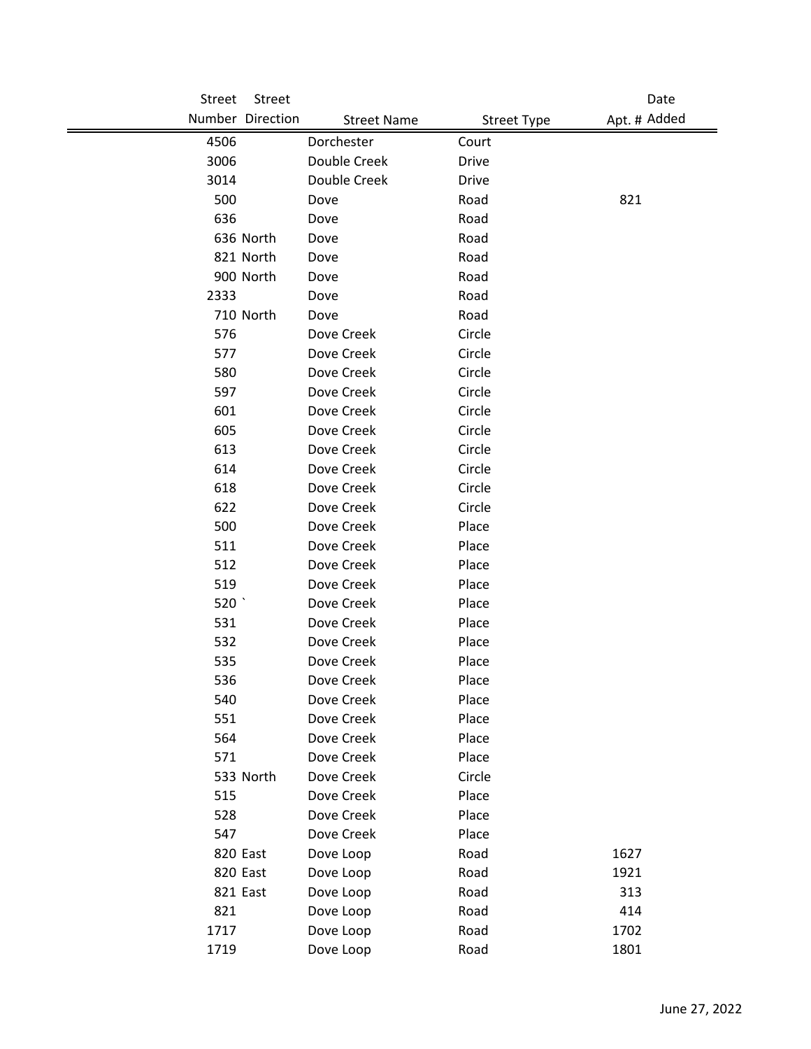| Street | Street           |                    |                    | Date         |
|--------|------------------|--------------------|--------------------|--------------|
|        | Number Direction | <b>Street Name</b> | <b>Street Type</b> | Apt. # Added |
| 4506   |                  | Dorchester         | Court              |              |
| 3006   |                  | Double Creek       | Drive              |              |
| 3014   |                  | Double Creek       | <b>Drive</b>       |              |
| 500    |                  | Dove               | Road               | 821          |
| 636    |                  | Dove               | Road               |              |
|        | 636 North        | Dove               | Road               |              |
|        | 821 North        | Dove               | Road               |              |
|        | 900 North        | Dove               | Road               |              |
| 2333   |                  | Dove               | Road               |              |
|        | 710 North        | Dove               | Road               |              |
| 576    |                  | Dove Creek         | Circle             |              |
| 577    |                  | Dove Creek         | Circle             |              |
| 580    |                  | Dove Creek         | Circle             |              |
| 597    |                  | Dove Creek         | Circle             |              |
| 601    |                  | Dove Creek         | Circle             |              |
| 605    |                  | Dove Creek         | Circle             |              |
| 613    |                  | Dove Creek         | Circle             |              |
| 614    |                  | Dove Creek         | Circle             |              |
| 618    |                  | Dove Creek         | Circle             |              |
| 622    |                  | Dove Creek         | Circle             |              |
| 500    |                  | Dove Creek         | Place              |              |
| 511    |                  | Dove Creek         | Place              |              |
| 512    |                  | Dove Creek         | Place              |              |
| 519    |                  | Dove Creek         | Place              |              |
| 520    |                  | Dove Creek         | Place              |              |
| 531    |                  | Dove Creek         | Place              |              |
| 532    |                  | Dove Creek         | Place              |              |
| 535    |                  | Dove Creek         | Place              |              |
| 536    |                  | Dove Creek         | Place              |              |
| 540    |                  | Dove Creek         | Place              |              |
| 551    |                  | Dove Creek         | Place              |              |
| 564    |                  | Dove Creek         | Place              |              |
| 571    |                  | Dove Creek         | Place              |              |
|        | 533 North        | Dove Creek         | Circle             |              |
| 515    |                  | Dove Creek         | Place              |              |
| 528    |                  | Dove Creek         | Place              |              |
| 547    |                  | Dove Creek         | Place              |              |
|        | 820 East         | Dove Loop          | Road               | 1627         |
|        | 820 East         | Dove Loop          | Road               | 1921         |
|        | 821 East         | Dove Loop          | Road               | 313          |
| 821    |                  | Dove Loop          | Road               | 414          |
| 1717   |                  | Dove Loop          | Road               | 1702         |
| 1719   |                  | Dove Loop          | Road               | 1801         |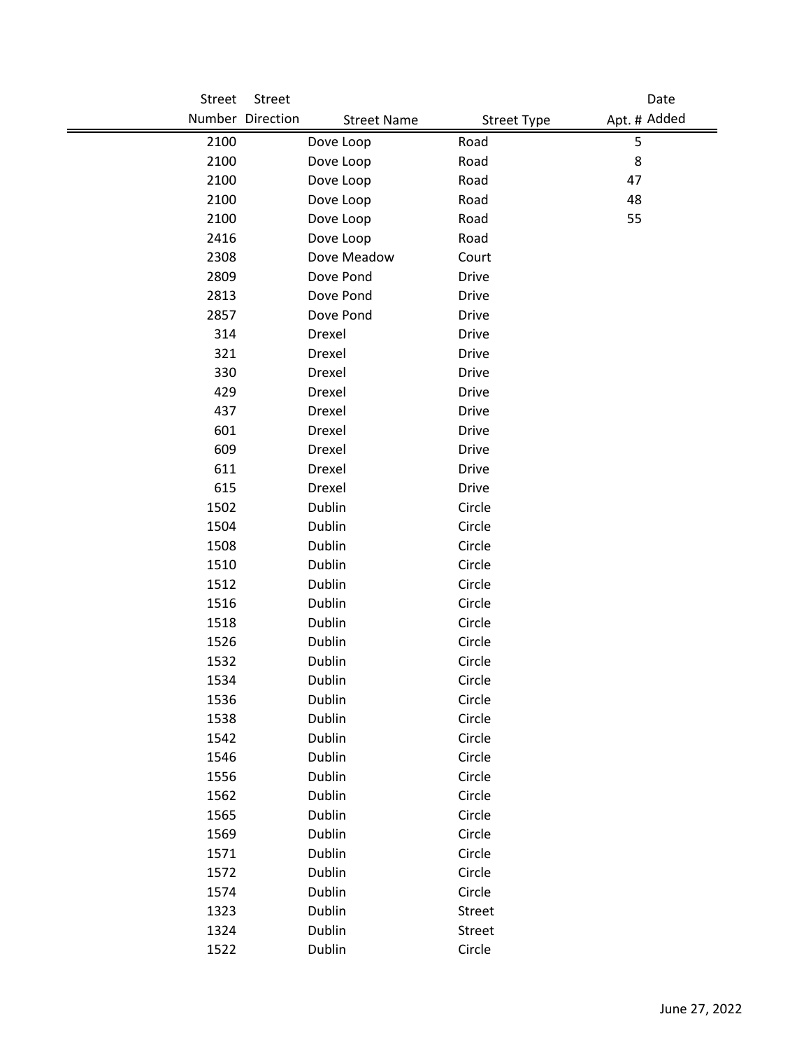| Street       | Street           |                    |                    | Date         |
|--------------|------------------|--------------------|--------------------|--------------|
|              | Number Direction | <b>Street Name</b> | <b>Street Type</b> | Apt. # Added |
| 2100         | Dove Loop        |                    | Road               | 5            |
| 2100         | Dove Loop        |                    | Road               | 8            |
| 2100         | Dove Loop        |                    | Road               | 47           |
| 2100         | Dove Loop        |                    | Road               | 48           |
| 2100         | Dove Loop        |                    | Road               | 55           |
| 2416         | Dove Loop        |                    | Road               |              |
| 2308         |                  | Dove Meadow        | Court              |              |
| 2809         |                  | Dove Pond          | <b>Drive</b>       |              |
| 2813         | Dove Pond        |                    | <b>Drive</b>       |              |
| 2857         | Dove Pond        |                    | Drive              |              |
| 314          | Drexel           |                    | <b>Drive</b>       |              |
| 321          | Drexel           |                    | Drive              |              |
| 330          | Drexel           |                    | <b>Drive</b>       |              |
| 429          | Drexel           |                    | <b>Drive</b>       |              |
| 437          | Drexel           |                    | <b>Drive</b>       |              |
| 601          | Drexel           |                    | <b>Drive</b>       |              |
| 609          | Drexel           |                    | <b>Drive</b>       |              |
| 611          | Drexel           |                    | <b>Drive</b>       |              |
| 615          | Drexel           |                    | <b>Drive</b>       |              |
| 1502         | Dublin           |                    | Circle             |              |
| 1504         | Dublin           |                    | Circle             |              |
| 1508         | Dublin           |                    | Circle             |              |
| 1510         | Dublin           |                    | Circle             |              |
| 1512         | Dublin           |                    | Circle             |              |
| 1516         | Dublin           |                    | Circle             |              |
| 1518         | Dublin           |                    | Circle             |              |
| 1526         | Dublin           |                    | Circle             |              |
| 1532         | Dublin           |                    | Circle             |              |
| 1534         | Dublin           |                    | Circle             |              |
| 1536         | Dublin           |                    | Circle             |              |
| 1538         | Dublin           |                    | Circle             |              |
| 1542         | Dublin           |                    | Circle             |              |
| 1546         | Dublin           |                    | Circle             |              |
| 1556         | Dublin           |                    | Circle             |              |
| 1562         | Dublin           |                    | Circle             |              |
| 1565         | Dublin           |                    | Circle<br>Circle   |              |
| 1569<br>1571 | Dublin<br>Dublin |                    | Circle             |              |
| 1572         | Dublin           |                    | Circle             |              |
| 1574         | Dublin           |                    | Circle             |              |
| 1323         | Dublin           |                    | Street             |              |
| 1324         | Dublin           |                    | Street             |              |
| 1522         | Dublin           |                    | Circle             |              |
|              |                  |                    |                    |              |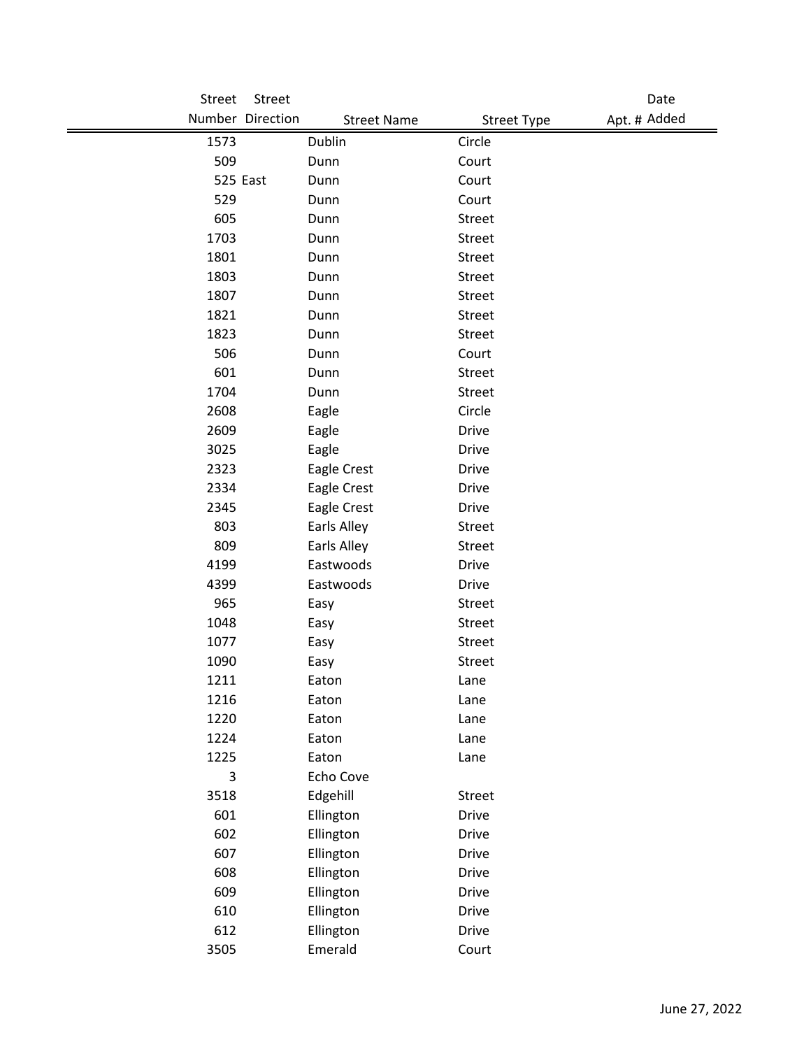| Street | Street           |                    |                    |              | Date |
|--------|------------------|--------------------|--------------------|--------------|------|
|        | Number Direction | <b>Street Name</b> | <b>Street Type</b> | Apt. # Added |      |
| 1573   |                  | Dublin             | Circle             |              |      |
| 509    |                  | Dunn               | Court              |              |      |
|        | 525 East         | Dunn               | Court              |              |      |
| 529    |                  | Dunn               | Court              |              |      |
| 605    |                  | Dunn               | Street             |              |      |
| 1703   |                  | Dunn               | Street             |              |      |
| 1801   |                  | Dunn               | Street             |              |      |
| 1803   |                  | Dunn               | <b>Street</b>      |              |      |
| 1807   |                  | Dunn               | Street             |              |      |
| 1821   |                  | Dunn               | Street             |              |      |
| 1823   |                  | Dunn               | Street             |              |      |
| 506    |                  | Dunn               | Court              |              |      |
| 601    |                  | Dunn               | Street             |              |      |
| 1704   |                  | Dunn               | Street             |              |      |
| 2608   |                  | Eagle              | Circle             |              |      |
| 2609   |                  | Eagle              | <b>Drive</b>       |              |      |
| 3025   |                  | Eagle              | <b>Drive</b>       |              |      |
| 2323   |                  | Eagle Crest        | <b>Drive</b>       |              |      |
| 2334   |                  | Eagle Crest        | <b>Drive</b>       |              |      |
| 2345   |                  | Eagle Crest        | <b>Drive</b>       |              |      |
| 803    |                  | Earls Alley        | Street             |              |      |
| 809    |                  | Earls Alley        | <b>Street</b>      |              |      |
| 4199   |                  | Eastwoods          | <b>Drive</b>       |              |      |
| 4399   |                  | Eastwoods          | <b>Drive</b>       |              |      |
| 965    |                  | Easy               | Street             |              |      |
| 1048   |                  | Easy               | Street             |              |      |
| 1077   |                  | Easy               | Street             |              |      |
| 1090   |                  | Easy               | Street             |              |      |
| 1211   |                  | Eaton              | Lane               |              |      |
| 1216   |                  | Eaton              | Lane               |              |      |
| 1220   |                  | Eaton              | Lane               |              |      |
| 1224   |                  | Eaton              | Lane               |              |      |
| 1225   |                  | Eaton              | Lane               |              |      |
| 3      |                  | Echo Cove          |                    |              |      |
| 3518   |                  | Edgehill           | Street             |              |      |
| 601    |                  | Ellington          | <b>Drive</b>       |              |      |
| 602    |                  | Ellington          | <b>Drive</b>       |              |      |
| 607    |                  | Ellington          | <b>Drive</b>       |              |      |
| 608    |                  | Ellington          | <b>Drive</b>       |              |      |
| 609    |                  | Ellington          | <b>Drive</b>       |              |      |
| 610    |                  | Ellington          | <b>Drive</b>       |              |      |
| 612    |                  | Ellington          | <b>Drive</b>       |              |      |
| 3505   |                  | Emerald            | Court              |              |      |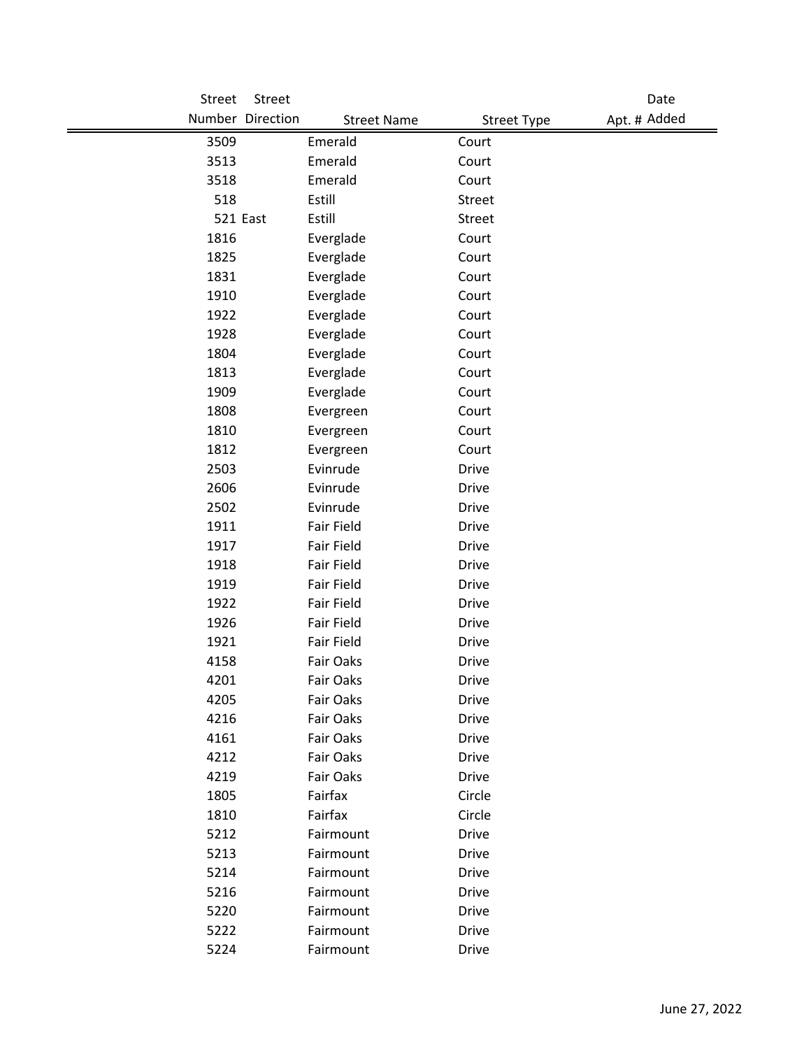| <b>Street</b> | Street           |                    |                    | Date         |
|---------------|------------------|--------------------|--------------------|--------------|
|               | Number Direction | <b>Street Name</b> | <b>Street Type</b> | Apt. # Added |
| 3509          |                  | Emerald            | Court              |              |
| 3513          |                  | Emerald            | Court              |              |
| 3518          |                  | Emerald            | Court              |              |
| 518           |                  | Estill             | Street             |              |
|               | 521 East         | Estill             | Street             |              |
| 1816          |                  | Everglade          | Court              |              |
| 1825          |                  | Everglade          | Court              |              |
| 1831          |                  | Everglade          | Court              |              |
| 1910          |                  | Everglade          | Court              |              |
| 1922          |                  | Everglade          | Court              |              |
| 1928          |                  | Everglade          | Court              |              |
| 1804          |                  | Everglade          | Court              |              |
| 1813          |                  | Everglade          | Court              |              |
| 1909          |                  | Everglade          | Court              |              |
| 1808          |                  | Evergreen          | Court              |              |
| 1810          |                  | Evergreen          | Court              |              |
| 1812          |                  | Evergreen          | Court              |              |
| 2503          |                  | Evinrude           | <b>Drive</b>       |              |
| 2606          |                  | Evinrude           | <b>Drive</b>       |              |
| 2502          |                  | Evinrude           | <b>Drive</b>       |              |
| 1911          |                  | Fair Field         | <b>Drive</b>       |              |
| 1917          |                  | Fair Field         | <b>Drive</b>       |              |
| 1918          |                  | Fair Field         | <b>Drive</b>       |              |
| 1919          |                  | Fair Field         | <b>Drive</b>       |              |
| 1922          |                  | Fair Field         | <b>Drive</b>       |              |
| 1926          |                  | <b>Fair Field</b>  | <b>Drive</b>       |              |
| 1921          |                  | <b>Fair Field</b>  | <b>Drive</b>       |              |
| 4158          |                  | Fair Oaks          | <b>Drive</b>       |              |
| 4201          |                  | Fair Oaks          | <b>Drive</b>       |              |
| 4205          |                  | Fair Oaks          | <b>Drive</b>       |              |
| 4216          |                  | Fair Oaks          | <b>Drive</b>       |              |
| 4161          |                  | Fair Oaks          | <b>Drive</b>       |              |
| 4212          |                  | Fair Oaks          | <b>Drive</b>       |              |
| 4219          |                  | Fair Oaks          | <b>Drive</b>       |              |
| 1805          |                  | Fairfax            | Circle             |              |
| 1810          |                  | Fairfax            | Circle             |              |
| 5212          |                  | Fairmount          | <b>Drive</b>       |              |
| 5213          |                  | Fairmount          | <b>Drive</b>       |              |
| 5214          |                  | Fairmount          | <b>Drive</b>       |              |
| 5216          |                  | Fairmount          | <b>Drive</b>       |              |
| 5220          |                  | Fairmount          | <b>Drive</b>       |              |
| 5222          |                  | Fairmount          | <b>Drive</b>       |              |
| 5224          |                  | Fairmount          | <b>Drive</b>       |              |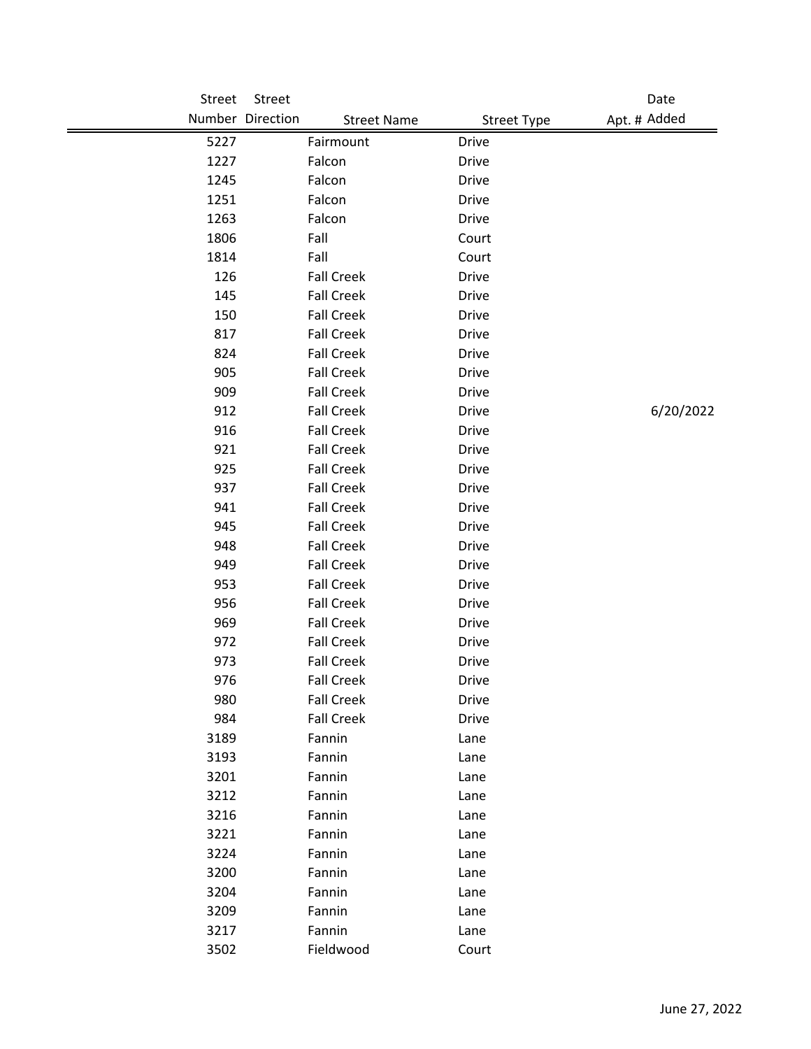| <b>Street</b> | Street            |                    |                    | Date         |
|---------------|-------------------|--------------------|--------------------|--------------|
|               | Number Direction  | <b>Street Name</b> | <b>Street Type</b> | Apt. # Added |
| 5227          | Fairmount         | <b>Drive</b>       |                    |              |
| 1227          | Falcon            | Drive              |                    |              |
| 1245          | Falcon            | <b>Drive</b>       |                    |              |
| 1251          | Falcon            | <b>Drive</b>       |                    |              |
| 1263          | Falcon            | <b>Drive</b>       |                    |              |
| 1806          | Fall              | Court              |                    |              |
| 1814          | Fall              | Court              |                    |              |
| 126           | <b>Fall Creek</b> | <b>Drive</b>       |                    |              |
| 145           | <b>Fall Creek</b> | <b>Drive</b>       |                    |              |
| 150           | <b>Fall Creek</b> | <b>Drive</b>       |                    |              |
| 817           | <b>Fall Creek</b> | <b>Drive</b>       |                    |              |
| 824           | <b>Fall Creek</b> | <b>Drive</b>       |                    |              |
| 905           | <b>Fall Creek</b> | <b>Drive</b>       |                    |              |
| 909           | <b>Fall Creek</b> | <b>Drive</b>       |                    |              |
| 912           | <b>Fall Creek</b> | <b>Drive</b>       |                    | 6/20/2022    |
| 916           | <b>Fall Creek</b> | <b>Drive</b>       |                    |              |
| 921           | <b>Fall Creek</b> | <b>Drive</b>       |                    |              |
| 925           | <b>Fall Creek</b> | <b>Drive</b>       |                    |              |
| 937           | <b>Fall Creek</b> | <b>Drive</b>       |                    |              |
| 941           | <b>Fall Creek</b> | Drive              |                    |              |
| 945           | <b>Fall Creek</b> | <b>Drive</b>       |                    |              |
| 948           | <b>Fall Creek</b> | <b>Drive</b>       |                    |              |
| 949           | <b>Fall Creek</b> | <b>Drive</b>       |                    |              |
| 953           | <b>Fall Creek</b> | <b>Drive</b>       |                    |              |
| 956           | <b>Fall Creek</b> | <b>Drive</b>       |                    |              |
| 969           | <b>Fall Creek</b> | <b>Drive</b>       |                    |              |
| 972           | <b>Fall Creek</b> | Drive              |                    |              |
| 973           | <b>Fall Creek</b> | <b>Drive</b>       |                    |              |
| 976           | <b>Fall Creek</b> | Drive              |                    |              |
| 980           | <b>Fall Creek</b> | Drive              |                    |              |
| 984           | <b>Fall Creek</b> | <b>Drive</b>       |                    |              |
| 3189          | Fannin            | Lane               |                    |              |
| 3193          | Fannin            | Lane               |                    |              |
| 3201          | Fannin            | Lane               |                    |              |
| 3212          | Fannin            | Lane               |                    |              |
| 3216          | Fannin            | Lane               |                    |              |
| 3221          | Fannin            | Lane               |                    |              |
| 3224          | Fannin            | Lane               |                    |              |
| 3200          | Fannin            | Lane               |                    |              |
| 3204          | Fannin            | Lane               |                    |              |
| 3209          | Fannin            | Lane               |                    |              |
| 3217          | Fannin            | Lane               |                    |              |
| 3502          | Fieldwood         | Court              |                    |              |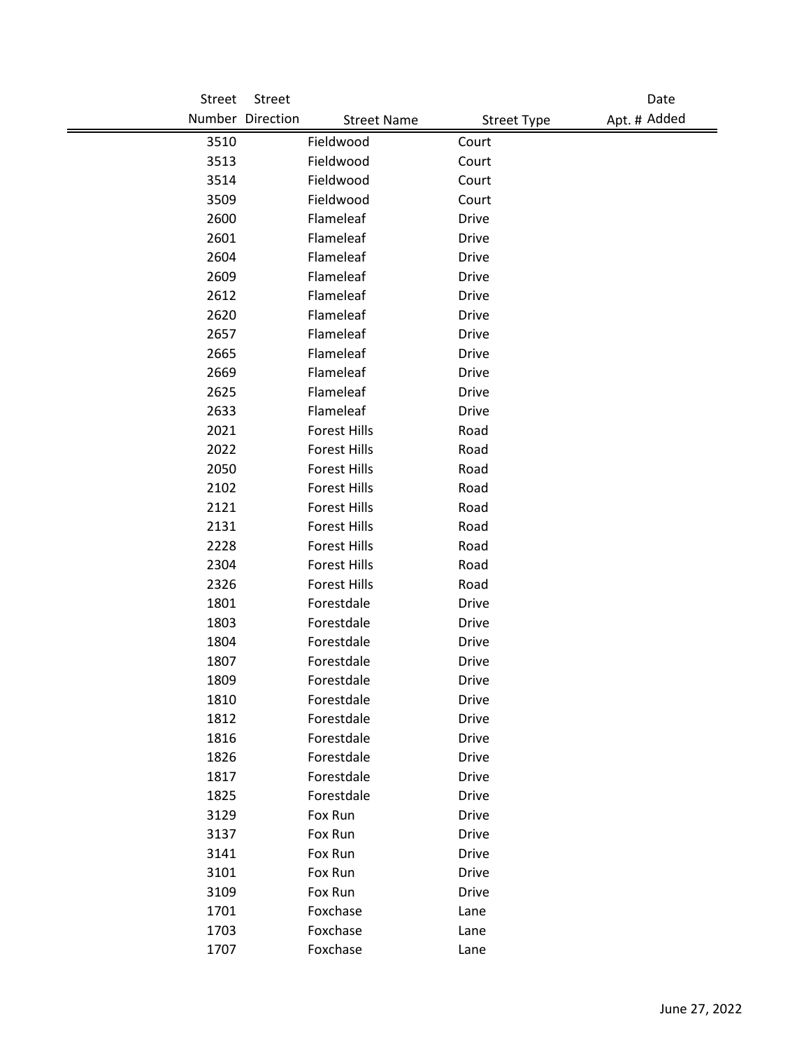| Street | Street              |                                          | Date         |
|--------|---------------------|------------------------------------------|--------------|
|        | Number Direction    | <b>Street Name</b><br><b>Street Type</b> | Apt. # Added |
| 3510   | Fieldwood           | Court                                    |              |
| 3513   | Fieldwood           | Court                                    |              |
| 3514   | Fieldwood           | Court                                    |              |
| 3509   | Fieldwood           | Court                                    |              |
| 2600   | Flameleaf           | <b>Drive</b>                             |              |
| 2601   | Flameleaf           | <b>Drive</b>                             |              |
| 2604   | Flameleaf           | <b>Drive</b>                             |              |
| 2609   | Flameleaf           | <b>Drive</b>                             |              |
| 2612   | Flameleaf           | <b>Drive</b>                             |              |
| 2620   | Flameleaf           | <b>Drive</b>                             |              |
| 2657   | Flameleaf           | <b>Drive</b>                             |              |
| 2665   | Flameleaf           | <b>Drive</b>                             |              |
| 2669   | Flameleaf           | <b>Drive</b>                             |              |
| 2625   | Flameleaf           | <b>Drive</b>                             |              |
| 2633   | Flameleaf           | <b>Drive</b>                             |              |
| 2021   | <b>Forest Hills</b> | Road                                     |              |
| 2022   | <b>Forest Hills</b> | Road                                     |              |
| 2050   | <b>Forest Hills</b> | Road                                     |              |
| 2102   | <b>Forest Hills</b> | Road                                     |              |
| 2121   | <b>Forest Hills</b> | Road                                     |              |
| 2131   | <b>Forest Hills</b> | Road                                     |              |
| 2228   | <b>Forest Hills</b> | Road                                     |              |
| 2304   | <b>Forest Hills</b> | Road                                     |              |
| 2326   | <b>Forest Hills</b> | Road                                     |              |
| 1801   | Forestdale          | <b>Drive</b>                             |              |
| 1803   | Forestdale          | <b>Drive</b>                             |              |
| 1804   | Forestdale          | <b>Drive</b>                             |              |
| 1807   | Forestdale          | <b>Drive</b>                             |              |
| 1809   | Forestdale          | Drive                                    |              |
| 1810   | Forestdale          | <b>Drive</b>                             |              |
| 1812   | Forestdale          | <b>Drive</b>                             |              |
| 1816   | Forestdale          | <b>Drive</b>                             |              |
| 1826   | Forestdale          | <b>Drive</b>                             |              |
| 1817   | Forestdale          | <b>Drive</b>                             |              |
| 1825   | Forestdale          | <b>Drive</b>                             |              |
| 3129   | Fox Run             | <b>Drive</b>                             |              |
| 3137   | Fox Run             | Drive                                    |              |
| 3141   | Fox Run             | <b>Drive</b>                             |              |
| 3101   | Fox Run             | <b>Drive</b>                             |              |
| 3109   | Fox Run             | <b>Drive</b>                             |              |
| 1701   | Foxchase            | Lane                                     |              |
| 1703   | Foxchase            | Lane                                     |              |
| 1707   | Foxchase            | Lane                                     |              |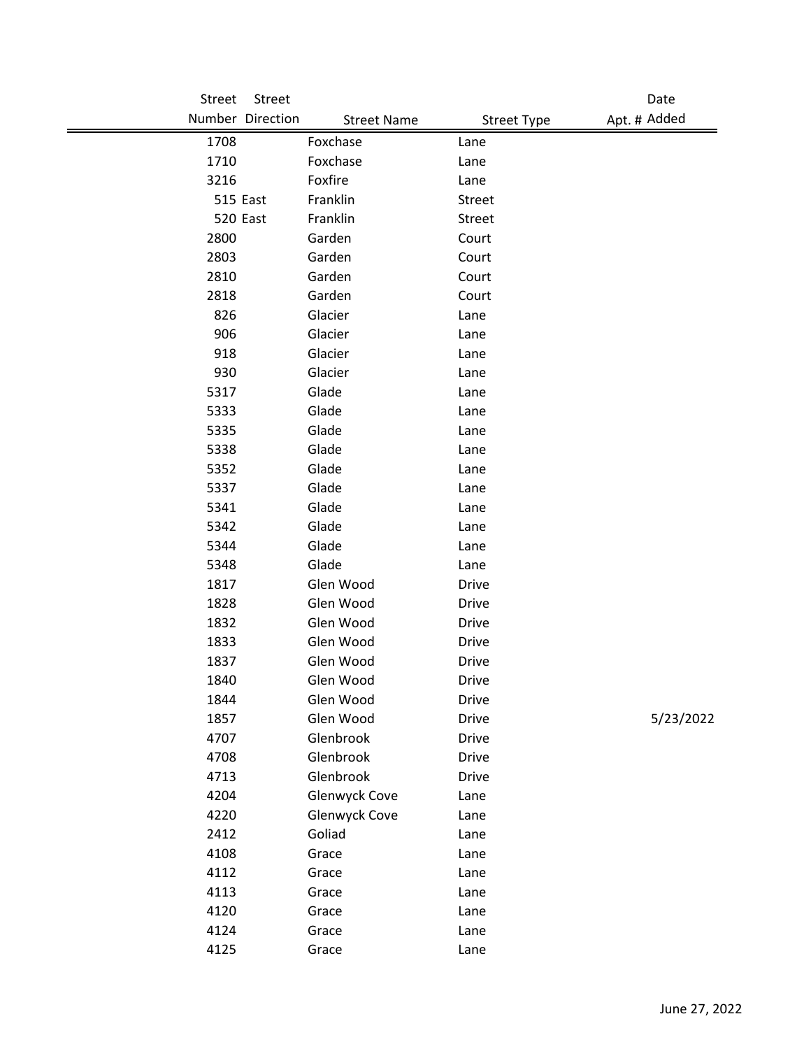| Street       | Street           |                      |                    | Date         |
|--------------|------------------|----------------------|--------------------|--------------|
|              | Number Direction | <b>Street Name</b>   | <b>Street Type</b> | Apt. # Added |
| 1708         |                  | Foxchase             | Lane               |              |
| 1710         |                  | Foxchase             | Lane               |              |
| 3216         |                  | Foxfire              | Lane               |              |
|              | 515 East         | Franklin             | Street             |              |
|              | 520 East         | Franklin             | Street             |              |
| 2800         |                  | Garden               | Court              |              |
| 2803         |                  | Garden               | Court              |              |
| 2810         |                  | Garden               | Court              |              |
| 2818         |                  | Garden               | Court              |              |
| 826          |                  | Glacier              | Lane               |              |
| 906          |                  | Glacier              | Lane               |              |
| 918          |                  | Glacier              | Lane               |              |
| 930          |                  | Glacier              | Lane               |              |
| 5317         |                  | Glade                | Lane               |              |
| 5333         |                  | Glade                | Lane               |              |
| 5335         |                  | Glade                | Lane               |              |
| 5338         |                  | Glade                | Lane               |              |
| 5352         |                  | Glade                | Lane               |              |
| 5337         |                  | Glade                | Lane               |              |
| 5341         |                  | Glade                | Lane               |              |
| 5342         |                  | Glade                | Lane               |              |
| 5344         |                  | Glade                | Lane               |              |
| 5348         |                  | Glade                | Lane               |              |
| 1817         |                  | Glen Wood            | <b>Drive</b>       |              |
| 1828         |                  | Glen Wood            | <b>Drive</b>       |              |
| 1832         |                  | Glen Wood            | <b>Drive</b>       |              |
| 1833         |                  | Glen Wood            | Drive              |              |
| 1837         |                  | Glen Wood            | <b>Drive</b>       |              |
| 1840         |                  | Glen Wood            | Drive              |              |
| 1844         |                  | Glen Wood            | <b>Drive</b>       |              |
| 1857         |                  | Glen Wood            | <b>Drive</b>       | 5/23/2022    |
| 4707         |                  | Glenbrook            | <b>Drive</b>       |              |
| 4708         |                  | Glenbrook            | <b>Drive</b>       |              |
| 4713         |                  | Glenbrook            | <b>Drive</b>       |              |
| 4204         |                  | <b>Glenwyck Cove</b> | Lane               |              |
| 4220         |                  | Glenwyck Cove        | Lane               |              |
| 2412         |                  | Goliad               | Lane               |              |
| 4108<br>4112 |                  | Grace                | Lane               |              |
|              |                  | Grace                | Lane               |              |
| 4113<br>4120 |                  | Grace                | Lane               |              |
| 4124         |                  | Grace<br>Grace       | Lane               |              |
|              |                  |                      | Lane               |              |
| 4125         |                  | Grace                | Lane               |              |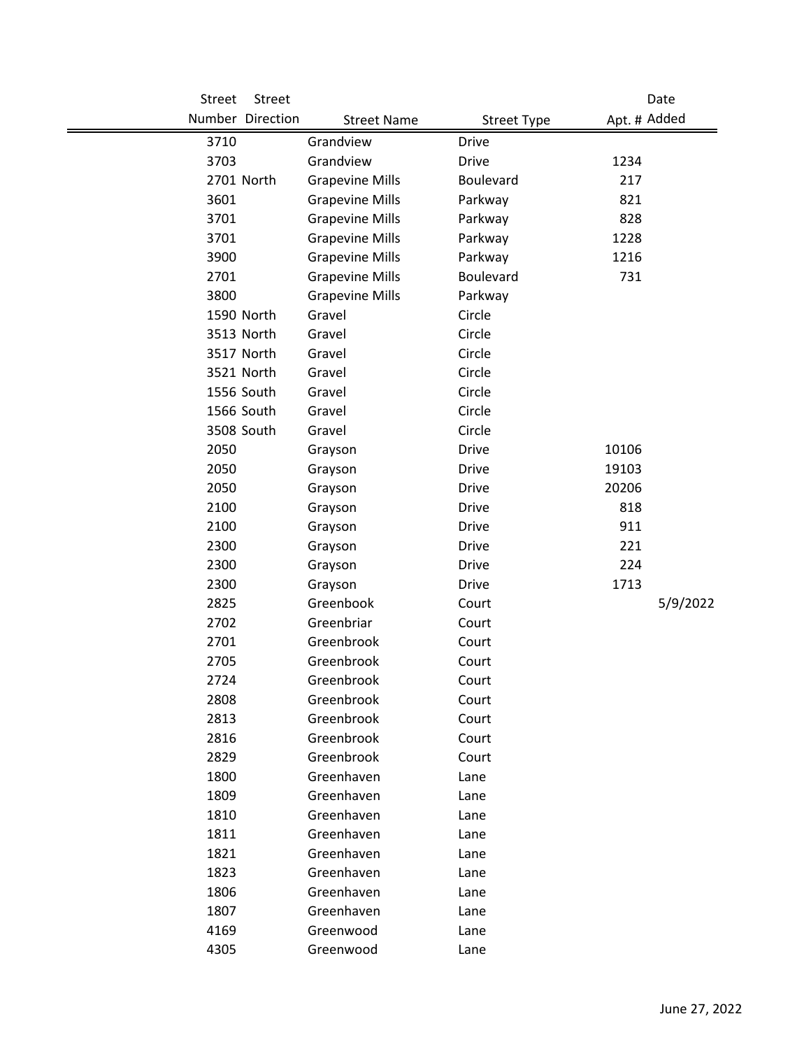| Street       | <b>Street</b>    |                          |                    |              | Date     |
|--------------|------------------|--------------------------|--------------------|--------------|----------|
|              | Number Direction | <b>Street Name</b>       | <b>Street Type</b> | Apt. # Added |          |
| 3710         |                  | Grandview                | <b>Drive</b>       |              |          |
| 3703         |                  | Grandview                | <b>Drive</b>       | 1234         |          |
|              | 2701 North       | <b>Grapevine Mills</b>   | Boulevard          | 217          |          |
| 3601         |                  | <b>Grapevine Mills</b>   | Parkway            | 821          |          |
| 3701         |                  | <b>Grapevine Mills</b>   | Parkway            | 828          |          |
| 3701         |                  | <b>Grapevine Mills</b>   | Parkway            | 1228         |          |
| 3900         |                  | <b>Grapevine Mills</b>   | Parkway            | 1216         |          |
| 2701         |                  | <b>Grapevine Mills</b>   | Boulevard          | 731          |          |
| 3800         |                  | <b>Grapevine Mills</b>   | Parkway            |              |          |
|              | 1590 North       | Gravel                   | Circle             |              |          |
|              | 3513 North       | Gravel                   | Circle             |              |          |
|              | 3517 North       | Gravel                   | Circle             |              |          |
|              | 3521 North       | Gravel                   | Circle             |              |          |
|              | 1556 South       | Gravel                   | Circle             |              |          |
|              | 1566 South       | Gravel                   | Circle             |              |          |
|              | 3508 South       | Gravel                   | Circle             |              |          |
| 2050         |                  | Grayson                  | <b>Drive</b>       | 10106        |          |
| 2050         |                  | Grayson                  | <b>Drive</b>       | 19103        |          |
| 2050         |                  | Grayson                  | <b>Drive</b>       | 20206        |          |
| 2100         |                  | Grayson                  | <b>Drive</b>       | 818          |          |
| 2100         |                  | Grayson                  | <b>Drive</b>       | 911          |          |
| 2300         |                  | Grayson                  | <b>Drive</b>       | 221          |          |
| 2300         |                  | Grayson                  | <b>Drive</b>       | 224          |          |
| 2300         |                  | Grayson                  | <b>Drive</b>       | 1713         |          |
| 2825         |                  | Greenbook                | Court              |              | 5/9/2022 |
| 2702         |                  | Greenbriar               | Court              |              |          |
| 2701         |                  | Greenbrook               | Court              |              |          |
| 2705         |                  | Greenbrook               | Court              |              |          |
| 2724         |                  | Greenbrook               | Court              |              |          |
| 2808         |                  | Greenbrook               | Court              |              |          |
| 2813         |                  | Greenbrook               | Court              |              |          |
| 2816         |                  | Greenbrook               | Court              |              |          |
| 2829         |                  | Greenbrook               | Court              |              |          |
| 1800         |                  | Greenhaven               | Lane               |              |          |
| 1809         |                  | Greenhaven<br>Greenhaven | Lane               |              |          |
| 1810<br>1811 |                  | Greenhaven               | Lane               |              |          |
| 1821         |                  | Greenhaven               | Lane               |              |          |
| 1823         |                  | Greenhaven               | Lane<br>Lane       |              |          |
| 1806         |                  | Greenhaven               | Lane               |              |          |
| 1807         |                  | Greenhaven               | Lane               |              |          |
| 4169         |                  | Greenwood                | Lane               |              |          |
| 4305         |                  | Greenwood                | Lane               |              |          |
|              |                  |                          |                    |              |          |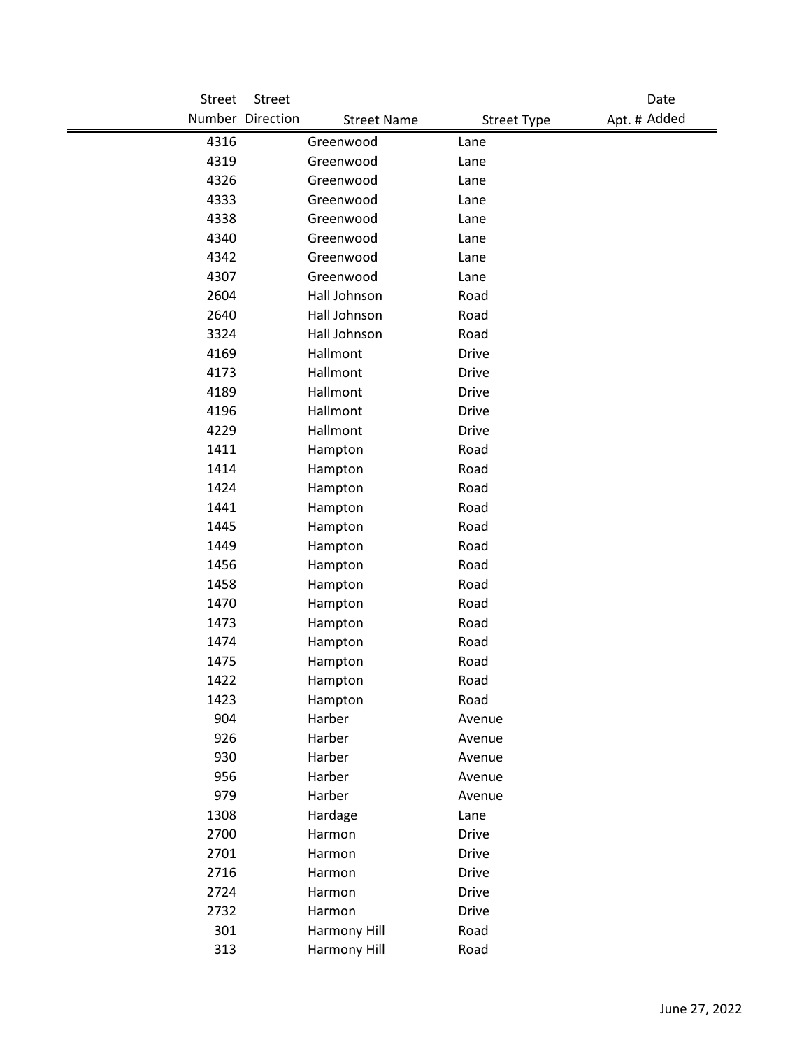| Street | Street           |                    |                    | Date         |
|--------|------------------|--------------------|--------------------|--------------|
|        | Number Direction | <b>Street Name</b> | <b>Street Type</b> | Apt. # Added |
| 4316   |                  | Greenwood          | Lane               |              |
| 4319   |                  | Greenwood          | Lane               |              |
| 4326   |                  | Greenwood          | Lane               |              |
| 4333   |                  | Greenwood          | Lane               |              |
| 4338   |                  | Greenwood          | Lane               |              |
| 4340   |                  | Greenwood          | Lane               |              |
| 4342   |                  | Greenwood          | Lane               |              |
| 4307   |                  | Greenwood          | Lane               |              |
| 2604   |                  | Hall Johnson       | Road               |              |
| 2640   |                  | Hall Johnson       | Road               |              |
| 3324   |                  | Hall Johnson       | Road               |              |
| 4169   |                  | Hallmont           | <b>Drive</b>       |              |
| 4173   |                  | Hallmont           | <b>Drive</b>       |              |
| 4189   |                  | Hallmont           | <b>Drive</b>       |              |
| 4196   |                  | Hallmont           | <b>Drive</b>       |              |
| 4229   |                  | Hallmont           | <b>Drive</b>       |              |
| 1411   |                  | Hampton            | Road               |              |
| 1414   |                  | Hampton            | Road               |              |
| 1424   |                  | Hampton            | Road               |              |
| 1441   |                  | Hampton            | Road               |              |
| 1445   |                  | Hampton            | Road               |              |
| 1449   |                  | Hampton            | Road               |              |
| 1456   |                  | Hampton            | Road               |              |
| 1458   |                  | Hampton            | Road               |              |
| 1470   |                  | Hampton            | Road               |              |
| 1473   |                  | Hampton            | Road               |              |
| 1474   |                  | Hampton            | Road               |              |
| 1475   |                  | Hampton            | Road               |              |
| 1422   |                  | Hampton            | Road               |              |
| 1423   |                  | Hampton            | Road               |              |
| 904    |                  | Harber             | Avenue             |              |
| 926    |                  | Harber             | Avenue             |              |
| 930    |                  | Harber             | Avenue             |              |
| 956    |                  | Harber             | Avenue             |              |
| 979    |                  | Harber             | Avenue             |              |
| 1308   |                  | Hardage            | Lane               |              |
| 2700   |                  | Harmon             | <b>Drive</b>       |              |
| 2701   |                  | Harmon             | <b>Drive</b>       |              |
| 2716   |                  | Harmon             | Drive              |              |
| 2724   |                  | Harmon             | Drive              |              |
| 2732   |                  | Harmon             | <b>Drive</b>       |              |
| 301    |                  | Harmony Hill       | Road               |              |
| 313    |                  | Harmony Hill       | Road               |              |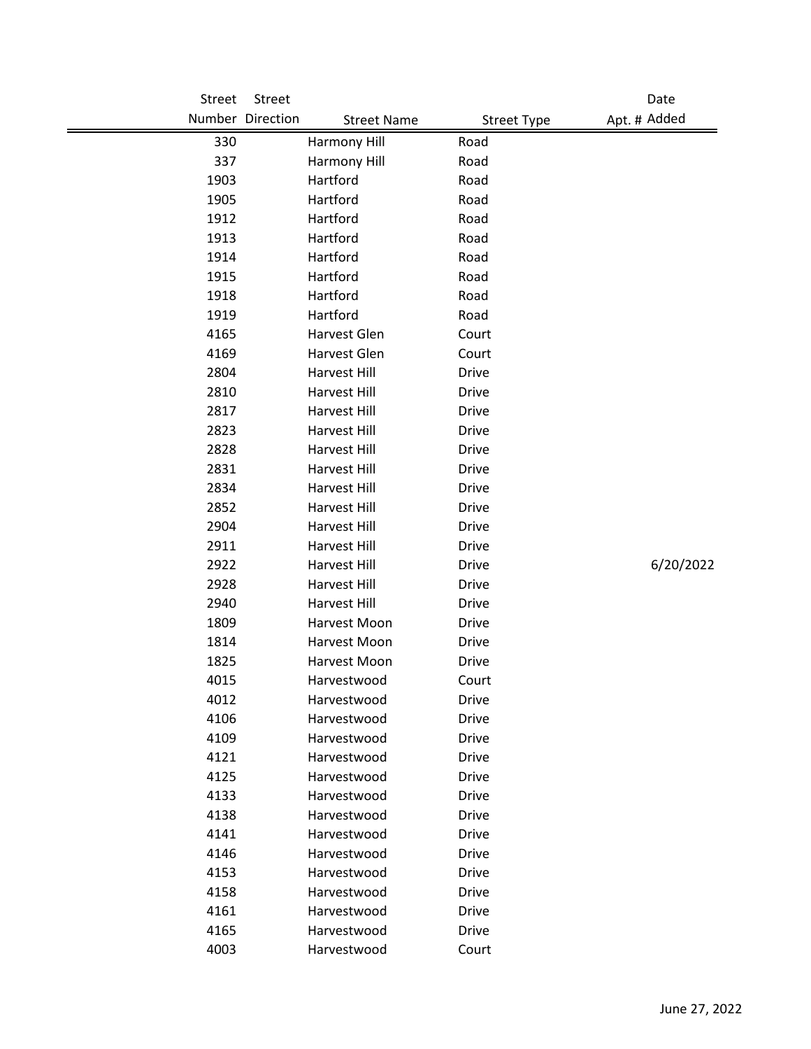| Street | Street           |                    |                    | Date         |
|--------|------------------|--------------------|--------------------|--------------|
|        | Number Direction | <b>Street Name</b> | <b>Street Type</b> | Apt. # Added |
| 330    |                  | Harmony Hill       | Road               |              |
| 337    |                  | Harmony Hill       | Road               |              |
| 1903   |                  | Hartford           | Road               |              |
| 1905   |                  | Hartford           | Road               |              |
| 1912   |                  | Hartford           | Road               |              |
| 1913   |                  | Hartford           | Road               |              |
| 1914   |                  | Hartford           | Road               |              |
| 1915   |                  | Hartford           | Road               |              |
| 1918   |                  | Hartford           | Road               |              |
| 1919   |                  | Hartford           | Road               |              |
| 4165   |                  | Harvest Glen       | Court              |              |
| 4169   |                  | Harvest Glen       | Court              |              |
| 2804   |                  | Harvest Hill       | <b>Drive</b>       |              |
| 2810   |                  | Harvest Hill       | <b>Drive</b>       |              |
| 2817   |                  | Harvest Hill       | <b>Drive</b>       |              |
| 2823   |                  | Harvest Hill       | <b>Drive</b>       |              |
| 2828   |                  | Harvest Hill       | <b>Drive</b>       |              |
| 2831   |                  | Harvest Hill       | <b>Drive</b>       |              |
| 2834   |                  | Harvest Hill       | <b>Drive</b>       |              |
| 2852   |                  | Harvest Hill       | <b>Drive</b>       |              |
| 2904   |                  | Harvest Hill       | <b>Drive</b>       |              |
| 2911   |                  | Harvest Hill       | <b>Drive</b>       |              |
| 2922   |                  | Harvest Hill       | <b>Drive</b>       | 6/20/2022    |
| 2928   |                  | Harvest Hill       | <b>Drive</b>       |              |
| 2940   |                  | Harvest Hill       | <b>Drive</b>       |              |
| 1809   |                  | Harvest Moon       | <b>Drive</b>       |              |
| 1814   |                  | Harvest Moon       | <b>Drive</b>       |              |
| 1825   |                  | Harvest Moon       | <b>Drive</b>       |              |
| 4015   |                  | Harvestwood        | Court              |              |
| 4012   |                  | Harvestwood        | <b>Drive</b>       |              |
| 4106   |                  | Harvestwood        | Drive              |              |
| 4109   |                  | Harvestwood        | <b>Drive</b>       |              |
| 4121   |                  | Harvestwood        | <b>Drive</b>       |              |
| 4125   |                  | Harvestwood        | <b>Drive</b>       |              |
| 4133   |                  | Harvestwood        | <b>Drive</b>       |              |
| 4138   |                  | Harvestwood        | <b>Drive</b>       |              |
| 4141   |                  | Harvestwood        | <b>Drive</b>       |              |
| 4146   |                  | Harvestwood        | <b>Drive</b>       |              |
| 4153   |                  | Harvestwood        | <b>Drive</b>       |              |
| 4158   |                  | Harvestwood        | <b>Drive</b>       |              |
| 4161   |                  | Harvestwood        | <b>Drive</b>       |              |
| 4165   |                  | Harvestwood        | <b>Drive</b>       |              |
| 4003   |                  | Harvestwood        | Court              |              |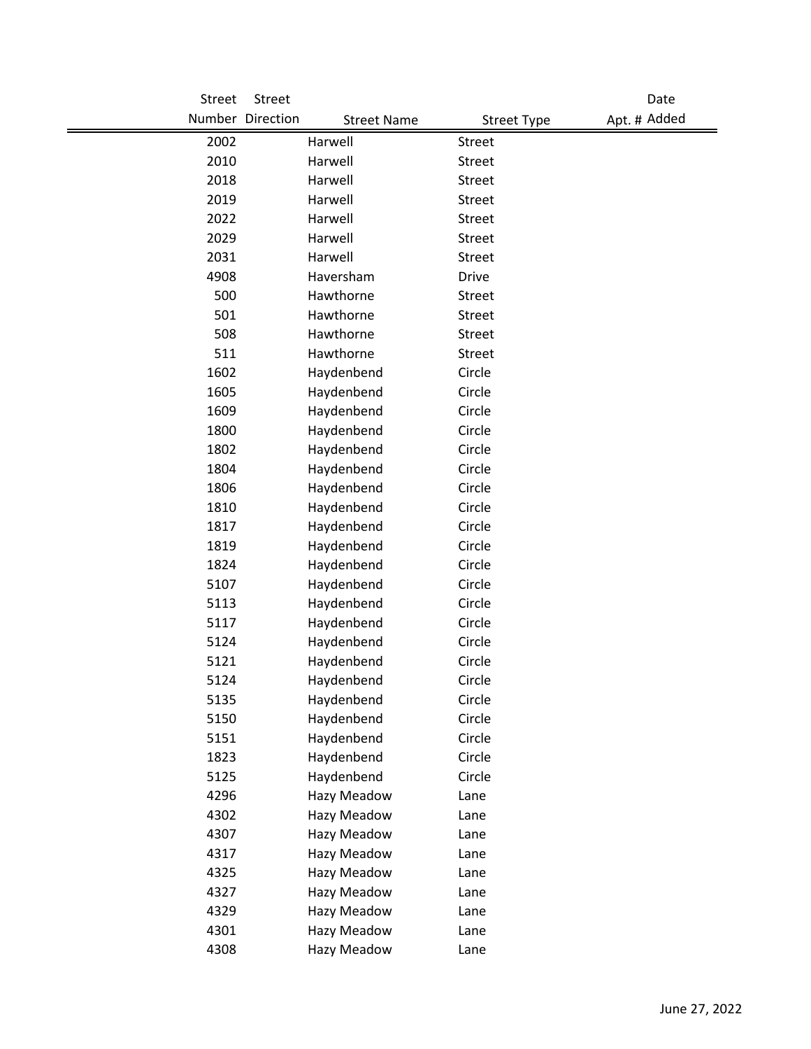| Street       | Street                                 |                    | Date         |
|--------------|----------------------------------------|--------------------|--------------|
|              | Number Direction<br><b>Street Name</b> | <b>Street Type</b> | Apt. # Added |
| 2002         | Harwell                                | Street             |              |
| 2010         | Harwell                                | Street             |              |
| 2018         | Harwell                                | Street             |              |
| 2019         | Harwell                                | Street             |              |
| 2022         | Harwell                                | <b>Street</b>      |              |
| 2029         | Harwell                                | <b>Street</b>      |              |
| 2031         | Harwell                                | <b>Street</b>      |              |
| 4908         | Haversham                              | <b>Drive</b>       |              |
| 500          | Hawthorne                              | Street             |              |
| 501          | Hawthorne                              | Street             |              |
| 508          | Hawthorne                              | Street             |              |
| 511          | Hawthorne                              | <b>Street</b>      |              |
| 1602         | Haydenbend                             | Circle             |              |
| 1605         | Haydenbend                             | Circle             |              |
| 1609         | Haydenbend                             | Circle             |              |
| 1800         | Haydenbend                             | Circle             |              |
| 1802         | Haydenbend                             | Circle             |              |
| 1804         | Haydenbend                             | Circle             |              |
| 1806         | Haydenbend                             | Circle             |              |
| 1810         | Haydenbend                             | Circle             |              |
| 1817         | Haydenbend                             | Circle             |              |
| 1819         | Haydenbend                             | Circle             |              |
| 1824         | Haydenbend                             | Circle             |              |
| 5107         | Haydenbend                             | Circle             |              |
| 5113         | Haydenbend                             | Circle             |              |
| 5117         | Haydenbend                             | Circle             |              |
| 5124         | Haydenbend                             | Circle             |              |
| 5121         | Haydenbend                             | Circle             |              |
| 5124         | Haydenbend                             | Circle             |              |
| 5135         | Haydenbend                             | Circle             |              |
| 5150         | Haydenbend                             | Circle             |              |
| 5151         | Haydenbend                             | Circle             |              |
| 1823<br>5125 | Haydenbend<br>Haydenbend               | Circle<br>Circle   |              |
| 4296         | Hazy Meadow                            | Lane               |              |
| 4302         | Hazy Meadow                            |                    |              |
| 4307         | Hazy Meadow                            | Lane<br>Lane       |              |
| 4317         | Hazy Meadow                            | Lane               |              |
| 4325         | Hazy Meadow                            | Lane               |              |
| 4327         | Hazy Meadow                            | Lane               |              |
| 4329         | Hazy Meadow                            | Lane               |              |
| 4301         | Hazy Meadow                            | Lane               |              |
| 4308         | Hazy Meadow                            | Lane               |              |
|              |                                        |                    |              |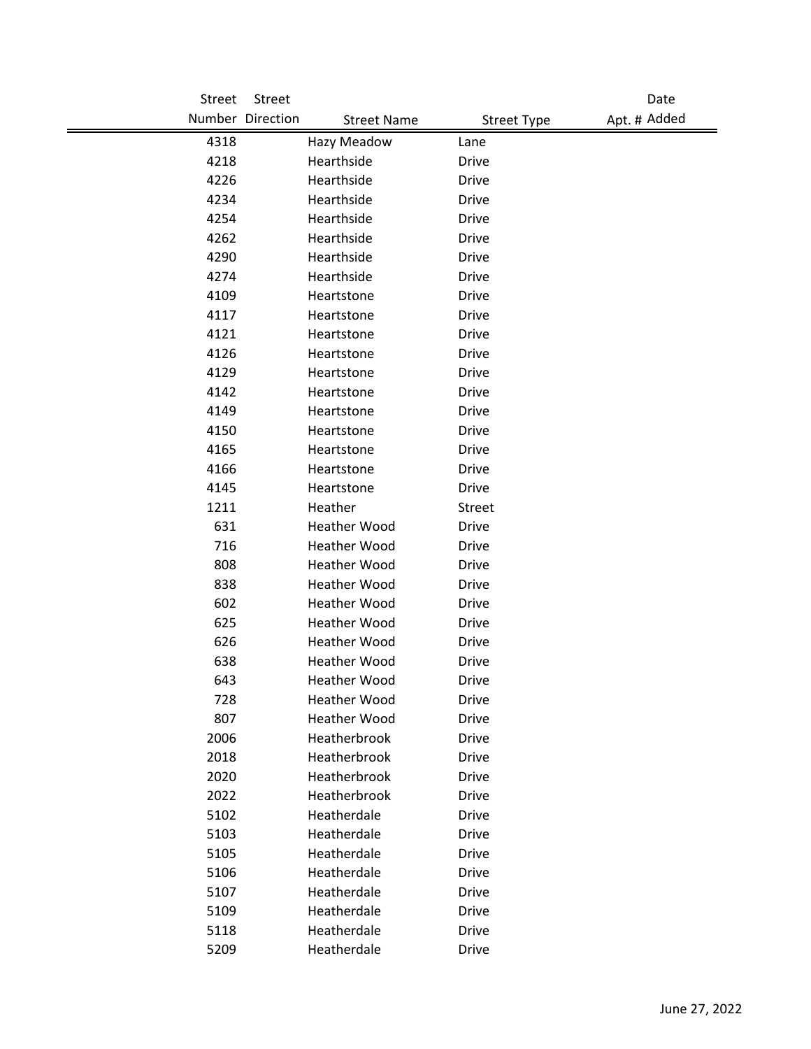| Street | Street                                 |                    | Date         |
|--------|----------------------------------------|--------------------|--------------|
|        | Number Direction<br><b>Street Name</b> | <b>Street Type</b> | Apt. # Added |
| 4318   | Hazy Meadow                            | Lane               |              |
| 4218   | Hearthside                             | <b>Drive</b>       |              |
| 4226   | Hearthside                             | <b>Drive</b>       |              |
| 4234   | Hearthside                             | <b>Drive</b>       |              |
| 4254   | Hearthside                             | <b>Drive</b>       |              |
| 4262   | Hearthside                             | <b>Drive</b>       |              |
| 4290   | Hearthside                             | <b>Drive</b>       |              |
| 4274   | Hearthside                             | <b>Drive</b>       |              |
| 4109   | Heartstone                             | <b>Drive</b>       |              |
| 4117   | Heartstone                             | <b>Drive</b>       |              |
| 4121   | Heartstone                             | <b>Drive</b>       |              |
| 4126   | Heartstone                             | <b>Drive</b>       |              |
| 4129   | Heartstone                             | <b>Drive</b>       |              |
| 4142   | Heartstone                             | <b>Drive</b>       |              |
| 4149   | Heartstone                             | <b>Drive</b>       |              |
| 4150   | Heartstone                             | <b>Drive</b>       |              |
| 4165   | Heartstone                             | <b>Drive</b>       |              |
| 4166   | Heartstone                             | <b>Drive</b>       |              |
| 4145   | Heartstone                             | <b>Drive</b>       |              |
| 1211   | Heather                                | <b>Street</b>      |              |
| 631    | <b>Heather Wood</b>                    | <b>Drive</b>       |              |
| 716    | <b>Heather Wood</b>                    | <b>Drive</b>       |              |
| 808    | Heather Wood                           | <b>Drive</b>       |              |
| 838    | Heather Wood                           | <b>Drive</b>       |              |
| 602    | <b>Heather Wood</b>                    | <b>Drive</b>       |              |
| 625    | <b>Heather Wood</b>                    | <b>Drive</b>       |              |
| 626    | Heather Wood                           | <b>Drive</b>       |              |
| 638    | <b>Heather Wood</b>                    | <b>Drive</b>       |              |
| 643    | <b>Heather Wood</b>                    | <b>Drive</b>       |              |
| 728    | Heather Wood                           | <b>Drive</b>       |              |
| 807    | Heather Wood                           | Drive              |              |
| 2006   | Heatherbrook                           | <b>Drive</b>       |              |
| 2018   | Heatherbrook                           | <b>Drive</b>       |              |
| 2020   | Heatherbrook                           | <b>Drive</b>       |              |
| 2022   | Heatherbrook                           | <b>Drive</b>       |              |
| 5102   | Heatherdale                            | <b>Drive</b>       |              |
| 5103   | Heatherdale                            | <b>Drive</b>       |              |
| 5105   | Heatherdale                            | <b>Drive</b>       |              |
| 5106   | Heatherdale                            | <b>Drive</b>       |              |
| 5107   | Heatherdale                            | <b>Drive</b>       |              |
| 5109   | Heatherdale                            | <b>Drive</b>       |              |
| 5118   | Heatherdale                            | <b>Drive</b>       |              |
| 5209   | Heatherdale                            | <b>Drive</b>       |              |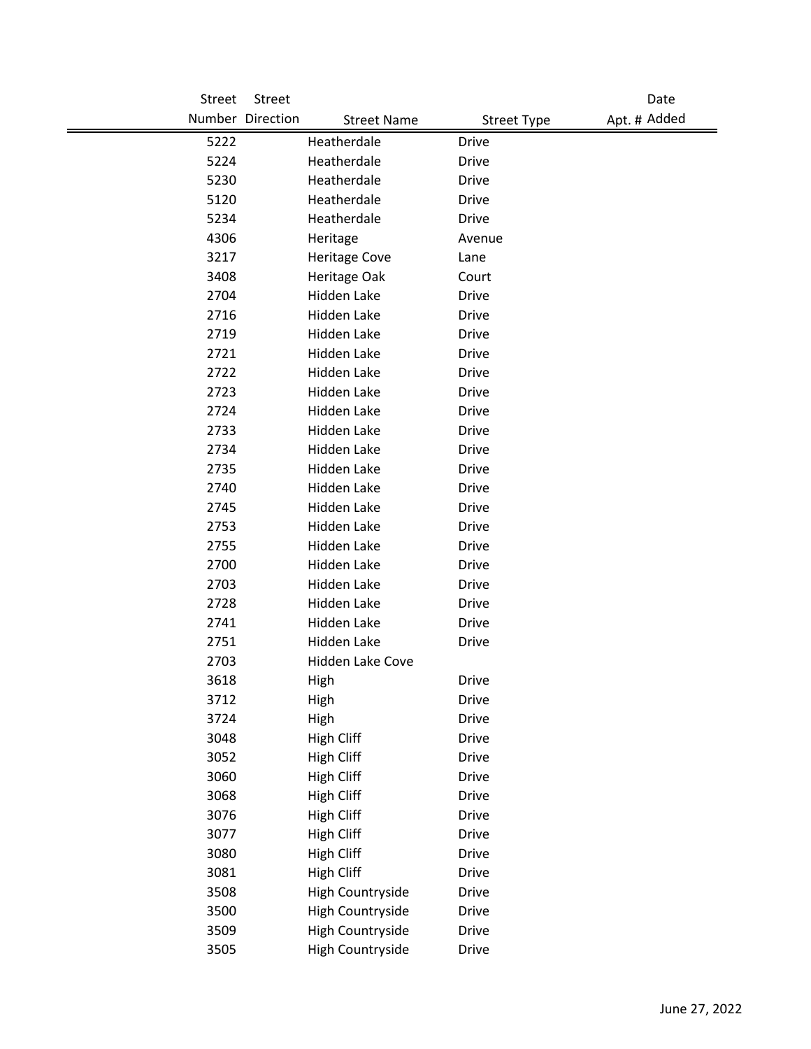| <b>Street</b> | Street           |                         |                    | Date         |
|---------------|------------------|-------------------------|--------------------|--------------|
|               | Number Direction | <b>Street Name</b>      | <b>Street Type</b> | Apt. # Added |
| 5222          |                  | Heatherdale             | <b>Drive</b>       |              |
| 5224          |                  | Heatherdale             | <b>Drive</b>       |              |
| 5230          |                  | Heatherdale             | <b>Drive</b>       |              |
| 5120          |                  | Heatherdale             | <b>Drive</b>       |              |
| 5234          |                  | Heatherdale             | <b>Drive</b>       |              |
| 4306          |                  | Heritage                | Avenue             |              |
| 3217          |                  | <b>Heritage Cove</b>    | Lane               |              |
| 3408          |                  | Heritage Oak            | Court              |              |
| 2704          |                  | Hidden Lake             | <b>Drive</b>       |              |
| 2716          |                  | Hidden Lake             | <b>Drive</b>       |              |
| 2719          |                  | Hidden Lake             | <b>Drive</b>       |              |
| 2721          |                  | Hidden Lake             | <b>Drive</b>       |              |
| 2722          |                  | Hidden Lake             | <b>Drive</b>       |              |
| 2723          |                  | Hidden Lake             | <b>Drive</b>       |              |
| 2724          |                  | Hidden Lake             | <b>Drive</b>       |              |
| 2733          |                  | <b>Hidden Lake</b>      | <b>Drive</b>       |              |
| 2734          |                  | Hidden Lake             | <b>Drive</b>       |              |
| 2735          |                  | Hidden Lake             | <b>Drive</b>       |              |
| 2740          |                  | Hidden Lake             | <b>Drive</b>       |              |
| 2745          |                  | Hidden Lake             | <b>Drive</b>       |              |
| 2753          |                  | Hidden Lake             | <b>Drive</b>       |              |
| 2755          |                  | Hidden Lake             | <b>Drive</b>       |              |
| 2700          |                  | Hidden Lake             | <b>Drive</b>       |              |
| 2703          |                  | Hidden Lake             | <b>Drive</b>       |              |
| 2728          |                  | Hidden Lake             | <b>Drive</b>       |              |
| 2741          |                  | Hidden Lake             | <b>Drive</b>       |              |
| 2751          |                  | Hidden Lake             | <b>Drive</b>       |              |
| 2703          |                  | Hidden Lake Cove        |                    |              |
| 3618          |                  | High                    | Drive              |              |
| 3712          |                  | High                    | <b>Drive</b>       |              |
| 3724          |                  | High                    | <b>Drive</b>       |              |
| 3048          |                  | <b>High Cliff</b>       | <b>Drive</b>       |              |
| 3052          |                  | <b>High Cliff</b>       | <b>Drive</b>       |              |
| 3060          |                  | High Cliff              | <b>Drive</b>       |              |
| 3068          |                  | High Cliff              | <b>Drive</b>       |              |
| 3076          |                  | High Cliff              | <b>Drive</b>       |              |
| 3077          |                  | High Cliff              | <b>Drive</b>       |              |
| 3080          |                  | <b>High Cliff</b>       | <b>Drive</b>       |              |
| 3081          |                  | <b>High Cliff</b>       | <b>Drive</b>       |              |
| 3508          |                  | High Countryside        | <b>Drive</b>       |              |
| 3500          |                  | <b>High Countryside</b> | Drive              |              |
| 3509          |                  | High Countryside        | <b>Drive</b>       |              |
| 3505          |                  | High Countryside        | Drive              |              |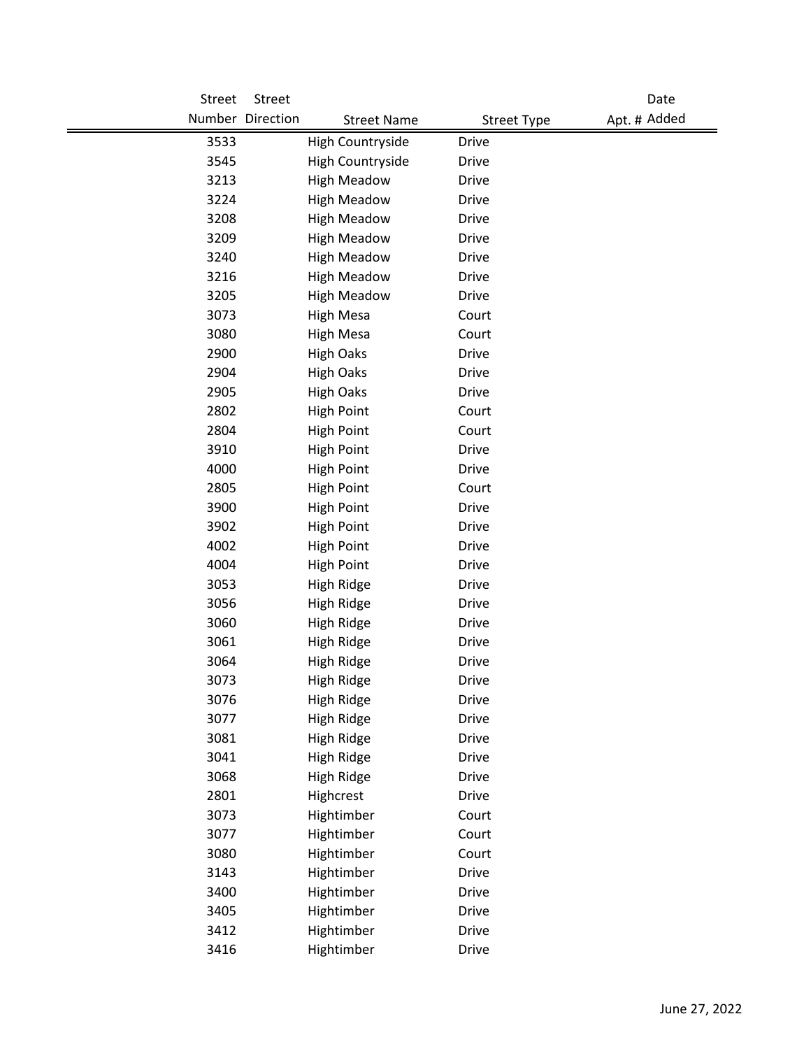| Street | Street           |                    |                    | Date         |
|--------|------------------|--------------------|--------------------|--------------|
|        | Number Direction | <b>Street Name</b> | <b>Street Type</b> | Apt. # Added |
| 3533   |                  | High Countryside   | <b>Drive</b>       |              |
| 3545   |                  | High Countryside   | Drive              |              |
| 3213   |                  | <b>High Meadow</b> | <b>Drive</b>       |              |
| 3224   |                  | <b>High Meadow</b> | <b>Drive</b>       |              |
| 3208   |                  | <b>High Meadow</b> | <b>Drive</b>       |              |
| 3209   |                  | <b>High Meadow</b> | <b>Drive</b>       |              |
| 3240   |                  | <b>High Meadow</b> | <b>Drive</b>       |              |
| 3216   |                  | <b>High Meadow</b> | <b>Drive</b>       |              |
| 3205   |                  | <b>High Meadow</b> | <b>Drive</b>       |              |
| 3073   |                  | <b>High Mesa</b>   | Court              |              |
| 3080   |                  | <b>High Mesa</b>   | Court              |              |
| 2900   |                  | <b>High Oaks</b>   | <b>Drive</b>       |              |
| 2904   |                  | <b>High Oaks</b>   | <b>Drive</b>       |              |
| 2905   |                  | <b>High Oaks</b>   | <b>Drive</b>       |              |
| 2802   |                  | <b>High Point</b>  | Court              |              |
| 2804   |                  | <b>High Point</b>  | Court              |              |
| 3910   |                  | <b>High Point</b>  | <b>Drive</b>       |              |
| 4000   |                  | <b>High Point</b>  | <b>Drive</b>       |              |
| 2805   |                  | <b>High Point</b>  | Court              |              |
| 3900   |                  | <b>High Point</b>  | <b>Drive</b>       |              |
| 3902   |                  | <b>High Point</b>  | <b>Drive</b>       |              |
| 4002   |                  | <b>High Point</b>  | <b>Drive</b>       |              |
| 4004   |                  | <b>High Point</b>  | <b>Drive</b>       |              |
| 3053   |                  | High Ridge         | Drive              |              |
| 3056   |                  | High Ridge         | <b>Drive</b>       |              |
| 3060   |                  | <b>High Ridge</b>  | <b>Drive</b>       |              |
| 3061   |                  | High Ridge         | <b>Drive</b>       |              |
| 3064   |                  | High Ridge         | <b>Drive</b>       |              |
| 3073   |                  | High Ridge         | <b>Drive</b>       |              |
| 3076   |                  | High Ridge         | Drive              |              |
| 3077   |                  | <b>High Ridge</b>  | Drive              |              |
| 3081   |                  | High Ridge         | <b>Drive</b>       |              |
| 3041   |                  | <b>High Ridge</b>  | <b>Drive</b>       |              |
| 3068   |                  | High Ridge         | <b>Drive</b>       |              |
| 2801   |                  | Highcrest          | <b>Drive</b>       |              |
| 3073   |                  | Hightimber         | Court              |              |
| 3077   |                  | Hightimber         | Court              |              |
| 3080   |                  | Hightimber         | Court              |              |
| 3143   |                  | Hightimber         | <b>Drive</b>       |              |
| 3400   |                  | Hightimber         | <b>Drive</b>       |              |
| 3405   |                  | Hightimber         | <b>Drive</b>       |              |
| 3412   |                  | Hightimber         | <b>Drive</b>       |              |
| 3416   |                  | Hightimber         | <b>Drive</b>       |              |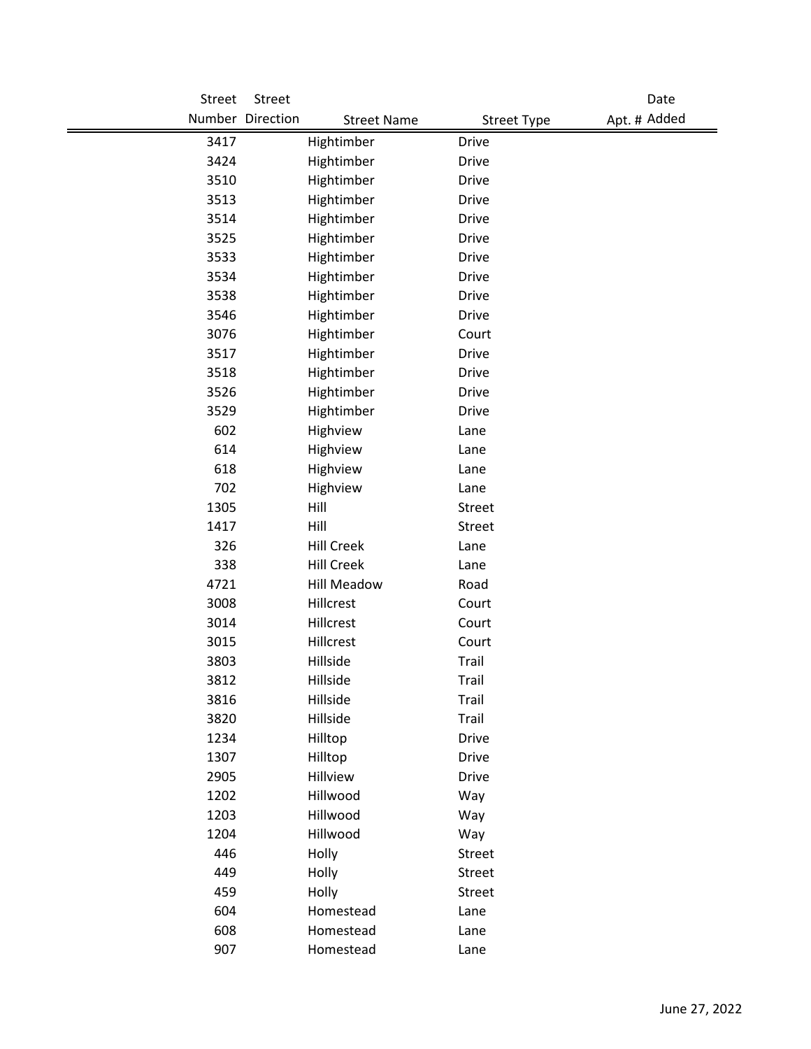| <b>Street</b> | <b>Street</b>                          |                    | Date         |
|---------------|----------------------------------------|--------------------|--------------|
|               | Number Direction<br><b>Street Name</b> | <b>Street Type</b> | Apt. # Added |
| 3417          | Hightimber                             | <b>Drive</b>       |              |
| 3424          | Hightimber                             | <b>Drive</b>       |              |
| 3510          | Hightimber                             | <b>Drive</b>       |              |
| 3513          | Hightimber                             | <b>Drive</b>       |              |
| 3514          | Hightimber                             | <b>Drive</b>       |              |
| 3525          | Hightimber                             | <b>Drive</b>       |              |
| 3533          | Hightimber                             | <b>Drive</b>       |              |
| 3534          | Hightimber                             | <b>Drive</b>       |              |
| 3538          | Hightimber                             | <b>Drive</b>       |              |
| 3546          | Hightimber                             | <b>Drive</b>       |              |
| 3076          | Hightimber                             | Court              |              |
| 3517          | Hightimber                             | <b>Drive</b>       |              |
| 3518          | Hightimber                             | <b>Drive</b>       |              |
| 3526          | Hightimber                             | <b>Drive</b>       |              |
| 3529          | Hightimber                             | <b>Drive</b>       |              |
| 602           | Highview                               | Lane               |              |
| 614           | Highview                               | Lane               |              |
| 618           | Highview                               | Lane               |              |
| 702           | Highview                               | Lane               |              |
| 1305          | Hill                                   | <b>Street</b>      |              |
| 1417          | Hill                                   | <b>Street</b>      |              |
| 326           | <b>Hill Creek</b>                      | Lane               |              |
| 338           | <b>Hill Creek</b>                      | Lane               |              |
| 4721          | <b>Hill Meadow</b>                     | Road               |              |
| 3008          | Hillcrest                              | Court              |              |
| 3014          | Hillcrest                              | Court              |              |
| 3015          | Hillcrest                              | Court              |              |
| 3803          | Hillside                               | Trail              |              |
| 3812          | Hillside                               | Trail              |              |
| 3816          | Hillside                               | Trail              |              |
| 3820          | Hillside                               | Trail              |              |
| 1234          | Hilltop                                | <b>Drive</b>       |              |
| 1307          | Hilltop                                | <b>Drive</b>       |              |
| 2905          | Hillview                               | <b>Drive</b>       |              |
| 1202          | Hillwood                               | Way                |              |
| 1203          | Hillwood                               | Way                |              |
| 1204          | Hillwood                               | Way                |              |
| 446           | Holly                                  | Street             |              |
| 449           | Holly                                  | Street             |              |
| 459           | Holly                                  | Street             |              |
| 604           | Homestead                              | Lane               |              |
| 608           | Homestead                              | Lane               |              |
| 907           | Homestead                              | Lane               |              |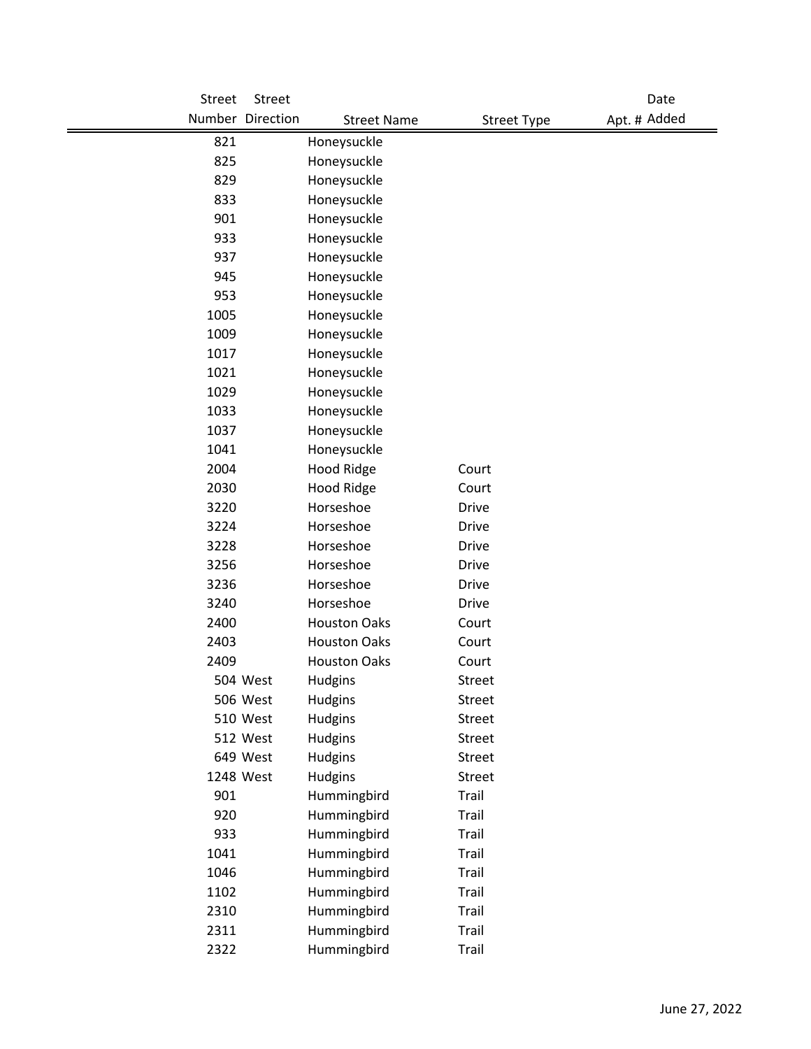| Street    | Street           |                     |                    | Date         |
|-----------|------------------|---------------------|--------------------|--------------|
|           | Number Direction | <b>Street Name</b>  | <b>Street Type</b> | Apt. # Added |
| 821       |                  | Honeysuckle         |                    |              |
| 825       |                  | Honeysuckle         |                    |              |
| 829       |                  | Honeysuckle         |                    |              |
| 833       |                  | Honeysuckle         |                    |              |
| 901       |                  | Honeysuckle         |                    |              |
| 933       |                  | Honeysuckle         |                    |              |
| 937       |                  | Honeysuckle         |                    |              |
| 945       |                  | Honeysuckle         |                    |              |
| 953       |                  | Honeysuckle         |                    |              |
| 1005      |                  | Honeysuckle         |                    |              |
| 1009      |                  | Honeysuckle         |                    |              |
| 1017      |                  | Honeysuckle         |                    |              |
| 1021      |                  | Honeysuckle         |                    |              |
| 1029      |                  | Honeysuckle         |                    |              |
| 1033      |                  | Honeysuckle         |                    |              |
| 1037      |                  | Honeysuckle         |                    |              |
| 1041      |                  | Honeysuckle         |                    |              |
| 2004      |                  | <b>Hood Ridge</b>   | Court              |              |
| 2030      |                  | Hood Ridge          | Court              |              |
| 3220      |                  | Horseshoe           | <b>Drive</b>       |              |
| 3224      |                  | Horseshoe           | <b>Drive</b>       |              |
| 3228      |                  | Horseshoe           | <b>Drive</b>       |              |
| 3256      |                  | Horseshoe           | <b>Drive</b>       |              |
| 3236      |                  | Horseshoe           | <b>Drive</b>       |              |
| 3240      |                  | Horseshoe           | <b>Drive</b>       |              |
| 2400      |                  | <b>Houston Oaks</b> | Court              |              |
| 2403      |                  | <b>Houston Oaks</b> | Court              |              |
| 2409      |                  | <b>Houston Oaks</b> | Court              |              |
|           | 504 West         | Hudgins             | <b>Street</b>      |              |
|           | 506 West         | Hudgins             | Street             |              |
|           | 510 West         | Hudgins             | Street             |              |
|           | 512 West         | Hudgins             | Street             |              |
|           | 649 West         | Hudgins             | Street             |              |
| 1248 West |                  | Hudgins             | <b>Street</b>      |              |
| 901       |                  | Hummingbird         | Trail              |              |
| 920       |                  | Hummingbird         | Trail              |              |
| 933       |                  | Hummingbird         | Trail              |              |
| 1041      |                  | Hummingbird         | Trail              |              |
| 1046      |                  | Hummingbird         | Trail              |              |
| 1102      |                  | Hummingbird         | Trail              |              |
| 2310      |                  | Hummingbird         | Trail              |              |
| 2311      |                  | Hummingbird         | Trail              |              |
| 2322      |                  | Hummingbird         | Trail              |              |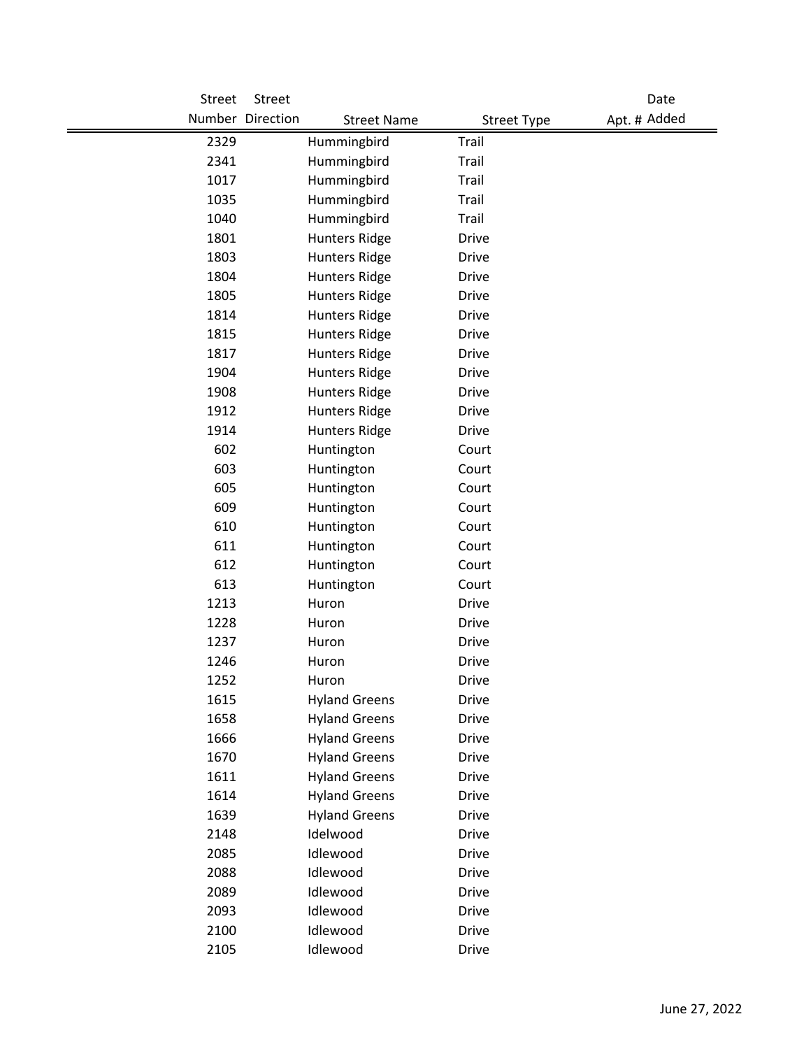| Street | Street           |                      |                    | Date         |
|--------|------------------|----------------------|--------------------|--------------|
|        | Number Direction | <b>Street Name</b>   | <b>Street Type</b> | Apt. # Added |
| 2329   |                  | Hummingbird          | Trail              |              |
| 2341   |                  | Hummingbird          | Trail              |              |
| 1017   |                  | Hummingbird          | Trail              |              |
| 1035   |                  | Hummingbird          | Trail              |              |
| 1040   |                  | Hummingbird          | Trail              |              |
| 1801   |                  | <b>Hunters Ridge</b> | <b>Drive</b>       |              |
| 1803   |                  | <b>Hunters Ridge</b> | <b>Drive</b>       |              |
| 1804   |                  | <b>Hunters Ridge</b> | <b>Drive</b>       |              |
| 1805   |                  | <b>Hunters Ridge</b> | <b>Drive</b>       |              |
| 1814   |                  | <b>Hunters Ridge</b> | <b>Drive</b>       |              |
| 1815   |                  | <b>Hunters Ridge</b> | <b>Drive</b>       |              |
| 1817   |                  | <b>Hunters Ridge</b> | <b>Drive</b>       |              |
| 1904   |                  | <b>Hunters Ridge</b> | <b>Drive</b>       |              |
| 1908   |                  | <b>Hunters Ridge</b> | <b>Drive</b>       |              |
| 1912   |                  | <b>Hunters Ridge</b> | <b>Drive</b>       |              |
| 1914   |                  | <b>Hunters Ridge</b> | <b>Drive</b>       |              |
| 602    |                  | Huntington           | Court              |              |
| 603    |                  | Huntington           | Court              |              |
| 605    |                  | Huntington           | Court              |              |
| 609    |                  | Huntington           | Court              |              |
| 610    |                  | Huntington           | Court              |              |
| 611    |                  | Huntington           | Court              |              |
| 612    |                  | Huntington           | Court              |              |
| 613    |                  | Huntington           | Court              |              |
| 1213   |                  | Huron                | <b>Drive</b>       |              |
| 1228   |                  | Huron                | <b>Drive</b>       |              |
| 1237   |                  | Huron                | <b>Drive</b>       |              |
| 1246   |                  | Huron                | <b>Drive</b>       |              |
| 1252   |                  | Huron                | <b>Drive</b>       |              |
| 1615   |                  | <b>Hyland Greens</b> | <b>Drive</b>       |              |
| 1658   |                  | <b>Hyland Greens</b> | <b>Drive</b>       |              |
| 1666   |                  | <b>Hyland Greens</b> | <b>Drive</b>       |              |
| 1670   |                  | <b>Hyland Greens</b> | <b>Drive</b>       |              |
| 1611   |                  | <b>Hyland Greens</b> | <b>Drive</b>       |              |
| 1614   |                  | <b>Hyland Greens</b> | <b>Drive</b>       |              |
| 1639   |                  | <b>Hyland Greens</b> | <b>Drive</b>       |              |
| 2148   |                  | Idelwood             | <b>Drive</b>       |              |
| 2085   |                  | Idlewood             | <b>Drive</b>       |              |
| 2088   |                  | Idlewood             | <b>Drive</b>       |              |
| 2089   |                  | Idlewood             | Drive              |              |
| 2093   |                  | Idlewood             | <b>Drive</b>       |              |
| 2100   |                  | Idlewood             | <b>Drive</b>       |              |
| 2105   |                  | Idlewood             | Drive              |              |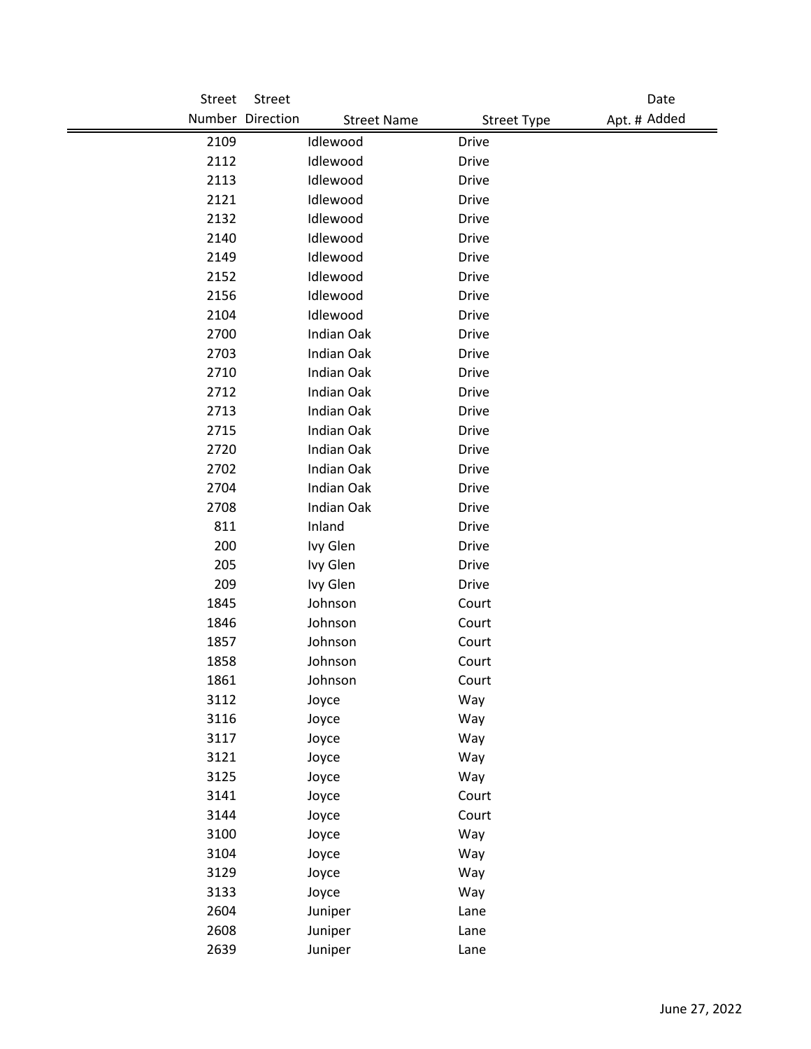| Street | Street                                 |                    | Date         |
|--------|----------------------------------------|--------------------|--------------|
|        | Number Direction<br><b>Street Name</b> | <b>Street Type</b> | Apt. # Added |
| 2109   | Idlewood                               | <b>Drive</b>       |              |
| 2112   | Idlewood                               | <b>Drive</b>       |              |
| 2113   | Idlewood                               | <b>Drive</b>       |              |
| 2121   | Idlewood                               | <b>Drive</b>       |              |
| 2132   | Idlewood                               | <b>Drive</b>       |              |
| 2140   | Idlewood                               | <b>Drive</b>       |              |
| 2149   | Idlewood                               | <b>Drive</b>       |              |
| 2152   | Idlewood                               | <b>Drive</b>       |              |
| 2156   | Idlewood                               | <b>Drive</b>       |              |
| 2104   | Idlewood                               | <b>Drive</b>       |              |
| 2700   | Indian Oak                             | <b>Drive</b>       |              |
| 2703   | <b>Indian Oak</b>                      | <b>Drive</b>       |              |
| 2710   | Indian Oak                             | <b>Drive</b>       |              |
| 2712   | Indian Oak                             | <b>Drive</b>       |              |
| 2713   | Indian Oak                             | <b>Drive</b>       |              |
| 2715   | Indian Oak                             | <b>Drive</b>       |              |
| 2720   | Indian Oak                             | <b>Drive</b>       |              |
| 2702   | Indian Oak                             | <b>Drive</b>       |              |
| 2704   | Indian Oak                             | <b>Drive</b>       |              |
| 2708   | Indian Oak                             | <b>Drive</b>       |              |
| 811    | Inland                                 | <b>Drive</b>       |              |
| 200    | Ivy Glen                               | <b>Drive</b>       |              |
| 205    | Ivy Glen                               | <b>Drive</b>       |              |
| 209    | Ivy Glen                               | <b>Drive</b>       |              |
| 1845   | Johnson                                | Court              |              |
| 1846   | Johnson                                | Court              |              |
| 1857   | Johnson                                | Court              |              |
| 1858   | Johnson                                | Court              |              |
| 1861   | Johnson                                | Court              |              |
| 3112   | Joyce                                  | Way                |              |
| 3116   | Joyce                                  | Way                |              |
| 3117   | Joyce                                  | Way                |              |
| 3121   | Joyce                                  | Way                |              |
| 3125   | Joyce                                  | Way                |              |
| 3141   | Joyce                                  | Court              |              |
| 3144   | Joyce                                  | Court              |              |
| 3100   | Joyce                                  | Way                |              |
| 3104   | Joyce                                  | Way                |              |
| 3129   | Joyce                                  | Way                |              |
| 3133   | Joyce                                  | Way                |              |
| 2604   | Juniper                                | Lane               |              |
| 2608   | Juniper                                | Lane               |              |
| 2639   | Juniper                                | Lane               |              |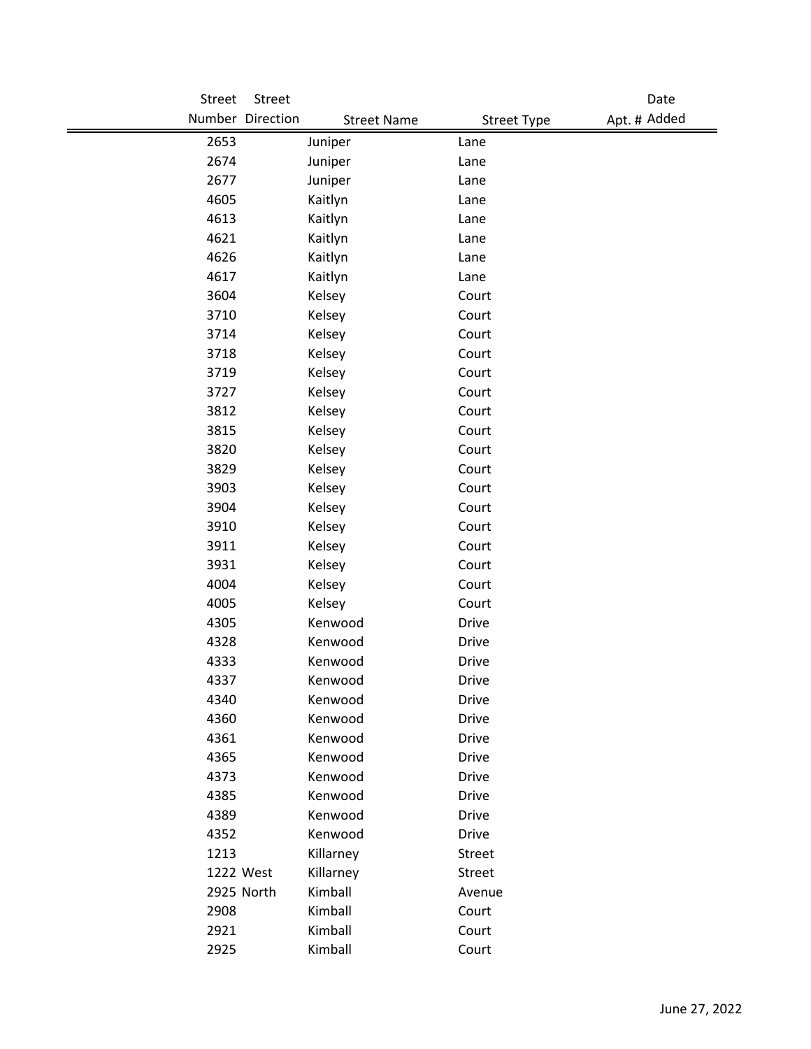| Street    | Street                |                    |                    | Date         |
|-----------|-----------------------|--------------------|--------------------|--------------|
|           | Number Direction      | <b>Street Name</b> | <b>Street Type</b> | Apt. # Added |
| 2653      | Juniper               | Lane               |                    |              |
| 2674      | Juniper               | Lane               |                    |              |
| 2677      | Juniper               | Lane               |                    |              |
| 4605      | Kaitlyn               | Lane               |                    |              |
| 4613      | Kaitlyn               | Lane               |                    |              |
| 4621      | Kaitlyn               | Lane               |                    |              |
| 4626      | Kaitlyn               | Lane               |                    |              |
| 4617      | Kaitlyn               | Lane               |                    |              |
| 3604      | Kelsey                | Court              |                    |              |
| 3710      | Kelsey                | Court              |                    |              |
| 3714      | Kelsey                | Court              |                    |              |
| 3718      | Kelsey                | Court              |                    |              |
| 3719      | Kelsey                | Court              |                    |              |
| 3727      | Kelsey                | Court              |                    |              |
| 3812      | Kelsey                | Court              |                    |              |
| 3815      | Kelsey                | Court              |                    |              |
| 3820      | Kelsey                | Court              |                    |              |
| 3829      | Kelsey                | Court              |                    |              |
| 3903      | Kelsey                | Court              |                    |              |
| 3904      | Kelsey                | Court              |                    |              |
| 3910      | Kelsey                | Court              |                    |              |
| 3911      | Kelsey                | Court              |                    |              |
| 3931      | Kelsey                | Court              |                    |              |
| 4004      | Kelsey                | Court              |                    |              |
| 4005      | Kelsey                | Court              |                    |              |
| 4305      | Kenwood               | <b>Drive</b>       |                    |              |
| 4328      | Kenwood               | <b>Drive</b>       |                    |              |
| 4333      | Kenwood               | <b>Drive</b>       |                    |              |
| 4337      | Kenwood               | Drive              |                    |              |
| 4340      | Kenwood               | <b>Drive</b>       |                    |              |
| 4360      | Kenwood               | <b>Drive</b>       |                    |              |
| 4361      | Kenwood               | Drive              |                    |              |
| 4365      | Kenwood               | <b>Drive</b>       |                    |              |
| 4373      | Kenwood               | <b>Drive</b>       |                    |              |
| 4385      | Kenwood               | <b>Drive</b>       |                    |              |
| 4389      | Kenwood               | <b>Drive</b>       |                    |              |
| 4352      | Kenwood               | <b>Drive</b>       |                    |              |
| 1213      | Killarney             | Street             |                    |              |
| 1222 West | Killarney             | Street             |                    |              |
|           | Kimball<br>2925 North | Avenue             |                    |              |
| 2908      | Kimball               | Court              |                    |              |
| 2921      | Kimball               | Court              |                    |              |
| 2925      | Kimball               | Court              |                    |              |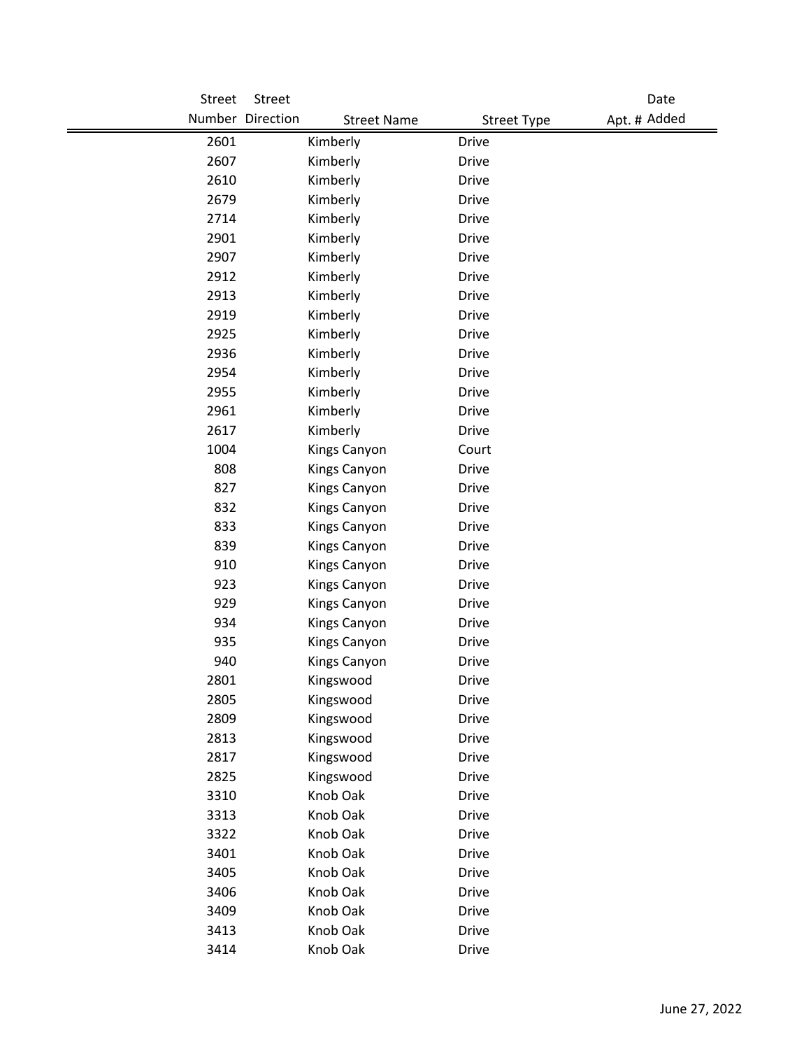| Street | Street                                 |                    | Date         |
|--------|----------------------------------------|--------------------|--------------|
|        | Number Direction<br><b>Street Name</b> | <b>Street Type</b> | Apt. # Added |
| 2601   | Kimberly                               | <b>Drive</b>       |              |
| 2607   | Kimberly                               | <b>Drive</b>       |              |
| 2610   | Kimberly                               | <b>Drive</b>       |              |
| 2679   | Kimberly                               | <b>Drive</b>       |              |
| 2714   | Kimberly                               | <b>Drive</b>       |              |
| 2901   | Kimberly                               | <b>Drive</b>       |              |
| 2907   | Kimberly                               | <b>Drive</b>       |              |
| 2912   | Kimberly                               | <b>Drive</b>       |              |
| 2913   | Kimberly                               | <b>Drive</b>       |              |
| 2919   | Kimberly                               | <b>Drive</b>       |              |
| 2925   | Kimberly                               | <b>Drive</b>       |              |
| 2936   | Kimberly                               | <b>Drive</b>       |              |
| 2954   | Kimberly                               | <b>Drive</b>       |              |
| 2955   | Kimberly                               | <b>Drive</b>       |              |
| 2961   | Kimberly                               | <b>Drive</b>       |              |
| 2617   | Kimberly                               | <b>Drive</b>       |              |
| 1004   | Kings Canyon                           | Court              |              |
| 808    | Kings Canyon                           | <b>Drive</b>       |              |
| 827    | Kings Canyon                           | <b>Drive</b>       |              |
| 832    | Kings Canyon                           | <b>Drive</b>       |              |
| 833    | Kings Canyon                           | <b>Drive</b>       |              |
| 839    | Kings Canyon                           | <b>Drive</b>       |              |
| 910    | Kings Canyon                           | <b>Drive</b>       |              |
| 923    | Kings Canyon                           | <b>Drive</b>       |              |
| 929    | Kings Canyon                           | <b>Drive</b>       |              |
| 934    | Kings Canyon                           | <b>Drive</b>       |              |
| 935    | Kings Canyon                           | <b>Drive</b>       |              |
| 940    | Kings Canyon                           | <b>Drive</b>       |              |
| 2801   | Kingswood                              | <b>Drive</b>       |              |
| 2805   | Kingswood                              | <b>Drive</b>       |              |
| 2809   | Kingswood                              | Drive              |              |
| 2813   | Kingswood                              | <b>Drive</b>       |              |
| 2817   | Kingswood                              | <b>Drive</b>       |              |
| 2825   | Kingswood                              | <b>Drive</b>       |              |
| 3310   | Knob Oak                               | <b>Drive</b>       |              |
| 3313   | Knob Oak                               | Drive              |              |
| 3322   | Knob Oak                               | <b>Drive</b>       |              |
| 3401   | Knob Oak                               | <b>Drive</b>       |              |
| 3405   | Knob Oak                               | <b>Drive</b>       |              |
| 3406   | Knob Oak                               | <b>Drive</b>       |              |
| 3409   | Knob Oak                               | <b>Drive</b>       |              |
| 3413   | Knob Oak                               | <b>Drive</b>       |              |
| 3414   | Knob Oak                               | Drive              |              |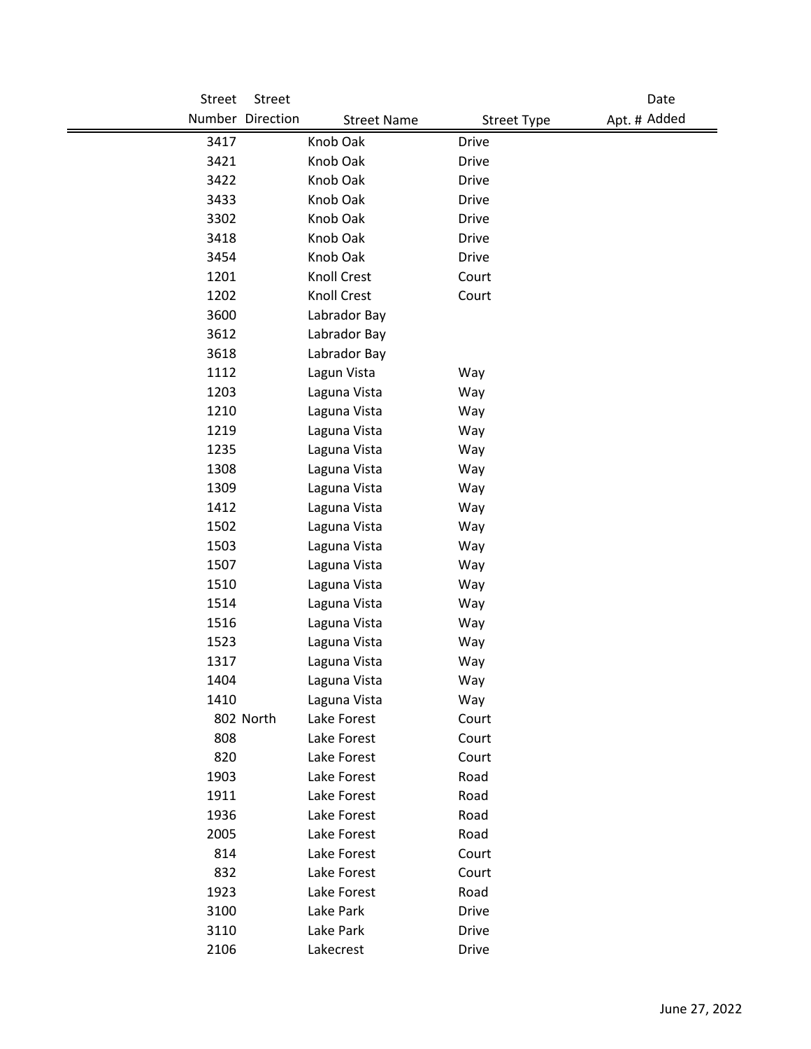| <b>Street</b> | Street           |                    |                    | Date         |
|---------------|------------------|--------------------|--------------------|--------------|
|               | Number Direction | <b>Street Name</b> | <b>Street Type</b> | Apt. # Added |
| 3417          |                  | Knob Oak           | <b>Drive</b>       |              |
| 3421          |                  | Knob Oak           | <b>Drive</b>       |              |
| 3422          |                  | Knob Oak           | <b>Drive</b>       |              |
| 3433          |                  | Knob Oak           | <b>Drive</b>       |              |
| 3302          |                  | Knob Oak           | <b>Drive</b>       |              |
| 3418          |                  | Knob Oak           | <b>Drive</b>       |              |
| 3454          |                  | Knob Oak           | <b>Drive</b>       |              |
| 1201          |                  | Knoll Crest        | Court              |              |
| 1202          |                  | Knoll Crest        | Court              |              |
| 3600          |                  | Labrador Bay       |                    |              |
| 3612          |                  | Labrador Bay       |                    |              |
| 3618          |                  | Labrador Bay       |                    |              |
| 1112          |                  | Lagun Vista        | Way                |              |
| 1203          |                  | Laguna Vista       | Way                |              |
| 1210          |                  | Laguna Vista       | Way                |              |
| 1219          |                  | Laguna Vista       | Way                |              |
| 1235          |                  | Laguna Vista       | Way                |              |
| 1308          |                  | Laguna Vista       | Way                |              |
| 1309          |                  | Laguna Vista       | Way                |              |
| 1412          |                  | Laguna Vista       | Way                |              |
| 1502          |                  | Laguna Vista       | Way                |              |
| 1503          |                  | Laguna Vista       | Way                |              |
| 1507          |                  | Laguna Vista       | Way                |              |
| 1510          |                  | Laguna Vista       | Way                |              |
| 1514          |                  | Laguna Vista       | Way                |              |
| 1516          |                  | Laguna Vista       | Way                |              |
| 1523          |                  | Laguna Vista       | Way                |              |
| 1317          |                  | Laguna Vista       | Way                |              |
| 1404          |                  | Laguna Vista       | Way                |              |
| 1410          |                  | Laguna Vista       | Way                |              |
|               | 802 North        | Lake Forest        | Court              |              |
| 808           |                  | Lake Forest        | Court              |              |
| 820           |                  | Lake Forest        | Court              |              |
| 1903          |                  | Lake Forest        | Road               |              |
| 1911          |                  | Lake Forest        | Road               |              |
| 1936          |                  | Lake Forest        | Road               |              |
| 2005          |                  | Lake Forest        | Road               |              |
| 814           |                  | Lake Forest        | Court              |              |
| 832           |                  | Lake Forest        | Court              |              |
| 1923          |                  | Lake Forest        | Road               |              |
| 3100          |                  | Lake Park          | Drive              |              |
| 3110          |                  | Lake Park          | <b>Drive</b>       |              |
| 2106          |                  | Lakecrest          | <b>Drive</b>       |              |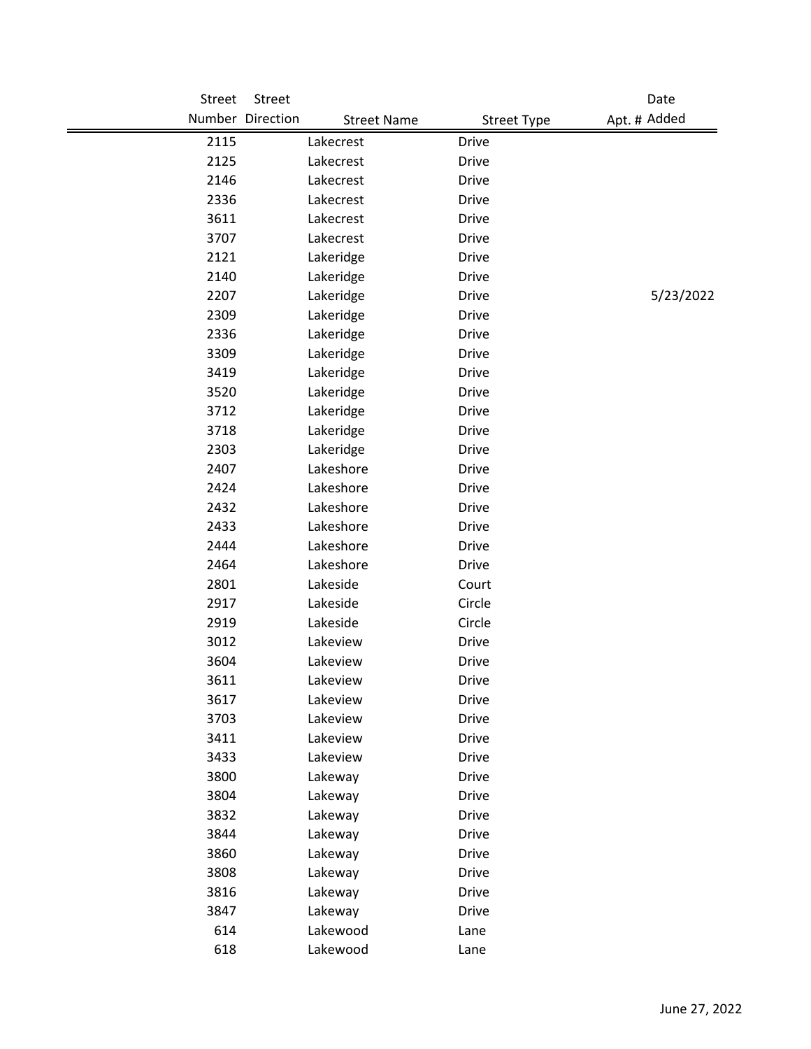| Street | Street                                 |                    | Date         |
|--------|----------------------------------------|--------------------|--------------|
|        | Number Direction<br><b>Street Name</b> | <b>Street Type</b> | Apt. # Added |
| 2115   | Lakecrest                              | <b>Drive</b>       |              |
| 2125   | Lakecrest                              | <b>Drive</b>       |              |
| 2146   | Lakecrest                              | <b>Drive</b>       |              |
| 2336   | Lakecrest                              | <b>Drive</b>       |              |
| 3611   | Lakecrest                              | <b>Drive</b>       |              |
| 3707   | Lakecrest                              | <b>Drive</b>       |              |
| 2121   | Lakeridge                              | <b>Drive</b>       |              |
| 2140   | Lakeridge                              | <b>Drive</b>       |              |
| 2207   | Lakeridge                              | <b>Drive</b>       | 5/23/2022    |
| 2309   | Lakeridge                              | <b>Drive</b>       |              |
| 2336   | Lakeridge                              | <b>Drive</b>       |              |
| 3309   | Lakeridge                              | <b>Drive</b>       |              |
| 3419   | Lakeridge                              | <b>Drive</b>       |              |
| 3520   | Lakeridge                              | <b>Drive</b>       |              |
| 3712   | Lakeridge                              | <b>Drive</b>       |              |
| 3718   | Lakeridge                              | <b>Drive</b>       |              |
| 2303   | Lakeridge                              | <b>Drive</b>       |              |
| 2407   | Lakeshore                              | <b>Drive</b>       |              |
| 2424   | Lakeshore                              | <b>Drive</b>       |              |
| 2432   | Lakeshore                              | <b>Drive</b>       |              |
| 2433   | Lakeshore                              | <b>Drive</b>       |              |
| 2444   | Lakeshore                              | <b>Drive</b>       |              |
| 2464   | Lakeshore                              | <b>Drive</b>       |              |
| 2801   | Lakeside                               | Court              |              |
| 2917   | Lakeside                               | Circle             |              |
| 2919   | Lakeside                               | Circle             |              |
| 3012   | Lakeview                               | <b>Drive</b>       |              |
| 3604   | Lakeview                               | Drive              |              |
| 3611   | Lakeview                               | Drive              |              |
| 3617   | Lakeview                               | <b>Drive</b>       |              |
| 3703   | Lakeview                               | Drive              |              |
| 3411   | Lakeview                               | <b>Drive</b>       |              |
| 3433   | Lakeview                               | <b>Drive</b>       |              |
| 3800   | Lakeway                                | <b>Drive</b>       |              |
| 3804   | Lakeway                                | <b>Drive</b>       |              |
| 3832   | Lakeway                                | Drive              |              |
| 3844   | Lakeway                                | <b>Drive</b>       |              |
| 3860   | Lakeway                                | Drive              |              |
| 3808   | Lakeway                                | <b>Drive</b>       |              |
| 3816   | Lakeway                                | <b>Drive</b>       |              |
| 3847   | Lakeway                                | <b>Drive</b>       |              |
| 614    | Lakewood                               | Lane               |              |
| 618    | Lakewood                               | Lane               |              |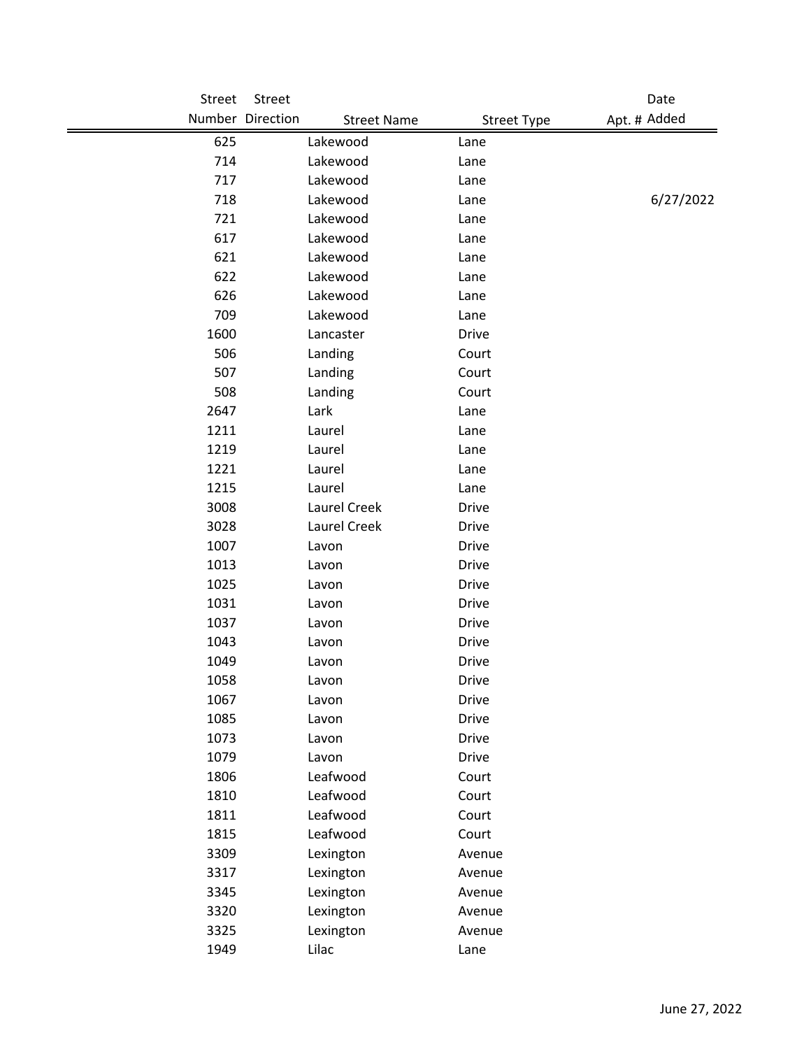| Street | Street           |                                          | Date         |
|--------|------------------|------------------------------------------|--------------|
|        | Number Direction | <b>Street Name</b><br><b>Street Type</b> | Apt. # Added |
| 625    | Lakewood         | Lane                                     |              |
| 714    | Lakewood         | Lane                                     |              |
| 717    | Lakewood         | Lane                                     |              |
| 718    | Lakewood         | Lane                                     | 6/27/2022    |
| 721    | Lakewood         | Lane                                     |              |
| 617    | Lakewood         | Lane                                     |              |
| 621    | Lakewood         | Lane                                     |              |
| 622    | Lakewood         | Lane                                     |              |
| 626    | Lakewood         | Lane                                     |              |
| 709    | Lakewood         | Lane                                     |              |
| 1600   | Lancaster        | <b>Drive</b>                             |              |
| 506    | Landing          | Court                                    |              |
| 507    | Landing          | Court                                    |              |
| 508    | Landing          | Court                                    |              |
| 2647   | Lark             | Lane                                     |              |
| 1211   | Laurel           | Lane                                     |              |
| 1219   | Laurel           | Lane                                     |              |
| 1221   | Laurel           | Lane                                     |              |
| 1215   | Laurel           | Lane                                     |              |
| 3008   | Laurel Creek     | Drive                                    |              |
| 3028   | Laurel Creek     | Drive                                    |              |
| 1007   | Lavon            | Drive                                    |              |
| 1013   | Lavon            | <b>Drive</b>                             |              |
| 1025   | Lavon            | <b>Drive</b>                             |              |
| 1031   | Lavon            | <b>Drive</b>                             |              |
| 1037   | Lavon            | <b>Drive</b>                             |              |
| 1043   | Lavon            | Drive                                    |              |
| 1049   | Lavon            | <b>Drive</b>                             |              |
| 1058   | Lavon            | <b>Drive</b>                             |              |
| 1067   | Lavon            | <b>Drive</b>                             |              |
| 1085   | Lavon            | <b>Drive</b>                             |              |
| 1073   | Lavon            | <b>Drive</b>                             |              |
| 1079   | Lavon            | <b>Drive</b>                             |              |
| 1806   | Leafwood         | Court                                    |              |
| 1810   | Leafwood         | Court                                    |              |
| 1811   | Leafwood         | Court                                    |              |
| 1815   | Leafwood         | Court                                    |              |
| 3309   | Lexington        | Avenue                                   |              |
| 3317   | Lexington        | Avenue                                   |              |
| 3345   | Lexington        | Avenue                                   |              |
| 3320   | Lexington        | Avenue                                   |              |
| 3325   | Lexington        | Avenue                                   |              |
| 1949   | Lilac            | Lane                                     |              |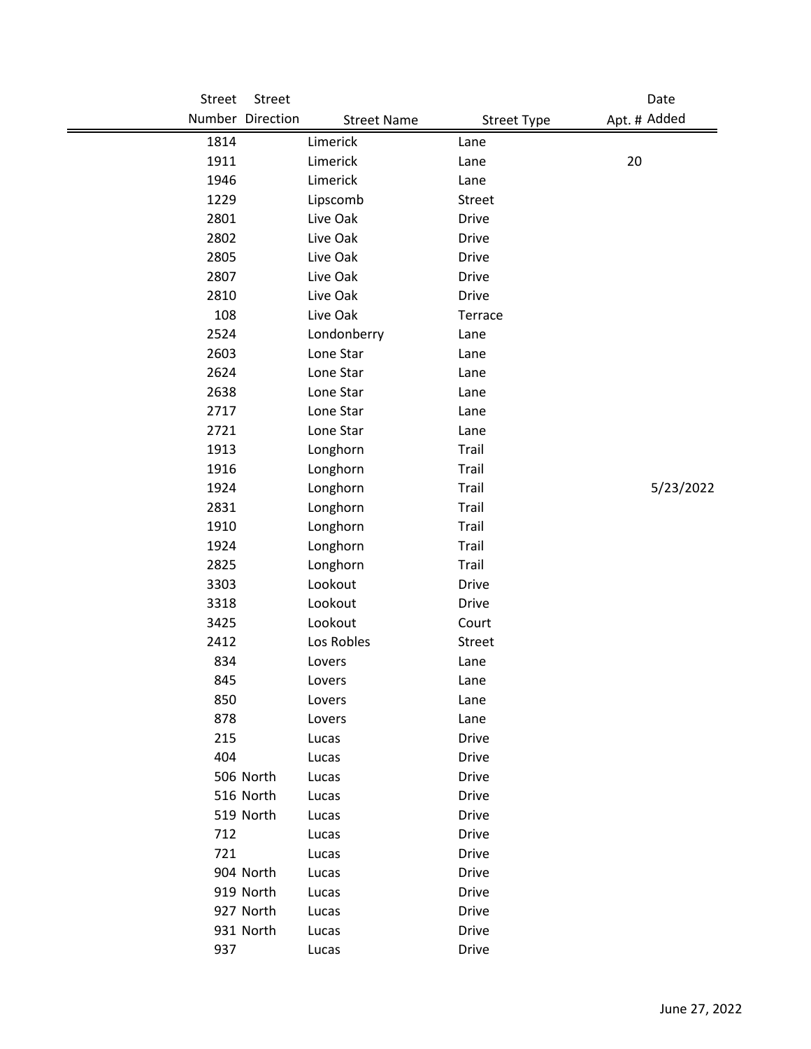| Street | Street           |                    |                    | Date         |
|--------|------------------|--------------------|--------------------|--------------|
|        | Number Direction | <b>Street Name</b> | <b>Street Type</b> | Apt. # Added |
| 1814   |                  | Limerick           | Lane               |              |
| 1911   |                  | Limerick           | Lane               | 20           |
| 1946   |                  | Limerick           | Lane               |              |
| 1229   |                  | Lipscomb           | Street             |              |
| 2801   |                  | Live Oak           | <b>Drive</b>       |              |
| 2802   |                  | Live Oak           | <b>Drive</b>       |              |
| 2805   |                  | Live Oak           | Drive              |              |
| 2807   |                  | Live Oak           | <b>Drive</b>       |              |
| 2810   |                  | Live Oak           | <b>Drive</b>       |              |
| 108    |                  | Live Oak           | Terrace            |              |
| 2524   |                  | Londonberry        | Lane               |              |
| 2603   |                  | Lone Star          | Lane               |              |
| 2624   |                  | Lone Star          | Lane               |              |
| 2638   |                  | Lone Star          | Lane               |              |
| 2717   |                  | Lone Star          | Lane               |              |
| 2721   |                  | Lone Star          | Lane               |              |
| 1913   |                  | Longhorn           | Trail              |              |
| 1916   |                  | Longhorn           | Trail              |              |
| 1924   |                  | Longhorn           | Trail              | 5/23/2022    |
| 2831   |                  | Longhorn           | Trail              |              |
| 1910   |                  | Longhorn           | Trail              |              |
| 1924   |                  | Longhorn           | Trail              |              |
| 2825   |                  | Longhorn           | Trail              |              |
| 3303   |                  | Lookout            | <b>Drive</b>       |              |
| 3318   |                  | Lookout            | <b>Drive</b>       |              |
| 3425   |                  | Lookout            | Court              |              |
| 2412   |                  | Los Robles         | Street             |              |
| 834    |                  | Lovers             | Lane               |              |
| 845    |                  | Lovers             | Lane               |              |
| 850    |                  | Lovers             | Lane               |              |
| 878    |                  | Lovers             | Lane               |              |
| 215    |                  | Lucas              | <b>Drive</b>       |              |
| 404    |                  | Lucas              | Drive              |              |
|        | 506 North        | Lucas              | Drive              |              |
|        | 516 North        | Lucas              | Drive              |              |
|        | 519 North        | Lucas              | Drive              |              |
| 712    |                  | Lucas              | <b>Drive</b>       |              |
| 721    |                  | Lucas              | Drive              |              |
|        | 904 North        | Lucas              | Drive              |              |
|        | 919 North        | Lucas              | Drive              |              |
|        | 927 North        | Lucas              | Drive              |              |
|        | 931 North        | Lucas              | Drive              |              |
| 937    |                  | Lucas              | Drive              |              |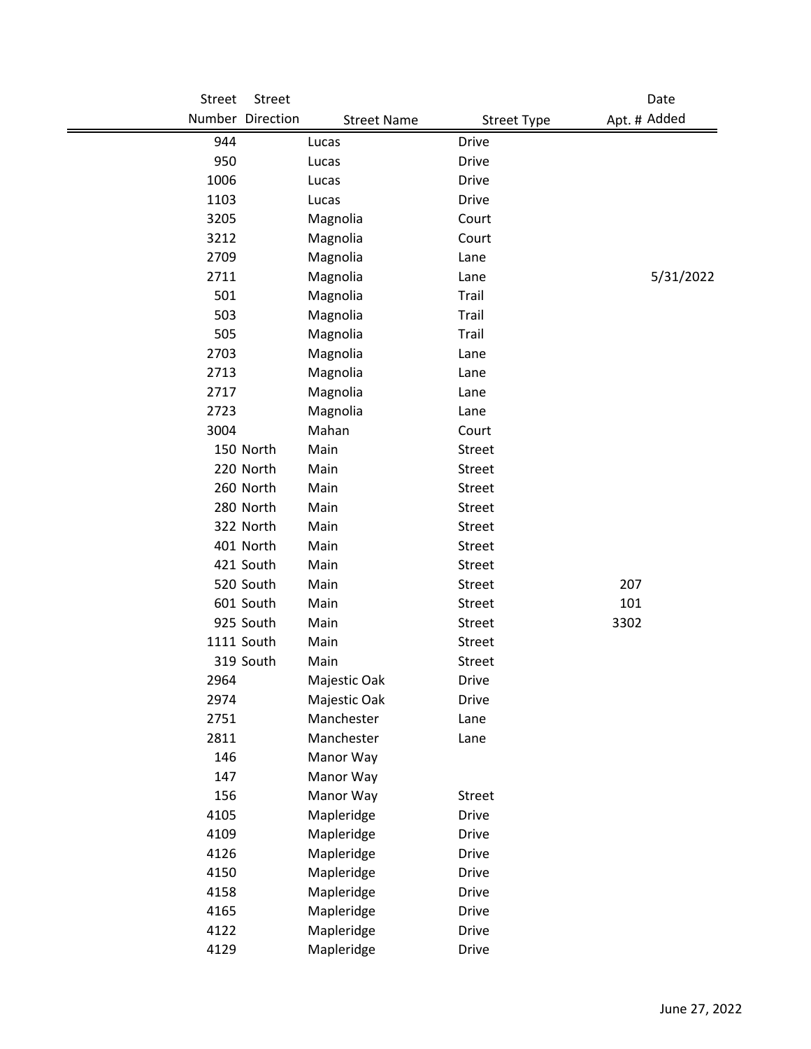| <b>Street</b> | Street           |                    |                    | Date         |
|---------------|------------------|--------------------|--------------------|--------------|
|               | Number Direction | <b>Street Name</b> | <b>Street Type</b> | Apt. # Added |
| 944           |                  | Lucas              | <b>Drive</b>       |              |
| 950           |                  | Lucas              | <b>Drive</b>       |              |
| 1006          |                  | Lucas              | <b>Drive</b>       |              |
| 1103          |                  | Lucas              | <b>Drive</b>       |              |
| 3205          |                  | Magnolia           | Court              |              |
| 3212          |                  | Magnolia           | Court              |              |
| 2709          |                  | Magnolia           | Lane               |              |
| 2711          |                  | Magnolia           | Lane               | 5/31/2022    |
| 501           |                  | Magnolia           | Trail              |              |
| 503           |                  | Magnolia           | Trail              |              |
| 505           |                  | Magnolia           | Trail              |              |
| 2703          |                  | Magnolia           | Lane               |              |
| 2713          |                  | Magnolia           | Lane               |              |
| 2717          |                  | Magnolia           | Lane               |              |
| 2723          |                  | Magnolia           | Lane               |              |
| 3004          |                  | Mahan              | Court              |              |
|               | 150 North        | Main               | <b>Street</b>      |              |
|               | 220 North        | Main               | Street             |              |
|               | 260 North        | Main               | Street             |              |
|               | 280 North        | Main               | Street             |              |
|               | 322 North        | Main               | Street             |              |
|               | 401 North        | Main               | <b>Street</b>      |              |
|               | 421 South        | Main               | Street             |              |
|               | 520 South        | Main               | Street             | 207          |
|               | 601 South        | Main               | Street             | 101          |
|               | 925 South        | Main               | Street             | 3302         |
|               | 1111 South       | Main               | <b>Street</b>      |              |
|               | 319 South        | Main               | <b>Street</b>      |              |
| 2964          |                  | Majestic Oak       | Drive              |              |
| 2974          |                  | Majestic Oak       | Drive              |              |
| 2751          |                  | Manchester         | Lane               |              |
| 2811          |                  | Manchester         | Lane               |              |
| 146           |                  | Manor Way          |                    |              |
| 147           |                  | Manor Way          |                    |              |
| 156           |                  | Manor Way          | Street             |              |
| 4105          |                  | Mapleridge         | <b>Drive</b>       |              |
| 4109          |                  | Mapleridge         | <b>Drive</b>       |              |
| 4126          |                  | Mapleridge         | Drive              |              |
| 4150          |                  | Mapleridge         | Drive              |              |
| 4158          |                  | Mapleridge         | Drive              |              |
| 4165          |                  | Mapleridge         | <b>Drive</b>       |              |
| 4122          |                  | Mapleridge         | <b>Drive</b>       |              |
| 4129          |                  | Mapleridge         | Drive              |              |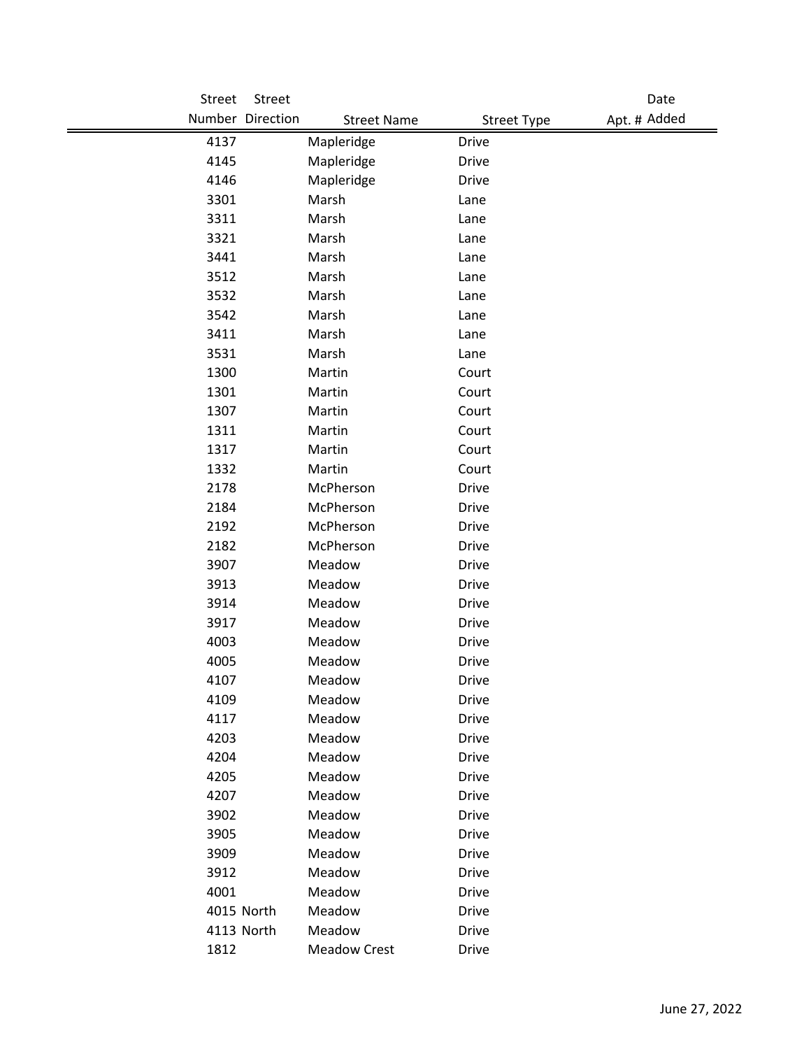| Street       | Street           |                     |                    | Date         |
|--------------|------------------|---------------------|--------------------|--------------|
|              | Number Direction | <b>Street Name</b>  | <b>Street Type</b> | Apt. # Added |
| 4137         |                  | Mapleridge          | <b>Drive</b>       |              |
| 4145         |                  | Mapleridge          | <b>Drive</b>       |              |
| 4146         |                  | Mapleridge          | <b>Drive</b>       |              |
| 3301         |                  | Marsh               | Lane               |              |
| 3311         |                  | Marsh               | Lane               |              |
| 3321         |                  | Marsh               | Lane               |              |
| 3441         |                  | Marsh               | Lane               |              |
| 3512         |                  | Marsh               | Lane               |              |
| 3532         |                  | Marsh               | Lane               |              |
| 3542         |                  | Marsh               | Lane               |              |
| 3411         |                  | Marsh               | Lane               |              |
| 3531         |                  | Marsh               | Lane               |              |
| 1300         |                  | Martin              | Court              |              |
| 1301         |                  | Martin              | Court              |              |
| 1307         |                  | Martin              | Court              |              |
| 1311         |                  | Martin              | Court              |              |
| 1317         |                  | Martin              | Court              |              |
| 1332         |                  | Martin              | Court              |              |
| 2178         |                  | McPherson           | <b>Drive</b>       |              |
| 2184         |                  | McPherson           | <b>Drive</b>       |              |
| 2192         |                  | McPherson           | <b>Drive</b>       |              |
| 2182         |                  | McPherson           | <b>Drive</b>       |              |
| 3907         |                  | Meadow              | <b>Drive</b>       |              |
| 3913         |                  | Meadow              | <b>Drive</b>       |              |
| 3914         |                  | Meadow              | <b>Drive</b>       |              |
| 3917         |                  | Meadow              | <b>Drive</b>       |              |
| 4003         |                  | Meadow              | <b>Drive</b>       |              |
| 4005         |                  | Meadow              | <b>Drive</b>       |              |
| 4107         |                  | Meadow              | Drive              |              |
| 4109         |                  | Meadow              | Drive              |              |
| 4117<br>4203 |                  | Meadow<br>Meadow    | Drive<br>Drive     |              |
| 4204         |                  | Meadow              | <b>Drive</b>       |              |
| 4205         |                  | Meadow              | <b>Drive</b>       |              |
| 4207         |                  | Meadow              | <b>Drive</b>       |              |
| 3902         |                  | Meadow              | Drive              |              |
| 3905         |                  | Meadow              | <b>Drive</b>       |              |
| 3909         |                  | Meadow              | Drive              |              |
| 3912         |                  | Meadow              | <b>Drive</b>       |              |
| 4001         |                  | Meadow              | Drive              |              |
|              | 4015 North       | Meadow              | <b>Drive</b>       |              |
|              | 4113 North       | Meadow              | <b>Drive</b>       |              |
| 1812         |                  | <b>Meadow Crest</b> | Drive              |              |
|              |                  |                     |                    |              |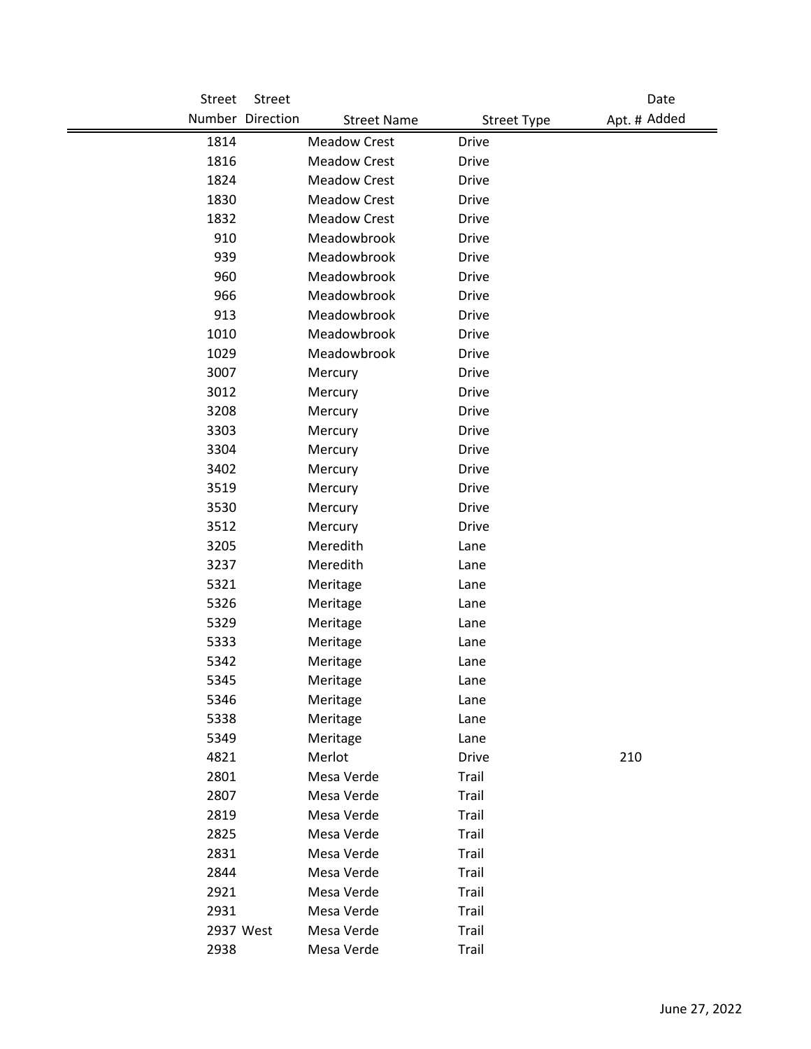| <b>Street</b> | Street           |                     |                      | Date         |
|---------------|------------------|---------------------|----------------------|--------------|
|               | Number Direction | <b>Street Name</b>  | <b>Street Type</b>   | Apt. # Added |
| 1814          |                  | <b>Meadow Crest</b> | <b>Drive</b>         |              |
| 1816          |                  | <b>Meadow Crest</b> | <b>Drive</b>         |              |
| 1824          |                  | <b>Meadow Crest</b> | <b>Drive</b>         |              |
| 1830          |                  | <b>Meadow Crest</b> | <b>Drive</b>         |              |
| 1832          |                  | <b>Meadow Crest</b> | <b>Drive</b>         |              |
| 910           |                  | Meadowbrook         | <b>Drive</b>         |              |
| 939           |                  | Meadowbrook         | <b>Drive</b>         |              |
| 960           |                  | Meadowbrook         | <b>Drive</b>         |              |
| 966           |                  | Meadowbrook         | <b>Drive</b>         |              |
| 913           |                  | Meadowbrook         | <b>Drive</b>         |              |
| 1010          |                  | Meadowbrook         | <b>Drive</b>         |              |
| 1029          |                  | Meadowbrook         | <b>Drive</b>         |              |
| 3007          |                  | Mercury             | Drive                |              |
| 3012          |                  | Mercury             | <b>Drive</b>         |              |
| 3208          |                  | Mercury             | <b>Drive</b>         |              |
| 3303          |                  | Mercury             | <b>Drive</b>         |              |
| 3304          |                  | Mercury             | <b>Drive</b>         |              |
| 3402          |                  | Mercury             | <b>Drive</b>         |              |
| 3519          |                  | Mercury             | <b>Drive</b>         |              |
| 3530          |                  | Mercury             | <b>Drive</b>         |              |
| 3512          |                  | Mercury             | <b>Drive</b>         |              |
| 3205          |                  | Meredith            | Lane                 |              |
| 3237          |                  | Meredith            | Lane                 |              |
| 5321          |                  | Meritage            | Lane                 |              |
| 5326          |                  | Meritage            | Lane                 |              |
| 5329          |                  | Meritage            | Lane                 |              |
| 5333          |                  | Meritage            | Lane                 |              |
| 5342          |                  | Meritage            | Lane                 |              |
| 5345          |                  | Meritage            | Lane                 |              |
| 5346          |                  | Meritage            | Lane                 |              |
| 5338          |                  | Meritage            | Lane                 |              |
| 5349<br>4821  |                  | Meritage<br>Merlot  | Lane<br><b>Drive</b> |              |
| 2801          |                  | Mesa Verde          |                      | 210          |
| 2807          |                  | Mesa Verde          | Trail<br>Trail       |              |
| 2819          |                  | Mesa Verde          | Trail                |              |
| 2825          |                  | Mesa Verde          | Trail                |              |
| 2831          |                  | Mesa Verde          | Trail                |              |
| 2844          |                  | Mesa Verde          | Trail                |              |
| 2921          |                  | Mesa Verde          | Trail                |              |
| 2931          |                  | Mesa Verde          | Trail                |              |
| 2937 West     |                  | Mesa Verde          | Trail                |              |
| 2938          |                  | Mesa Verde          | Trail                |              |
|               |                  |                     |                      |              |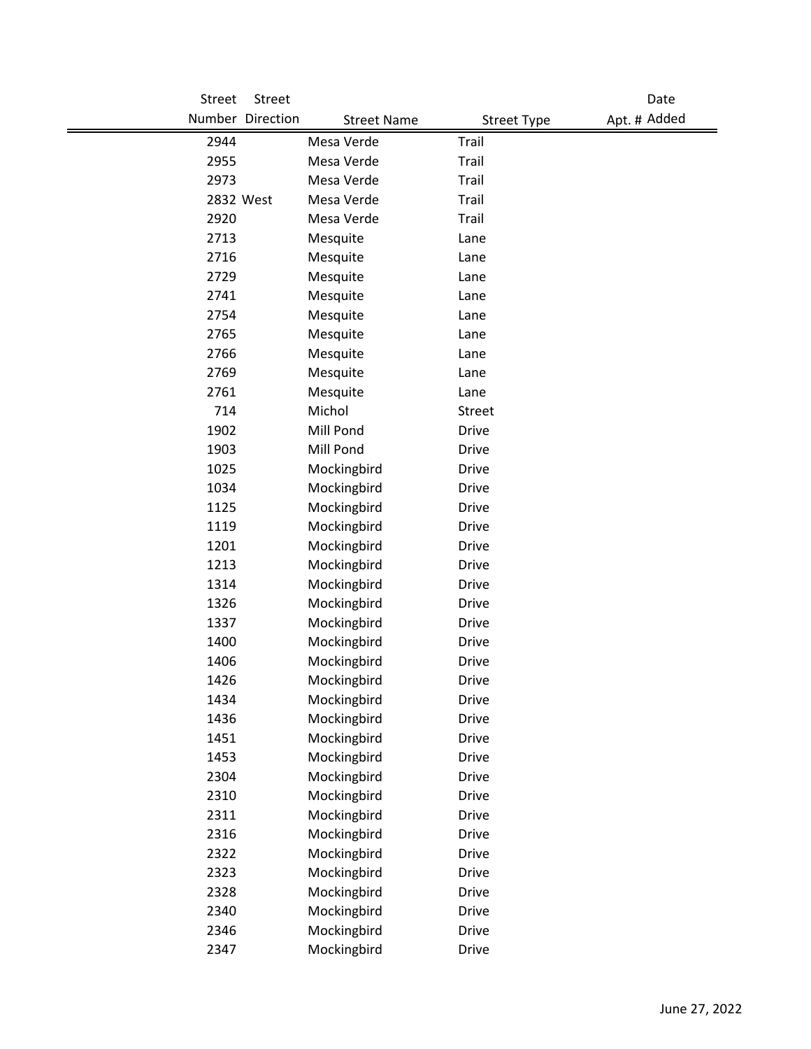| Street | Street           |                    |                    | Date         |
|--------|------------------|--------------------|--------------------|--------------|
|        | Number Direction | <b>Street Name</b> | <b>Street Type</b> | Apt. # Added |
| 2944   |                  | Mesa Verde         | Trail              |              |
| 2955   |                  | Mesa Verde         | Trail              |              |
| 2973   |                  | Mesa Verde         | Trail              |              |
|        | 2832 West        | Mesa Verde         | Trail              |              |
| 2920   |                  | Mesa Verde         | Trail              |              |
| 2713   |                  | Mesquite           | Lane               |              |
| 2716   |                  | Mesquite           | Lane               |              |
| 2729   |                  | Mesquite           | Lane               |              |
| 2741   |                  | Mesquite           | Lane               |              |
| 2754   |                  | Mesquite           | Lane               |              |
| 2765   |                  | Mesquite           | Lane               |              |
| 2766   |                  | Mesquite           | Lane               |              |
| 2769   |                  | Mesquite           | Lane               |              |
| 2761   |                  | Mesquite           | Lane               |              |
| 714    |                  | Michol             | Street             |              |
| 1902   |                  | Mill Pond          | <b>Drive</b>       |              |
| 1903   |                  | Mill Pond          | <b>Drive</b>       |              |
| 1025   |                  | Mockingbird        | <b>Drive</b>       |              |
| 1034   |                  | Mockingbird        | <b>Drive</b>       |              |
| 1125   |                  | Mockingbird        | <b>Drive</b>       |              |
| 1119   |                  | Mockingbird        | <b>Drive</b>       |              |
| 1201   |                  | Mockingbird        | <b>Drive</b>       |              |
| 1213   |                  | Mockingbird        | <b>Drive</b>       |              |
| 1314   |                  | Mockingbird        | <b>Drive</b>       |              |
| 1326   |                  | Mockingbird        | <b>Drive</b>       |              |
| 1337   |                  | Mockingbird        | <b>Drive</b>       |              |
| 1400   |                  | Mockingbird        | <b>Drive</b>       |              |
| 1406   |                  | Mockingbird        | <b>Drive</b>       |              |
| 1426   |                  | Mockingbird        | Drive              |              |
| 1434   |                  | Mockingbird        | <b>Drive</b>       |              |
| 1436   |                  | Mockingbird        | <b>Drive</b>       |              |
| 1451   |                  | Mockingbird        | <b>Drive</b>       |              |
| 1453   |                  | Mockingbird        | <b>Drive</b>       |              |
| 2304   |                  | Mockingbird        | <b>Drive</b>       |              |
| 2310   |                  | Mockingbird        | <b>Drive</b>       |              |
| 2311   |                  | Mockingbird        | <b>Drive</b>       |              |
| 2316   |                  | Mockingbird        | <b>Drive</b>       |              |
| 2322   |                  | Mockingbird        | Drive              |              |
| 2323   |                  | Mockingbird        | <b>Drive</b>       |              |
| 2328   |                  | Mockingbird        | <b>Drive</b>       |              |
| 2340   |                  | Mockingbird        | <b>Drive</b>       |              |
| 2346   |                  | Mockingbird        | Drive              |              |
| 2347   |                  | Mockingbird        | Drive              |              |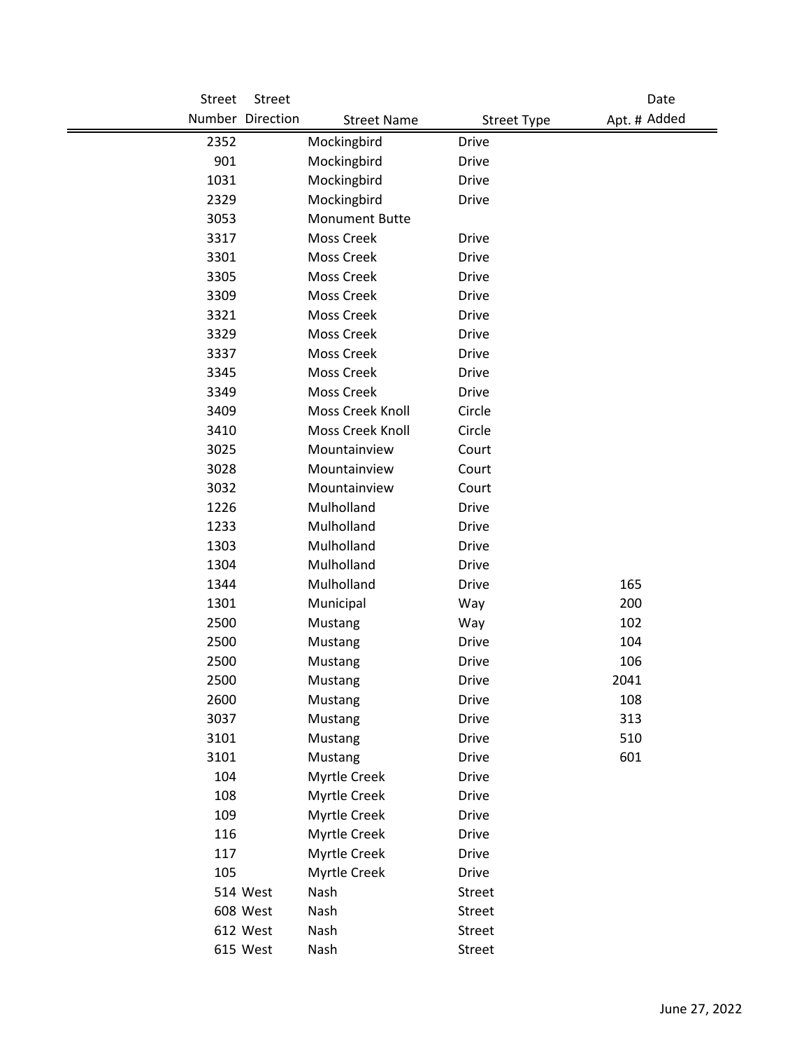| Street | Street           |                       |                    | Date         |
|--------|------------------|-----------------------|--------------------|--------------|
|        | Number Direction | <b>Street Name</b>    | <b>Street Type</b> | Apt. # Added |
| 2352   |                  | Mockingbird           | <b>Drive</b>       |              |
| 901    |                  | Mockingbird           | <b>Drive</b>       |              |
| 1031   |                  | Mockingbird           | Drive              |              |
| 2329   |                  | Mockingbird           | <b>Drive</b>       |              |
| 3053   |                  | <b>Monument Butte</b> |                    |              |
| 3317   |                  | <b>Moss Creek</b>     | <b>Drive</b>       |              |
| 3301   |                  | <b>Moss Creek</b>     | <b>Drive</b>       |              |
| 3305   |                  | <b>Moss Creek</b>     | Drive              |              |
| 3309   |                  | <b>Moss Creek</b>     | <b>Drive</b>       |              |
| 3321   |                  | <b>Moss Creek</b>     | Drive              |              |
| 3329   |                  | <b>Moss Creek</b>     | <b>Drive</b>       |              |
| 3337   |                  | <b>Moss Creek</b>     | Drive              |              |
| 3345   |                  | <b>Moss Creek</b>     | <b>Drive</b>       |              |
| 3349   |                  | <b>Moss Creek</b>     | Drive              |              |
| 3409   |                  | Moss Creek Knoll      | Circle             |              |
| 3410   |                  | Moss Creek Knoll      | Circle             |              |
| 3025   |                  | Mountainview          | Court              |              |
| 3028   |                  | Mountainview          | Court              |              |
| 3032   |                  | Mountainview          | Court              |              |
| 1226   |                  | Mulholland            | <b>Drive</b>       |              |
| 1233   |                  | Mulholland            | <b>Drive</b>       |              |
| 1303   |                  | Mulholland            | <b>Drive</b>       |              |
| 1304   |                  | Mulholland            | <b>Drive</b>       |              |
| 1344   |                  | Mulholland            | <b>Drive</b>       | 165          |
| 1301   |                  | Municipal             | Way                | 200          |
| 2500   |                  | Mustang               | Way                | 102          |
| 2500   |                  | Mustang               | Drive              | 104          |
| 2500   |                  | Mustang               | <b>Drive</b>       | 106          |
| 2500   |                  | Mustang               | <b>Drive</b>       | 2041         |
| 2600   |                  | Mustang               | Drive              | 108          |
| 3037   |                  | Mustang               | Drive              | 313          |
| 3101   |                  | Mustang               | <b>Drive</b>       | 510          |
| 3101   |                  | Mustang               | Drive              | 601          |
| 104    |                  | Myrtle Creek          | <b>Drive</b>       |              |
| 108    |                  | Myrtle Creek          | <b>Drive</b>       |              |
| 109    |                  | Myrtle Creek          | Drive              |              |
| 116    |                  | Myrtle Creek          | <b>Drive</b>       |              |
| 117    |                  | Myrtle Creek          | Drive              |              |
| 105    |                  | Myrtle Creek          | <b>Drive</b>       |              |
|        | 514 West         | Nash                  | Street             |              |
|        | 608 West         | Nash                  | Street             |              |
|        | 612 West         | Nash                  | Street             |              |
|        | 615 West         | Nash                  | Street             |              |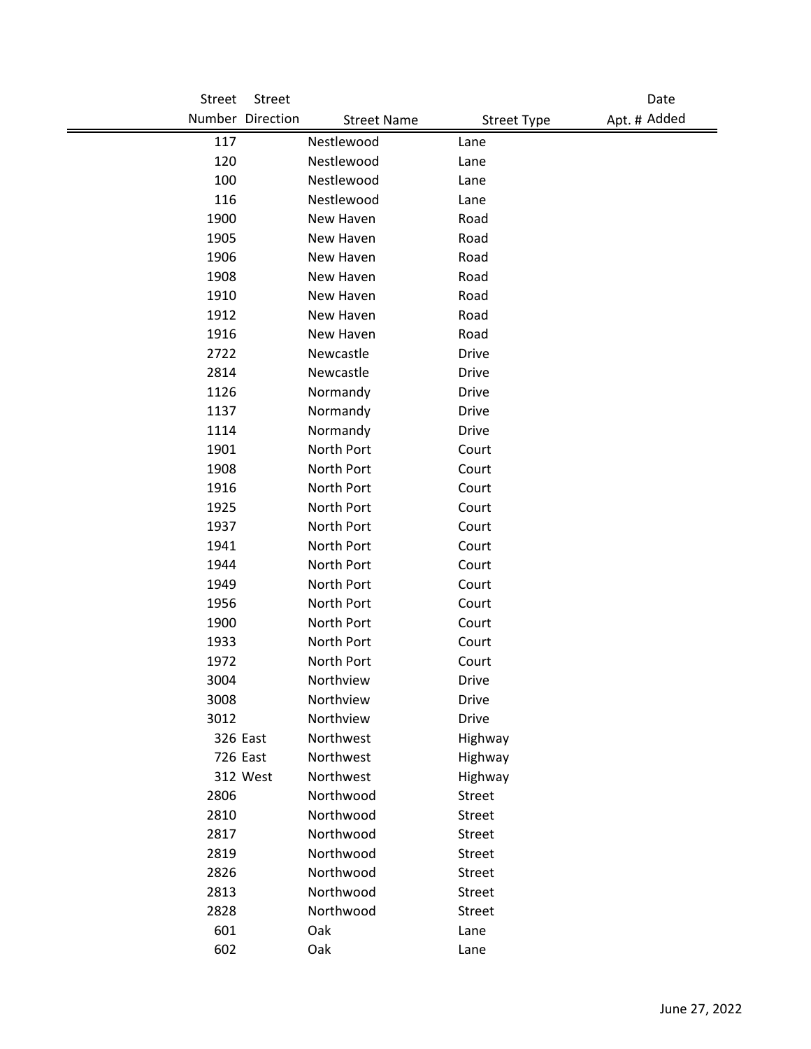| Street | Street           |                    |                    | Date         |
|--------|------------------|--------------------|--------------------|--------------|
|        | Number Direction | <b>Street Name</b> | <b>Street Type</b> | Apt. # Added |
| 117    |                  | Nestlewood         | Lane               |              |
| 120    |                  | Nestlewood         | Lane               |              |
| 100    |                  | Nestlewood         | Lane               |              |
| 116    |                  | Nestlewood         | Lane               |              |
| 1900   |                  | New Haven          | Road               |              |
| 1905   |                  | New Haven          | Road               |              |
| 1906   |                  | New Haven          | Road               |              |
| 1908   |                  | New Haven          | Road               |              |
| 1910   |                  | New Haven          | Road               |              |
| 1912   |                  | New Haven          | Road               |              |
| 1916   |                  | New Haven          | Road               |              |
| 2722   |                  | Newcastle          | <b>Drive</b>       |              |
| 2814   |                  | Newcastle          | <b>Drive</b>       |              |
| 1126   |                  | Normandy           | Drive              |              |
| 1137   |                  | Normandy           | <b>Drive</b>       |              |
| 1114   |                  | Normandy           | <b>Drive</b>       |              |
| 1901   |                  | North Port         | Court              |              |
| 1908   |                  | North Port         | Court              |              |
| 1916   |                  | North Port         | Court              |              |
| 1925   |                  | North Port         | Court              |              |
| 1937   |                  | North Port         | Court              |              |
| 1941   |                  | North Port         | Court              |              |
| 1944   |                  | North Port         | Court              |              |
| 1949   |                  | North Port         | Court              |              |
| 1956   |                  | North Port         | Court              |              |
| 1900   |                  | North Port         | Court              |              |
| 1933   |                  | North Port         | Court              |              |
| 1972   |                  | North Port         | Court              |              |
| 3004   |                  | Northview          | <b>Drive</b>       |              |
| 3008   |                  | Northview          | Drive              |              |
| 3012   |                  | Northview          | <b>Drive</b>       |              |
|        | 326 East         | Northwest          | Highway            |              |
|        | 726 East         | Northwest          | Highway            |              |
|        | 312 West         | Northwest          | Highway            |              |
| 2806   |                  | Northwood          | Street             |              |
| 2810   |                  | Northwood          | Street             |              |
| 2817   |                  | Northwood          | Street             |              |
| 2819   |                  | Northwood          | <b>Street</b>      |              |
| 2826   |                  | Northwood          | Street             |              |
| 2813   |                  | Northwood          | Street             |              |
| 2828   |                  | Northwood          | Street             |              |
| 601    |                  | Oak                | Lane               |              |
| 602    |                  | Oak                | Lane               |              |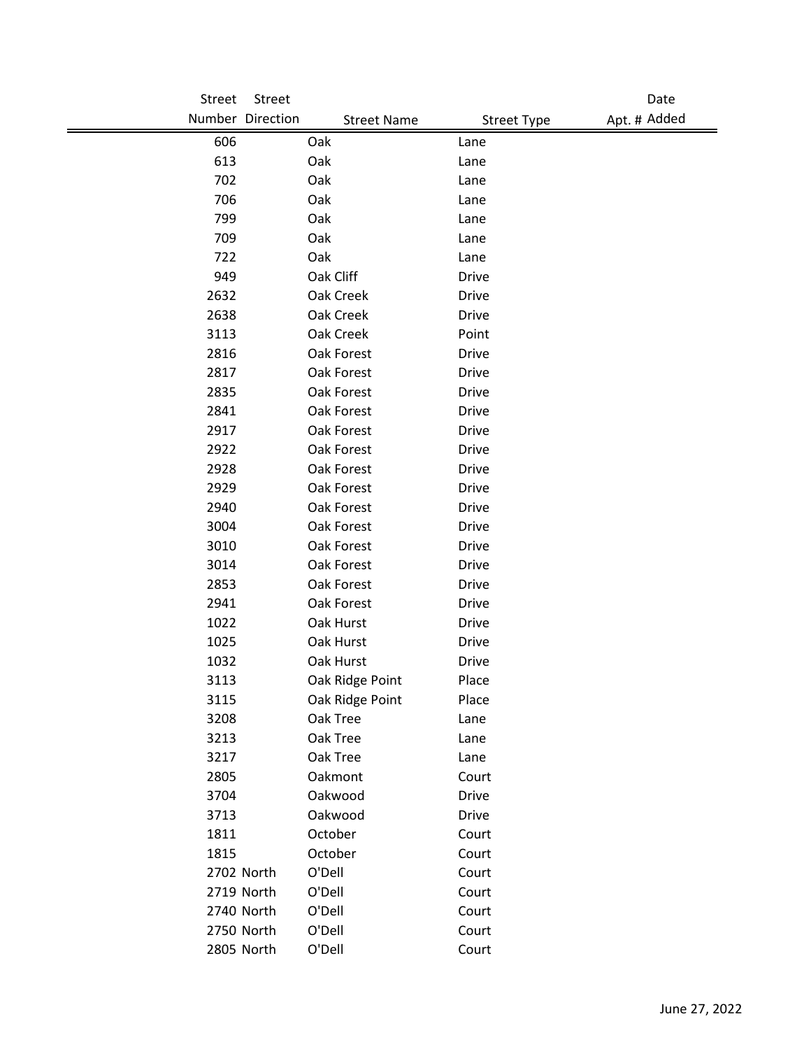| Street | Street               |                    |                    | Date         |
|--------|----------------------|--------------------|--------------------|--------------|
|        | Number Direction     | <b>Street Name</b> | <b>Street Type</b> | Apt. # Added |
| 606    | Oak                  |                    | Lane               |              |
| 613    | Oak                  |                    | Lane               |              |
| 702    | Oak                  |                    | Lane               |              |
| 706    | Oak                  |                    | Lane               |              |
| 799    | Oak                  |                    | Lane               |              |
| 709    | Oak                  |                    | Lane               |              |
| 722    | Oak                  |                    | Lane               |              |
| 949    |                      | Oak Cliff          | Drive              |              |
| 2632   |                      | Oak Creek          | <b>Drive</b>       |              |
| 2638   |                      | Oak Creek          | Drive              |              |
| 3113   |                      | Oak Creek          | Point              |              |
| 2816   |                      | Oak Forest         | Drive              |              |
| 2817   |                      | Oak Forest         | Drive              |              |
| 2835   |                      | Oak Forest         | <b>Drive</b>       |              |
| 2841   |                      | Oak Forest         | Drive              |              |
| 2917   |                      | Oak Forest         | <b>Drive</b>       |              |
| 2922   |                      | Oak Forest         | <b>Drive</b>       |              |
| 2928   |                      | Oak Forest         | <b>Drive</b>       |              |
| 2929   |                      | Oak Forest         | Drive              |              |
| 2940   |                      | Oak Forest         | Drive              |              |
| 3004   |                      | Oak Forest         | <b>Drive</b>       |              |
| 3010   |                      | Oak Forest         | <b>Drive</b>       |              |
| 3014   |                      | Oak Forest         | <b>Drive</b>       |              |
| 2853   |                      | Oak Forest         | Drive              |              |
| 2941   |                      | Oak Forest         | <b>Drive</b>       |              |
| 1022   |                      | Oak Hurst          | Drive              |              |
| 1025   |                      | Oak Hurst          | Drive              |              |
| 1032   |                      | Oak Hurst          | <b>Drive</b>       |              |
| 3113   |                      | Oak Ridge Point    | Place              |              |
| 3115   |                      | Oak Ridge Point    | Place              |              |
| 3208   |                      | Oak Tree           | Lane               |              |
| 3213   |                      | Oak Tree           | Lane               |              |
| 3217   |                      | Oak Tree           | Lane               |              |
| 2805   |                      | Oakmont            | Court              |              |
| 3704   |                      | Oakwood            | Drive              |              |
| 3713   |                      | Oakwood            | <b>Drive</b>       |              |
| 1811   | October              |                    | Court              |              |
| 1815   | October              |                    | Court              |              |
|        | 2702 North<br>O'Dell |                    | Court              |              |
|        | 2719 North<br>O'Dell |                    | Court              |              |
|        | 2740 North<br>O'Dell |                    | Court              |              |
|        | 2750 North<br>O'Dell |                    | Court              |              |
|        | 2805 North<br>O'Dell |                    | Court              |              |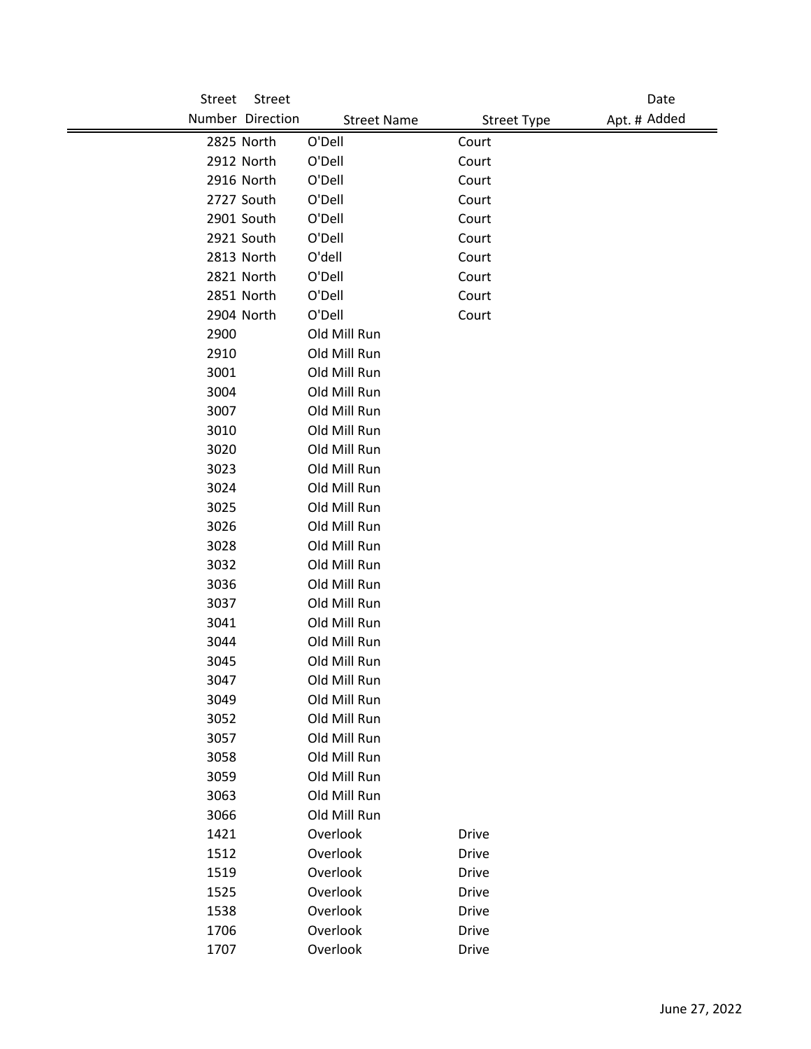| Street | Street           |                    |                    | Date         |
|--------|------------------|--------------------|--------------------|--------------|
|        | Number Direction | <b>Street Name</b> | <b>Street Type</b> | Apt. # Added |
|        | 2825 North       | O'Dell             | Court              |              |
|        | 2912 North       | O'Dell             | Court              |              |
|        | 2916 North       | O'Dell             | Court              |              |
|        | 2727 South       | O'Dell             | Court              |              |
|        | 2901 South       | O'Dell             | Court              |              |
|        | 2921 South       | O'Dell             | Court              |              |
|        | 2813 North       | O'dell             | Court              |              |
|        | 2821 North       | O'Dell             | Court              |              |
|        | 2851 North       | O'Dell             | Court              |              |
|        | 2904 North       | O'Dell             | Court              |              |
| 2900   |                  | Old Mill Run       |                    |              |
| 2910   |                  | Old Mill Run       |                    |              |
| 3001   |                  | Old Mill Run       |                    |              |
| 3004   |                  | Old Mill Run       |                    |              |
| 3007   |                  | Old Mill Run       |                    |              |
| 3010   |                  | Old Mill Run       |                    |              |
| 3020   |                  | Old Mill Run       |                    |              |
| 3023   |                  | Old Mill Run       |                    |              |
| 3024   |                  | Old Mill Run       |                    |              |
| 3025   |                  | Old Mill Run       |                    |              |
| 3026   |                  | Old Mill Run       |                    |              |
| 3028   |                  | Old Mill Run       |                    |              |
| 3032   |                  | Old Mill Run       |                    |              |
| 3036   |                  | Old Mill Run       |                    |              |
| 3037   |                  | Old Mill Run       |                    |              |
| 3041   |                  | Old Mill Run       |                    |              |
| 3044   |                  | Old Mill Run       |                    |              |
| 3045   |                  | Old Mill Run       |                    |              |
| 3047   |                  | Old Mill Run       |                    |              |
| 3049   |                  | Old Mill Run       |                    |              |
| 3052   |                  | Old Mill Run       |                    |              |
| 3057   |                  | Old Mill Run       |                    |              |
| 3058   |                  | Old Mill Run       |                    |              |
| 3059   |                  | Old Mill Run       |                    |              |
| 3063   |                  | Old Mill Run       |                    |              |
| 3066   |                  | Old Mill Run       |                    |              |
| 1421   |                  | Overlook           | <b>Drive</b>       |              |
| 1512   |                  | Overlook           | <b>Drive</b>       |              |
| 1519   |                  | Overlook           | <b>Drive</b>       |              |
| 1525   |                  | Overlook           | <b>Drive</b>       |              |
| 1538   |                  | Overlook           | <b>Drive</b>       |              |
| 1706   |                  | Overlook           | Drive              |              |
| 1707   |                  | Overlook           | Drive              |              |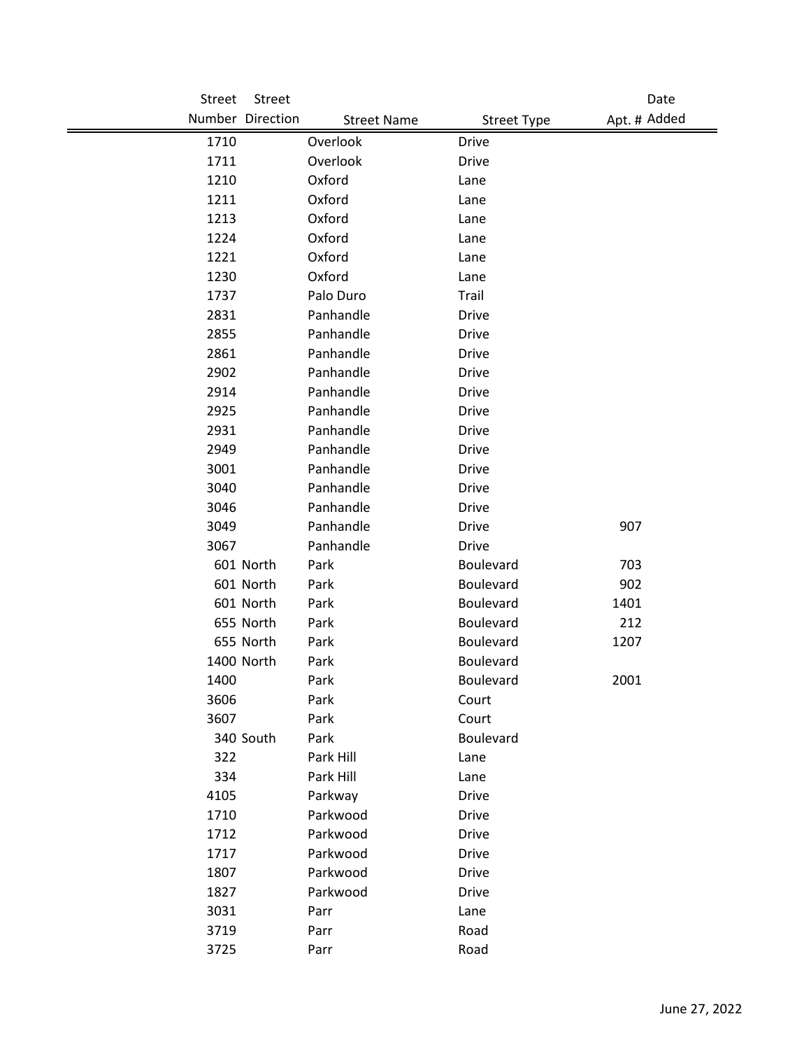| Street | <b>Street</b>    |                    |                    | Date         |
|--------|------------------|--------------------|--------------------|--------------|
|        | Number Direction | <b>Street Name</b> | <b>Street Type</b> | Apt. # Added |
| 1710   |                  | Overlook           | <b>Drive</b>       |              |
| 1711   |                  | Overlook           | <b>Drive</b>       |              |
| 1210   |                  | Oxford             | Lane               |              |
| 1211   |                  | Oxford             | Lane               |              |
| 1213   |                  | Oxford             | Lane               |              |
| 1224   |                  | Oxford             | Lane               |              |
| 1221   |                  | Oxford             | Lane               |              |
| 1230   |                  | Oxford             | Lane               |              |
| 1737   |                  | Palo Duro          | Trail              |              |
| 2831   |                  | Panhandle          | <b>Drive</b>       |              |
| 2855   |                  | Panhandle          | <b>Drive</b>       |              |
| 2861   |                  | Panhandle          | <b>Drive</b>       |              |
| 2902   |                  | Panhandle          | Drive              |              |
| 2914   |                  | Panhandle          | <b>Drive</b>       |              |
| 2925   |                  | Panhandle          | <b>Drive</b>       |              |
| 2931   |                  | Panhandle          | <b>Drive</b>       |              |
| 2949   |                  | Panhandle          | <b>Drive</b>       |              |
| 3001   |                  | Panhandle          | <b>Drive</b>       |              |
| 3040   |                  | Panhandle          | Drive              |              |
| 3046   |                  | Panhandle          | Drive              |              |
| 3049   |                  | Panhandle          | <b>Drive</b>       | 907          |
| 3067   |                  | Panhandle          | <b>Drive</b>       |              |
|        | 601 North        | Park               | Boulevard          | 703          |
|        | 601 North        | Park               | Boulevard          | 902          |
|        | 601 North        | Park               | Boulevard          | 1401         |
|        | 655 North        | Park               | Boulevard          | 212          |
|        | 655 North        | Park               | Boulevard          | 1207         |
|        | 1400 North       | Park               | Boulevard          |              |
| 1400   |                  | Park               | <b>Boulevard</b>   | 2001         |
| 3606   |                  | Park               | Court              |              |
| 3607   |                  | Park               | Court              |              |
|        | 340 South        | Park               | Boulevard          |              |
| 322    |                  | Park Hill          | Lane               |              |
| 334    |                  | Park Hill          | Lane               |              |
| 4105   |                  | Parkway            | Drive              |              |
| 1710   |                  | Parkwood           | Drive              |              |
| 1712   |                  | Parkwood           | <b>Drive</b>       |              |
| 1717   |                  | Parkwood           | Drive              |              |
| 1807   |                  | Parkwood           | Drive              |              |
| 1827   |                  | Parkwood           | Drive              |              |
| 3031   |                  | Parr               | Lane               |              |
| 3719   |                  | Parr               | Road               |              |
| 3725   |                  | Parr               | Road               |              |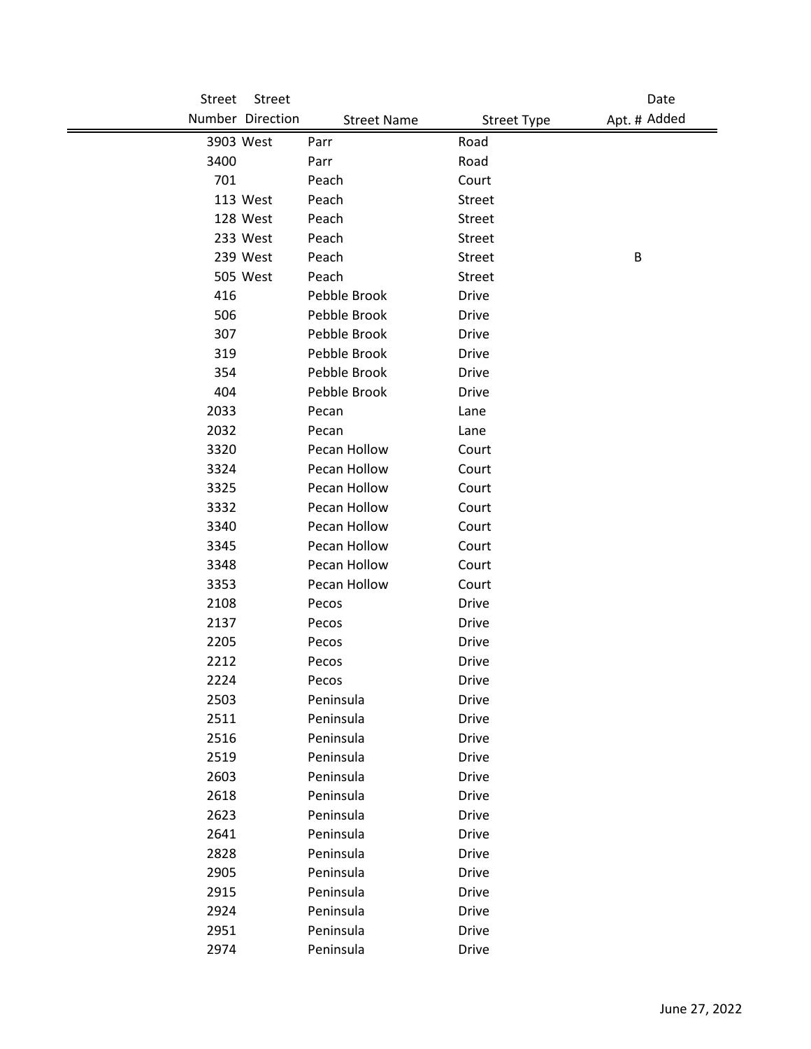| Street | Street           |                    |                    | Date         |
|--------|------------------|--------------------|--------------------|--------------|
|        | Number Direction | <b>Street Name</b> | <b>Street Type</b> | Apt. # Added |
|        | 3903 West        | Parr               | Road               |              |
| 3400   |                  | Parr               | Road               |              |
| 701    |                  | Peach              | Court              |              |
|        | 113 West         | Peach              | <b>Street</b>      |              |
|        | 128 West         | Peach              | <b>Street</b>      |              |
|        | 233 West         | Peach              | Street             |              |
|        | 239 West         | Peach              | <b>Street</b>      | B            |
|        | 505 West         | Peach              | <b>Street</b>      |              |
| 416    |                  | Pebble Brook       | Drive              |              |
| 506    |                  | Pebble Brook       | <b>Drive</b>       |              |
| 307    |                  | Pebble Brook       | <b>Drive</b>       |              |
| 319    |                  | Pebble Brook       | <b>Drive</b>       |              |
| 354    |                  | Pebble Brook       | <b>Drive</b>       |              |
| 404    |                  | Pebble Brook       | Drive              |              |
| 2033   |                  | Pecan              | Lane               |              |
| 2032   |                  | Pecan              | Lane               |              |
| 3320   |                  | Pecan Hollow       | Court              |              |
| 3324   |                  | Pecan Hollow       | Court              |              |
| 3325   |                  | Pecan Hollow       | Court              |              |
| 3332   |                  | Pecan Hollow       | Court              |              |
| 3340   |                  | Pecan Hollow       | Court              |              |
| 3345   |                  | Pecan Hollow       | Court              |              |
| 3348   |                  | Pecan Hollow       | Court              |              |
| 3353   |                  | Pecan Hollow       | Court              |              |
| 2108   |                  | Pecos              | Drive              |              |
| 2137   |                  | Pecos              | <b>Drive</b>       |              |
| 2205   |                  | Pecos              | Drive              |              |
| 2212   |                  | Pecos              | <b>Drive</b>       |              |
| 2224   |                  | Pecos              | Drive              |              |
| 2503   |                  | Peninsula          | <b>Drive</b>       |              |
| 2511   |                  | Peninsula          | <b>Drive</b>       |              |
| 2516   |                  | Peninsula          | <b>Drive</b>       |              |
| 2519   |                  | Peninsula          | <b>Drive</b>       |              |
| 2603   |                  | Peninsula          | <b>Drive</b>       |              |
| 2618   |                  | Peninsula          | <b>Drive</b>       |              |
| 2623   |                  | Peninsula          | <b>Drive</b>       |              |
| 2641   |                  | Peninsula          | <b>Drive</b>       |              |
| 2828   |                  | Peninsula          | <b>Drive</b>       |              |
| 2905   |                  | Peninsula          | <b>Drive</b>       |              |
| 2915   |                  | Peninsula          | <b>Drive</b>       |              |
| 2924   |                  | Peninsula          | <b>Drive</b>       |              |
| 2951   |                  | Peninsula          | <b>Drive</b>       |              |
| 2974   |                  | Peninsula          | Drive              |              |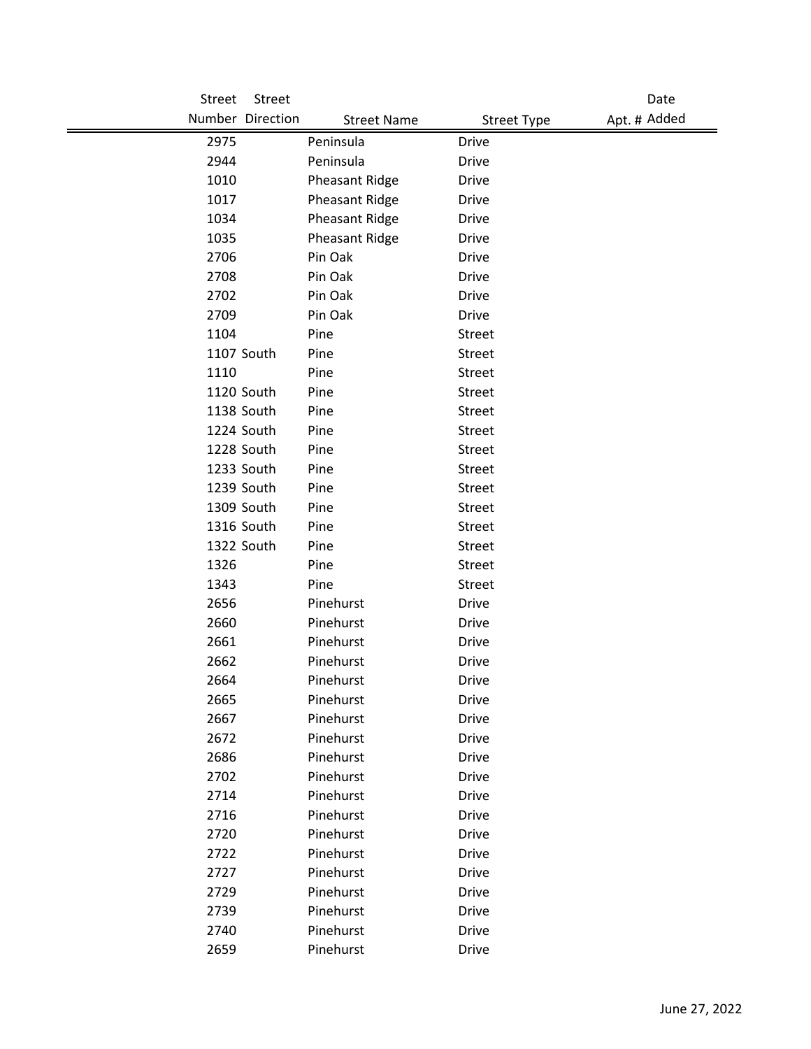| Street | Street           |                       |                    | Date         |
|--------|------------------|-----------------------|--------------------|--------------|
|        | Number Direction | <b>Street Name</b>    | <b>Street Type</b> | Apt. # Added |
| 2975   |                  | Peninsula             | <b>Drive</b>       |              |
| 2944   |                  | Peninsula             | Drive              |              |
| 1010   |                  | Pheasant Ridge        | <b>Drive</b>       |              |
| 1017   |                  | Pheasant Ridge        | <b>Drive</b>       |              |
| 1034   |                  | <b>Pheasant Ridge</b> | <b>Drive</b>       |              |
| 1035   |                  | Pheasant Ridge        | <b>Drive</b>       |              |
| 2706   |                  | Pin Oak               | <b>Drive</b>       |              |
| 2708   |                  | Pin Oak               | Drive              |              |
| 2702   |                  | Pin Oak               | <b>Drive</b>       |              |
| 2709   |                  | Pin Oak               | <b>Drive</b>       |              |
| 1104   |                  | Pine                  | Street             |              |
|        | 1107 South       | Pine                  | <b>Street</b>      |              |
| 1110   |                  | Pine                  | Street             |              |
|        | 1120 South       | Pine                  | <b>Street</b>      |              |
|        | 1138 South       | Pine                  | Street             |              |
|        | 1224 South       | Pine                  | Street             |              |
|        | 1228 South       | Pine                  | Street             |              |
|        | 1233 South       | Pine                  | Street             |              |
|        | 1239 South       | Pine                  | Street             |              |
|        | 1309 South       | Pine                  | Street             |              |
|        | 1316 South       | Pine                  | Street             |              |
|        | 1322 South       | Pine                  | Street             |              |
| 1326   |                  | Pine                  | Street             |              |
| 1343   |                  | Pine                  | Street             |              |
| 2656   |                  | Pinehurst             | <b>Drive</b>       |              |
| 2660   |                  | Pinehurst             | Drive              |              |
| 2661   |                  | Pinehurst             | Drive              |              |
| 2662   |                  | Pinehurst             | <b>Drive</b>       |              |
| 2664   |                  | Pinehurst             | <b>Drive</b>       |              |
| 2665   |                  | Pinehurst             | <b>Drive</b>       |              |
| 2667   |                  | Pinehurst             | <b>Drive</b>       |              |
| 2672   |                  | Pinehurst             | <b>Drive</b>       |              |
| 2686   |                  | Pinehurst             | <b>Drive</b>       |              |
| 2702   |                  | Pinehurst             | <b>Drive</b>       |              |
| 2714   |                  | Pinehurst             | <b>Drive</b>       |              |
| 2716   |                  | Pinehurst             | <b>Drive</b>       |              |
| 2720   |                  | Pinehurst             | <b>Drive</b>       |              |
| 2722   |                  | Pinehurst             | <b>Drive</b>       |              |
| 2727   |                  | Pinehurst             | <b>Drive</b>       |              |
| 2729   |                  | Pinehurst             | Drive              |              |
| 2739   |                  | Pinehurst             | <b>Drive</b>       |              |
| 2740   |                  | Pinehurst             | <b>Drive</b>       |              |
| 2659   |                  | Pinehurst             | Drive              |              |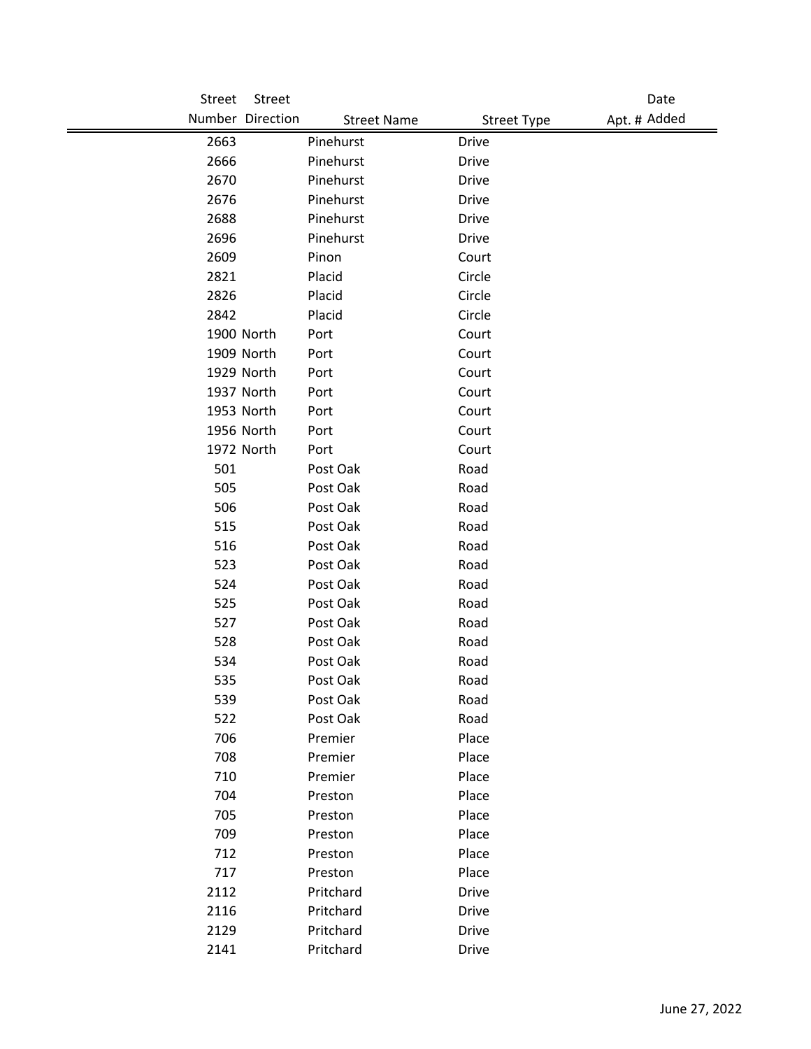| Street     | Street           |                    |                    | Date         |
|------------|------------------|--------------------|--------------------|--------------|
|            | Number Direction | <b>Street Name</b> | <b>Street Type</b> | Apt. # Added |
| 2663       |                  | Pinehurst          | <b>Drive</b>       |              |
| 2666       |                  | Pinehurst          | Drive              |              |
| 2670       |                  | Pinehurst          | <b>Drive</b>       |              |
| 2676       |                  | Pinehurst          | <b>Drive</b>       |              |
| 2688       |                  | Pinehurst          | Drive              |              |
| 2696       |                  | Pinehurst          | <b>Drive</b>       |              |
| 2609       |                  | Pinon              | Court              |              |
| 2821       |                  | Placid             | Circle             |              |
| 2826       |                  | Placid             | Circle             |              |
| 2842       |                  | Placid             | Circle             |              |
|            | 1900 North       | Port               | Court              |              |
|            | 1909 North       | Port               | Court              |              |
|            | 1929 North       | Port               | Court              |              |
|            | 1937 North       | Port               | Court              |              |
|            | 1953 North       | Port               | Court              |              |
|            | 1956 North       | Port               | Court              |              |
|            | 1972 North       | Port               | Court              |              |
| 501        |                  | Post Oak           | Road               |              |
| 505        |                  | Post Oak           | Road               |              |
| 506        |                  | Post Oak           | Road               |              |
| 515        |                  | Post Oak           | Road               |              |
| 516        |                  | Post Oak           | Road               |              |
| 523        |                  | Post Oak           | Road               |              |
| 524        |                  | Post Oak           | Road               |              |
| 525        |                  | Post Oak           | Road               |              |
| 527        |                  | Post Oak           | Road               |              |
| 528        |                  | Post Oak           | Road               |              |
| 534        |                  | Post Oak           | Road               |              |
| 535        |                  | Post Oak           | Road               |              |
| 539        |                  | Post Oak           | Road               |              |
| 522        |                  | Post Oak           | Road               |              |
| 706<br>708 |                  | Premier<br>Premier | Place<br>Place     |              |
| 710        |                  | Premier            | Place              |              |
| 704        |                  | Preston            | Place              |              |
| 705        |                  | Preston            | Place              |              |
| 709        |                  | Preston            | Place              |              |
| 712        |                  | Preston            | Place              |              |
| 717        |                  | Preston            | Place              |              |
| 2112       |                  | Pritchard          | Drive              |              |
| 2116       |                  | Pritchard          | <b>Drive</b>       |              |
| 2129       |                  | Pritchard          | <b>Drive</b>       |              |
| 2141       |                  | Pritchard          | Drive              |              |
|            |                  |                    |                    |              |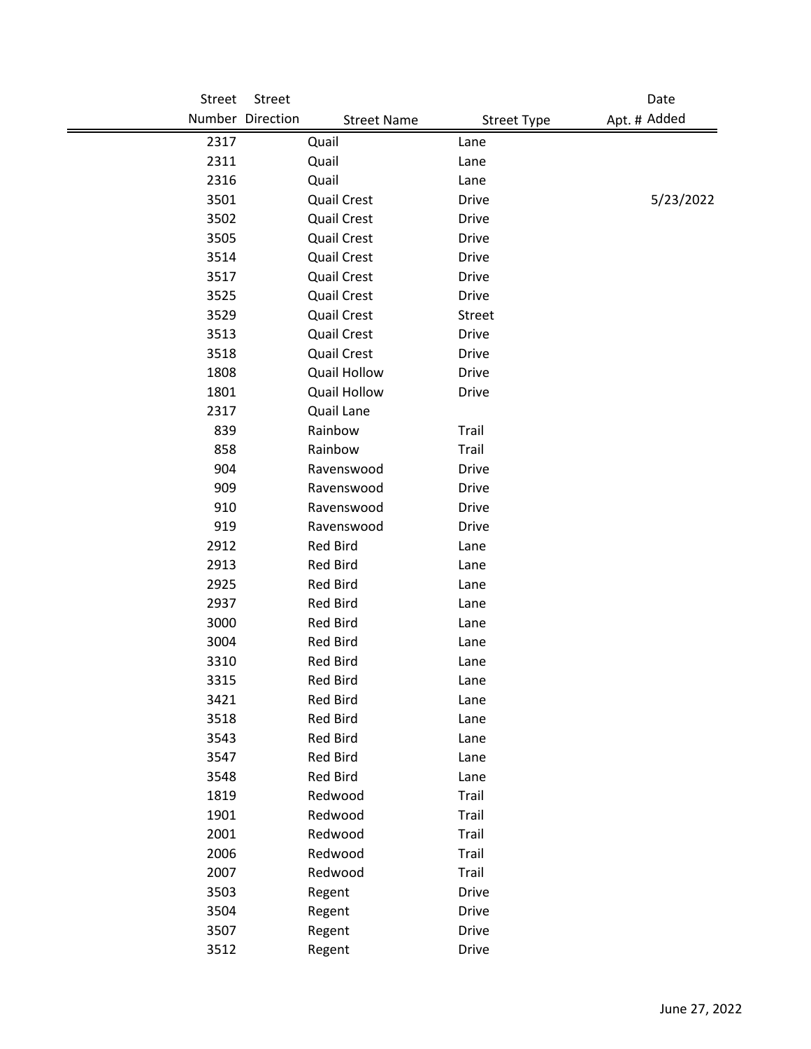| Street | Street           |                     |                    | Date         |
|--------|------------------|---------------------|--------------------|--------------|
|        | Number Direction | <b>Street Name</b>  | <b>Street Type</b> | Apt. # Added |
| 2317   | Quail            |                     | Lane               |              |
| 2311   | Quail            |                     | Lane               |              |
| 2316   | Quail            |                     | Lane               |              |
| 3501   |                  | <b>Quail Crest</b>  | <b>Drive</b>       | 5/23/2022    |
| 3502   |                  | <b>Quail Crest</b>  | <b>Drive</b>       |              |
| 3505   |                  | <b>Quail Crest</b>  | <b>Drive</b>       |              |
| 3514   |                  | <b>Quail Crest</b>  | <b>Drive</b>       |              |
| 3517   |                  | <b>Quail Crest</b>  | <b>Drive</b>       |              |
| 3525   |                  | <b>Quail Crest</b>  | <b>Drive</b>       |              |
| 3529   |                  | <b>Quail Crest</b>  | <b>Street</b>      |              |
| 3513   |                  | <b>Quail Crest</b>  | <b>Drive</b>       |              |
| 3518   |                  | <b>Quail Crest</b>  | <b>Drive</b>       |              |
| 1808   |                  | <b>Quail Hollow</b> | <b>Drive</b>       |              |
| 1801   |                  | <b>Quail Hollow</b> | <b>Drive</b>       |              |
| 2317   | Quail Lane       |                     |                    |              |
| 839    | Rainbow          |                     | Trail              |              |
| 858    | Rainbow          |                     | Trail              |              |
| 904    |                  | Ravenswood          | <b>Drive</b>       |              |
| 909    |                  | Ravenswood          | <b>Drive</b>       |              |
| 910    |                  | Ravenswood          | <b>Drive</b>       |              |
| 919    |                  | Ravenswood          | <b>Drive</b>       |              |
| 2912   | <b>Red Bird</b>  |                     | Lane               |              |
| 2913   | <b>Red Bird</b>  |                     | Lane               |              |
| 2925   | Red Bird         |                     | Lane               |              |
| 2937   | <b>Red Bird</b>  |                     | Lane               |              |
| 3000   | <b>Red Bird</b>  |                     | Lane               |              |
| 3004   | Red Bird         |                     | Lane               |              |
| 3310   | <b>Red Bird</b>  |                     | Lane               |              |
| 3315   | <b>Red Bird</b>  |                     | Lane               |              |
| 3421   | <b>Red Bird</b>  |                     | Lane               |              |
| 3518   | <b>Red Bird</b>  |                     | Lane               |              |
| 3543   | <b>Red Bird</b>  |                     | Lane               |              |
| 3547   | <b>Red Bird</b>  |                     | Lane               |              |
| 3548   | Red Bird         |                     | Lane               |              |
| 1819   | Redwood          |                     | Trail              |              |
| 1901   | Redwood          |                     | Trail              |              |
| 2001   | Redwood          |                     | Trail              |              |
| 2006   | Redwood          |                     | Trail              |              |
| 2007   | Redwood          |                     | Trail              |              |
| 3503   | Regent           |                     | <b>Drive</b>       |              |
| 3504   | Regent           |                     | <b>Drive</b>       |              |
| 3507   | Regent           |                     | <b>Drive</b>       |              |
| 3512   | Regent           |                     | Drive              |              |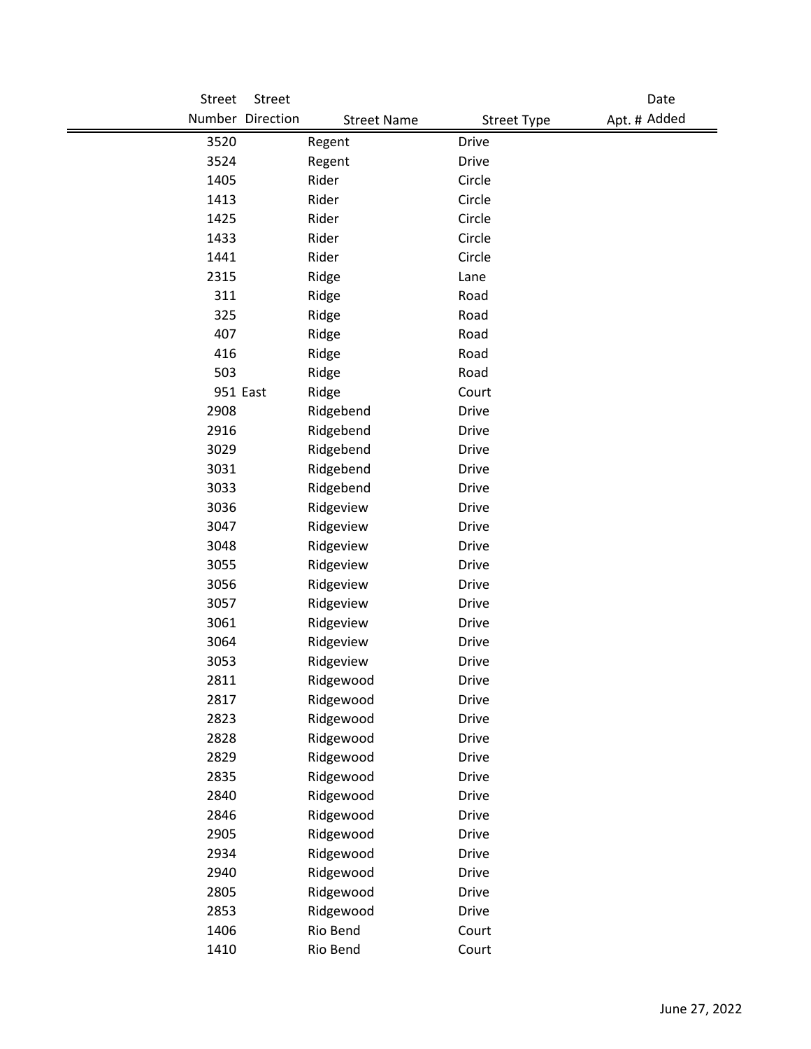| Street | Street            |                    |                    | Date         |
|--------|-------------------|--------------------|--------------------|--------------|
|        | Number Direction  | <b>Street Name</b> | <b>Street Type</b> | Apt. # Added |
| 3520   | Regent            | <b>Drive</b>       |                    |              |
| 3524   | Regent            | <b>Drive</b>       |                    |              |
| 1405   | Rider             | Circle             |                    |              |
| 1413   | Rider             | Circle             |                    |              |
| 1425   | Rider             | Circle             |                    |              |
| 1433   | Rider             | Circle             |                    |              |
| 1441   | Rider             | Circle             |                    |              |
| 2315   | Ridge             | Lane               |                    |              |
| 311    | Ridge             | Road               |                    |              |
| 325    | Ridge             | Road               |                    |              |
| 407    | Ridge             | Road               |                    |              |
| 416    | Ridge             | Road               |                    |              |
| 503    | Ridge             | Road               |                    |              |
|        | 951 East<br>Ridge | Court              |                    |              |
| 2908   | Ridgebend         | <b>Drive</b>       |                    |              |
| 2916   | Ridgebend         | <b>Drive</b>       |                    |              |
| 3029   | Ridgebend         | <b>Drive</b>       |                    |              |
| 3031   | Ridgebend         | <b>Drive</b>       |                    |              |
| 3033   | Ridgebend         | <b>Drive</b>       |                    |              |
| 3036   | Ridgeview         | <b>Drive</b>       |                    |              |
| 3047   | Ridgeview         | <b>Drive</b>       |                    |              |
| 3048   | Ridgeview         | <b>Drive</b>       |                    |              |
| 3055   | Ridgeview         | <b>Drive</b>       |                    |              |
| 3056   | Ridgeview         | <b>Drive</b>       |                    |              |
| 3057   | Ridgeview         | <b>Drive</b>       |                    |              |
| 3061   | Ridgeview         | <b>Drive</b>       |                    |              |
| 3064   | Ridgeview         | <b>Drive</b>       |                    |              |
| 3053   | Ridgeview         | <b>Drive</b>       |                    |              |
| 2811   | Ridgewood         | <b>Drive</b>       |                    |              |
| 2817   | Ridgewood         | Drive              |                    |              |
| 2823   | Ridgewood         | Drive              |                    |              |
| 2828   | Ridgewood         | Drive              |                    |              |
| 2829   | Ridgewood         | <b>Drive</b>       |                    |              |
| 2835   | Ridgewood         | <b>Drive</b>       |                    |              |
| 2840   | Ridgewood         | <b>Drive</b>       |                    |              |
| 2846   | Ridgewood         | <b>Drive</b>       |                    |              |
| 2905   | Ridgewood         | <b>Drive</b>       |                    |              |
| 2934   | Ridgewood         | <b>Drive</b>       |                    |              |
| 2940   | Ridgewood         | <b>Drive</b>       |                    |              |
| 2805   | Ridgewood         | <b>Drive</b>       |                    |              |
| 2853   | Ridgewood         | Drive              |                    |              |
| 1406   | Rio Bend          | Court              |                    |              |
| 1410   | Rio Bend          | Court              |                    |              |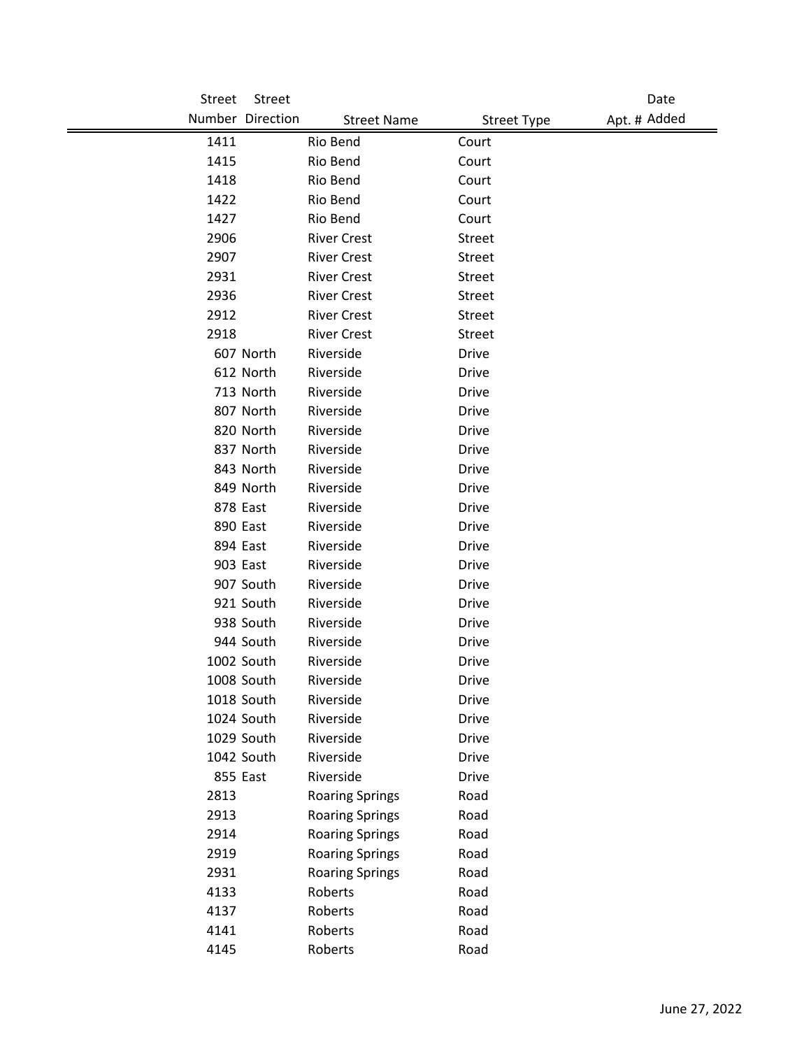| <b>Street</b> | Street           |                        |                    | Date         |
|---------------|------------------|------------------------|--------------------|--------------|
|               | Number Direction | <b>Street Name</b>     | <b>Street Type</b> | Apt. # Added |
| 1411          |                  | Rio Bend               | Court              |              |
| 1415          |                  | Rio Bend               | Court              |              |
| 1418          |                  | Rio Bend               | Court              |              |
| 1422          |                  | Rio Bend               | Court              |              |
| 1427          |                  | Rio Bend               | Court              |              |
| 2906          |                  | <b>River Crest</b>     | <b>Street</b>      |              |
| 2907          |                  | <b>River Crest</b>     | <b>Street</b>      |              |
| 2931          |                  | <b>River Crest</b>     | Street             |              |
| 2936          |                  | <b>River Crest</b>     | Street             |              |
| 2912          |                  | <b>River Crest</b>     | <b>Street</b>      |              |
| 2918          |                  | <b>River Crest</b>     | <b>Street</b>      |              |
|               | 607 North        | Riverside              | Drive              |              |
|               | 612 North        | Riverside              | <b>Drive</b>       |              |
|               | 713 North        | Riverside              | Drive              |              |
|               | 807 North        | Riverside              | <b>Drive</b>       |              |
|               | 820 North        | Riverside              | Drive              |              |
|               | 837 North        | Riverside              | <b>Drive</b>       |              |
|               | 843 North        | Riverside              | Drive              |              |
|               | 849 North        | Riverside              | Drive              |              |
|               | 878 East         | Riverside              | Drive              |              |
|               | 890 East         | Riverside              | Drive              |              |
|               | 894 East         | Riverside              | <b>Drive</b>       |              |
|               | 903 East         | Riverside              | Drive              |              |
|               | 907 South        | Riverside              | Drive              |              |
|               | 921 South        | Riverside              | Drive              |              |
|               | 938 South        | Riverside              | <b>Drive</b>       |              |
|               | 944 South        | Riverside              | <b>Drive</b>       |              |
|               | 1002 South       | Riverside              | Drive              |              |
|               | 1008 South       | Riverside              | Drive              |              |
|               | 1018 South       | Riverside              | Drive              |              |
|               | 1024 South       | Riverside              | Drive              |              |
|               | 1029 South       | Riverside              | <b>Drive</b>       |              |
|               | 1042 South       | Riverside              | <b>Drive</b>       |              |
|               | 855 East         | Riverside              | Drive              |              |
| 2813          |                  | <b>Roaring Springs</b> | Road               |              |
| 2913          |                  | <b>Roaring Springs</b> | Road               |              |
| 2914          |                  | <b>Roaring Springs</b> | Road               |              |
| 2919          |                  | <b>Roaring Springs</b> | Road               |              |
| 2931          |                  | <b>Roaring Springs</b> | Road               |              |
| 4133          |                  | Roberts                | Road               |              |
| 4137          |                  | Roberts                | Road               |              |
| 4141          |                  | Roberts                | Road               |              |
| 4145          |                  | Roberts                | Road               |              |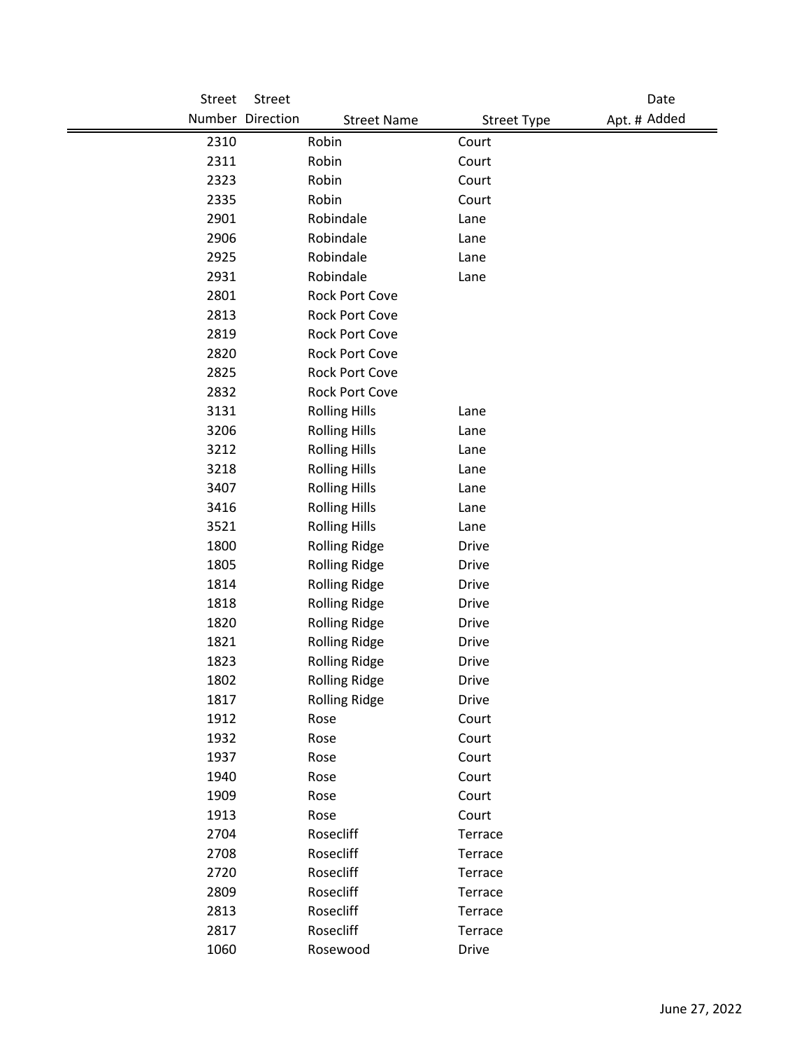| <b>Street</b> | Street               |                      |                    | Date         |
|---------------|----------------------|----------------------|--------------------|--------------|
|               | Number Direction     | <b>Street Name</b>   | <b>Street Type</b> | Apt. # Added |
| 2310          | Robin                |                      | Court              |              |
| 2311          | Robin                |                      | Court              |              |
| 2323          | Robin                |                      | Court              |              |
| 2335          | Robin                |                      | Court              |              |
| 2901          | Robindale            |                      | Lane               |              |
| 2906          | Robindale            |                      | Lane               |              |
| 2925          | Robindale            |                      | Lane               |              |
| 2931          | Robindale            |                      | Lane               |              |
| 2801          |                      | Rock Port Cove       |                    |              |
| 2813          |                      | Rock Port Cove       |                    |              |
| 2819          |                      | Rock Port Cove       |                    |              |
| 2820          |                      | Rock Port Cove       |                    |              |
| 2825          |                      | Rock Port Cove       |                    |              |
| 2832          |                      | Rock Port Cove       |                    |              |
| 3131          | <b>Rolling Hills</b> |                      | Lane               |              |
| 3206          | <b>Rolling Hills</b> |                      | Lane               |              |
| 3212          | <b>Rolling Hills</b> |                      | Lane               |              |
| 3218          | <b>Rolling Hills</b> |                      | Lane               |              |
| 3407          | <b>Rolling Hills</b> |                      | Lane               |              |
| 3416          | <b>Rolling Hills</b> |                      | Lane               |              |
| 3521          | <b>Rolling Hills</b> |                      | Lane               |              |
| 1800          |                      | <b>Rolling Ridge</b> | <b>Drive</b>       |              |
| 1805          |                      | <b>Rolling Ridge</b> | <b>Drive</b>       |              |
| 1814          |                      | <b>Rolling Ridge</b> | <b>Drive</b>       |              |
| 1818          |                      | <b>Rolling Ridge</b> | <b>Drive</b>       |              |
| 1820          |                      | <b>Rolling Ridge</b> | <b>Drive</b>       |              |
| 1821          |                      | <b>Rolling Ridge</b> | <b>Drive</b>       |              |
| 1823          |                      | <b>Rolling Ridge</b> | <b>Drive</b>       |              |
| 1802          |                      | <b>Rolling Ridge</b> | Drive              |              |
| 1817          |                      | <b>Rolling Ridge</b> | Drive              |              |
| 1912          | Rose                 |                      | Court              |              |
| 1932          | Rose                 |                      | Court              |              |
| 1937          | Rose                 |                      | Court              |              |
| 1940          | Rose                 |                      | Court              |              |
| 1909          | Rose                 |                      | Court              |              |
| 1913          | Rose                 |                      | Court              |              |
| 2704          | Rosecliff            |                      | Terrace            |              |
| 2708          | Rosecliff            |                      | Terrace            |              |
| 2720          | Rosecliff            |                      | Terrace            |              |
| 2809          | Rosecliff            |                      | Terrace            |              |
| 2813          | Rosecliff            |                      | Terrace            |              |
| 2817          | Rosecliff            |                      | Terrace            |              |
| 1060          | Rosewood             |                      | Drive              |              |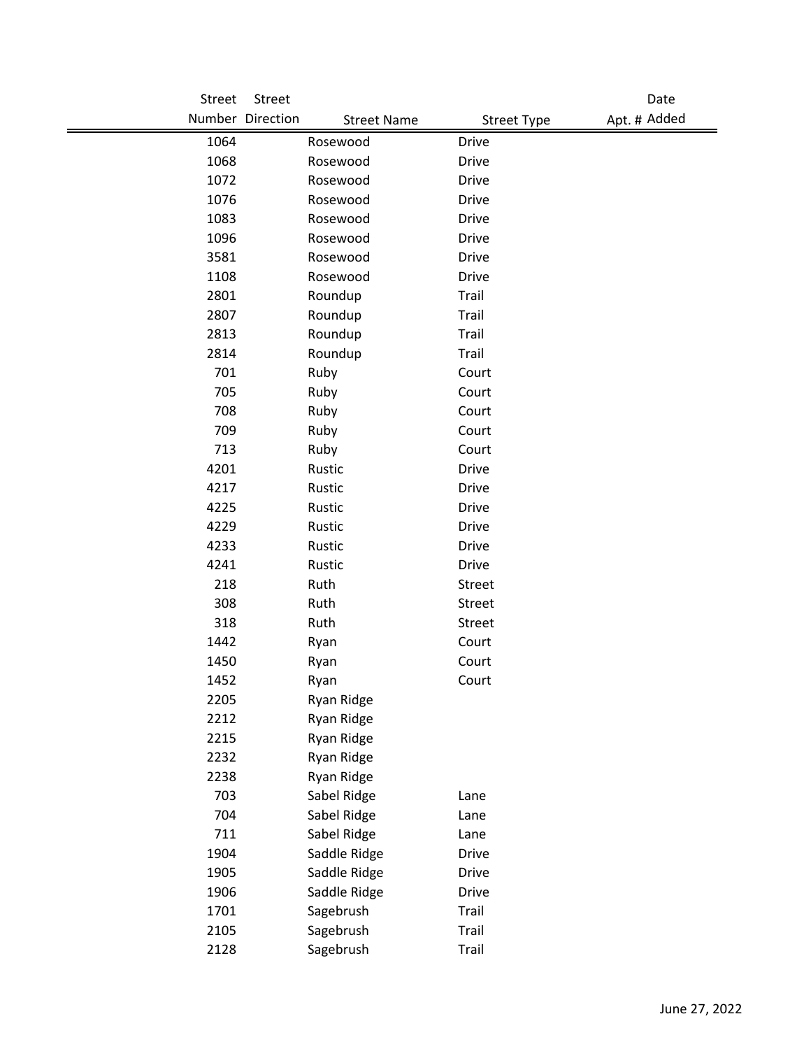| Street | Street           |                                          | Date         |
|--------|------------------|------------------------------------------|--------------|
|        | Number Direction | <b>Street Name</b><br><b>Street Type</b> | Apt. # Added |
| 1064   | Rosewood         | <b>Drive</b>                             |              |
| 1068   | Rosewood         | <b>Drive</b>                             |              |
| 1072   | Rosewood         | <b>Drive</b>                             |              |
| 1076   | Rosewood         | <b>Drive</b>                             |              |
| 1083   | Rosewood         | Drive                                    |              |
| 1096   | Rosewood         | <b>Drive</b>                             |              |
| 3581   | Rosewood         | <b>Drive</b>                             |              |
| 1108   | Rosewood         | <b>Drive</b>                             |              |
| 2801   | Roundup          | Trail                                    |              |
| 2807   | Roundup          | Trail                                    |              |
| 2813   | Roundup          | Trail                                    |              |
| 2814   | Roundup          | Trail                                    |              |
| 701    | Ruby             | Court                                    |              |
| 705    | Ruby             | Court                                    |              |
| 708    | Ruby             | Court                                    |              |
| 709    | Ruby             | Court                                    |              |
| 713    | Ruby             | Court                                    |              |
| 4201   | Rustic           | <b>Drive</b>                             |              |
| 4217   | Rustic           | <b>Drive</b>                             |              |
| 4225   | Rustic           | <b>Drive</b>                             |              |
| 4229   | Rustic           | <b>Drive</b>                             |              |
| 4233   | Rustic           | <b>Drive</b>                             |              |
| 4241   | Rustic           | <b>Drive</b>                             |              |
| 218    | Ruth             | Street                                   |              |
| 308    | Ruth             | Street                                   |              |
| 318    | Ruth             | Street                                   |              |
| 1442   | Ryan             | Court                                    |              |
| 1450   | Ryan             | Court                                    |              |
| 1452   | Ryan             | Court                                    |              |
| 2205   | Ryan Ridge       |                                          |              |
| 2212   | Ryan Ridge       |                                          |              |
| 2215   | Ryan Ridge       |                                          |              |
| 2232   | Ryan Ridge       |                                          |              |
| 2238   | Ryan Ridge       |                                          |              |
| 703    | Sabel Ridge      | Lane                                     |              |
| 704    | Sabel Ridge      | Lane                                     |              |
| 711    | Sabel Ridge      | Lane                                     |              |
| 1904   | Saddle Ridge     | <b>Drive</b>                             |              |
| 1905   | Saddle Ridge     | Drive                                    |              |
| 1906   | Saddle Ridge     | Drive                                    |              |
| 1701   | Sagebrush        | Trail                                    |              |
| 2105   | Sagebrush        | Trail                                    |              |
| 2128   | Sagebrush        | Trail                                    |              |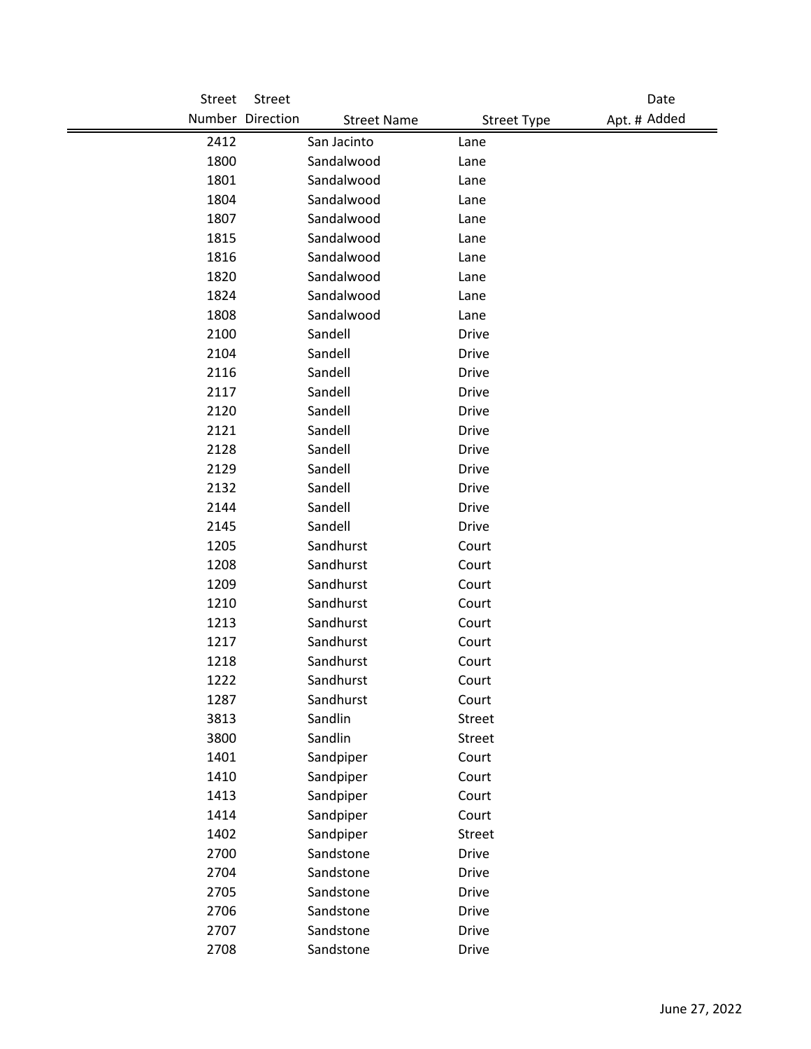| Street | Street           |                    |                                    | Date |
|--------|------------------|--------------------|------------------------------------|------|
|        | Number Direction | <b>Street Name</b> | Apt. # Added<br><b>Street Type</b> |      |
| 2412   | San Jacinto      | Lane               |                                    |      |
| 1800   | Sandalwood       | Lane               |                                    |      |
| 1801   | Sandalwood       | Lane               |                                    |      |
| 1804   | Sandalwood       | Lane               |                                    |      |
| 1807   | Sandalwood       | Lane               |                                    |      |
| 1815   | Sandalwood       | Lane               |                                    |      |
| 1816   | Sandalwood       | Lane               |                                    |      |
| 1820   | Sandalwood       | Lane               |                                    |      |
| 1824   | Sandalwood       | Lane               |                                    |      |
| 1808   | Sandalwood       | Lane               |                                    |      |
| 2100   | Sandell          | <b>Drive</b>       |                                    |      |
| 2104   | Sandell          | Drive              |                                    |      |
| 2116   | Sandell          | <b>Drive</b>       |                                    |      |
| 2117   | Sandell          | <b>Drive</b>       |                                    |      |
| 2120   | Sandell          | <b>Drive</b>       |                                    |      |
| 2121   | Sandell          | <b>Drive</b>       |                                    |      |
| 2128   | Sandell          | <b>Drive</b>       |                                    |      |
| 2129   | Sandell          | <b>Drive</b>       |                                    |      |
| 2132   | Sandell          | <b>Drive</b>       |                                    |      |
| 2144   | Sandell          | <b>Drive</b>       |                                    |      |
| 2145   | Sandell          | <b>Drive</b>       |                                    |      |
| 1205   | Sandhurst        | Court              |                                    |      |
| 1208   | Sandhurst        | Court              |                                    |      |
| 1209   | Sandhurst        | Court              |                                    |      |
| 1210   | Sandhurst        | Court              |                                    |      |
| 1213   | Sandhurst        | Court              |                                    |      |
| 1217   | Sandhurst        | Court              |                                    |      |
| 1218   | Sandhurst        | Court              |                                    |      |
| 1222   | Sandhurst        | Court              |                                    |      |
| 1287   | Sandhurst        | Court              |                                    |      |
| 3813   | Sandlin          | Street             |                                    |      |
| 3800   | Sandlin          | Street             |                                    |      |
| 1401   | Sandpiper        | Court              |                                    |      |
| 1410   | Sandpiper        | Court              |                                    |      |
| 1413   | Sandpiper        | Court              |                                    |      |
| 1414   | Sandpiper        | Court              |                                    |      |
| 1402   | Sandpiper        | Street             |                                    |      |
| 2700   | Sandstone        | <b>Drive</b>       |                                    |      |
| 2704   | Sandstone        | <b>Drive</b>       |                                    |      |
| 2705   | Sandstone        | <b>Drive</b>       |                                    |      |
| 2706   | Sandstone        | <b>Drive</b>       |                                    |      |
| 2707   | Sandstone        | <b>Drive</b>       |                                    |      |
| 2708   | Sandstone        | Drive              |                                    |      |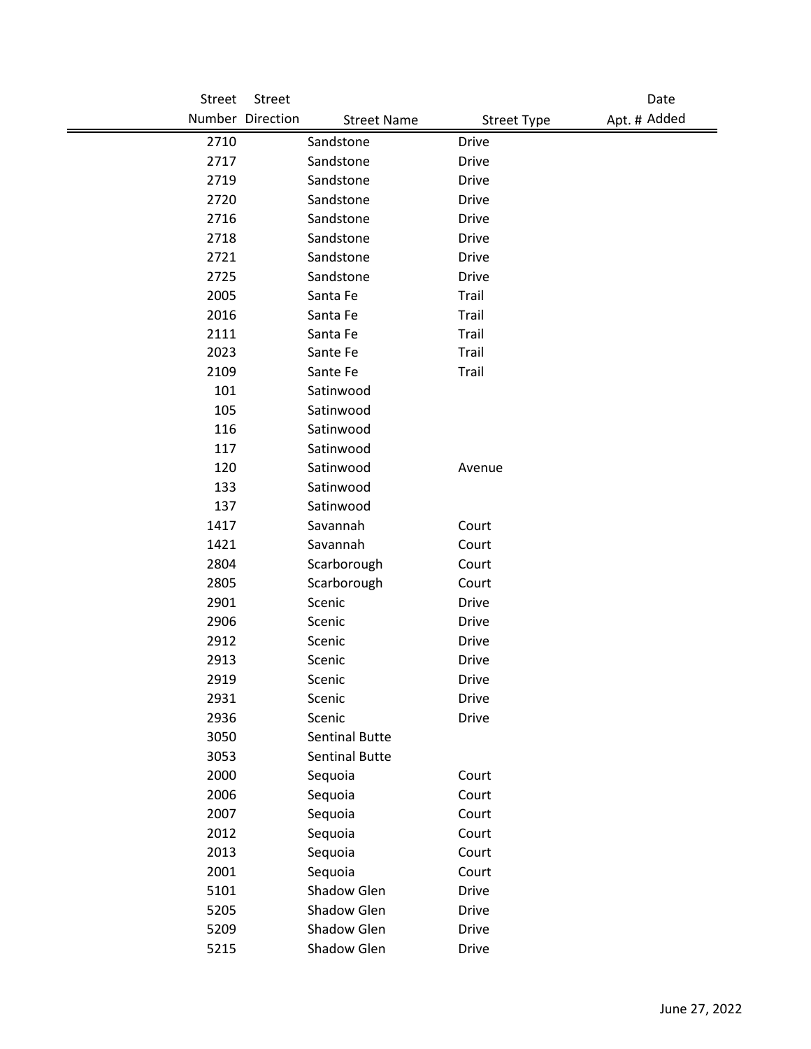| Street | Street                                 |                    | Date         |
|--------|----------------------------------------|--------------------|--------------|
|        | Number Direction<br><b>Street Name</b> | <b>Street Type</b> | Apt. # Added |
| 2710   | Sandstone                              | <b>Drive</b>       |              |
| 2717   | Sandstone                              | <b>Drive</b>       |              |
| 2719   | Sandstone                              | <b>Drive</b>       |              |
| 2720   | Sandstone                              | <b>Drive</b>       |              |
| 2716   | Sandstone                              | <b>Drive</b>       |              |
| 2718   | Sandstone                              | <b>Drive</b>       |              |
| 2721   | Sandstone                              | <b>Drive</b>       |              |
| 2725   | Sandstone                              | <b>Drive</b>       |              |
| 2005   | Santa Fe                               | Trail              |              |
| 2016   | Santa Fe                               | Trail              |              |
| 2111   | Santa Fe                               | Trail              |              |
| 2023   | Sante Fe                               | Trail              |              |
| 2109   | Sante Fe                               | Trail              |              |
| 101    | Satinwood                              |                    |              |
| 105    | Satinwood                              |                    |              |
| 116    | Satinwood                              |                    |              |
| 117    | Satinwood                              |                    |              |
| 120    | Satinwood                              | Avenue             |              |
| 133    | Satinwood                              |                    |              |
| 137    | Satinwood                              |                    |              |
| 1417   | Savannah                               | Court              |              |
| 1421   | Savannah                               | Court              |              |
| 2804   | Scarborough                            | Court              |              |
| 2805   | Scarborough                            | Court              |              |
| 2901   | Scenic                                 | <b>Drive</b>       |              |
| 2906   | Scenic                                 | <b>Drive</b>       |              |
| 2912   | Scenic                                 | <b>Drive</b>       |              |
| 2913   | Scenic                                 | <b>Drive</b>       |              |
| 2919   | Scenic                                 | <b>Drive</b>       |              |
| 2931   | Scenic                                 | <b>Drive</b>       |              |
| 2936   | Scenic                                 | <b>Drive</b>       |              |
| 3050   | <b>Sentinal Butte</b>                  |                    |              |
| 3053   | <b>Sentinal Butte</b>                  |                    |              |
| 2000   | Sequoia                                | Court              |              |
| 2006   | Sequoia                                | Court              |              |
| 2007   | Sequoia                                | Court              |              |
| 2012   | Sequoia                                | Court              |              |
| 2013   | Sequoia                                | Court              |              |
| 2001   | Sequoia                                | Court              |              |
| 5101   | Shadow Glen                            | <b>Drive</b>       |              |
| 5205   | Shadow Glen                            | <b>Drive</b>       |              |
| 5209   | Shadow Glen                            | Drive              |              |
| 5215   | Shadow Glen                            | <b>Drive</b>       |              |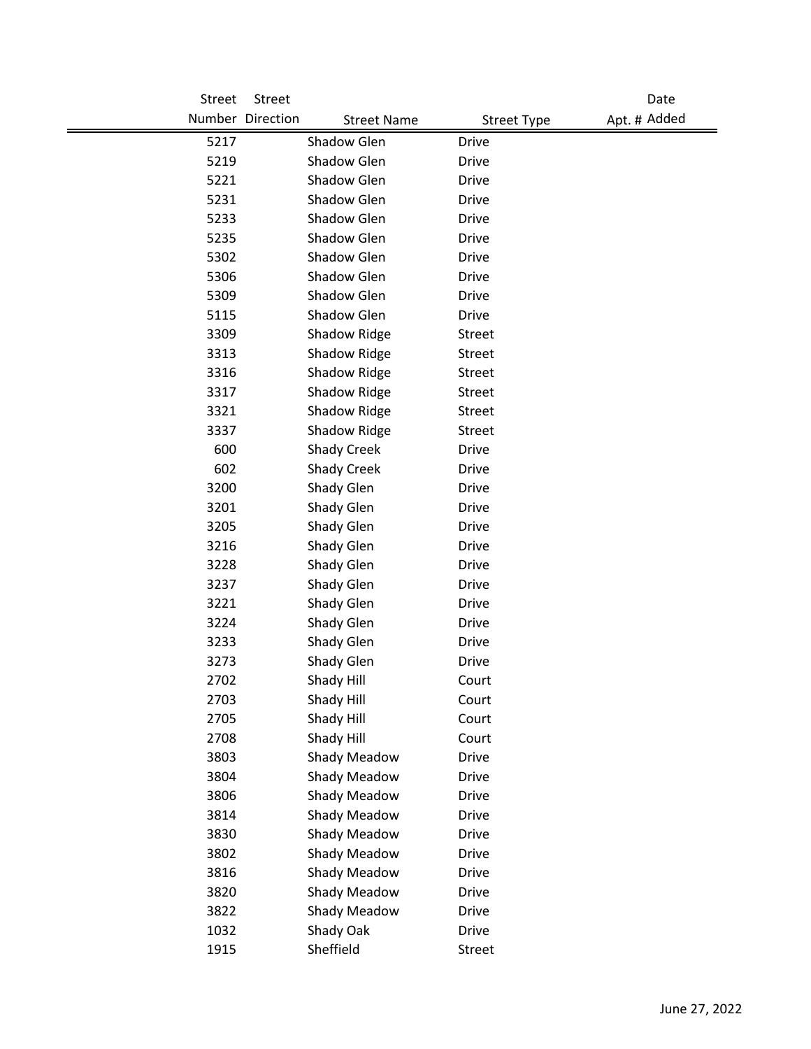| Street       | Street           |                                            |                              | Date         |
|--------------|------------------|--------------------------------------------|------------------------------|--------------|
|              | Number Direction | <b>Street Name</b>                         | <b>Street Type</b>           | Apt. # Added |
| 5217         |                  | Shadow Glen                                | <b>Drive</b>                 |              |
| 5219         |                  | Shadow Glen                                | <b>Drive</b>                 |              |
| 5221         |                  | Shadow Glen                                | <b>Drive</b>                 |              |
| 5231         |                  | Shadow Glen                                | <b>Drive</b>                 |              |
| 5233         |                  | Shadow Glen                                | <b>Drive</b>                 |              |
| 5235         |                  | Shadow Glen                                | <b>Drive</b>                 |              |
| 5302         |                  | Shadow Glen                                | <b>Drive</b>                 |              |
| 5306         |                  | Shadow Glen                                | <b>Drive</b>                 |              |
| 5309         |                  | Shadow Glen                                | <b>Drive</b>                 |              |
| 5115         |                  | Shadow Glen                                | <b>Drive</b>                 |              |
| 3309         |                  | Shadow Ridge                               | <b>Street</b>                |              |
| 3313         |                  | Shadow Ridge                               | <b>Street</b>                |              |
| 3316         |                  | Shadow Ridge                               | <b>Street</b>                |              |
| 3317         |                  | Shadow Ridge                               | <b>Street</b>                |              |
| 3321         |                  | Shadow Ridge                               | Street                       |              |
| 3337         |                  | Shadow Ridge                               | <b>Street</b>                |              |
| 600          |                  | <b>Shady Creek</b>                         | <b>Drive</b>                 |              |
| 602          |                  | <b>Shady Creek</b>                         | <b>Drive</b>                 |              |
| 3200         |                  | Shady Glen                                 | <b>Drive</b>                 |              |
| 3201         |                  | Shady Glen                                 | <b>Drive</b>                 |              |
| 3205         |                  | Shady Glen                                 | <b>Drive</b>                 |              |
| 3216         |                  | Shady Glen                                 | <b>Drive</b>                 |              |
| 3228         |                  | Shady Glen                                 | <b>Drive</b>                 |              |
| 3237         |                  | Shady Glen                                 | <b>Drive</b>                 |              |
| 3221         |                  | Shady Glen                                 | <b>Drive</b>                 |              |
| 3224         |                  | Shady Glen                                 | <b>Drive</b>                 |              |
| 3233         |                  | Shady Glen                                 | <b>Drive</b>                 |              |
| 3273         |                  | Shady Glen                                 | <b>Drive</b>                 |              |
| 2702         |                  | Shady Hill                                 | Court                        |              |
| 2703         |                  | Shady Hill                                 | Court                        |              |
| 2705         |                  | Shady Hill                                 | Court                        |              |
| 2708         |                  | Shady Hill                                 | Court                        |              |
| 3803         |                  | Shady Meadow                               | <b>Drive</b>                 |              |
| 3804<br>3806 |                  | <b>Shady Meadow</b><br><b>Shady Meadow</b> | <b>Drive</b><br><b>Drive</b> |              |
|              |                  | <b>Shady Meadow</b>                        | <b>Drive</b>                 |              |
| 3814<br>3830 |                  | <b>Shady Meadow</b>                        | <b>Drive</b>                 |              |
| 3802         |                  | Shady Meadow                               | <b>Drive</b>                 |              |
| 3816         |                  | Shady Meadow                               | <b>Drive</b>                 |              |
| 3820         |                  | Shady Meadow                               | <b>Drive</b>                 |              |
| 3822         |                  | Shady Meadow                               | <b>Drive</b>                 |              |
| 1032         |                  | Shady Oak                                  | <b>Drive</b>                 |              |
| 1915         |                  | Sheffield                                  | Street                       |              |
|              |                  |                                            |                              |              |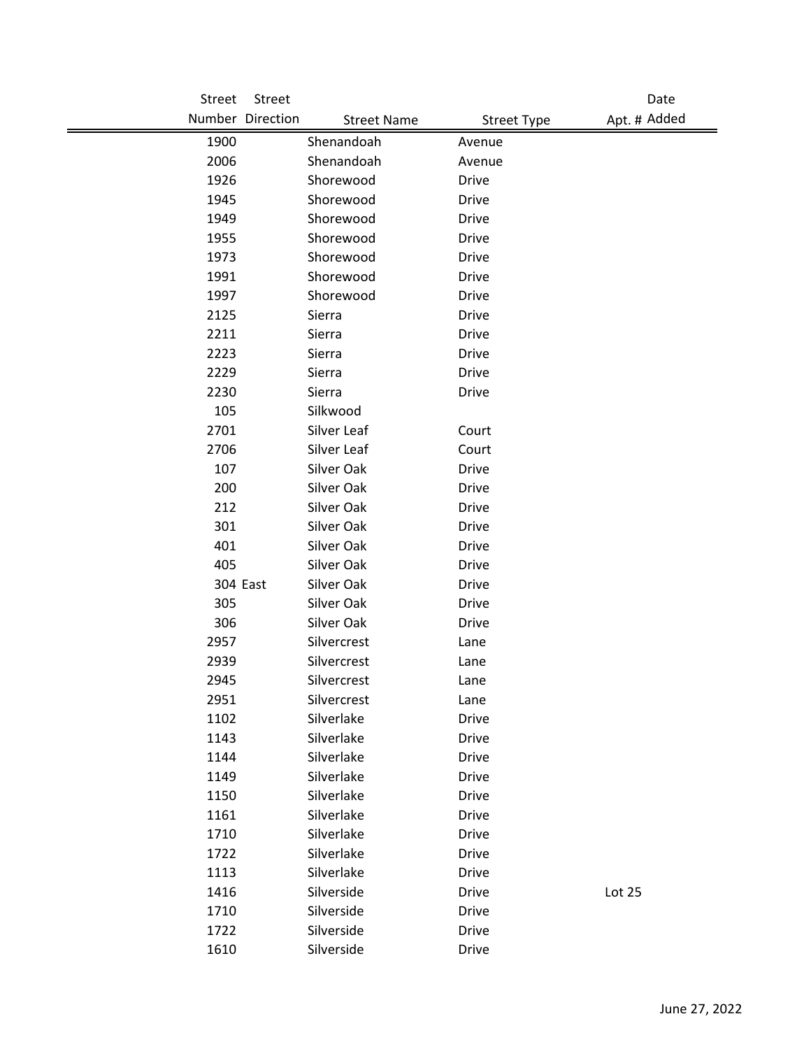| Street   | Street                                 |                    | Date         |
|----------|----------------------------------------|--------------------|--------------|
|          | Number Direction<br><b>Street Name</b> | <b>Street Type</b> | Apt. # Added |
| 1900     | Shenandoah                             | Avenue             |              |
| 2006     | Shenandoah                             | Avenue             |              |
| 1926     | Shorewood                              | <b>Drive</b>       |              |
| 1945     | Shorewood                              | <b>Drive</b>       |              |
| 1949     | Shorewood                              | <b>Drive</b>       |              |
| 1955     | Shorewood                              | <b>Drive</b>       |              |
| 1973     | Shorewood                              | <b>Drive</b>       |              |
| 1991     | Shorewood                              | <b>Drive</b>       |              |
| 1997     | Shorewood                              | <b>Drive</b>       |              |
| 2125     | Sierra                                 | <b>Drive</b>       |              |
| 2211     | Sierra                                 | <b>Drive</b>       |              |
| 2223     | Sierra                                 | <b>Drive</b>       |              |
| 2229     | Sierra                                 | <b>Drive</b>       |              |
| 2230     | Sierra                                 | <b>Drive</b>       |              |
| 105      | Silkwood                               |                    |              |
| 2701     | Silver Leaf                            | Court              |              |
| 2706     | Silver Leaf                            | Court              |              |
| 107      | Silver Oak                             | <b>Drive</b>       |              |
| 200      | Silver Oak                             | <b>Drive</b>       |              |
| 212      | Silver Oak                             | <b>Drive</b>       |              |
| 301      | Silver Oak                             | <b>Drive</b>       |              |
| 401      | Silver Oak                             | <b>Drive</b>       |              |
| 405      | Silver Oak                             | <b>Drive</b>       |              |
| 304 East | Silver Oak                             | Drive              |              |
| 305      | Silver Oak                             | <b>Drive</b>       |              |
| 306      | Silver Oak                             | <b>Drive</b>       |              |
| 2957     | Silvercrest                            | Lane               |              |
| 2939     | Silvercrest                            | Lane               |              |
| 2945     | Silvercrest                            | Lane               |              |
| 2951     | Silvercrest                            | Lane               |              |
| 1102     | Silverlake                             | <b>Drive</b>       |              |
| 1143     | Silverlake                             | <b>Drive</b>       |              |
| 1144     | Silverlake                             | <b>Drive</b>       |              |
| 1149     | Silverlake                             | <b>Drive</b>       |              |
| 1150     | Silverlake                             | <b>Drive</b>       |              |
| 1161     | Silverlake                             | <b>Drive</b>       |              |
| 1710     | Silverlake                             | <b>Drive</b>       |              |
| 1722     | Silverlake                             | <b>Drive</b>       |              |
| 1113     | Silverlake                             | <b>Drive</b>       |              |
| 1416     | Silverside                             | Drive              | Lot 25       |
| 1710     | Silverside                             | <b>Drive</b>       |              |
| 1722     | Silverside                             | <b>Drive</b>       |              |
| 1610     | Silverside                             | Drive              |              |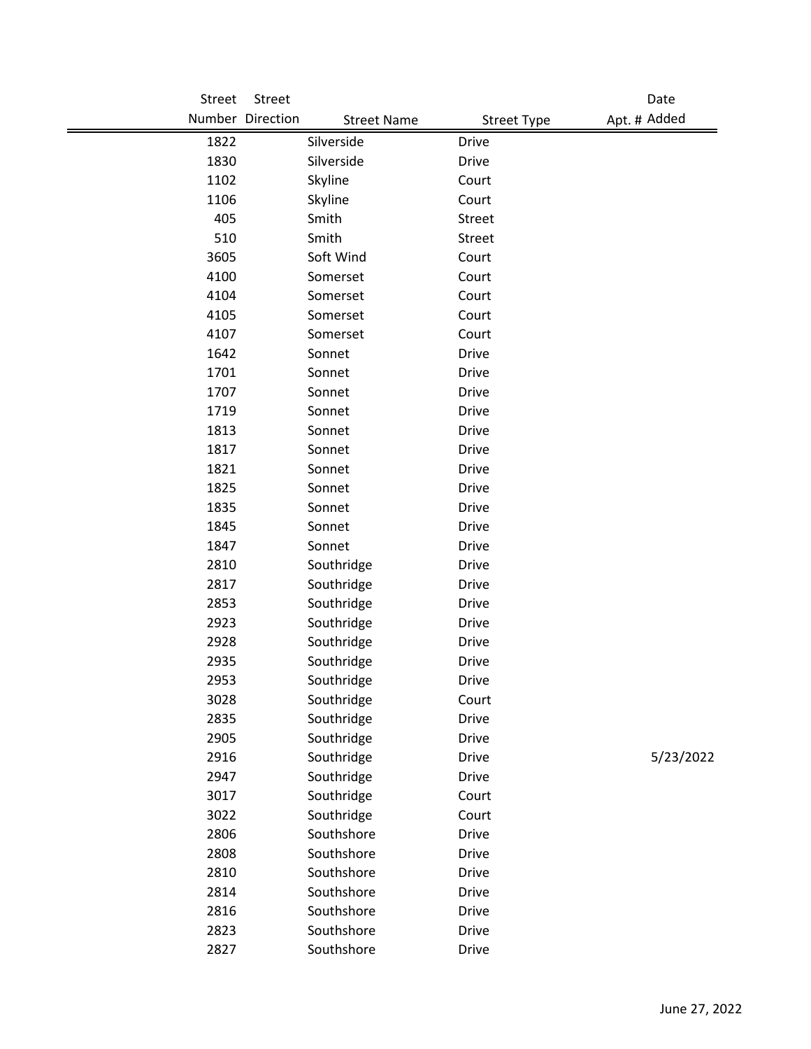| Street | Street           |                    |                    | Date         |  |
|--------|------------------|--------------------|--------------------|--------------|--|
|        | Number Direction | <b>Street Name</b> | <b>Street Type</b> | Apt. # Added |  |
| 1822   | Silverside       |                    | <b>Drive</b>       |              |  |
| 1830   | Silverside       |                    | <b>Drive</b>       |              |  |
| 1102   | Skyline          |                    | Court              |              |  |
| 1106   | Skyline          |                    | Court              |              |  |
| 405    | Smith            |                    | <b>Street</b>      |              |  |
| 510    | Smith            |                    | Street             |              |  |
| 3605   | Soft Wind        |                    | Court              |              |  |
| 4100   | Somerset         |                    | Court              |              |  |
| 4104   | Somerset         |                    | Court              |              |  |
| 4105   | Somerset         |                    | Court              |              |  |
| 4107   | Somerset         |                    | Court              |              |  |
| 1642   | Sonnet           |                    | <b>Drive</b>       |              |  |
| 1701   | Sonnet           |                    | <b>Drive</b>       |              |  |
| 1707   | Sonnet           |                    | <b>Drive</b>       |              |  |
| 1719   | Sonnet           |                    | <b>Drive</b>       |              |  |
| 1813   | Sonnet           |                    | <b>Drive</b>       |              |  |
| 1817   | Sonnet           |                    | <b>Drive</b>       |              |  |
| 1821   | Sonnet           |                    | <b>Drive</b>       |              |  |
| 1825   | Sonnet           |                    | <b>Drive</b>       |              |  |
| 1835   | Sonnet           |                    | <b>Drive</b>       |              |  |
| 1845   | Sonnet           |                    | <b>Drive</b>       |              |  |
| 1847   | Sonnet           |                    | <b>Drive</b>       |              |  |
| 2810   |                  | Southridge         | <b>Drive</b>       |              |  |
| 2817   |                  | Southridge         | Drive              |              |  |
| 2853   |                  | Southridge         | <b>Drive</b>       |              |  |
| 2923   |                  | Southridge         | <b>Drive</b>       |              |  |
| 2928   |                  | Southridge         | <b>Drive</b>       |              |  |
| 2935   |                  | Southridge         | <b>Drive</b>       |              |  |
| 2953   |                  | Southridge         | Drive              |              |  |
| 3028   |                  | Southridge         | Court              |              |  |
| 2835   |                  | Southridge         | Drive              |              |  |
| 2905   |                  | Southridge         | <b>Drive</b>       |              |  |
| 2916   |                  | Southridge         | <b>Drive</b>       | 5/23/2022    |  |
| 2947   |                  | Southridge         | <b>Drive</b>       |              |  |
| 3017   |                  | Southridge         | Court              |              |  |
| 3022   |                  | Southridge         | Court              |              |  |
| 2806   |                  | Southshore         | <b>Drive</b>       |              |  |
| 2808   |                  | Southshore         | Drive              |              |  |
| 2810   |                  | Southshore         | <b>Drive</b>       |              |  |
| 2814   |                  | Southshore         | <b>Drive</b>       |              |  |
| 2816   |                  | Southshore         | <b>Drive</b>       |              |  |
| 2823   |                  | Southshore         | <b>Drive</b>       |              |  |
| 2827   |                  | Southshore         | Drive              |              |  |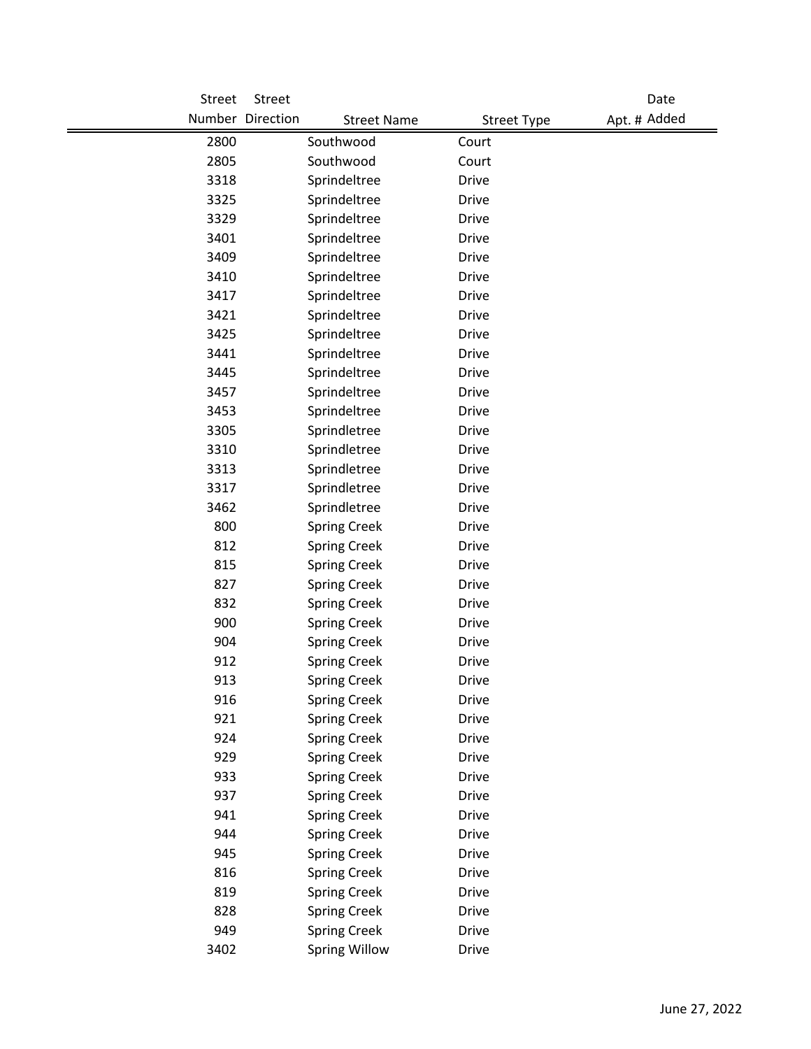| Street     | Street           |                                            |                              | Date         |
|------------|------------------|--------------------------------------------|------------------------------|--------------|
|            | Number Direction | <b>Street Name</b>                         | <b>Street Type</b>           | Apt. # Added |
| 2800       |                  | Southwood                                  | Court                        |              |
| 2805       |                  | Southwood                                  | Court                        |              |
| 3318       |                  | Sprindeltree                               | <b>Drive</b>                 |              |
| 3325       |                  | Sprindeltree                               | <b>Drive</b>                 |              |
| 3329       |                  | Sprindeltree                               | <b>Drive</b>                 |              |
| 3401       |                  | Sprindeltree                               | <b>Drive</b>                 |              |
| 3409       |                  | Sprindeltree                               | <b>Drive</b>                 |              |
| 3410       |                  | Sprindeltree                               | <b>Drive</b>                 |              |
| 3417       |                  | Sprindeltree                               | <b>Drive</b>                 |              |
| 3421       |                  | Sprindeltree                               | <b>Drive</b>                 |              |
| 3425       |                  | Sprindeltree                               | <b>Drive</b>                 |              |
| 3441       |                  | Sprindeltree                               | <b>Drive</b>                 |              |
| 3445       |                  | Sprindeltree                               | <b>Drive</b>                 |              |
| 3457       |                  | Sprindeltree                               | <b>Drive</b>                 |              |
| 3453       |                  | Sprindeltree                               | <b>Drive</b>                 |              |
| 3305       |                  | Sprindletree                               | <b>Drive</b>                 |              |
| 3310       |                  | Sprindletree                               | <b>Drive</b>                 |              |
| 3313       |                  | Sprindletree                               | <b>Drive</b>                 |              |
| 3317       |                  | Sprindletree                               | <b>Drive</b>                 |              |
| 3462       |                  | Sprindletree                               | <b>Drive</b>                 |              |
| 800        |                  | <b>Spring Creek</b>                        | <b>Drive</b>                 |              |
| 812        |                  | <b>Spring Creek</b>                        | <b>Drive</b>                 |              |
| 815        |                  | <b>Spring Creek</b>                        | <b>Drive</b>                 |              |
| 827        |                  | <b>Spring Creek</b>                        | <b>Drive</b>                 |              |
| 832        |                  | <b>Spring Creek</b>                        | <b>Drive</b>                 |              |
| 900        |                  | <b>Spring Creek</b>                        | <b>Drive</b>                 |              |
| 904        |                  | <b>Spring Creek</b>                        | <b>Drive</b>                 |              |
| 912        |                  | <b>Spring Creek</b>                        | <b>Drive</b>                 |              |
| 913        |                  | <b>Spring Creek</b>                        | Drive                        |              |
| 916        |                  | <b>Spring Creek</b>                        | <b>Drive</b>                 |              |
| 921<br>924 |                  | <b>Spring Creek</b>                        | <b>Drive</b>                 |              |
| 929        |                  | <b>Spring Creek</b>                        | <b>Drive</b><br><b>Drive</b> |              |
| 933        |                  | <b>Spring Creek</b><br><b>Spring Creek</b> | <b>Drive</b>                 |              |
| 937        |                  | <b>Spring Creek</b>                        | <b>Drive</b>                 |              |
| 941        |                  | <b>Spring Creek</b>                        | <b>Drive</b>                 |              |
| 944        |                  | <b>Spring Creek</b>                        | <b>Drive</b>                 |              |
| 945        |                  | <b>Spring Creek</b>                        | <b>Drive</b>                 |              |
| 816        |                  | <b>Spring Creek</b>                        | <b>Drive</b>                 |              |
| 819        |                  | <b>Spring Creek</b>                        | <b>Drive</b>                 |              |
| 828        |                  | <b>Spring Creek</b>                        | <b>Drive</b>                 |              |
| 949        |                  | <b>Spring Creek</b>                        | <b>Drive</b>                 |              |
| 3402       |                  | <b>Spring Willow</b>                       | <b>Drive</b>                 |              |
|            |                  |                                            |                              |              |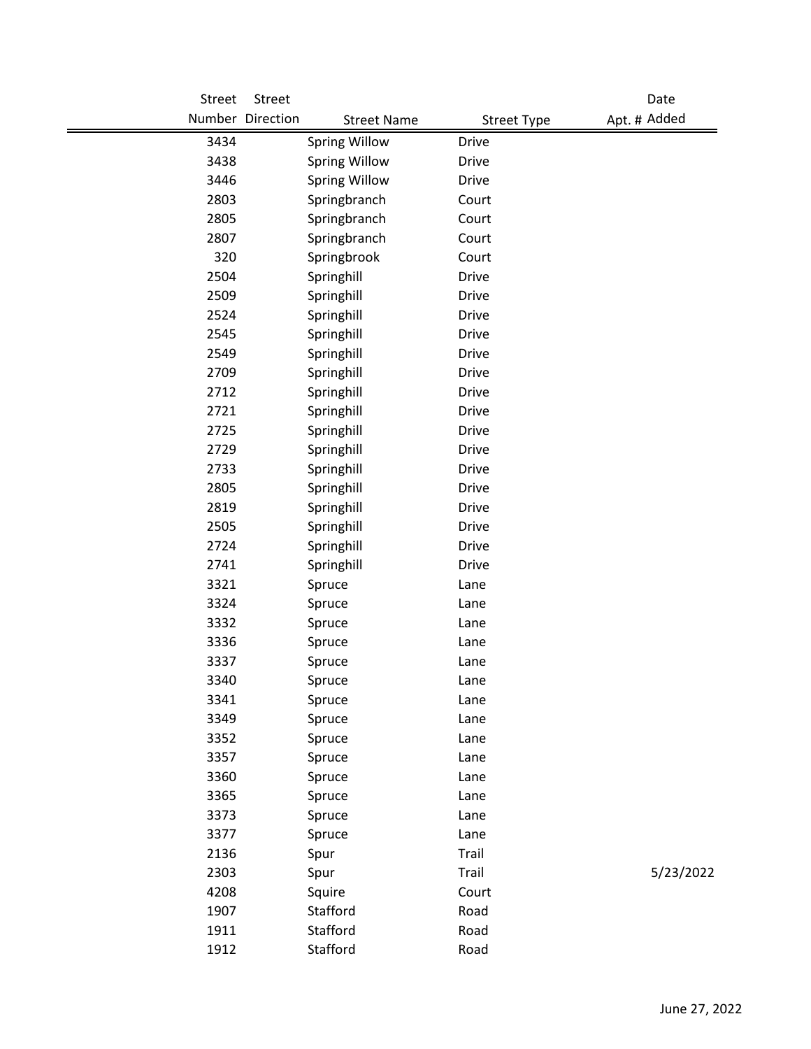| Street | Street           |                      |                    | Date         |
|--------|------------------|----------------------|--------------------|--------------|
|        | Number Direction | <b>Street Name</b>   | <b>Street Type</b> | Apt. # Added |
| 3434   |                  | <b>Spring Willow</b> | <b>Drive</b>       |              |
| 3438   |                  | <b>Spring Willow</b> | <b>Drive</b>       |              |
| 3446   |                  | <b>Spring Willow</b> | <b>Drive</b>       |              |
| 2803   |                  | Springbranch         | Court              |              |
| 2805   |                  | Springbranch         | Court              |              |
| 2807   |                  | Springbranch         | Court              |              |
| 320    |                  | Springbrook          | Court              |              |
| 2504   |                  | Springhill           | <b>Drive</b>       |              |
| 2509   |                  | Springhill           | <b>Drive</b>       |              |
| 2524   |                  | Springhill           | <b>Drive</b>       |              |
| 2545   |                  | Springhill           | <b>Drive</b>       |              |
| 2549   |                  | Springhill           | <b>Drive</b>       |              |
| 2709   |                  | Springhill           | <b>Drive</b>       |              |
| 2712   |                  | Springhill           | <b>Drive</b>       |              |
| 2721   |                  | Springhill           | <b>Drive</b>       |              |
| 2725   |                  | Springhill           | <b>Drive</b>       |              |
| 2729   |                  | Springhill           | <b>Drive</b>       |              |
| 2733   |                  | Springhill           | <b>Drive</b>       |              |
| 2805   |                  | Springhill           | Drive              |              |
| 2819   |                  | Springhill           | <b>Drive</b>       |              |
| 2505   |                  | Springhill           | <b>Drive</b>       |              |
| 2724   |                  | Springhill           | <b>Drive</b>       |              |
| 2741   |                  | Springhill           | <b>Drive</b>       |              |
| 3321   |                  | Spruce               | Lane               |              |
| 3324   |                  | Spruce               | Lane               |              |
| 3332   |                  | Spruce               | Lane               |              |
| 3336   |                  | Spruce               | Lane               |              |
| 3337   |                  | Spruce               | Lane               |              |
| 3340   |                  | Spruce               | Lane               |              |
| 3341   |                  | Spruce               | Lane               |              |
| 3349   |                  | Spruce               | Lane               |              |
| 3352   |                  | Spruce               | Lane               |              |
| 3357   |                  | Spruce               | Lane               |              |
| 3360   |                  | Spruce               | Lane               |              |
| 3365   |                  | Spruce               | Lane               |              |
| 3373   |                  | Spruce               | Lane               |              |
| 3377   |                  | Spruce               | Lane               |              |
| 2136   |                  | Spur                 | Trail              |              |
| 2303   |                  | Spur                 | Trail              | 5/23/2022    |
| 4208   |                  | Squire               | Court              |              |
| 1907   |                  | Stafford             | Road               |              |
| 1911   |                  | Stafford             | Road               |              |
| 1912   |                  | Stafford             | Road               |              |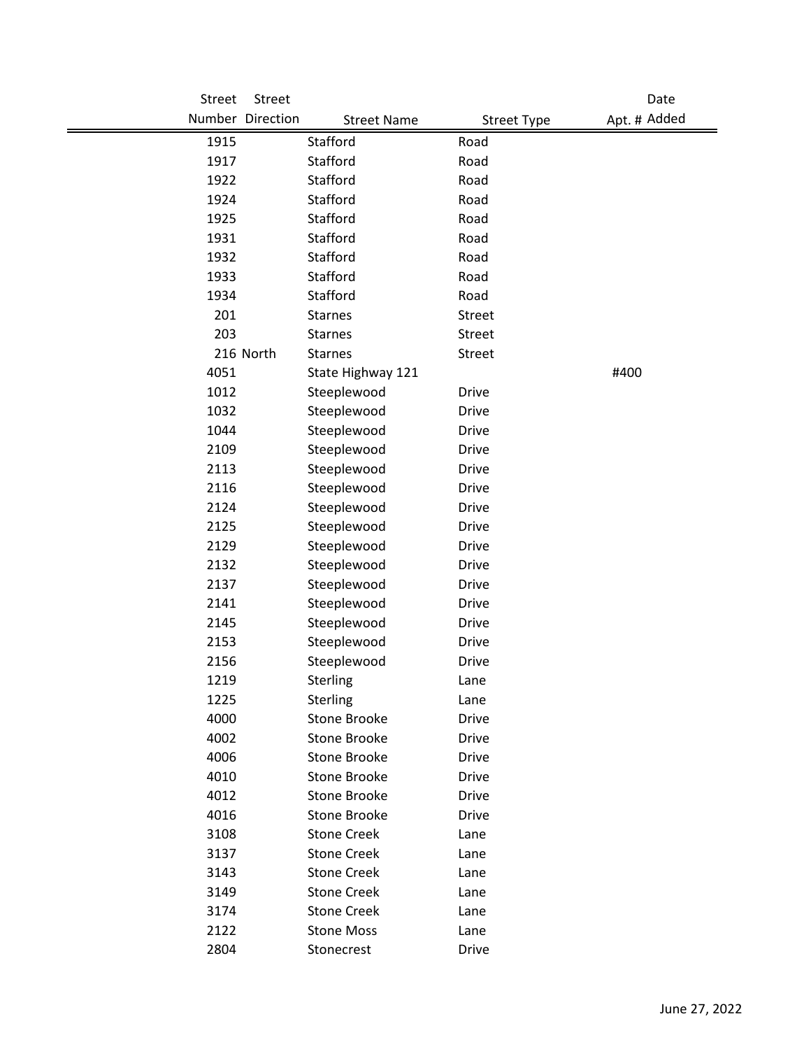| Street       | Street           |                                            |                              | Date         |
|--------------|------------------|--------------------------------------------|------------------------------|--------------|
|              | Number Direction | <b>Street Name</b>                         | <b>Street Type</b>           | Apt. # Added |
| 1915         |                  | Stafford                                   | Road                         |              |
| 1917         |                  | Stafford                                   | Road                         |              |
| 1922         |                  | Stafford                                   | Road                         |              |
| 1924         |                  | Stafford                                   | Road                         |              |
| 1925         |                  | Stafford                                   | Road                         |              |
| 1931         |                  | Stafford                                   | Road                         |              |
| 1932         |                  | Stafford                                   | Road                         |              |
| 1933         |                  | Stafford                                   | Road                         |              |
| 1934         |                  | Stafford                                   | Road                         |              |
| 201          |                  | <b>Starnes</b>                             | <b>Street</b>                |              |
| 203          |                  | <b>Starnes</b>                             | <b>Street</b>                |              |
|              | 216 North        | <b>Starnes</b>                             | <b>Street</b>                |              |
| 4051         |                  | State Highway 121                          |                              | #400         |
| 1012         |                  | Steeplewood                                | <b>Drive</b>                 |              |
| 1032         |                  | Steeplewood                                | <b>Drive</b>                 |              |
| 1044         |                  | Steeplewood                                | <b>Drive</b>                 |              |
| 2109         |                  | Steeplewood                                | <b>Drive</b>                 |              |
| 2113         |                  | Steeplewood                                | Drive                        |              |
| 2116         |                  | Steeplewood                                | <b>Drive</b>                 |              |
| 2124         |                  | Steeplewood                                | <b>Drive</b>                 |              |
| 2125         |                  | Steeplewood                                | <b>Drive</b>                 |              |
| 2129         |                  | Steeplewood                                | <b>Drive</b>                 |              |
| 2132         |                  | Steeplewood                                | Drive                        |              |
| 2137         |                  | Steeplewood                                | <b>Drive</b>                 |              |
| 2141         |                  | Steeplewood                                | <b>Drive</b>                 |              |
| 2145         |                  | Steeplewood                                | <b>Drive</b>                 |              |
| 2153         |                  | Steeplewood                                | <b>Drive</b>                 |              |
| 2156         |                  | Steeplewood                                | <b>Drive</b>                 |              |
| 1219         |                  | Sterling                                   | Lane                         |              |
| 1225         |                  | Sterling                                   | Lane                         |              |
| 4000         |                  | <b>Stone Brooke</b>                        | Drive                        |              |
| 4002         |                  | <b>Stone Brooke</b>                        | <b>Drive</b>                 |              |
| 4006         |                  | <b>Stone Brooke</b><br><b>Stone Brooke</b> | <b>Drive</b>                 |              |
| 4010<br>4012 |                  | Stone Brooke                               | <b>Drive</b><br><b>Drive</b> |              |
| 4016         |                  | Stone Brooke                               | Drive                        |              |
| 3108         |                  | <b>Stone Creek</b>                         |                              |              |
| 3137         |                  | <b>Stone Creek</b>                         | Lane<br>Lane                 |              |
| 3143         |                  | <b>Stone Creek</b>                         | Lane                         |              |
| 3149         |                  | <b>Stone Creek</b>                         | Lane                         |              |
| 3174         |                  | <b>Stone Creek</b>                         | Lane                         |              |
| 2122         |                  | <b>Stone Moss</b>                          | Lane                         |              |
| 2804         |                  | Stonecrest                                 | Drive                        |              |
|              |                  |                                            |                              |              |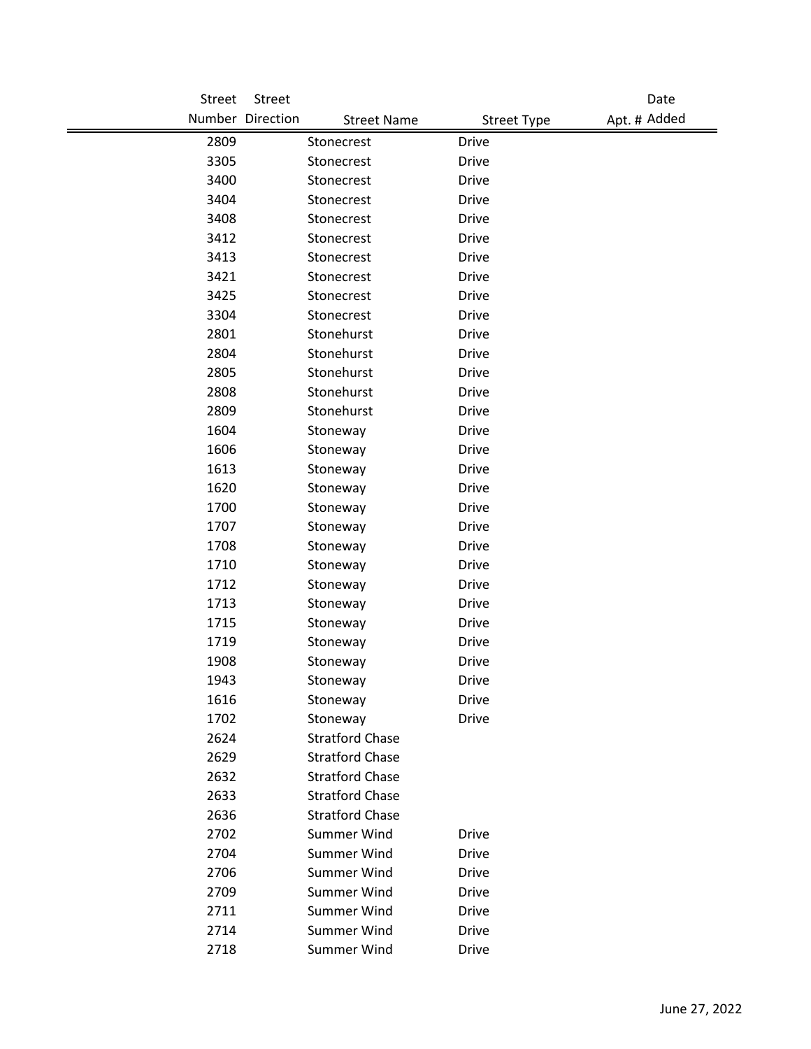| Street       | Street                                   |                                          | Date         |
|--------------|------------------------------------------|------------------------------------------|--------------|
|              | Number Direction                         | <b>Street Name</b><br><b>Street Type</b> | Apt. # Added |
| 2809         | Stonecrest                               | <b>Drive</b>                             |              |
| 3305         | Stonecrest                               | <b>Drive</b>                             |              |
| 3400         | Stonecrest                               | <b>Drive</b>                             |              |
| 3404         | Stonecrest                               | <b>Drive</b>                             |              |
| 3408         | Stonecrest                               | <b>Drive</b>                             |              |
| 3412         | Stonecrest                               | <b>Drive</b>                             |              |
| 3413         | Stonecrest                               | <b>Drive</b>                             |              |
| 3421         | Stonecrest                               | <b>Drive</b>                             |              |
| 3425         | Stonecrest                               | <b>Drive</b>                             |              |
| 3304         | Stonecrest                               | <b>Drive</b>                             |              |
| 2801         | Stonehurst                               | <b>Drive</b>                             |              |
| 2804         | Stonehurst                               | <b>Drive</b>                             |              |
| 2805         | Stonehurst                               | <b>Drive</b>                             |              |
| 2808         | Stonehurst                               | <b>Drive</b>                             |              |
| 2809         | Stonehurst                               | <b>Drive</b>                             |              |
| 1604         | Stoneway                                 | <b>Drive</b>                             |              |
| 1606         | Stoneway                                 | <b>Drive</b>                             |              |
| 1613         | Stoneway                                 | <b>Drive</b>                             |              |
| 1620         | Stoneway                                 | <b>Drive</b>                             |              |
| 1700         | Stoneway                                 | <b>Drive</b>                             |              |
| 1707         | Stoneway                                 | <b>Drive</b>                             |              |
| 1708         | Stoneway                                 | <b>Drive</b>                             |              |
| 1710         | Stoneway                                 | <b>Drive</b>                             |              |
| 1712         | Stoneway                                 | <b>Drive</b>                             |              |
| 1713         | Stoneway                                 | <b>Drive</b>                             |              |
| 1715         | Stoneway                                 | <b>Drive</b>                             |              |
| 1719         | Stoneway                                 | <b>Drive</b>                             |              |
| 1908         | Stoneway                                 | <b>Drive</b>                             |              |
| 1943         | Stoneway                                 | <b>Drive</b>                             |              |
| 1616         | Stoneway                                 | <b>Drive</b>                             |              |
| 1702         | Stoneway                                 | <b>Drive</b>                             |              |
| 2624         | <b>Stratford Chase</b>                   |                                          |              |
| 2629         | <b>Stratford Chase</b>                   |                                          |              |
| 2632         | <b>Stratford Chase</b>                   |                                          |              |
| 2633         | <b>Stratford Chase</b>                   |                                          |              |
| 2636         | <b>Stratford Chase</b>                   |                                          |              |
| 2702         | <b>Summer Wind</b><br><b>Summer Wind</b> | <b>Drive</b>                             |              |
| 2704         |                                          | <b>Drive</b>                             |              |
| 2706         | <b>Summer Wind</b>                       | <b>Drive</b>                             |              |
| 2709         | <b>Summer Wind</b>                       | <b>Drive</b>                             |              |
| 2711<br>2714 | <b>Summer Wind</b><br><b>Summer Wind</b> | <b>Drive</b><br><b>Drive</b>             |              |
|              |                                          |                                          |              |
| 2718         | Summer Wind                              | Drive                                    |              |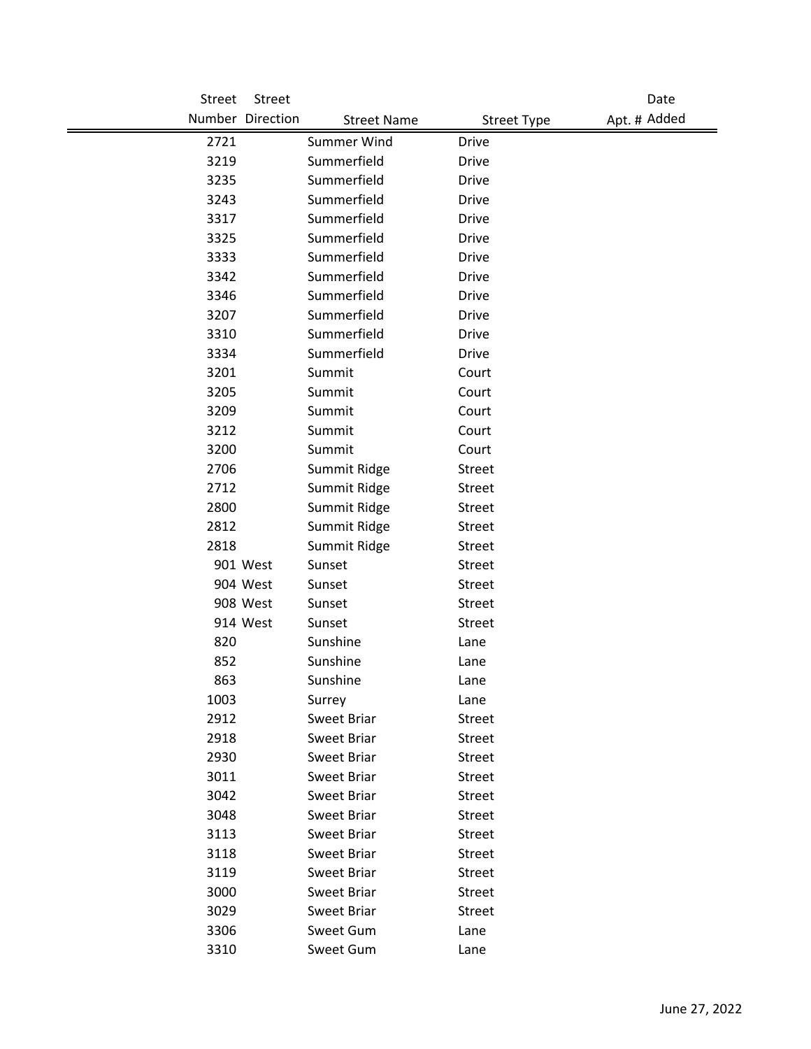| Street | Street           |                    |                    | Date         |
|--------|------------------|--------------------|--------------------|--------------|
|        | Number Direction | <b>Street Name</b> | <b>Street Type</b> | Apt. # Added |
| 2721   |                  | Summer Wind        | <b>Drive</b>       |              |
| 3219   |                  | Summerfield        | <b>Drive</b>       |              |
| 3235   |                  | Summerfield        | <b>Drive</b>       |              |
| 3243   |                  | Summerfield        | <b>Drive</b>       |              |
| 3317   |                  | Summerfield        | <b>Drive</b>       |              |
| 3325   |                  | Summerfield        | <b>Drive</b>       |              |
| 3333   |                  | Summerfield        | <b>Drive</b>       |              |
| 3342   |                  | Summerfield        | Drive              |              |
| 3346   |                  | Summerfield        | <b>Drive</b>       |              |
| 3207   |                  | Summerfield        | <b>Drive</b>       |              |
| 3310   |                  | Summerfield        | <b>Drive</b>       |              |
| 3334   |                  | Summerfield        | <b>Drive</b>       |              |
| 3201   |                  | Summit             | Court              |              |
| 3205   |                  | Summit             | Court              |              |
| 3209   |                  | Summit             | Court              |              |
| 3212   |                  | Summit             | Court              |              |
| 3200   |                  | Summit             | Court              |              |
| 2706   |                  | Summit Ridge       | <b>Street</b>      |              |
| 2712   |                  | Summit Ridge       | <b>Street</b>      |              |
| 2800   |                  | Summit Ridge       | Street             |              |
| 2812   |                  | Summit Ridge       | <b>Street</b>      |              |
| 2818   |                  | Summit Ridge       | <b>Street</b>      |              |
|        | 901 West         | Sunset             | <b>Street</b>      |              |
|        | 904 West         | Sunset             | <b>Street</b>      |              |
|        | 908 West         | Sunset             | <b>Street</b>      |              |
|        | 914 West         | Sunset             | <b>Street</b>      |              |
| 820    |                  | Sunshine           | Lane               |              |
| 852    |                  | Sunshine           | Lane               |              |
| 863    |                  | Sunshine           | Lane               |              |
| 1003   |                  | Surrey             | Lane               |              |
| 2912   |                  | Sweet Briar        | Street             |              |
| 2918   |                  | Sweet Briar        | Street             |              |
| 2930   |                  | Sweet Briar        | <b>Street</b>      |              |
| 3011   |                  | Sweet Briar        | <b>Street</b>      |              |
| 3042   |                  | Sweet Briar        | Street             |              |
| 3048   |                  | Sweet Briar        | Street             |              |
| 3113   |                  | Sweet Briar        | Street             |              |
| 3118   |                  | Sweet Briar        | <b>Street</b>      |              |
| 3119   |                  | Sweet Briar        | Street             |              |
| 3000   |                  | Sweet Briar        | Street             |              |
| 3029   |                  | Sweet Briar        | <b>Street</b>      |              |
| 3306   |                  | Sweet Gum          | Lane               |              |
| 3310   |                  | Sweet Gum          | Lane               |              |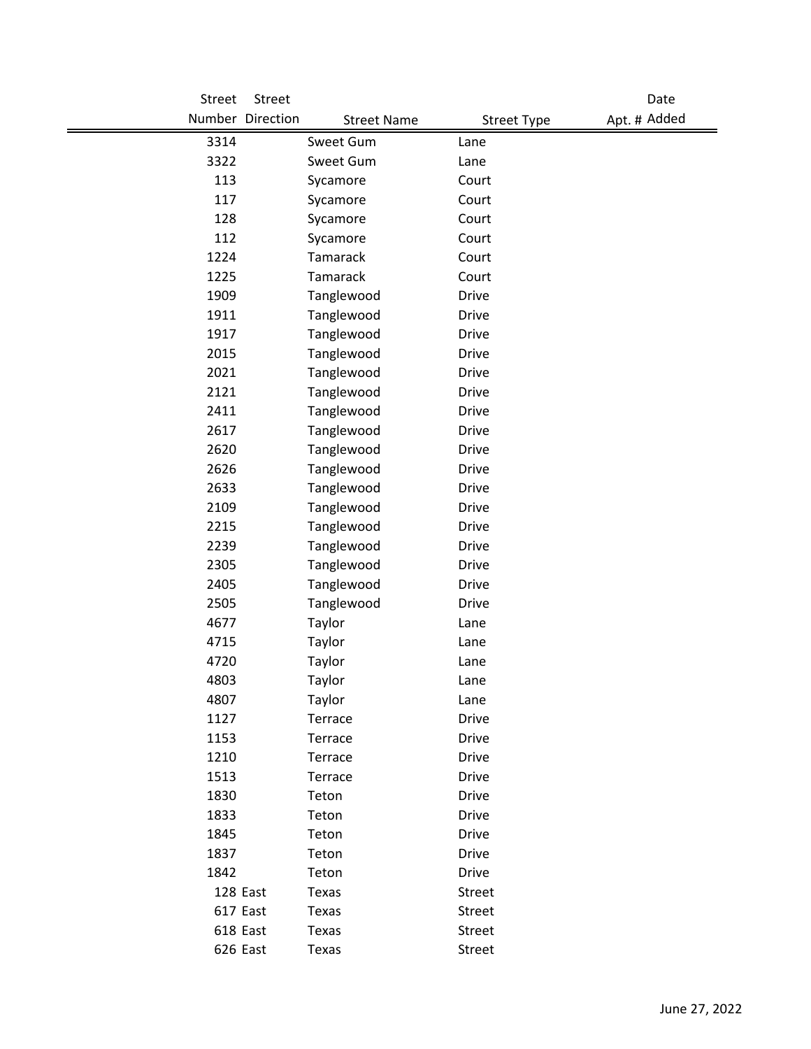| Street | Street           |                    |                    | Date         |
|--------|------------------|--------------------|--------------------|--------------|
|        | Number Direction | <b>Street Name</b> | <b>Street Type</b> | Apt. # Added |
| 3314   |                  | Sweet Gum          | Lane               |              |
| 3322   |                  | Sweet Gum          | Lane               |              |
| 113    |                  | Sycamore           | Court              |              |
| 117    |                  | Sycamore           | Court              |              |
| 128    |                  | Sycamore           | Court              |              |
| 112    |                  | Sycamore           | Court              |              |
| 1224   |                  | Tamarack           | Court              |              |
| 1225   |                  | Tamarack           | Court              |              |
| 1909   |                  | Tanglewood         | <b>Drive</b>       |              |
| 1911   |                  | Tanglewood         | <b>Drive</b>       |              |
| 1917   |                  | Tanglewood         | <b>Drive</b>       |              |
| 2015   |                  | Tanglewood         | <b>Drive</b>       |              |
| 2021   |                  | Tanglewood         | <b>Drive</b>       |              |
| 2121   |                  | Tanglewood         | <b>Drive</b>       |              |
| 2411   |                  | Tanglewood         | <b>Drive</b>       |              |
| 2617   |                  | Tanglewood         | <b>Drive</b>       |              |
| 2620   |                  | Tanglewood         | <b>Drive</b>       |              |
| 2626   |                  | Tanglewood         | <b>Drive</b>       |              |
| 2633   |                  | Tanglewood         | <b>Drive</b>       |              |
| 2109   |                  | Tanglewood         | <b>Drive</b>       |              |
| 2215   |                  | Tanglewood         | <b>Drive</b>       |              |
| 2239   |                  | Tanglewood         | <b>Drive</b>       |              |
| 2305   |                  | Tanglewood         | <b>Drive</b>       |              |
| 2405   |                  | Tanglewood         | <b>Drive</b>       |              |
| 2505   |                  | Tanglewood         | <b>Drive</b>       |              |
| 4677   |                  | Taylor             | Lane               |              |
| 4715   |                  | Taylor             | Lane               |              |
| 4720   |                  | Taylor             | Lane               |              |
| 4803   |                  | Taylor             | Lane               |              |
| 4807   |                  | Taylor             | Lane               |              |
| 1127   |                  | Terrace            | Drive              |              |
| 1153   |                  | Terrace            | <b>Drive</b>       |              |
| 1210   |                  | Terrace            | Drive              |              |
| 1513   |                  | Terrace            | <b>Drive</b>       |              |
| 1830   |                  | Teton              | <b>Drive</b>       |              |
| 1833   |                  | Teton              | Drive              |              |
| 1845   |                  | Teton              | <b>Drive</b>       |              |
| 1837   |                  | Teton              | Drive              |              |
| 1842   |                  | Teton              | Drive              |              |
|        | 128 East         | Texas              | Street             |              |
|        | 617 East         | Texas              | Street             |              |
|        | 618 East         | Texas              | Street             |              |
|        | 626 East         | Texas              | Street             |              |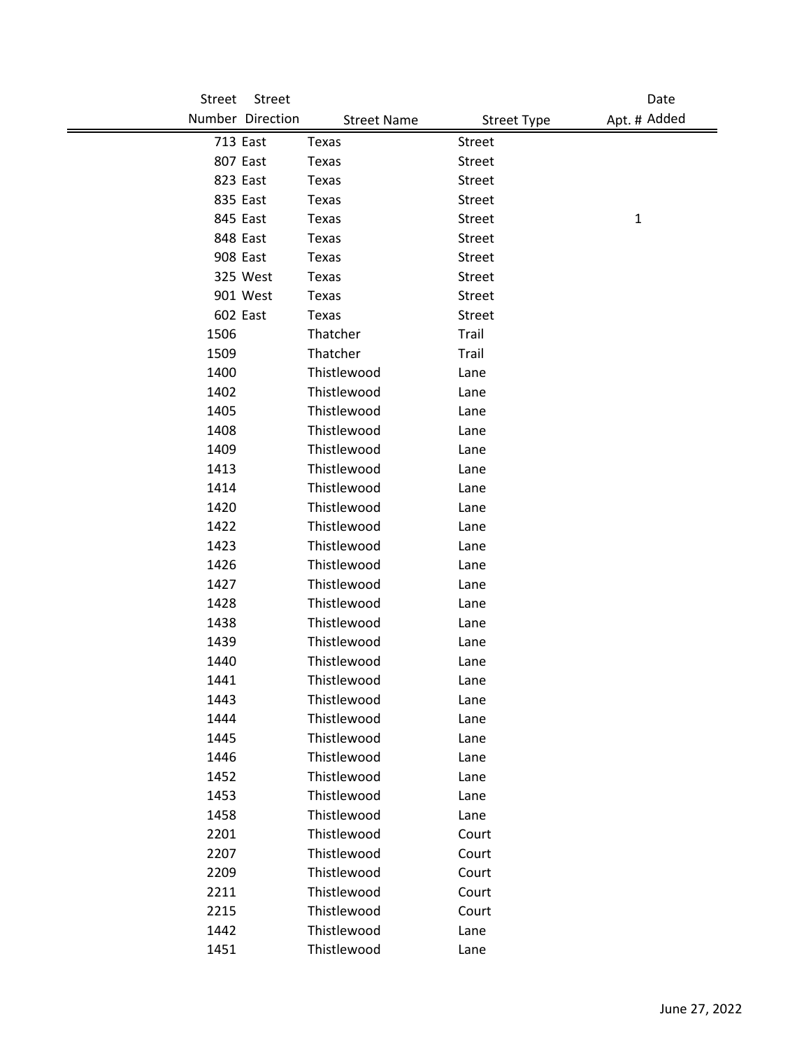| Street | Street           |                    |                    | Date         |
|--------|------------------|--------------------|--------------------|--------------|
|        | Number Direction | <b>Street Name</b> | <b>Street Type</b> | Apt. # Added |
|        | 713 East         | Texas              | <b>Street</b>      |              |
|        | 807 East         | Texas              | <b>Street</b>      |              |
|        | 823 East         | Texas              | <b>Street</b>      |              |
|        | 835 East         | Texas              | <b>Street</b>      |              |
|        | 845 East         | Texas              | <b>Street</b>      | $\mathbf{1}$ |
|        | 848 East         | Texas              | <b>Street</b>      |              |
|        | 908 East         | Texas              | <b>Street</b>      |              |
|        | 325 West         | Texas              | <b>Street</b>      |              |
|        | 901 West         | Texas              | <b>Street</b>      |              |
|        | 602 East         | Texas              | <b>Street</b>      |              |
| 1506   |                  | Thatcher           | <b>Trail</b>       |              |
| 1509   |                  | Thatcher           | Trail              |              |
| 1400   |                  | Thistlewood        | Lane               |              |
| 1402   |                  | Thistlewood        | Lane               |              |
| 1405   |                  | Thistlewood        | Lane               |              |
| 1408   |                  | Thistlewood        | Lane               |              |
| 1409   |                  | Thistlewood        | Lane               |              |
| 1413   |                  | Thistlewood        | Lane               |              |
| 1414   |                  | Thistlewood        | Lane               |              |
| 1420   |                  | Thistlewood        | Lane               |              |
| 1422   |                  | Thistlewood        | Lane               |              |
| 1423   |                  | Thistlewood        | Lane               |              |
| 1426   |                  | Thistlewood        | Lane               |              |
| 1427   |                  | Thistlewood        | Lane               |              |
| 1428   |                  | Thistlewood        | Lane               |              |
| 1438   |                  | Thistlewood        | Lane               |              |
| 1439   |                  | Thistlewood        | Lane               |              |
| 1440   |                  | Thistlewood        | Lane               |              |
| 1441   |                  | Thistlewood        | Lane               |              |
| 1443   |                  | Thistlewood        | Lane               |              |
| 1444   |                  | Thistlewood        | Lane               |              |
| 1445   |                  | Thistlewood        | Lane               |              |
| 1446   |                  | Thistlewood        | Lane               |              |
| 1452   |                  | Thistlewood        | Lane               |              |
| 1453   |                  | Thistlewood        | Lane               |              |
| 1458   |                  | Thistlewood        | Lane               |              |
| 2201   |                  | Thistlewood        | Court              |              |
| 2207   |                  | Thistlewood        | Court              |              |
| 2209   |                  | Thistlewood        | Court              |              |
| 2211   |                  | Thistlewood        | Court              |              |
| 2215   |                  | Thistlewood        | Court              |              |
| 1442   |                  | Thistlewood        | Lane               |              |
| 1451   |                  | Thistlewood        | Lane               |              |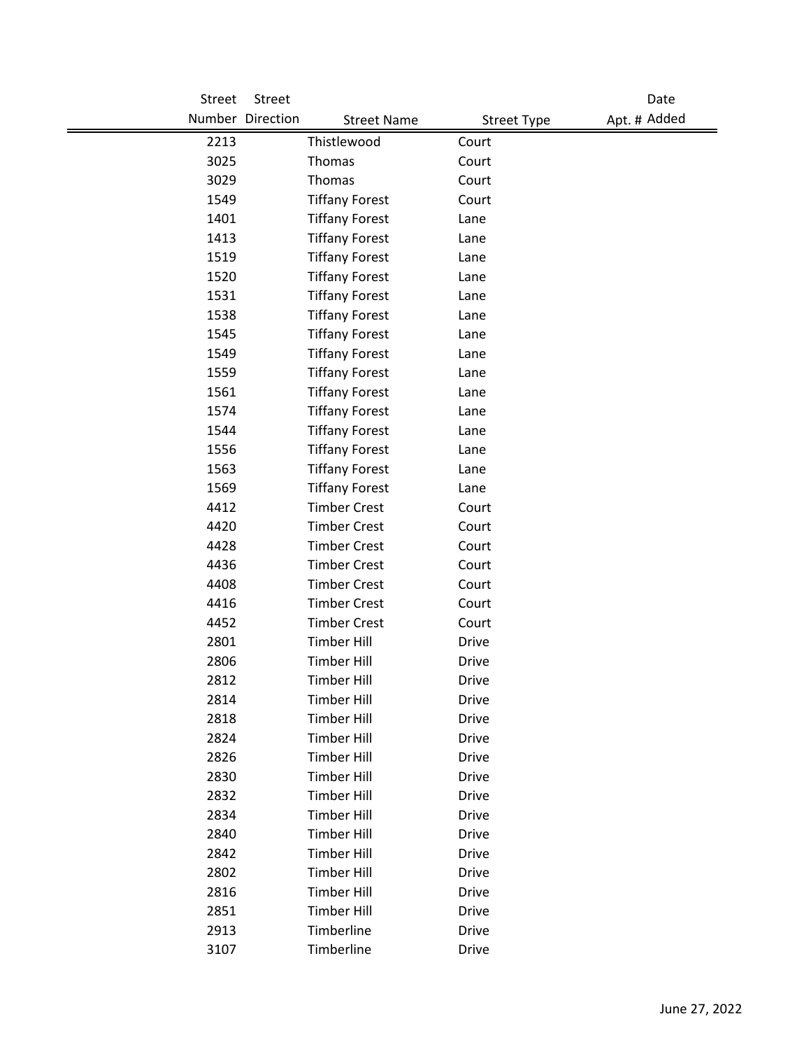| <b>Street</b> | Street           |                       |                    | Date         |
|---------------|------------------|-----------------------|--------------------|--------------|
|               | Number Direction | <b>Street Name</b>    | <b>Street Type</b> | Apt. # Added |
| 2213          |                  | Thistlewood           | Court              |              |
| 3025          |                  | Thomas                | Court              |              |
| 3029          |                  | Thomas                | Court              |              |
| 1549          |                  | <b>Tiffany Forest</b> | Court              |              |
| 1401          |                  | <b>Tiffany Forest</b> | Lane               |              |
| 1413          |                  | <b>Tiffany Forest</b> | Lane               |              |
| 1519          |                  | <b>Tiffany Forest</b> | Lane               |              |
| 1520          |                  | <b>Tiffany Forest</b> | Lane               |              |
| 1531          |                  | <b>Tiffany Forest</b> | Lane               |              |
| 1538          |                  | <b>Tiffany Forest</b> | Lane               |              |
| 1545          |                  | <b>Tiffany Forest</b> | Lane               |              |
| 1549          |                  | <b>Tiffany Forest</b> | Lane               |              |
| 1559          |                  | <b>Tiffany Forest</b> | Lane               |              |
| 1561          |                  | <b>Tiffany Forest</b> | Lane               |              |
| 1574          |                  | <b>Tiffany Forest</b> | Lane               |              |
| 1544          |                  | <b>Tiffany Forest</b> | Lane               |              |
| 1556          |                  | <b>Tiffany Forest</b> | Lane               |              |
| 1563          |                  | <b>Tiffany Forest</b> | Lane               |              |
| 1569          |                  | <b>Tiffany Forest</b> | Lane               |              |
| 4412          |                  | <b>Timber Crest</b>   | Court              |              |
| 4420          |                  | <b>Timber Crest</b>   | Court              |              |
| 4428          |                  | <b>Timber Crest</b>   | Court              |              |
| 4436          |                  | <b>Timber Crest</b>   | Court              |              |
| 4408          |                  | <b>Timber Crest</b>   | Court              |              |
| 4416          |                  | <b>Timber Crest</b>   | Court              |              |
| 4452          |                  | <b>Timber Crest</b>   | Court              |              |
| 2801          |                  | <b>Timber Hill</b>    | <b>Drive</b>       |              |
| 2806          |                  | <b>Timber Hill</b>    | <b>Drive</b>       |              |
| 2812          |                  | <b>Timber Hill</b>    | Drive              |              |
| 2814          |                  | <b>Timber Hill</b>    | <b>Drive</b>       |              |
| 2818          |                  | <b>Timber Hill</b>    | Drive              |              |
| 2824          |                  | <b>Timber Hill</b>    | <b>Drive</b>       |              |
| 2826          |                  | <b>Timber Hill</b>    | <b>Drive</b>       |              |
| 2830          |                  | <b>Timber Hill</b>    | <b>Drive</b>       |              |
| 2832          |                  | <b>Timber Hill</b>    | <b>Drive</b>       |              |
| 2834          |                  | <b>Timber Hill</b>    | Drive              |              |
| 2840          |                  | <b>Timber Hill</b>    | <b>Drive</b>       |              |
| 2842          |                  | <b>Timber Hill</b>    | Drive              |              |
| 2802          |                  | <b>Timber Hill</b>    | <b>Drive</b>       |              |
| 2816          |                  | <b>Timber Hill</b>    | <b>Drive</b>       |              |
| 2851          |                  | <b>Timber Hill</b>    | <b>Drive</b>       |              |
| 2913          |                  | Timberline            | <b>Drive</b>       |              |
| 3107          |                  | Timberline            | Drive              |              |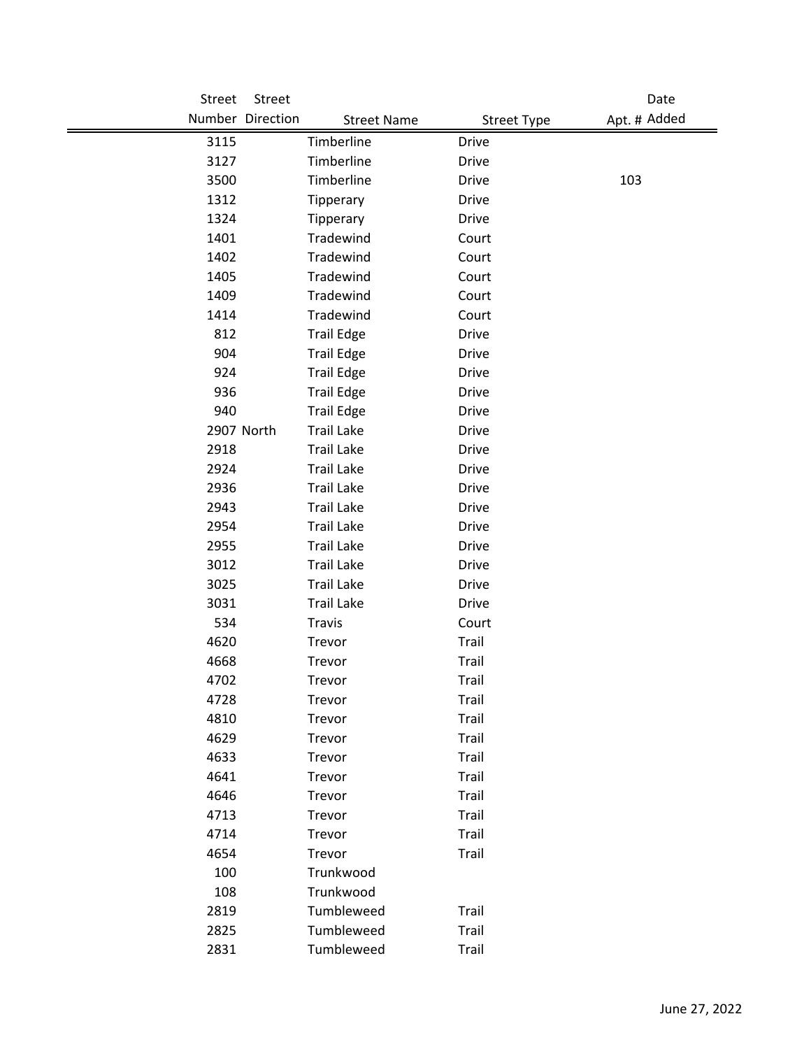| Street | Street           |                    |                    | Date         |
|--------|------------------|--------------------|--------------------|--------------|
|        | Number Direction | <b>Street Name</b> | <b>Street Type</b> | Apt. # Added |
| 3115   |                  | Timberline         | <b>Drive</b>       |              |
| 3127   |                  | Timberline         | <b>Drive</b>       |              |
| 3500   |                  | Timberline         | <b>Drive</b>       | 103          |
| 1312   |                  | Tipperary          | <b>Drive</b>       |              |
| 1324   |                  | Tipperary          | Drive              |              |
| 1401   |                  | Tradewind          | Court              |              |
| 1402   |                  | Tradewind          | Court              |              |
| 1405   |                  | Tradewind          | Court              |              |
| 1409   |                  | Tradewind          | Court              |              |
| 1414   |                  | Tradewind          | Court              |              |
| 812    |                  | <b>Trail Edge</b>  | <b>Drive</b>       |              |
| 904    |                  | <b>Trail Edge</b>  | Drive              |              |
| 924    |                  | <b>Trail Edge</b>  | <b>Drive</b>       |              |
| 936    |                  | <b>Trail Edge</b>  | <b>Drive</b>       |              |
| 940    |                  | <b>Trail Edge</b>  | <b>Drive</b>       |              |
|        | 2907 North       | <b>Trail Lake</b>  | <b>Drive</b>       |              |
| 2918   |                  | <b>Trail Lake</b>  | <b>Drive</b>       |              |
| 2924   |                  | <b>Trail Lake</b>  | <b>Drive</b>       |              |
| 2936   |                  | <b>Trail Lake</b>  | <b>Drive</b>       |              |
| 2943   |                  | <b>Trail Lake</b>  | <b>Drive</b>       |              |
| 2954   |                  | <b>Trail Lake</b>  | <b>Drive</b>       |              |
| 2955   |                  | <b>Trail Lake</b>  | <b>Drive</b>       |              |
| 3012   |                  | <b>Trail Lake</b>  | <b>Drive</b>       |              |
| 3025   |                  | <b>Trail Lake</b>  | Drive              |              |
| 3031   |                  | <b>Trail Lake</b>  | <b>Drive</b>       |              |
| 534    |                  | Travis             | Court              |              |
| 4620   |                  | Trevor             | Trail              |              |
| 4668   |                  | Trevor             | Trail              |              |
| 4702   |                  | Trevor             | Trail              |              |
| 4728   |                  | Trevor             | Trail              |              |
| 4810   |                  | Trevor             | Trail              |              |
| 4629   |                  | Trevor             | <b>Trail</b>       |              |
| 4633   |                  | Trevor             | Trail              |              |
| 4641   |                  | Trevor             | Trail              |              |
| 4646   |                  | Trevor             | Trail              |              |
| 4713   |                  | Trevor             | <b>Trail</b>       |              |
| 4714   |                  | Trevor             | <b>Trail</b>       |              |
| 4654   |                  | Trevor             | Trail              |              |
| 100    |                  | Trunkwood          |                    |              |
| 108    |                  | Trunkwood          |                    |              |
| 2819   |                  | Tumbleweed         | Trail              |              |
| 2825   |                  | Tumbleweed         | Trail              |              |
| 2831   |                  | Tumbleweed         | Trail              |              |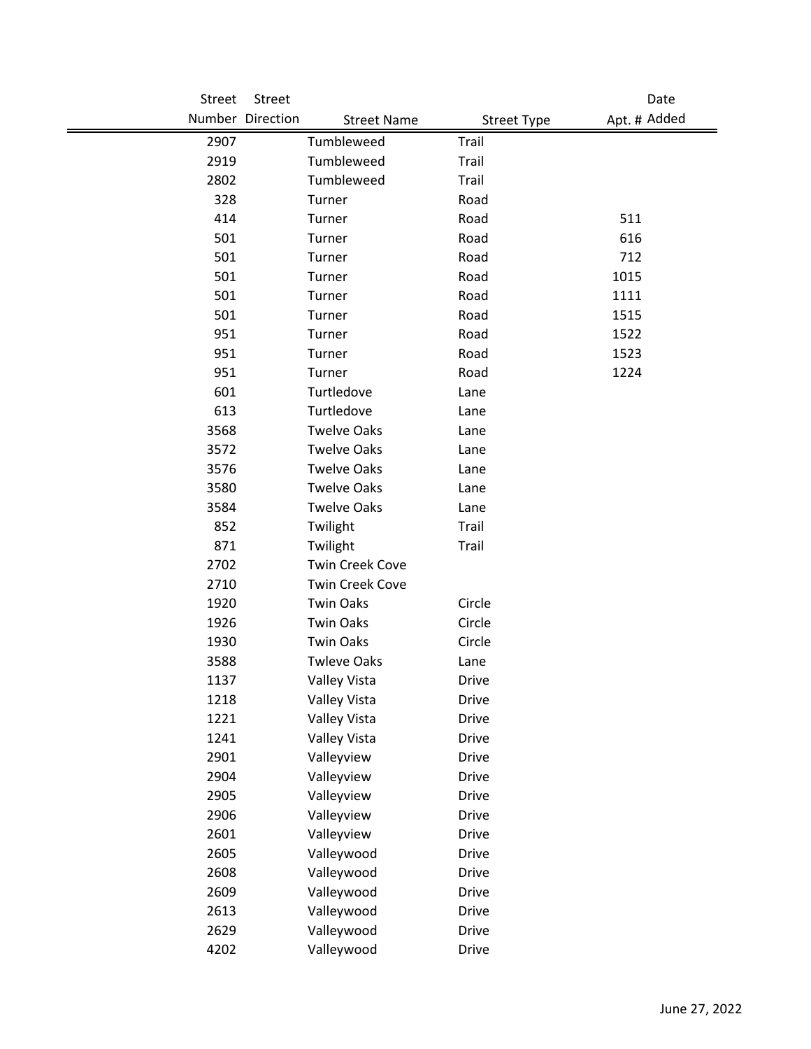| Street | Street           |                        |                    | Date         |
|--------|------------------|------------------------|--------------------|--------------|
|        | Number Direction | <b>Street Name</b>     | <b>Street Type</b> | Apt. # Added |
| 2907   |                  | Tumbleweed             | Trail              |              |
| 2919   |                  | Tumbleweed             | Trail              |              |
| 2802   |                  | Tumbleweed             | Trail              |              |
| 328    |                  | Turner                 | Road               |              |
| 414    |                  | Turner                 | Road               | 511          |
| 501    |                  | Turner                 | Road               | 616          |
| 501    |                  | Turner                 | Road               | 712          |
| 501    |                  | Turner                 | Road               | 1015         |
| 501    |                  | Turner                 | Road               | 1111         |
| 501    |                  | Turner                 | Road               | 1515         |
| 951    |                  | Turner                 | Road               | 1522         |
| 951    |                  | Turner                 | Road               | 1523         |
| 951    |                  | Turner                 | Road               | 1224         |
| 601    |                  | Turtledove             | Lane               |              |
| 613    |                  | Turtledove             | Lane               |              |
| 3568   |                  | <b>Twelve Oaks</b>     | Lane               |              |
| 3572   |                  | <b>Twelve Oaks</b>     | Lane               |              |
| 3576   |                  | <b>Twelve Oaks</b>     | Lane               |              |
| 3580   |                  | <b>Twelve Oaks</b>     | Lane               |              |
| 3584   |                  | <b>Twelve Oaks</b>     | Lane               |              |
| 852    |                  | Twilight               | Trail              |              |
| 871    |                  | Twilight               | Trail              |              |
| 2702   |                  | <b>Twin Creek Cove</b> |                    |              |
| 2710   |                  | <b>Twin Creek Cove</b> |                    |              |
| 1920   |                  | <b>Twin Oaks</b>       | Circle             |              |
| 1926   |                  | <b>Twin Oaks</b>       | Circle             |              |
| 1930   |                  | <b>Twin Oaks</b>       | Circle             |              |
| 3588   |                  | <b>Twleve Oaks</b>     | Lane               |              |
| 1137   |                  | Valley Vista           | <b>Drive</b>       |              |
| 1218   |                  | Valley Vista           | Drive              |              |
| 1221   |                  | Valley Vista           | Drive              |              |
| 1241   |                  | Valley Vista           | <b>Drive</b>       |              |
| 2901   |                  | Valleyview             | <b>Drive</b>       |              |
| 2904   |                  | Valleyview             | <b>Drive</b>       |              |
| 2905   |                  | Valleyview             | <b>Drive</b>       |              |
| 2906   |                  | Valleyview             | <b>Drive</b>       |              |
| 2601   |                  | Valleyview             | <b>Drive</b>       |              |
| 2605   |                  | Valleywood             | Drive              |              |
| 2608   |                  | Valleywood             | <b>Drive</b>       |              |
| 2609   |                  | Valleywood             | <b>Drive</b>       |              |
| 2613   |                  | Valleywood             | <b>Drive</b>       |              |
| 2629   |                  | Valleywood             | <b>Drive</b>       |              |
| 4202   |                  | Valleywood             | Drive              |              |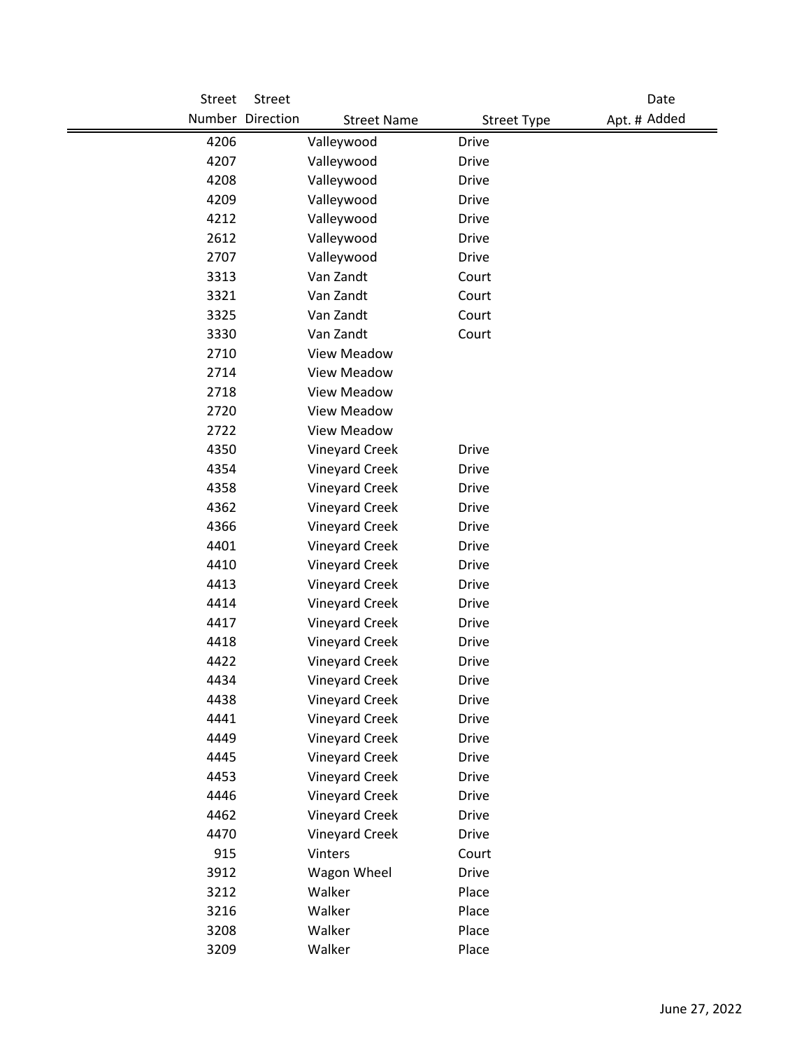| Street | Street           |                       |                    | Date         |
|--------|------------------|-----------------------|--------------------|--------------|
|        | Number Direction | <b>Street Name</b>    | <b>Street Type</b> | Apt. # Added |
| 4206   |                  | Valleywood            | <b>Drive</b>       |              |
| 4207   |                  | Valleywood            | <b>Drive</b>       |              |
| 4208   |                  | Valleywood            | <b>Drive</b>       |              |
| 4209   |                  | Valleywood            | <b>Drive</b>       |              |
| 4212   |                  | Valleywood            | <b>Drive</b>       |              |
| 2612   |                  | Valleywood            | <b>Drive</b>       |              |
| 2707   |                  | Valleywood            | <b>Drive</b>       |              |
| 3313   |                  | Van Zandt             | Court              |              |
| 3321   |                  | Van Zandt             | Court              |              |
| 3325   |                  | Van Zandt             | Court              |              |
| 3330   |                  | Van Zandt             | Court              |              |
| 2710   |                  | <b>View Meadow</b>    |                    |              |
| 2714   |                  | <b>View Meadow</b>    |                    |              |
| 2718   |                  | <b>View Meadow</b>    |                    |              |
| 2720   |                  | <b>View Meadow</b>    |                    |              |
| 2722   |                  | <b>View Meadow</b>    |                    |              |
| 4350   |                  | <b>Vineyard Creek</b> | <b>Drive</b>       |              |
| 4354   |                  | <b>Vineyard Creek</b> | <b>Drive</b>       |              |
| 4358   |                  | <b>Vineyard Creek</b> | <b>Drive</b>       |              |
| 4362   |                  | <b>Vineyard Creek</b> | <b>Drive</b>       |              |
| 4366   |                  | <b>Vineyard Creek</b> | <b>Drive</b>       |              |
| 4401   |                  | <b>Vineyard Creek</b> | <b>Drive</b>       |              |
| 4410   |                  | <b>Vineyard Creek</b> | <b>Drive</b>       |              |
| 4413   |                  | <b>Vineyard Creek</b> | <b>Drive</b>       |              |
| 4414   |                  | <b>Vineyard Creek</b> | <b>Drive</b>       |              |
| 4417   |                  | <b>Vineyard Creek</b> | <b>Drive</b>       |              |
| 4418   |                  | <b>Vineyard Creek</b> | <b>Drive</b>       |              |
| 4422   |                  | <b>Vineyard Creek</b> | <b>Drive</b>       |              |
| 4434   |                  | <b>Vineyard Creek</b> | Drive              |              |
| 4438   |                  | <b>Vineyard Creek</b> | Drive              |              |
| 4441   |                  | <b>Vineyard Creek</b> | Drive              |              |
| 4449   |                  | <b>Vineyard Creek</b> | <b>Drive</b>       |              |
| 4445   |                  | <b>Vineyard Creek</b> | <b>Drive</b>       |              |
| 4453   |                  | <b>Vineyard Creek</b> | <b>Drive</b>       |              |
| 4446   |                  | <b>Vineyard Creek</b> | <b>Drive</b>       |              |
| 4462   |                  | <b>Vineyard Creek</b> | <b>Drive</b>       |              |
| 4470   |                  | <b>Vineyard Creek</b> | <b>Drive</b>       |              |
| 915    |                  | Vinters               | Court              |              |
| 3912   |                  | Wagon Wheel           | <b>Drive</b>       |              |
| 3212   |                  | Walker                | Place              |              |
| 3216   |                  | Walker                | Place              |              |
| 3208   |                  | Walker                | Place              |              |
| 3209   |                  | Walker                | Place              |              |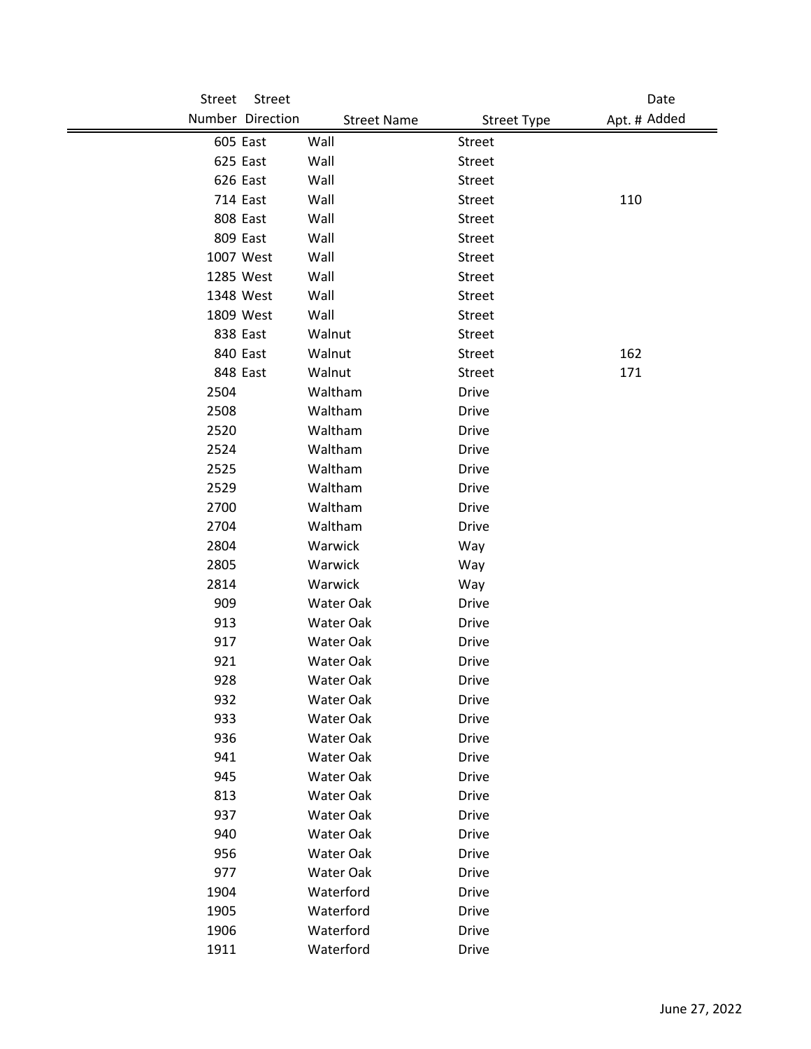| Street | Street           |                    |                    | Date         |
|--------|------------------|--------------------|--------------------|--------------|
|        | Number Direction | <b>Street Name</b> | <b>Street Type</b> | Apt. # Added |
|        | 605 East         | Wall               | Street             |              |
|        | 625 East         | Wall               | Street             |              |
|        | 626 East         | Wall               | Street             |              |
|        | 714 East         | Wall               | Street             | 110          |
|        | 808 East         | Wall               | <b>Street</b>      |              |
|        | 809 East         | Wall               | Street             |              |
|        | 1007 West        | Wall               | <b>Street</b>      |              |
|        | 1285 West        | Wall               | <b>Street</b>      |              |
|        | 1348 West        | Wall               | Street             |              |
|        | 1809 West        | Wall               | Street             |              |
|        | 838 East         | Walnut             | <b>Street</b>      |              |
|        | 840 East         | Walnut             | <b>Street</b>      | 162          |
|        | 848 East         | Walnut             | <b>Street</b>      | 171          |
| 2504   |                  | Waltham            | Drive              |              |
| 2508   |                  | Waltham            | Drive              |              |
| 2520   |                  | Waltham            | <b>Drive</b>       |              |
| 2524   |                  | Waltham            | Drive              |              |
| 2525   |                  | Waltham            | <b>Drive</b>       |              |
| 2529   |                  | Waltham            | Drive              |              |
| 2700   |                  | Waltham            | <b>Drive</b>       |              |
| 2704   |                  | Waltham            | <b>Drive</b>       |              |
| 2804   |                  | Warwick            | Way                |              |
| 2805   |                  | Warwick            | Way                |              |
| 2814   |                  | Warwick            | Way                |              |
| 909    |                  | Water Oak          | Drive              |              |
| 913    |                  | Water Oak          | <b>Drive</b>       |              |
| 917    |                  | Water Oak          | Drive              |              |
| 921    |                  | Water Oak          | <b>Drive</b>       |              |
| 928    |                  | Water Oak          | Drive              |              |
| 932    |                  | Water Oak          | Drive              |              |
| 933    |                  | Water Oak          | <b>Drive</b>       |              |
| 936    |                  | Water Oak          | <b>Drive</b>       |              |
| 941    |                  | Water Oak          | <b>Drive</b>       |              |
| 945    |                  | Water Oak          | <b>Drive</b>       |              |
| 813    |                  | Water Oak          | <b>Drive</b>       |              |
| 937    |                  | Water Oak          | <b>Drive</b>       |              |
| 940    |                  | Water Oak          | <b>Drive</b>       |              |
| 956    |                  | Water Oak          | <b>Drive</b>       |              |
| 977    |                  | Water Oak          | <b>Drive</b>       |              |
| 1904   |                  | Waterford          | <b>Drive</b>       |              |
| 1905   |                  | Waterford          | <b>Drive</b>       |              |
| 1906   |                  | Waterford          | <b>Drive</b>       |              |
| 1911   |                  | Waterford          | Drive              |              |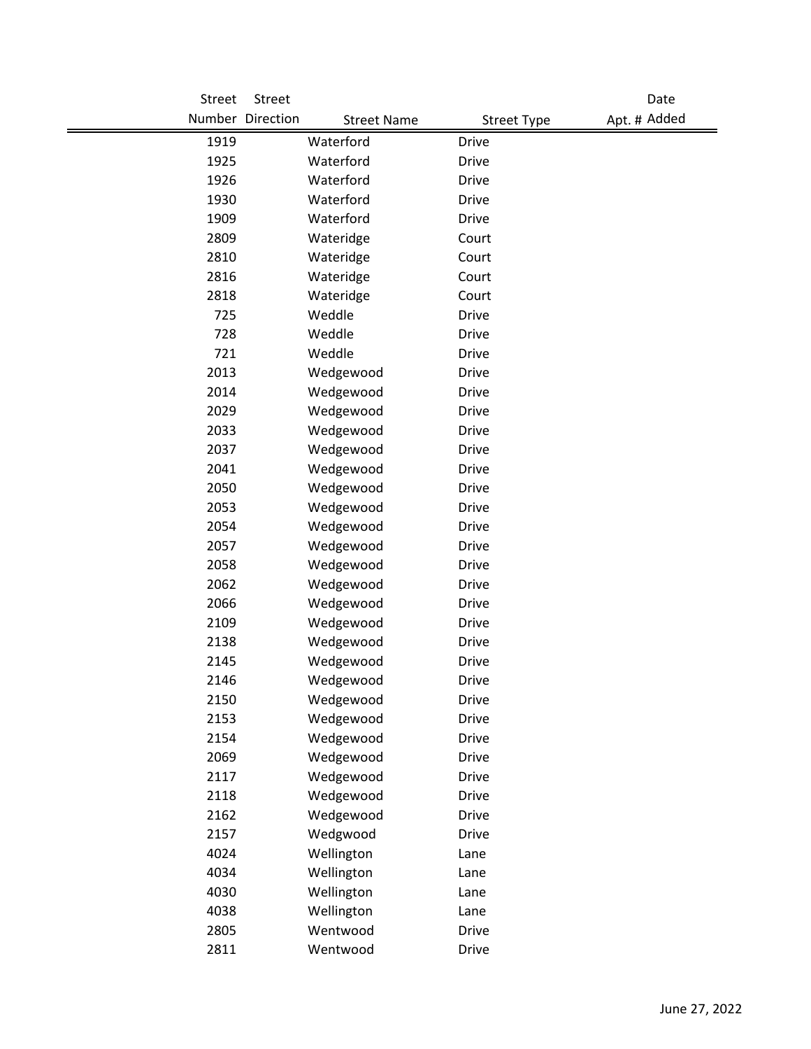| Street       | Street           |                        |                              | Date         |
|--------------|------------------|------------------------|------------------------------|--------------|
|              | Number Direction | <b>Street Name</b>     | <b>Street Type</b>           | Apt. # Added |
| 1919         |                  | Waterford              | <b>Drive</b>                 |              |
| 1925         |                  | Waterford              | <b>Drive</b>                 |              |
| 1926         |                  | Waterford              | <b>Drive</b>                 |              |
| 1930         |                  | Waterford              | <b>Drive</b>                 |              |
| 1909         |                  | Waterford              | <b>Drive</b>                 |              |
| 2809         |                  | Wateridge              | Court                        |              |
| 2810         |                  | Wateridge              | Court                        |              |
| 2816         |                  | Wateridge              | Court                        |              |
| 2818         |                  | Wateridge              | Court                        |              |
| 725          |                  | Weddle                 | <b>Drive</b>                 |              |
| 728          |                  | Weddle                 | <b>Drive</b>                 |              |
| 721          |                  | Weddle                 | <b>Drive</b>                 |              |
| 2013         |                  | Wedgewood              | <b>Drive</b>                 |              |
| 2014         |                  | Wedgewood              | <b>Drive</b>                 |              |
| 2029         |                  | Wedgewood              | <b>Drive</b>                 |              |
| 2033         |                  | Wedgewood              | <b>Drive</b>                 |              |
| 2037         |                  | Wedgewood              | <b>Drive</b>                 |              |
| 2041         |                  | Wedgewood              | <b>Drive</b>                 |              |
| 2050         |                  | Wedgewood              | <b>Drive</b>                 |              |
| 2053         |                  | Wedgewood              | <b>Drive</b>                 |              |
| 2054         |                  | Wedgewood              | <b>Drive</b>                 |              |
| 2057         |                  | Wedgewood              | <b>Drive</b>                 |              |
| 2058         |                  | Wedgewood              | <b>Drive</b>                 |              |
| 2062         |                  | Wedgewood              | <b>Drive</b>                 |              |
| 2066         |                  | Wedgewood              | <b>Drive</b>                 |              |
| 2109         |                  | Wedgewood              | <b>Drive</b>                 |              |
| 2138         |                  | Wedgewood              | <b>Drive</b>                 |              |
| 2145         |                  | Wedgewood              | <b>Drive</b>                 |              |
| 2146         |                  | Wedgewood              | Drive                        |              |
| 2150         |                  | Wedgewood              | <b>Drive</b>                 |              |
| 2153         |                  | Wedgewood              | <b>Drive</b>                 |              |
| 2154<br>2069 |                  | Wedgewood              | Drive                        |              |
|              |                  | Wedgewood<br>Wedgewood | <b>Drive</b>                 |              |
| 2117<br>2118 |                  | Wedgewood              | <b>Drive</b><br><b>Drive</b> |              |
| 2162         |                  | Wedgewood              |                              |              |
| 2157         |                  | Wedgwood               | <b>Drive</b><br><b>Drive</b> |              |
| 4024         |                  | Wellington             | Lane                         |              |
| 4034         |                  | Wellington             | Lane                         |              |
| 4030         |                  | Wellington             | Lane                         |              |
| 4038         |                  | Wellington             | Lane                         |              |
| 2805         |                  | Wentwood               | <b>Drive</b>                 |              |
| 2811         |                  | Wentwood               | <b>Drive</b>                 |              |
|              |                  |                        |                              |              |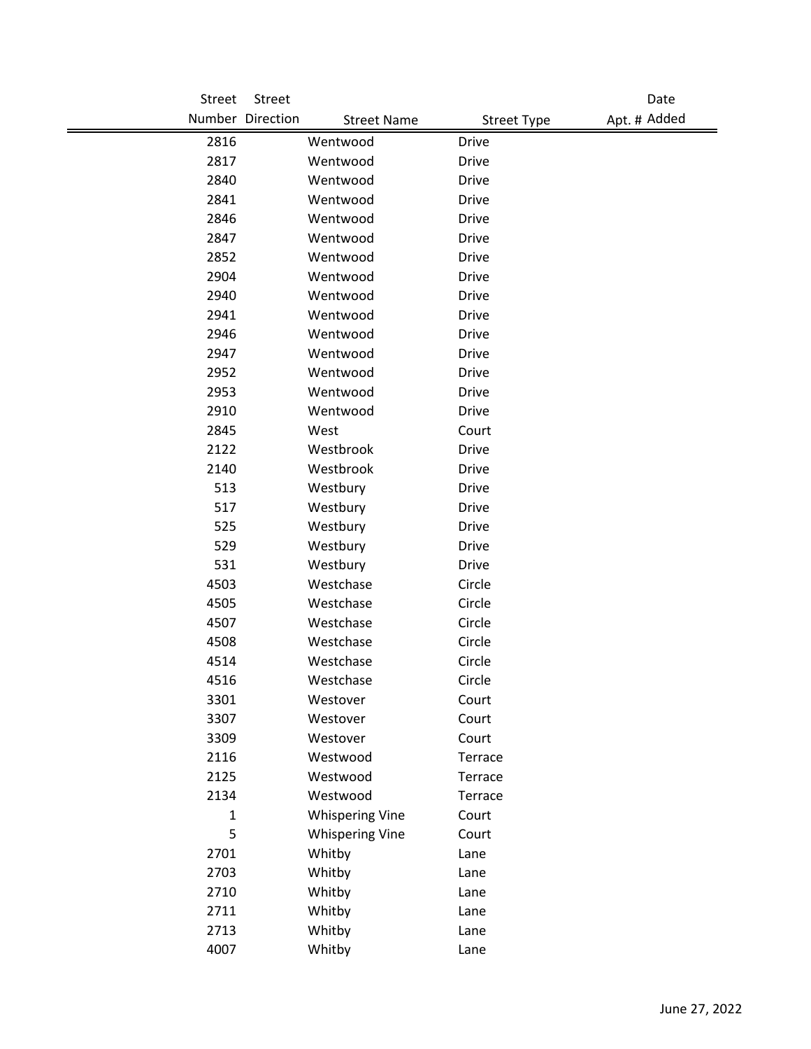| Street       | Street                                 |                    | Date         |
|--------------|----------------------------------------|--------------------|--------------|
|              | Number Direction<br><b>Street Name</b> | <b>Street Type</b> | Apt. # Added |
| 2816         | Wentwood                               | <b>Drive</b>       |              |
| 2817         | Wentwood                               | <b>Drive</b>       |              |
| 2840         | Wentwood                               | <b>Drive</b>       |              |
| 2841         | Wentwood                               | <b>Drive</b>       |              |
| 2846         | Wentwood                               | <b>Drive</b>       |              |
| 2847         | Wentwood                               | <b>Drive</b>       |              |
| 2852         | Wentwood                               | <b>Drive</b>       |              |
| 2904         | Wentwood                               | <b>Drive</b>       |              |
| 2940         | Wentwood                               | <b>Drive</b>       |              |
| 2941         | Wentwood                               | <b>Drive</b>       |              |
| 2946         | Wentwood                               | <b>Drive</b>       |              |
| 2947         | Wentwood                               | <b>Drive</b>       |              |
| 2952         | Wentwood                               | <b>Drive</b>       |              |
| 2953         | Wentwood                               | <b>Drive</b>       |              |
| 2910         | Wentwood                               | <b>Drive</b>       |              |
| 2845         | West                                   | Court              |              |
| 2122         | Westbrook                              | <b>Drive</b>       |              |
| 2140         | Westbrook                              | <b>Drive</b>       |              |
| 513          | Westbury                               | Drive              |              |
| 517          | Westbury                               | <b>Drive</b>       |              |
| 525          | Westbury                               | <b>Drive</b>       |              |
| 529          | Westbury                               | <b>Drive</b>       |              |
| 531          | Westbury                               | <b>Drive</b>       |              |
| 4503         | Westchase                              | Circle             |              |
| 4505         | Westchase                              | Circle             |              |
| 4507         | Westchase                              | Circle             |              |
| 4508         | Westchase                              | Circle             |              |
| 4514         | Westchase                              | Circle             |              |
| 4516         | Westchase                              | Circle             |              |
| 3301         | Westover                               | Court              |              |
| 3307         | Westover                               | Court              |              |
| 3309         | Westover                               | Court              |              |
| 2116         | Westwood                               | Terrace            |              |
| 2125         | Westwood                               | Terrace            |              |
| 2134         | Westwood                               | Terrace            |              |
| $\mathbf{1}$ | <b>Whispering Vine</b>                 | Court              |              |
| 5            | <b>Whispering Vine</b>                 | Court              |              |
| 2701         | Whitby                                 | Lane               |              |
| 2703         | Whitby                                 | Lane               |              |
| 2710         | Whitby                                 | Lane               |              |
| 2711         | Whitby                                 | Lane               |              |
| 2713         | Whitby                                 | Lane               |              |
| 4007         | Whitby                                 | Lane               |              |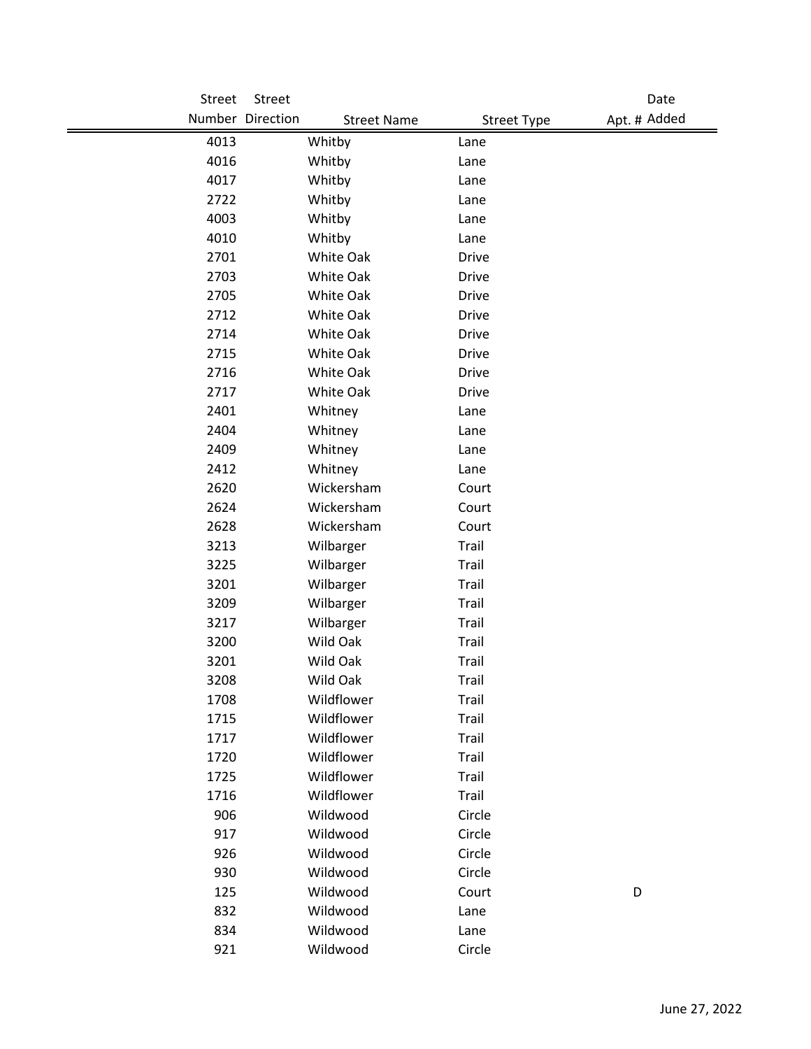| Street | Street                                 |                    | Date         |
|--------|----------------------------------------|--------------------|--------------|
|        | Number Direction<br><b>Street Name</b> | <b>Street Type</b> | Apt. # Added |
| 4013   | Whitby                                 | Lane               |              |
| 4016   | Whitby                                 | Lane               |              |
| 4017   | Whitby                                 | Lane               |              |
| 2722   | Whitby                                 | Lane               |              |
| 4003   | Whitby                                 | Lane               |              |
| 4010   | Whitby                                 | Lane               |              |
| 2701   | White Oak                              | <b>Drive</b>       |              |
| 2703   | White Oak                              | <b>Drive</b>       |              |
| 2705   | White Oak                              | <b>Drive</b>       |              |
| 2712   | White Oak                              | <b>Drive</b>       |              |
| 2714   | White Oak                              | <b>Drive</b>       |              |
| 2715   | White Oak                              | <b>Drive</b>       |              |
| 2716   | White Oak                              | <b>Drive</b>       |              |
| 2717   | White Oak                              | <b>Drive</b>       |              |
| 2401   | Whitney                                | Lane               |              |
| 2404   | Whitney                                | Lane               |              |
| 2409   | Whitney                                | Lane               |              |
| 2412   | Whitney                                | Lane               |              |
| 2620   | Wickersham                             | Court              |              |
| 2624   | Wickersham                             | Court              |              |
| 2628   | Wickersham                             | Court              |              |
| 3213   | Wilbarger                              | Trail              |              |
| 3225   | Wilbarger                              | Trail              |              |
| 3201   | Wilbarger                              | Trail              |              |
| 3209   | Wilbarger                              | Trail              |              |
| 3217   | Wilbarger                              | Trail              |              |
| 3200   | Wild Oak                               | Trail              |              |
| 3201   | Wild Oak                               | Trail              |              |
| 3208   | Wild Oak                               | <b>Trail</b>       |              |
| 1708   | Wildflower                             | Trail              |              |
| 1715   | Wildflower                             | Trail              |              |
| 1717   | Wildflower                             | Trail              |              |
| 1720   | Wildflower                             | Trail              |              |
| 1725   | Wildflower                             | Trail              |              |
| 1716   | Wildflower                             | Trail              |              |
| 906    | Wildwood                               | Circle             |              |
| 917    | Wildwood                               | Circle             |              |
| 926    | Wildwood                               | Circle             |              |
| 930    | Wildwood                               | Circle             |              |
| 125    | Wildwood                               | Court              | D            |
| 832    | Wildwood                               | Lane               |              |
| 834    | Wildwood                               | Lane               |              |
| 921    | Wildwood                               | Circle             |              |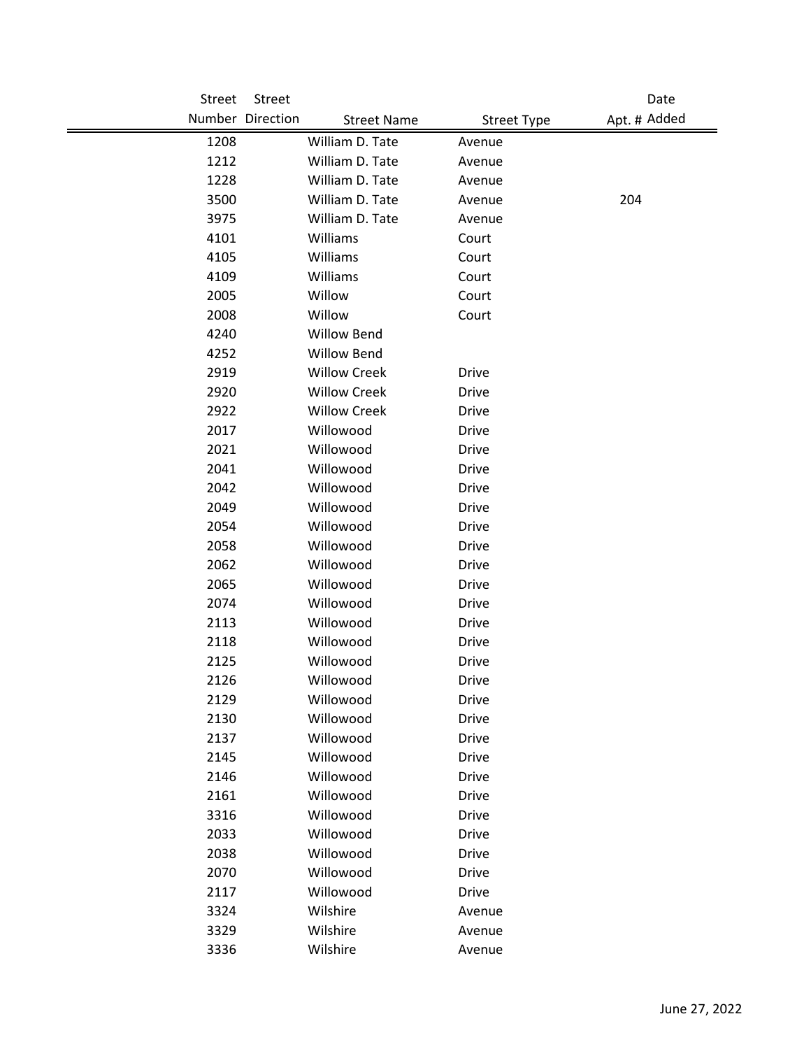| Street | Street           |                     |                    | Date         |
|--------|------------------|---------------------|--------------------|--------------|
|        | Number Direction | <b>Street Name</b>  | <b>Street Type</b> | Apt. # Added |
| 1208   |                  | William D. Tate     | Avenue             |              |
| 1212   |                  | William D. Tate     | Avenue             |              |
| 1228   |                  | William D. Tate     | Avenue             |              |
| 3500   |                  | William D. Tate     | Avenue             | 204          |
| 3975   |                  | William D. Tate     | Avenue             |              |
| 4101   |                  | Williams            | Court              |              |
| 4105   |                  | Williams            | Court              |              |
| 4109   |                  | Williams            | Court              |              |
| 2005   |                  | Willow              | Court              |              |
| 2008   |                  | Willow              | Court              |              |
| 4240   |                  | <b>Willow Bend</b>  |                    |              |
| 4252   |                  | Willow Bend         |                    |              |
| 2919   |                  | <b>Willow Creek</b> | <b>Drive</b>       |              |
| 2920   |                  | <b>Willow Creek</b> | <b>Drive</b>       |              |
| 2922   |                  | <b>Willow Creek</b> | <b>Drive</b>       |              |
| 2017   |                  | Willowood           | <b>Drive</b>       |              |
| 2021   |                  | Willowood           | <b>Drive</b>       |              |
| 2041   |                  | Willowood           | <b>Drive</b>       |              |
| 2042   |                  | Willowood           | <b>Drive</b>       |              |
| 2049   |                  | Willowood           | <b>Drive</b>       |              |
| 2054   |                  | Willowood           | <b>Drive</b>       |              |
| 2058   |                  | Willowood           | <b>Drive</b>       |              |
| 2062   |                  | Willowood           | <b>Drive</b>       |              |
| 2065   |                  | Willowood           | Drive              |              |
| 2074   |                  | Willowood           | <b>Drive</b>       |              |
| 2113   |                  | Willowood           | <b>Drive</b>       |              |
| 2118   |                  | Willowood           | Drive              |              |
| 2125   |                  | Willowood           | <b>Drive</b>       |              |
| 2126   |                  | Willowood           | Drive              |              |
| 2129   |                  | Willowood           | <b>Drive</b>       |              |
| 2130   |                  | Willowood           | Drive              |              |
| 2137   |                  | Willowood           | <b>Drive</b>       |              |
| 2145   |                  | Willowood           | <b>Drive</b>       |              |
| 2146   |                  | Willowood           | <b>Drive</b>       |              |
| 2161   |                  | Willowood           | <b>Drive</b>       |              |
| 3316   |                  | Willowood           | Drive              |              |
| 2033   |                  | Willowood           | <b>Drive</b>       |              |
| 2038   |                  | Willowood           | Drive              |              |
| 2070   |                  | Willowood           | <b>Drive</b>       |              |
| 2117   |                  | Willowood           | <b>Drive</b>       |              |
| 3324   |                  | Wilshire            | Avenue             |              |
| 3329   |                  | Wilshire            | Avenue             |              |
| 3336   |                  | Wilshire            | Avenue             |              |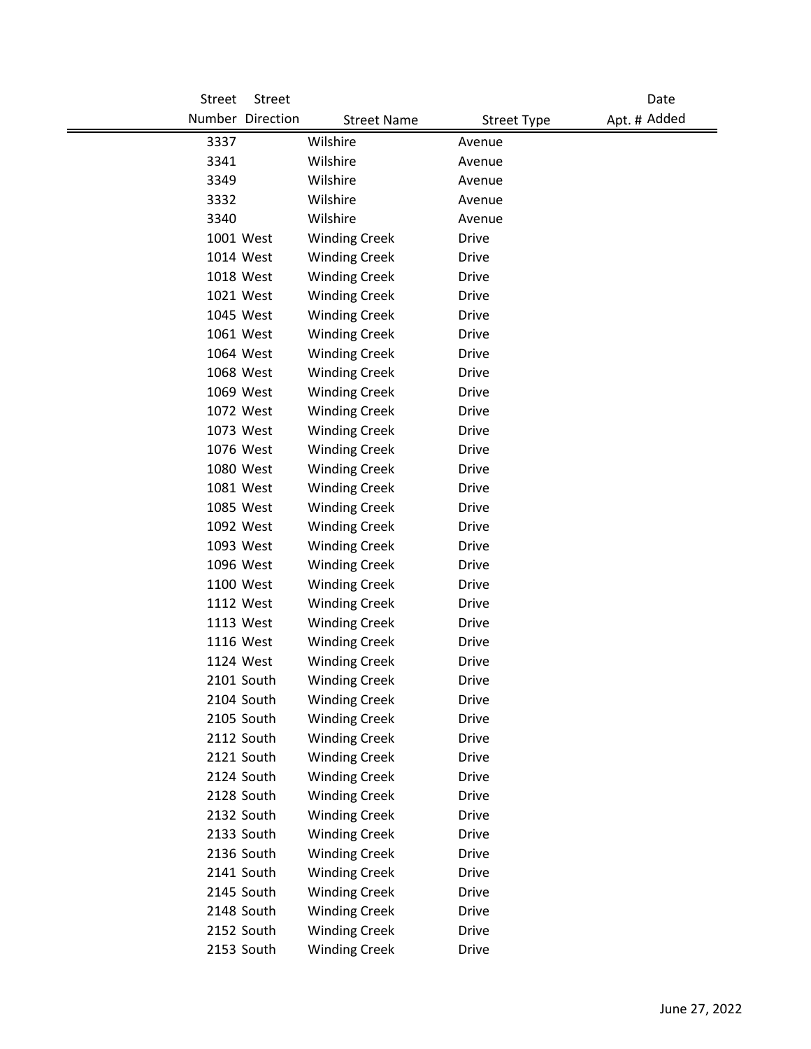| Street<br><b>Street</b> |                      |                    | Date         |
|-------------------------|----------------------|--------------------|--------------|
| Number Direction        | <b>Street Name</b>   | <b>Street Type</b> | Apt. # Added |
| 3337                    | Wilshire             | Avenue             |              |
| 3341                    | Wilshire             | Avenue             |              |
| 3349                    | Wilshire             | Avenue             |              |
| 3332                    | Wilshire             | Avenue             |              |
| 3340                    | Wilshire             | Avenue             |              |
| 1001 West               | <b>Winding Creek</b> | Drive              |              |
| 1014 West               | <b>Winding Creek</b> | <b>Drive</b>       |              |
| 1018 West               | <b>Winding Creek</b> | <b>Drive</b>       |              |
| 1021 West               | <b>Winding Creek</b> | <b>Drive</b>       |              |
| 1045 West               | <b>Winding Creek</b> | <b>Drive</b>       |              |
| 1061 West               | <b>Winding Creek</b> | <b>Drive</b>       |              |
| 1064 West               | <b>Winding Creek</b> | <b>Drive</b>       |              |
| 1068 West               | <b>Winding Creek</b> | <b>Drive</b>       |              |
| 1069 West               | <b>Winding Creek</b> | <b>Drive</b>       |              |
| 1072 West               | <b>Winding Creek</b> | <b>Drive</b>       |              |
| 1073 West               | <b>Winding Creek</b> | <b>Drive</b>       |              |
| 1076 West               | <b>Winding Creek</b> | <b>Drive</b>       |              |
| 1080 West               | <b>Winding Creek</b> | <b>Drive</b>       |              |
| 1081 West               | <b>Winding Creek</b> | <b>Drive</b>       |              |
| 1085 West               | <b>Winding Creek</b> | Drive              |              |
| 1092 West               | <b>Winding Creek</b> | <b>Drive</b>       |              |
| 1093 West               | <b>Winding Creek</b> | <b>Drive</b>       |              |
| 1096 West               | <b>Winding Creek</b> | <b>Drive</b>       |              |
| 1100 West               | <b>Winding Creek</b> | <b>Drive</b>       |              |
| 1112 West               | <b>Winding Creek</b> | <b>Drive</b>       |              |
| 1113 West               | <b>Winding Creek</b> | <b>Drive</b>       |              |
| 1116 West               | <b>Winding Creek</b> | <b>Drive</b>       |              |
| 1124 West               | <b>Winding Creek</b> | <b>Drive</b>       |              |
| 2101 South              | <b>Winding Creek</b> | Drive              |              |
| 2104 South              | <b>Winding Creek</b> | <b>Drive</b>       |              |
| 2105 South              | <b>Winding Creek</b> | Drive              |              |
| 2112 South              | <b>Winding Creek</b> | Drive              |              |
| 2121 South              | <b>Winding Creek</b> | <b>Drive</b>       |              |
| 2124 South              | <b>Winding Creek</b> | Drive              |              |
| 2128 South              | <b>Winding Creek</b> | <b>Drive</b>       |              |
| 2132 South              | <b>Winding Creek</b> | <b>Drive</b>       |              |
| 2133 South              | <b>Winding Creek</b> | <b>Drive</b>       |              |
| 2136 South              | <b>Winding Creek</b> | <b>Drive</b>       |              |
| 2141 South              | <b>Winding Creek</b> | Drive              |              |
| 2145 South              | <b>Winding Creek</b> | Drive              |              |
| 2148 South              | <b>Winding Creek</b> | Drive              |              |
| 2152 South              | <b>Winding Creek</b> | <b>Drive</b>       |              |
| 2153 South              | <b>Winding Creek</b> | Drive              |              |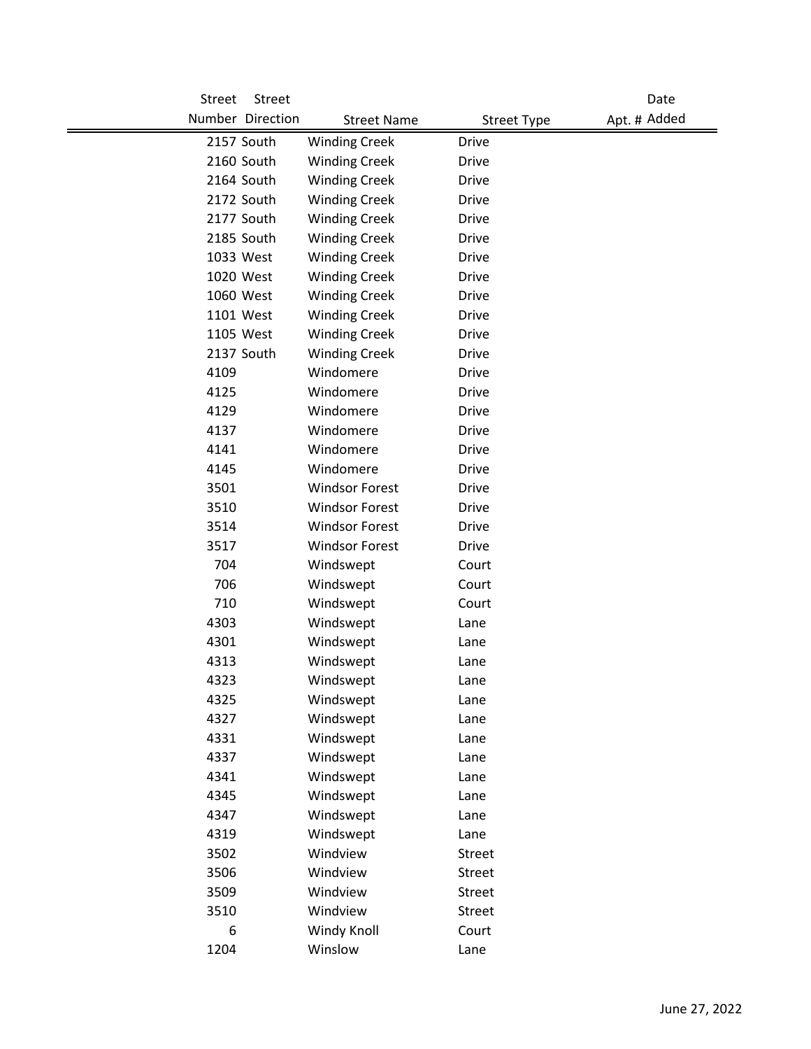| <b>Street</b> | Street           |                       |                    | Date         |
|---------------|------------------|-----------------------|--------------------|--------------|
|               | Number Direction | <b>Street Name</b>    | <b>Street Type</b> | Apt. # Added |
|               | 2157 South       | <b>Winding Creek</b>  | <b>Drive</b>       |              |
|               | 2160 South       | <b>Winding Creek</b>  | Drive              |              |
|               | 2164 South       | <b>Winding Creek</b>  | <b>Drive</b>       |              |
|               | 2172 South       | <b>Winding Creek</b>  | <b>Drive</b>       |              |
|               | 2177 South       | <b>Winding Creek</b>  | <b>Drive</b>       |              |
|               | 2185 South       | <b>Winding Creek</b>  | <b>Drive</b>       |              |
|               | 1033 West        | <b>Winding Creek</b>  | <b>Drive</b>       |              |
|               | 1020 West        | <b>Winding Creek</b>  | <b>Drive</b>       |              |
|               | 1060 West        | <b>Winding Creek</b>  | <b>Drive</b>       |              |
|               | 1101 West        | <b>Winding Creek</b>  | <b>Drive</b>       |              |
|               | 1105 West        | <b>Winding Creek</b>  | <b>Drive</b>       |              |
|               | 2137 South       | <b>Winding Creek</b>  | <b>Drive</b>       |              |
| 4109          |                  | Windomere             | <b>Drive</b>       |              |
| 4125          |                  | Windomere             | <b>Drive</b>       |              |
| 4129          |                  | Windomere             | <b>Drive</b>       |              |
| 4137          |                  | Windomere             | <b>Drive</b>       |              |
| 4141          |                  | Windomere             | <b>Drive</b>       |              |
| 4145          |                  | Windomere             | <b>Drive</b>       |              |
| 3501          |                  | <b>Windsor Forest</b> | <b>Drive</b>       |              |
| 3510          |                  | <b>Windsor Forest</b> | <b>Drive</b>       |              |
| 3514          |                  | <b>Windsor Forest</b> | <b>Drive</b>       |              |
| 3517          |                  | <b>Windsor Forest</b> | <b>Drive</b>       |              |
| 704           |                  | Windswept             | Court              |              |
| 706           |                  | Windswept             | Court              |              |
| 710           |                  | Windswept             | Court              |              |
| 4303          |                  | Windswept             | Lane               |              |
| 4301          |                  | Windswept             | Lane               |              |
| 4313          |                  | Windswept             | Lane               |              |
| 4323          |                  | Windswept             | Lane               |              |
| 4325          |                  | Windswept             | Lane               |              |
| 4327          |                  | Windswept             | Lane               |              |
| 4331          |                  | Windswept             | Lane               |              |
| 4337          |                  | Windswept             | Lane               |              |
| 4341          |                  | Windswept             | Lane               |              |
| 4345          |                  | Windswept             | Lane               |              |
| 4347          |                  | Windswept             | Lane               |              |
| 4319          |                  | Windswept             | Lane               |              |
| 3502          |                  | Windview              | <b>Street</b>      |              |
| 3506          |                  | Windview              | <b>Street</b>      |              |
| 3509          |                  | Windview              | Street             |              |
| 3510          |                  | Windview              | <b>Street</b>      |              |
| 6             |                  | Windy Knoll           | Court              |              |
| 1204          |                  | Winslow               | Lane               |              |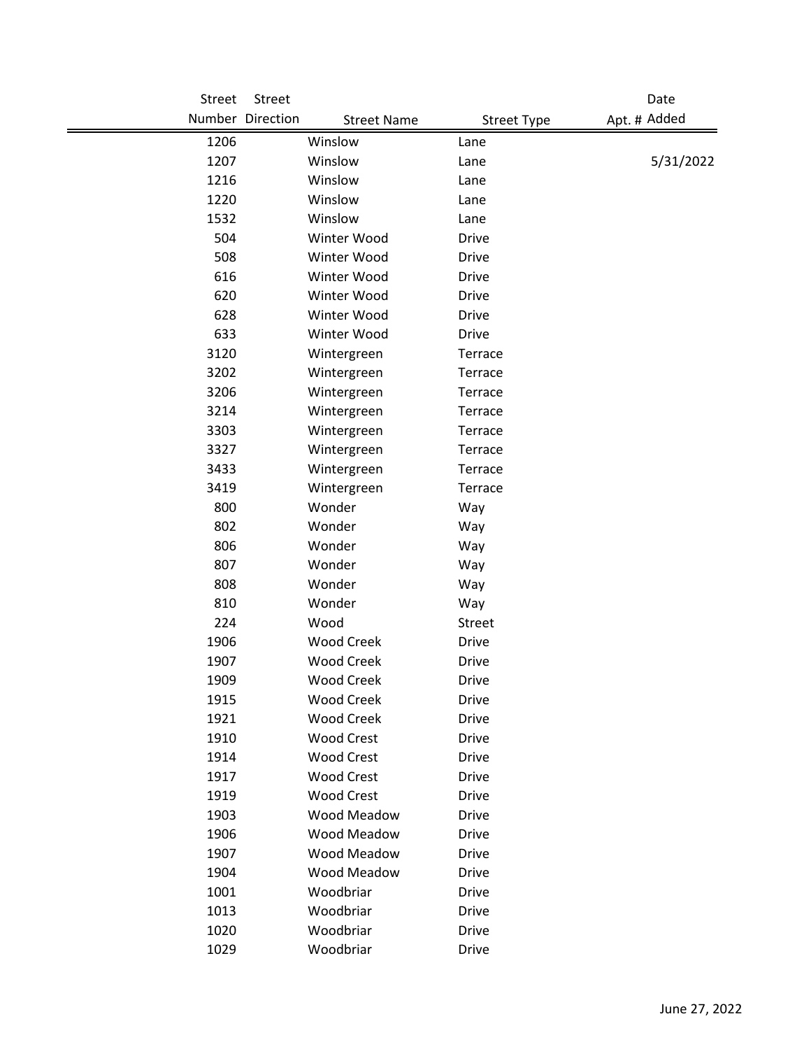| <b>Street</b> | Street           |                    |                    | Date         |
|---------------|------------------|--------------------|--------------------|--------------|
|               | Number Direction | <b>Street Name</b> | <b>Street Type</b> | Apt. # Added |
| 1206          |                  | Winslow            | Lane               |              |
| 1207          |                  | Winslow            | Lane               | 5/31/2022    |
| 1216          |                  | Winslow            | Lane               |              |
| 1220          |                  | Winslow            | Lane               |              |
| 1532          |                  | Winslow            | Lane               |              |
| 504           |                  | Winter Wood        | <b>Drive</b>       |              |
| 508           |                  | Winter Wood        | <b>Drive</b>       |              |
| 616           |                  | Winter Wood        | <b>Drive</b>       |              |
| 620           |                  | Winter Wood        | <b>Drive</b>       |              |
| 628           |                  | Winter Wood        | <b>Drive</b>       |              |
| 633           |                  | Winter Wood        | <b>Drive</b>       |              |
| 3120          |                  | Wintergreen        | Terrace            |              |
| 3202          |                  | Wintergreen        | Terrace            |              |
| 3206          |                  | Wintergreen        | Terrace            |              |
| 3214          |                  | Wintergreen        | Terrace            |              |
| 3303          |                  | Wintergreen        | Terrace            |              |
| 3327          |                  | Wintergreen        | Terrace            |              |
| 3433          |                  | Wintergreen        | Terrace            |              |
| 3419          |                  | Wintergreen        | Terrace            |              |
| 800           |                  | Wonder             | Way                |              |
| 802           |                  | Wonder             | Way                |              |
| 806           |                  | Wonder             | Way                |              |
| 807           |                  | Wonder             | Way                |              |
| 808           |                  | Wonder             | Way                |              |
| 810           |                  | Wonder             | Way                |              |
| 224           |                  | Wood               | Street             |              |
| 1906          |                  | <b>Wood Creek</b>  | <b>Drive</b>       |              |
| 1907          |                  | <b>Wood Creek</b>  | <b>Drive</b>       |              |
| 1909          |                  | <b>Wood Creek</b>  | Drive              |              |
| 1915          |                  | <b>Wood Creek</b>  | <b>Drive</b>       |              |
| 1921          |                  | <b>Wood Creek</b>  | Drive              |              |
| 1910          |                  | <b>Wood Crest</b>  | <b>Drive</b>       |              |
| 1914          |                  | <b>Wood Crest</b>  | <b>Drive</b>       |              |
| 1917          |                  | <b>Wood Crest</b>  | <b>Drive</b>       |              |
| 1919          |                  | <b>Wood Crest</b>  | <b>Drive</b>       |              |
| 1903          |                  | Wood Meadow        | Drive              |              |
| 1906          |                  | Wood Meadow        | <b>Drive</b>       |              |
| 1907          |                  | Wood Meadow        | Drive              |              |
| 1904          |                  | Wood Meadow        | <b>Drive</b>       |              |
| 1001          |                  | Woodbriar          | <b>Drive</b>       |              |
| 1013          |                  | Woodbriar          | <b>Drive</b>       |              |
| 1020          |                  | Woodbriar          | <b>Drive</b>       |              |
| 1029          |                  | Woodbriar          | <b>Drive</b>       |              |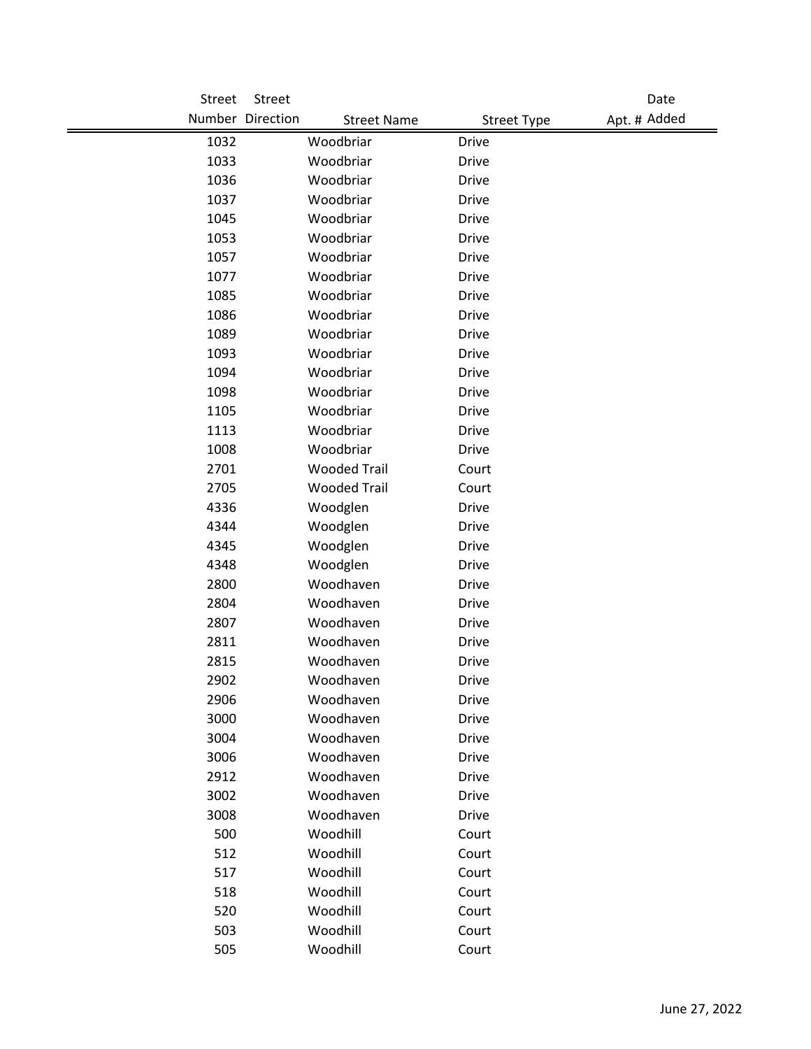| Street     | Street           |                      |                    | Date         |
|------------|------------------|----------------------|--------------------|--------------|
|            | Number Direction | <b>Street Name</b>   | <b>Street Type</b> | Apt. # Added |
| 1032       |                  | Woodbriar            | <b>Drive</b>       |              |
| 1033       |                  | Woodbriar            | <b>Drive</b>       |              |
| 1036       |                  | Woodbriar            | <b>Drive</b>       |              |
| 1037       |                  | Woodbriar            | <b>Drive</b>       |              |
| 1045       |                  | Woodbriar            | <b>Drive</b>       |              |
| 1053       |                  | Woodbriar            | <b>Drive</b>       |              |
| 1057       |                  | Woodbriar            | <b>Drive</b>       |              |
| 1077       |                  | Woodbriar            | <b>Drive</b>       |              |
| 1085       |                  | Woodbriar            | <b>Drive</b>       |              |
| 1086       |                  | Woodbriar            | <b>Drive</b>       |              |
| 1089       |                  | Woodbriar            | <b>Drive</b>       |              |
| 1093       |                  | Woodbriar            | <b>Drive</b>       |              |
| 1094       |                  | Woodbriar            | <b>Drive</b>       |              |
| 1098       |                  | Woodbriar            | <b>Drive</b>       |              |
| 1105       |                  | Woodbriar            | <b>Drive</b>       |              |
| 1113       |                  | Woodbriar            | <b>Drive</b>       |              |
| 1008       |                  | Woodbriar            | <b>Drive</b>       |              |
| 2701       |                  | <b>Wooded Trail</b>  | Court              |              |
| 2705       |                  | <b>Wooded Trail</b>  | Court              |              |
| 4336       |                  | Woodglen             | <b>Drive</b>       |              |
| 4344       |                  | Woodglen             | <b>Drive</b>       |              |
| 4345       |                  | Woodglen             | <b>Drive</b>       |              |
| 4348       |                  | Woodglen             | <b>Drive</b>       |              |
| 2800       |                  | Woodhaven            | <b>Drive</b>       |              |
| 2804       |                  | Woodhaven            | <b>Drive</b>       |              |
| 2807       |                  | Woodhaven            | <b>Drive</b>       |              |
| 2811       |                  | Woodhaven            | <b>Drive</b>       |              |
| 2815       |                  | Woodhaven            | <b>Drive</b>       |              |
| 2902       |                  | Woodhaven            | Drive              |              |
| 2906       |                  | Woodhaven            | <b>Drive</b>       |              |
| 3000       |                  | Woodhaven            | Drive              |              |
| 3004       |                  | Woodhaven            | <b>Drive</b>       |              |
| 3006       |                  | Woodhaven            | <b>Drive</b>       |              |
| 2912       |                  | Woodhaven            | <b>Drive</b>       |              |
| 3002       |                  | Woodhaven            | <b>Drive</b>       |              |
| 3008       |                  | Woodhaven            | Drive              |              |
| 500<br>512 |                  | Woodhill<br>Woodhill | Court              |              |
| 517        |                  | Woodhill             | Court<br>Court     |              |
| 518        |                  | Woodhill             | Court              |              |
| 520        |                  | Woodhill             | Court              |              |
| 503        |                  | Woodhill             | Court              |              |
| 505        |                  | Woodhill             | Court              |              |
|            |                  |                      |                    |              |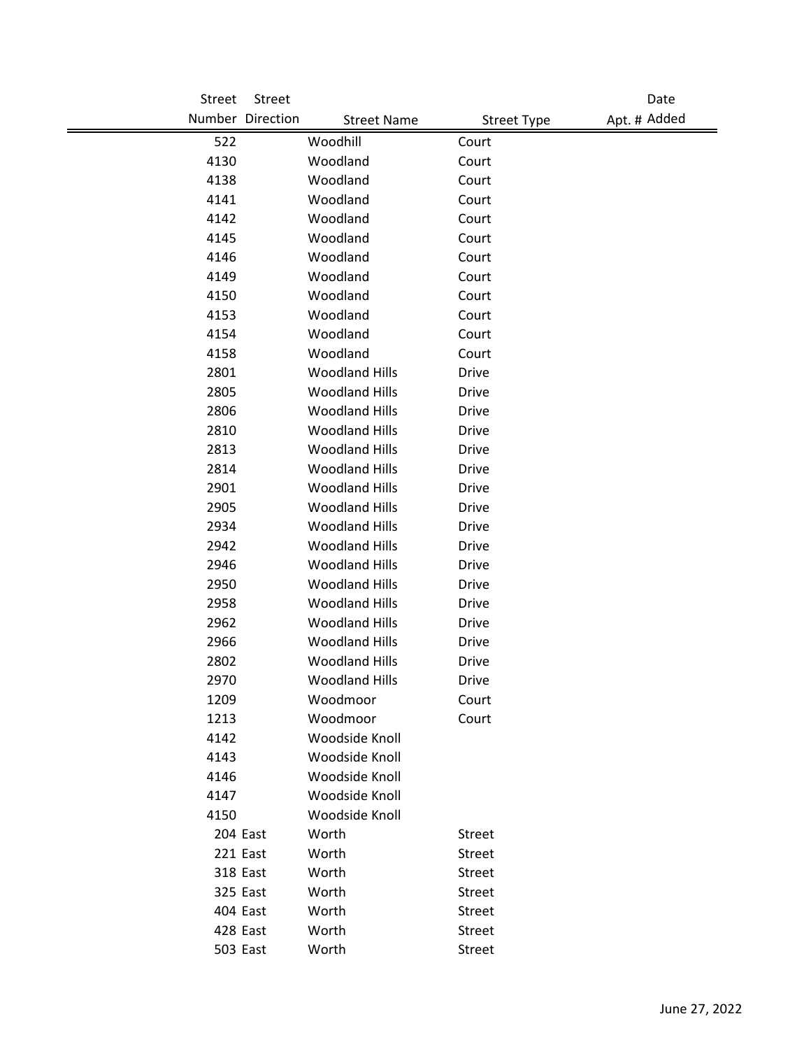| Street       | Street           |                                  |                         | Date         |
|--------------|------------------|----------------------------------|-------------------------|--------------|
|              | Number Direction | <b>Street Name</b>               | <b>Street Type</b>      | Apt. # Added |
| 522          |                  | Woodhill                         | Court                   |              |
| 4130         |                  | Woodland                         | Court                   |              |
| 4138         |                  | Woodland                         | Court                   |              |
| 4141         |                  | Woodland                         | Court                   |              |
| 4142         |                  | Woodland                         | Court                   |              |
| 4145         |                  | Woodland                         | Court                   |              |
| 4146         |                  | Woodland                         | Court                   |              |
| 4149         |                  | Woodland                         | Court                   |              |
| 4150         |                  | Woodland                         | Court                   |              |
| 4153         |                  | Woodland                         | Court                   |              |
| 4154         |                  | Woodland                         | Court                   |              |
| 4158         |                  | Woodland                         | Court                   |              |
| 2801         |                  | <b>Woodland Hills</b>            | <b>Drive</b>            |              |
| 2805         |                  | <b>Woodland Hills</b>            | Drive                   |              |
| 2806         |                  | <b>Woodland Hills</b>            | Drive                   |              |
| 2810         |                  | <b>Woodland Hills</b>            | Drive                   |              |
| 2813         |                  | <b>Woodland Hills</b>            | <b>Drive</b>            |              |
| 2814         |                  | <b>Woodland Hills</b>            | <b>Drive</b>            |              |
| 2901         |                  | <b>Woodland Hills</b>            | Drive                   |              |
| 2905         |                  | <b>Woodland Hills</b>            | <b>Drive</b>            |              |
| 2934         |                  | <b>Woodland Hills</b>            | <b>Drive</b>            |              |
| 2942         |                  | <b>Woodland Hills</b>            | Drive                   |              |
| 2946         |                  | <b>Woodland Hills</b>            | <b>Drive</b>            |              |
| 2950         |                  | <b>Woodland Hills</b>            | <b>Drive</b>            |              |
| 2958         |                  | <b>Woodland Hills</b>            | <b>Drive</b>            |              |
| 2962         |                  | <b>Woodland Hills</b>            | Drive                   |              |
| 2966         |                  | <b>Woodland Hills</b>            | Drive                   |              |
| 2802         |                  | <b>Woodland Hills</b>            | <b>Drive</b>            |              |
| 2970         |                  | <b>Woodland Hills</b>            | <b>Drive</b>            |              |
| 1209         |                  | Woodmoor                         | Court                   |              |
| 1213         |                  | Woodmoor                         | Court                   |              |
| 4142         |                  | Woodside Knoll                   |                         |              |
| 4143         |                  | Woodside Knoll                   |                         |              |
| 4146         |                  | Woodside Knoll<br>Woodside Knoll |                         |              |
| 4147<br>4150 |                  | Woodside Knoll                   |                         |              |
|              | 204 East         | Worth                            |                         |              |
| 221 East     |                  | Worth                            | Street<br><b>Street</b> |              |
|              | 318 East         | Worth                            | Street                  |              |
|              | 325 East         | Worth                            | Street                  |              |
|              | 404 East         | Worth                            | Street                  |              |
| 428 East     |                  | Worth                            | Street                  |              |
|              | 503 East         | Worth                            | Street                  |              |
|              |                  |                                  |                         |              |